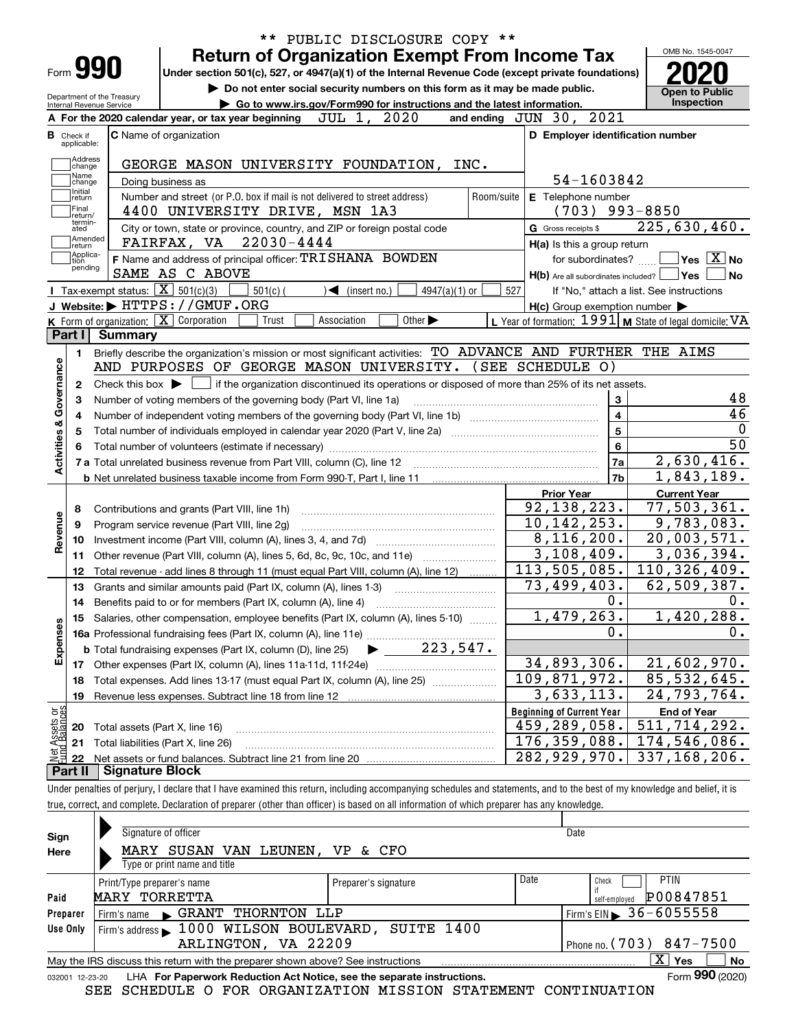|                                           |                                                                                                           | PUBLIC DISCLOSURE COPY **<br>$***$                                                                                                                                         |                                                           |                                          |  |  |  |  |  |
|-------------------------------------------|-----------------------------------------------------------------------------------------------------------|----------------------------------------------------------------------------------------------------------------------------------------------------------------------------|-----------------------------------------------------------|------------------------------------------|--|--|--|--|--|
|                                           |                                                                                                           | <b>Return of Organization Exempt From Income Tax</b>                                                                                                                       |                                                           | OMB No. 1545-0047                        |  |  |  |  |  |
| Form <b>990</b>                           |                                                                                                           | Under section 501(c), 527, or 4947(a)(1) of the Internal Revenue Code (except private foundations)                                                                         |                                                           |                                          |  |  |  |  |  |
|                                           | Do not enter social security numbers on this form as it may be made public.<br>Department of the Treasury |                                                                                                                                                                            |                                                           |                                          |  |  |  |  |  |
| Internal Revenue Service                  |                                                                                                           | Go to www.irs.gov/Form990 for instructions and the latest information.                                                                                                     |                                                           | Inspection                               |  |  |  |  |  |
|                                           |                                                                                                           | JUL 1, 2020<br>A For the 2020 calendar year, or tax year beginning                                                                                                         | and ending JUN 30, 2021                                   |                                          |  |  |  |  |  |
| в.<br>Check if<br>applicable:             |                                                                                                           | C Name of organization                                                                                                                                                     | D Employer identification number                          |                                          |  |  |  |  |  |
| Address                                   |                                                                                                           |                                                                                                                                                                            |                                                           |                                          |  |  |  |  |  |
| change<br>Name                            |                                                                                                           | GEORGE MASON UNIVERSITY FOUNDATION, INC.                                                                                                                                   | 54-1603842                                                |                                          |  |  |  |  |  |
| change<br>Initial<br>return               |                                                                                                           | Doing business as<br>Number and street (or P.O. box if mail is not delivered to street address)<br>Room/suite                                                              | E Telephone number                                        |                                          |  |  |  |  |  |
| Final                                     |                                                                                                           | 4400 UNIVERSITY DRIVE, MSN 1A3                                                                                                                                             | $(703)$ 993-8850                                          |                                          |  |  |  |  |  |
| return/<br>termin-<br>ated                |                                                                                                           | City or town, state or province, country, and ZIP or foreign postal code                                                                                                   | G Gross receipts \$                                       | 225,630,460.                             |  |  |  |  |  |
| Amended<br> return                        |                                                                                                           | FAIRFAX, VA 22030-4444                                                                                                                                                     | H(a) Is this a group return                               |                                          |  |  |  |  |  |
| Applica-<br>tion                          |                                                                                                           | F Name and address of principal officer: TRISHANA BOWDEN                                                                                                                   | for subordinates?                                         | $\sqrt{}$ Yes $\sqrt{}$ X $\sqrt{}$ No   |  |  |  |  |  |
| pending                                   |                                                                                                           | SAME AS C ABOVE                                                                                                                                                            | $H(b)$ Are all subordinates included? $\Box$ Yes          | No                                       |  |  |  |  |  |
|                                           | <b>I</b> Tax-exempt status: $\boxed{\mathbf{X}}$ 501(c)(3)                                                | $501(c)$ (<br>$\blacktriangleleft$ (insert no.)<br>4947(a)(1) or                                                                                                           | 527                                                       | If "No," attach a list. See instructions |  |  |  |  |  |
|                                           |                                                                                                           | J Website: FHTTPS: / / GMUF.ORG                                                                                                                                            | $H(c)$ Group exemption number $\blacktriangleright$       |                                          |  |  |  |  |  |
|                                           |                                                                                                           | K Form of organization: $\boxed{\mathbf{X}}$ Corporation<br>Trust<br>Association<br>Other $\blacktriangleright$                                                            | L Year of formation: $1991$ M State of legal domicile: VA |                                          |  |  |  |  |  |
| Part I                                    | Summary                                                                                                   |                                                                                                                                                                            |                                                           |                                          |  |  |  |  |  |
| 1.                                        |                                                                                                           | Briefly describe the organization's mission or most significant activities: TO ADVANCE AND FURTHER THE AIMS                                                                |                                                           |                                          |  |  |  |  |  |
| Activities & Governance                   |                                                                                                           | AND PURPOSES OF GEORGE MASON UNIVERSITY. (SEE SCHEDULE O)                                                                                                                  |                                                           |                                          |  |  |  |  |  |
| 2                                         |                                                                                                           | Check this box $\blacktriangleright$ $\Box$ if the organization discontinued its operations or disposed of more than 25% of its net assets.                                |                                                           |                                          |  |  |  |  |  |
|                                           |                                                                                                           | Number of voting members of the governing body (Part VI, line 1a)                                                                                                          | 3                                                         | 48                                       |  |  |  |  |  |
|                                           |                                                                                                           |                                                                                                                                                                            | $\overline{\mathbf{4}}$                                   | 46                                       |  |  |  |  |  |
|                                           |                                                                                                           | $\overline{5}$<br>Total number of individuals employed in calendar year 2020 (Part V, line 2a) manufacture of individuals employed in calendar year 2020 (Part V, line 2a) | $\overline{0}$                                            |                                          |  |  |  |  |  |
|                                           |                                                                                                           |                                                                                                                                                                            | $\bf{6}$                                                  | 50                                       |  |  |  |  |  |
|                                           |                                                                                                           |                                                                                                                                                                            | <b>7a</b>                                                 | 2,630,416.                               |  |  |  |  |  |
|                                           |                                                                                                           |                                                                                                                                                                            | 7b                                                        | 1,843,189.                               |  |  |  |  |  |
|                                           |                                                                                                           |                                                                                                                                                                            | <b>Prior Year</b>                                         | <b>Current Year</b>                      |  |  |  |  |  |
| 8                                         |                                                                                                           | Contributions and grants (Part VIII, line 1h)                                                                                                                              | 92, 138, 223.                                             | 77,503,361.                              |  |  |  |  |  |
| Revenue<br>9                              |                                                                                                           | Program service revenue (Part VIII, line 2g)                                                                                                                               | 10, 142, 253.                                             | 9,783,083.                               |  |  |  |  |  |
| 10                                        |                                                                                                           |                                                                                                                                                                            | 8,116,200.                                                | $\overline{20}$ , 003, 571.              |  |  |  |  |  |
| 11                                        |                                                                                                           | Other revenue (Part VIII, column (A), lines 5, 6d, 8c, 9c, 10c, and 11e)                                                                                                   | 3,108,409.                                                | 3,036,394.                               |  |  |  |  |  |
| 12                                        |                                                                                                           | Total revenue - add lines 8 through 11 (must equal Part VIII, column (A), line 12)                                                                                         | 113,505,085.                                              | 110, 326, 409.                           |  |  |  |  |  |
| 13                                        |                                                                                                           | Grants and similar amounts paid (Part IX, column (A), lines 1-3)                                                                                                           | 73,499,403.                                               | 62,509,387.                              |  |  |  |  |  |
| 14                                        |                                                                                                           | Benefits paid to or for members (Part IX, column (A), line 4)                                                                                                              | 0.                                                        | 0.                                       |  |  |  |  |  |
|                                           |                                                                                                           | 15 Salaries, other compensation, employee benefits (Part IX, column (A), lines 5-10)                                                                                       | 1,479,263.                                                | 1,420,288.                               |  |  |  |  |  |
| Expenses                                  |                                                                                                           |                                                                                                                                                                            | $\mathbf 0$ .                                             | 0.                                       |  |  |  |  |  |
|                                           |                                                                                                           |                                                                                                                                                                            |                                                           |                                          |  |  |  |  |  |
|                                           |                                                                                                           |                                                                                                                                                                            | 34,893,306.                                               | 21,602,970.                              |  |  |  |  |  |
| 18                                        |                                                                                                           | Total expenses. Add lines 13-17 (must equal Part IX, column (A), line 25)                                                                                                  | 109,871,972.                                              | 85,532,645.                              |  |  |  |  |  |
| 19                                        |                                                                                                           | Revenue less expenses. Subtract line 18 from line 12                                                                                                                       | 3,633,113.                                                | 24,793,764.                              |  |  |  |  |  |
|                                           |                                                                                                           |                                                                                                                                                                            | <b>Beginning of Current Year</b>                          | <b>End of Year</b>                       |  |  |  |  |  |
| 20                                        |                                                                                                           | Total assets (Part X, line 16)                                                                                                                                             | 459,289,058.                                              | 511, 714, 292.                           |  |  |  |  |  |
| 21                                        |                                                                                                           | Total liabilities (Part X, line 26)                                                                                                                                        |                                                           | 174,546,086.                             |  |  |  |  |  |
| 22                                        |                                                                                                           |                                                                                                                                                                            |                                                           | 337, 168, 206.                           |  |  |  |  |  |
| Net Assets or<br>Fund Balances<br>Part II | <b>Signature Block</b>                                                                                    | Under penalties of perjury, I declare that I have examined this return, including accompanying schedules and statements, and to the best of my knowledge and belief, it is | 176,359,088.<br>282,929,970.                              |                                          |  |  |  |  |  |

true, correct, and complete. Declaration of preparer (other than officer) is based on all information of which preparer has any knowledge.

| Sign                                                                                              | Signature of officer                                                   |                      |      | Date                                     |  |  |  |  |  |
|---------------------------------------------------------------------------------------------------|------------------------------------------------------------------------|----------------------|------|------------------------------------------|--|--|--|--|--|
| Here                                                                                              | MARY SUSAN VAN LEUNEN,                                                 | VP & CFO             |      |                                          |  |  |  |  |  |
|                                                                                                   | Type or print name and title                                           |                      |      |                                          |  |  |  |  |  |
|                                                                                                   | Print/Type preparer's name                                             | Preparer's signature | Date | <b>PTIN</b><br>Check                     |  |  |  |  |  |
| Paid                                                                                              | MARY TORRETTA                                                          |                      |      | P00847851<br>self-employed               |  |  |  |  |  |
| Preparer                                                                                          | GRANT<br>THORNTON<br>LLP<br>Firm's name<br>$\blacktriangleright$       |                      |      | Firm's $EIN \triangleright 36 - 6055558$ |  |  |  |  |  |
| Use Only                                                                                          | Firm's address $\blacktriangleright$ 1000 WILSON BOULEVARD,            | SUITE 1400           |      |                                          |  |  |  |  |  |
|                                                                                                   | ARLINGTON, VA 22209<br>Phone no. $(703)$ 847-7500                      |                      |      |                                          |  |  |  |  |  |
| x<br>No<br>Yes<br>May the IRS discuss this return with the preparer shown above? See instructions |                                                                        |                      |      |                                          |  |  |  |  |  |
| 032001 12-23-20                                                                                   | LHA For Paperwork Reduction Act Notice, see the separate instructions. |                      |      | Form 990 (2020)                          |  |  |  |  |  |
|                                                                                                   | A<br>$\sim$ $\sim$ $\sim$                                              |                      |      |                                          |  |  |  |  |  |

SEE SCHEDULE O FOR ORGANIZATION MISSION STATEMENT CONTINUATION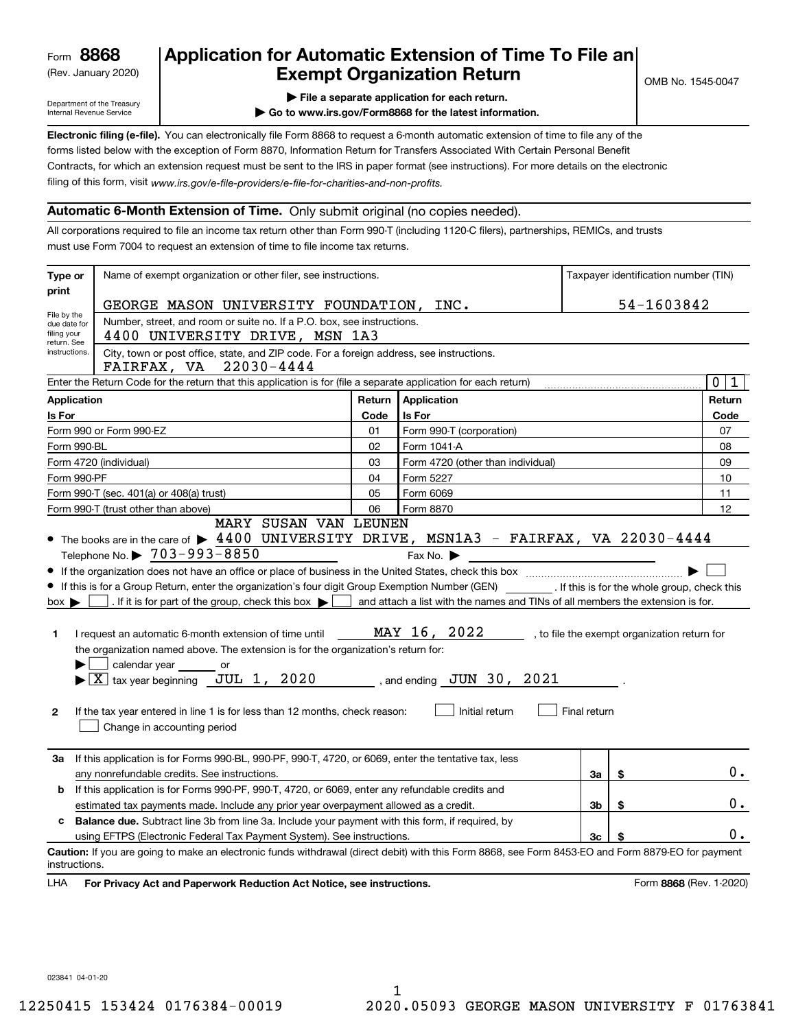(Rev. January 2020)

# **Application for Automatic Extension of Time To File an Exempt Organization Return**

Department of the Treasury Internal Revenue Service

**| File a separate application for each return.**

**| Go to www.irs.gov/Form8868 for the latest information.**

**Electronic filing (e-file).**  You can electronically file Form 8868 to request a 6-month automatic extension of time to file any of the filing of this form, visit www.irs.gov/e-file-providers/e-file-for-charities-and-non-profits. forms listed below with the exception of Form 8870, Information Return for Transfers Associated With Certain Personal Benefit Contracts, for which an extension request must be sent to the IRS in paper format (see instructions). For more details on the electronic

#### **Automatic 6-Month Extension of Time.** Only submit original (no copies needed).

All corporations required to file an income tax return other than Form 990-T (including 1120-C filers), partnerships, REMICs, and trusts must use Form 7004 to request an extension of time to file income tax returns.

| Type or                                                                                                      | Name of exempt organization or other filer, see instructions.                                                                                                                                                                                                                                                                                                                                                                                                                                                                                                                                                                                                                                                                                                                                           |        |                                                                                                                                                                  |                |    | Taxpayer identification number (TIN)         |  |  |  |  |
|--------------------------------------------------------------------------------------------------------------|---------------------------------------------------------------------------------------------------------------------------------------------------------------------------------------------------------------------------------------------------------------------------------------------------------------------------------------------------------------------------------------------------------------------------------------------------------------------------------------------------------------------------------------------------------------------------------------------------------------------------------------------------------------------------------------------------------------------------------------------------------------------------------------------------------|--------|------------------------------------------------------------------------------------------------------------------------------------------------------------------|----------------|----|----------------------------------------------|--|--|--|--|
| print                                                                                                        |                                                                                                                                                                                                                                                                                                                                                                                                                                                                                                                                                                                                                                                                                                                                                                                                         |        |                                                                                                                                                                  |                |    |                                              |  |  |  |  |
| File by the                                                                                                  | GEORGE MASON UNIVERSITY FOUNDATION, INC.                                                                                                                                                                                                                                                                                                                                                                                                                                                                                                                                                                                                                                                                                                                                                                |        |                                                                                                                                                                  |                |    | 54-1603842                                   |  |  |  |  |
| due date for<br>filing your<br>return. See                                                                   | Number, street, and room or suite no. If a P.O. box, see instructions.<br>4400 UNIVERSITY DRIVE, MSN 1A3                                                                                                                                                                                                                                                                                                                                                                                                                                                                                                                                                                                                                                                                                                |        |                                                                                                                                                                  |                |    |                                              |  |  |  |  |
| instructions.                                                                                                | City, town or post office, state, and ZIP code. For a foreign address, see instructions.<br>FAIRFAX, VA 22030-4444                                                                                                                                                                                                                                                                                                                                                                                                                                                                                                                                                                                                                                                                                      |        |                                                                                                                                                                  |                |    |                                              |  |  |  |  |
|                                                                                                              | Enter the Return Code for the return that this application is for (file a separate application for each return)                                                                                                                                                                                                                                                                                                                                                                                                                                                                                                                                                                                                                                                                                         |        |                                                                                                                                                                  |                |    | $\mathbf 0$<br>$\mathbf 1$                   |  |  |  |  |
| <b>Application</b>                                                                                           |                                                                                                                                                                                                                                                                                                                                                                                                                                                                                                                                                                                                                                                                                                                                                                                                         | Return | Application                                                                                                                                                      |                |    | Return                                       |  |  |  |  |
| Is For                                                                                                       |                                                                                                                                                                                                                                                                                                                                                                                                                                                                                                                                                                                                                                                                                                                                                                                                         | Code   | Is For                                                                                                                                                           |                |    | Code                                         |  |  |  |  |
|                                                                                                              | Form 990 or Form 990-EZ                                                                                                                                                                                                                                                                                                                                                                                                                                                                                                                                                                                                                                                                                                                                                                                 | 01     | Form 990-T (corporation)                                                                                                                                         |                |    | 07                                           |  |  |  |  |
| Form 990-BL                                                                                                  |                                                                                                                                                                                                                                                                                                                                                                                                                                                                                                                                                                                                                                                                                                                                                                                                         | 02     | Form 1041-A                                                                                                                                                      |                |    | 08                                           |  |  |  |  |
|                                                                                                              | Form 4720 (individual)                                                                                                                                                                                                                                                                                                                                                                                                                                                                                                                                                                                                                                                                                                                                                                                  | 03     | Form 4720 (other than individual)                                                                                                                                |                |    | 09                                           |  |  |  |  |
| Form 990-PF                                                                                                  |                                                                                                                                                                                                                                                                                                                                                                                                                                                                                                                                                                                                                                                                                                                                                                                                         | 04     | Form 5227                                                                                                                                                        |                |    | 10                                           |  |  |  |  |
|                                                                                                              | Form 990-T (sec. 401(a) or 408(a) trust)                                                                                                                                                                                                                                                                                                                                                                                                                                                                                                                                                                                                                                                                                                                                                                | 05     | Form 6069                                                                                                                                                        |                |    | 11                                           |  |  |  |  |
|                                                                                                              | Form 990-T (trust other than above)<br>MARY SUSAN VAN LEUNEN                                                                                                                                                                                                                                                                                                                                                                                                                                                                                                                                                                                                                                                                                                                                            | 06     | Form 8870                                                                                                                                                        |                |    | 12                                           |  |  |  |  |
| $box \blacktriangleright$<br>1.<br>$\mathbf{2}$                                                              | • The books are in the care of $\blacktriangleright$ 4400 UNIVERSITY DRIVE, MSN1A3 - FAIRFAX, VA 22030-4444<br>Telephone No. $\triangleright$ 703-993-8850<br>If this is for a Group Return, enter the organization's four digit Group Exemption Number (GEN) [67] If this is for the whole group, check this<br>. If it is for part of the group, check this box $\blacktriangleright$ [<br>I request an automatic 6-month extension of time until $\texttt{MAX}$ 16, 2022<br>the organization named above. The extension is for the organization's return for:<br>calendar year ________ or<br>$\blacktriangleright$ $\boxed{\text{X}}$ tax year beginning $\boxed{\text{JUL}}$ 1, 2020<br>If the tax year entered in line 1 is for less than 12 months, check reason:<br>Change in accounting period |        | Fax No. $\blacktriangleright$<br>and attach a list with the names and TINs of all members the extension is for.<br>, and ending $JUN$ 30, 2021<br>Initial return | Final return   |    | , to file the exempt organization return for |  |  |  |  |
| За                                                                                                           | If this application is for Forms 990-BL, 990-PF, 990-T, 4720, or 6069, enter the tentative tax, less<br>any nonrefundable credits. See instructions.                                                                                                                                                                                                                                                                                                                                                                                                                                                                                                                                                                                                                                                    |        |                                                                                                                                                                  | За             | \$ | 0.                                           |  |  |  |  |
| b                                                                                                            | If this application is for Forms 990-PF, 990-T, 4720, or 6069, enter any refundable credits and                                                                                                                                                                                                                                                                                                                                                                                                                                                                                                                                                                                                                                                                                                         |        |                                                                                                                                                                  |                |    |                                              |  |  |  |  |
|                                                                                                              | estimated tax payments made. Include any prior year overpayment allowed as a credit.                                                                                                                                                                                                                                                                                                                                                                                                                                                                                                                                                                                                                                                                                                                    |        |                                                                                                                                                                  | 3 <sub>b</sub> | \$ | 0.                                           |  |  |  |  |
| <b>Balance due.</b> Subtract line 3b from line 3a. Include your payment with this form, if required, by<br>c |                                                                                                                                                                                                                                                                                                                                                                                                                                                                                                                                                                                                                                                                                                                                                                                                         |        |                                                                                                                                                                  |                |    |                                              |  |  |  |  |
|                                                                                                              | using EFTPS (Electronic Federal Tax Payment System). See instructions.                                                                                                                                                                                                                                                                                                                                                                                                                                                                                                                                                                                                                                                                                                                                  |        |                                                                                                                                                                  | 3c             | \$ | 0.                                           |  |  |  |  |
| instructions.<br>LHA                                                                                         | Caution: If you are going to make an electronic funds withdrawal (direct debit) with this Form 8868, see Form 8453-EO and Form 8879-EO for payment<br>For Privacy Act and Paperwork Reduction Act Notice, see instructions.                                                                                                                                                                                                                                                                                                                                                                                                                                                                                                                                                                             |        |                                                                                                                                                                  |                |    | Form 8868 (Rev. 1-2020)                      |  |  |  |  |

023841 04-01-20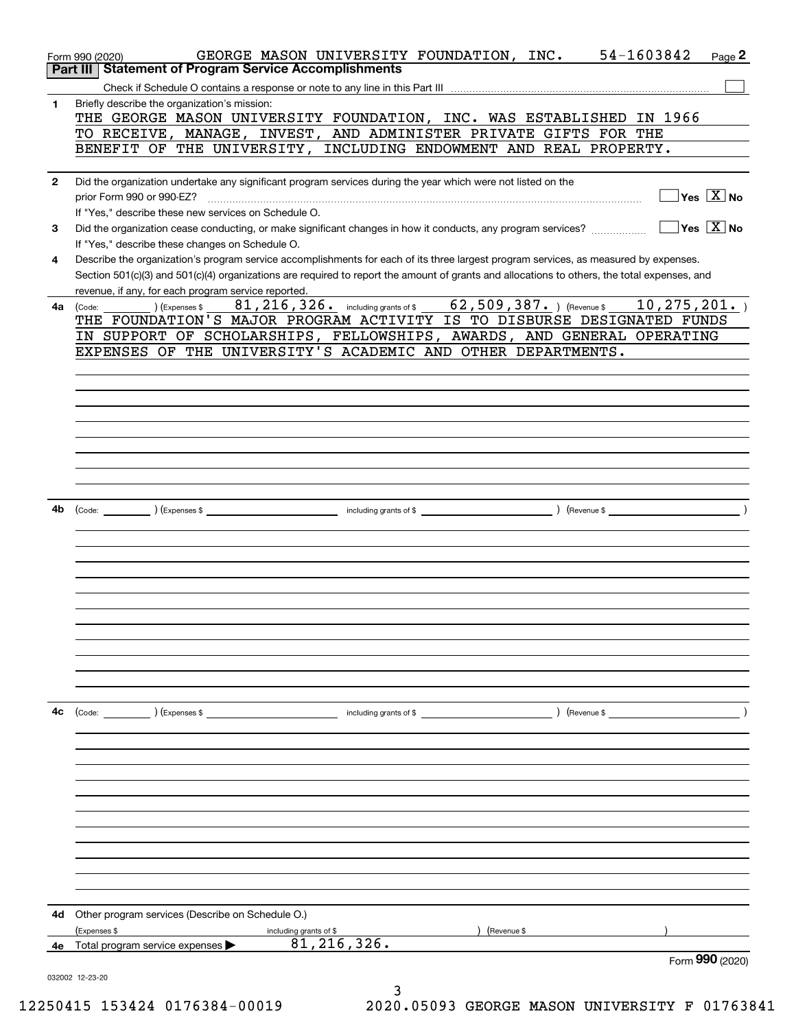|              | 54-1603842<br>GEORGE MASON UNIVERSITY FOUNDATION, INC.<br>Page 2<br>Form 990 (2020)                                                                             |
|--------------|-----------------------------------------------------------------------------------------------------------------------------------------------------------------|
|              | <b>Part III Statement of Program Service Accomplishments</b>                                                                                                    |
|              |                                                                                                                                                                 |
| 1            | Briefly describe the organization's mission:                                                                                                                    |
|              | THE GEORGE MASON UNIVERSITY FOUNDATION, INC. WAS ESTABLISHED IN 1966                                                                                            |
|              | TO RECEIVE, MANAGE, INVEST, AND ADMINISTER PRIVATE GIFTS FOR THE                                                                                                |
|              | BENEFIT OF THE UNIVERSITY, INCLUDING ENDOWMENT AND REAL PROPERTY.                                                                                               |
|              |                                                                                                                                                                 |
| $\mathbf{2}$ | Did the organization undertake any significant program services during the year which were not listed on the                                                    |
|              | $\boxed{\phantom{1}}$ Yes $\boxed{\mathrm{X}}$ No<br>prior Form 990 or 990-EZ?                                                                                  |
|              | If "Yes," describe these new services on Schedule O.                                                                                                            |
| 3            | $\boxed{\phantom{1}}$ Yes $\boxed{\text{X}}$ No<br>Did the organization cease conducting, or make significant changes in how it conducts, any program services? |
|              | If "Yes," describe these changes on Schedule O.                                                                                                                 |
| 4            | Describe the organization's program service accomplishments for each of its three largest program services, as measured by expenses.                            |
|              | Section 501(c)(3) and 501(c)(4) organizations are required to report the amount of grants and allocations to others, the total expenses, and                    |
|              | revenue, if any, for each program service reported.<br>81, 216, 326. including grants of \$ 62, 509, 387. ) (Revenue \$ 10, 275, 201. )                         |
| 4a           | ) (Expenses \$<br>(Code:<br>THE FOUNDATION'S MAJOR PROGRAM ACTIVITY IS TO DISBURSE DESIGNATED FUNDS                                                             |
|              | IN SUPPORT OF SCHOLARSHIPS, FELLOWSHIPS, AWARDS, AND GENERAL OPERATING                                                                                          |
|              | EXPENSES OF THE UNIVERSITY'S ACADEMIC AND OTHER DEPARTMENTS.                                                                                                    |
|              |                                                                                                                                                                 |
|              |                                                                                                                                                                 |
|              |                                                                                                                                                                 |
|              |                                                                                                                                                                 |
|              |                                                                                                                                                                 |
|              |                                                                                                                                                                 |
|              |                                                                                                                                                                 |
|              |                                                                                                                                                                 |
|              |                                                                                                                                                                 |
| 4b           |                                                                                                                                                                 |
|              |                                                                                                                                                                 |
|              |                                                                                                                                                                 |
|              |                                                                                                                                                                 |
|              |                                                                                                                                                                 |
|              |                                                                                                                                                                 |
|              |                                                                                                                                                                 |
|              |                                                                                                                                                                 |
|              |                                                                                                                                                                 |
|              |                                                                                                                                                                 |
|              |                                                                                                                                                                 |
|              |                                                                                                                                                                 |
|              |                                                                                                                                                                 |
| 4c           | $\left(\text{Code:}\right)$ $\left(\text{Expenses $}\right)$<br>) (Revenue \$<br>including grants of \$                                                         |
|              |                                                                                                                                                                 |
|              |                                                                                                                                                                 |
|              |                                                                                                                                                                 |
|              |                                                                                                                                                                 |
|              |                                                                                                                                                                 |
|              |                                                                                                                                                                 |
|              |                                                                                                                                                                 |
|              |                                                                                                                                                                 |
|              |                                                                                                                                                                 |
|              |                                                                                                                                                                 |
|              |                                                                                                                                                                 |
|              |                                                                                                                                                                 |
| 4d           | Other program services (Describe on Schedule O.)                                                                                                                |
|              | (Expenses \$<br>including grants of \$<br>(Revenue \$                                                                                                           |
| 4е           | 81, 216, 326.<br>Total program service expenses                                                                                                                 |
|              | Form 990 (2020)                                                                                                                                                 |
|              | 032002 12-23-20                                                                                                                                                 |
|              |                                                                                                                                                                 |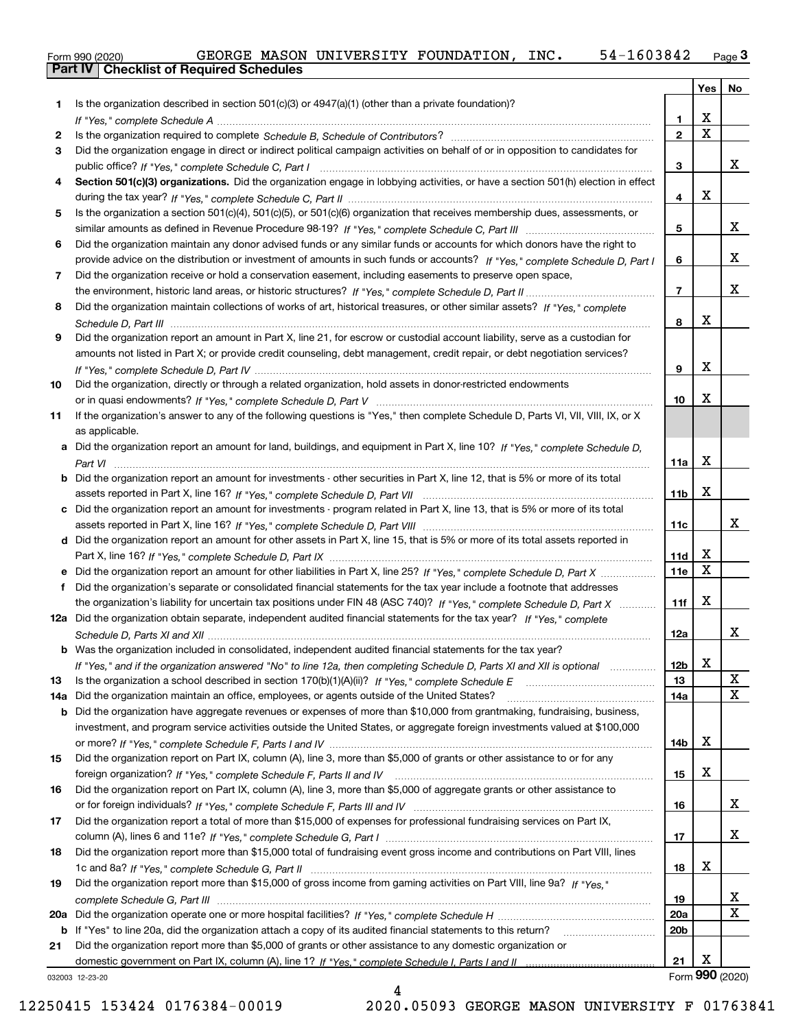|  | Form 990 (2020) |
|--|-----------------|

|     |                                                                                                                                                                                                                                                     |                 | Yes         | No              |
|-----|-----------------------------------------------------------------------------------------------------------------------------------------------------------------------------------------------------------------------------------------------------|-----------------|-------------|-----------------|
| 1.  | Is the organization described in section $501(c)(3)$ or $4947(a)(1)$ (other than a private foundation)?                                                                                                                                             |                 |             |                 |
|     |                                                                                                                                                                                                                                                     | 1.              | х           |                 |
| 2   |                                                                                                                                                                                                                                                     | $\mathbf{2}$    | $\mathbf X$ |                 |
| 3   | Did the organization engage in direct or indirect political campaign activities on behalf of or in opposition to candidates for                                                                                                                     |                 |             |                 |
|     |                                                                                                                                                                                                                                                     | 3               |             | x               |
| 4   | Section 501(c)(3) organizations. Did the organization engage in lobbying activities, or have a section 501(h) election in effect                                                                                                                    |                 |             |                 |
|     |                                                                                                                                                                                                                                                     | 4               | x           |                 |
| 5   | Is the organization a section 501(c)(4), 501(c)(5), or 501(c)(6) organization that receives membership dues, assessments, or                                                                                                                        |                 |             |                 |
|     |                                                                                                                                                                                                                                                     | 5               |             | x               |
| 6   | Did the organization maintain any donor advised funds or any similar funds or accounts for which donors have the right to                                                                                                                           |                 |             | х               |
|     | provide advice on the distribution or investment of amounts in such funds or accounts? If "Yes," complete Schedule D, Part I                                                                                                                        | 6               |             |                 |
| 7   | Did the organization receive or hold a conservation easement, including easements to preserve open space,                                                                                                                                           | $\overline{7}$  |             | х               |
| 8   | Did the organization maintain collections of works of art, historical treasures, or other similar assets? If "Yes," complete                                                                                                                        |                 |             |                 |
|     |                                                                                                                                                                                                                                                     | 8               | x           |                 |
| 9   | Did the organization report an amount in Part X, line 21, for escrow or custodial account liability, serve as a custodian for                                                                                                                       |                 |             |                 |
|     | amounts not listed in Part X; or provide credit counseling, debt management, credit repair, or debt negotiation services?                                                                                                                           |                 |             |                 |
|     |                                                                                                                                                                                                                                                     | 9               | х           |                 |
| 10  | Did the organization, directly or through a related organization, hold assets in donor-restricted endowments                                                                                                                                        |                 |             |                 |
|     |                                                                                                                                                                                                                                                     | 10              | x           |                 |
| 11  | If the organization's answer to any of the following questions is "Yes," then complete Schedule D, Parts VI, VII, VIII, IX, or X                                                                                                                    |                 |             |                 |
|     | as applicable.                                                                                                                                                                                                                                      |                 |             |                 |
|     | a Did the organization report an amount for land, buildings, and equipment in Part X, line 10? If "Yes," complete Schedule D,                                                                                                                       |                 |             |                 |
|     |                                                                                                                                                                                                                                                     | 11a             | x           |                 |
|     | <b>b</b> Did the organization report an amount for investments - other securities in Part X, line 12, that is 5% or more of its total                                                                                                               |                 |             |                 |
|     |                                                                                                                                                                                                                                                     | 11 <sub>b</sub> | x           |                 |
|     | c Did the organization report an amount for investments - program related in Part X, line 13, that is 5% or more of its total                                                                                                                       |                 |             |                 |
|     |                                                                                                                                                                                                                                                     | 11c             |             | x               |
|     | d Did the organization report an amount for other assets in Part X, line 15, that is 5% or more of its total assets reported in                                                                                                                     |                 |             |                 |
|     |                                                                                                                                                                                                                                                     | 11d             | x<br>X      |                 |
|     | e Did the organization report an amount for other liabilities in Part X, line 25? If "Yes," complete Schedule D, Part X                                                                                                                             | 11e             |             |                 |
|     | f Did the organization's separate or consolidated financial statements for the tax year include a footnote that addresses<br>the organization's liability for uncertain tax positions under FIN 48 (ASC 740)? If "Yes," complete Schedule D, Part X | 11f             | x           |                 |
|     | 12a Did the organization obtain separate, independent audited financial statements for the tax year? If "Yes," complete                                                                                                                             |                 |             |                 |
|     |                                                                                                                                                                                                                                                     | 12a             |             | x               |
|     | <b>b</b> Was the organization included in consolidated, independent audited financial statements for the tax year?                                                                                                                                  |                 |             |                 |
|     | If "Yes," and if the organization answered "No" to line 12a, then completing Schedule D, Parts XI and XII is optional manum                                                                                                                         | 12 <sub>b</sub> | X.          |                 |
| 13  |                                                                                                                                                                                                                                                     | 13              |             | х               |
| 14a | Did the organization maintain an office, employees, or agents outside of the United States?                                                                                                                                                         | 14a             |             | X               |
|     | b Did the organization have aggregate revenues or expenses of more than \$10,000 from grantmaking, fundraising, business,                                                                                                                           |                 |             |                 |
|     | investment, and program service activities outside the United States, or aggregate foreign investments valued at \$100,000                                                                                                                          |                 |             |                 |
|     |                                                                                                                                                                                                                                                     | 14b             | x           |                 |
| 15  | Did the organization report on Part IX, column (A), line 3, more than \$5,000 of grants or other assistance to or for any                                                                                                                           |                 |             |                 |
|     |                                                                                                                                                                                                                                                     | 15              | х           |                 |
| 16  | Did the organization report on Part IX, column (A), line 3, more than \$5,000 of aggregate grants or other assistance to                                                                                                                            |                 |             |                 |
|     |                                                                                                                                                                                                                                                     | 16              |             | x               |
| 17  | Did the organization report a total of more than \$15,000 of expenses for professional fundraising services on Part IX,                                                                                                                             |                 |             |                 |
|     |                                                                                                                                                                                                                                                     | 17              |             | x               |
| 18  | Did the organization report more than \$15,000 total of fundraising event gross income and contributions on Part VIII, lines                                                                                                                        |                 | х           |                 |
| 19  | Did the organization report more than \$15,000 of gross income from gaming activities on Part VIII, line 9a? If "Yes."                                                                                                                              | 18              |             |                 |
|     |                                                                                                                                                                                                                                                     | 19              |             | X               |
| 20a |                                                                                                                                                                                                                                                     | <b>20a</b>      |             | x               |
| b   | If "Yes" to line 20a, did the organization attach a copy of its audited financial statements to this return?                                                                                                                                        | 20 <sub>b</sub> |             |                 |
| 21  | Did the organization report more than \$5,000 of grants or other assistance to any domestic organization or                                                                                                                                         |                 |             |                 |
|     |                                                                                                                                                                                                                                                     | 21              | х           |                 |
|     | 032003 12-23-20                                                                                                                                                                                                                                     |                 |             | Form 990 (2020) |

032003 12-23-20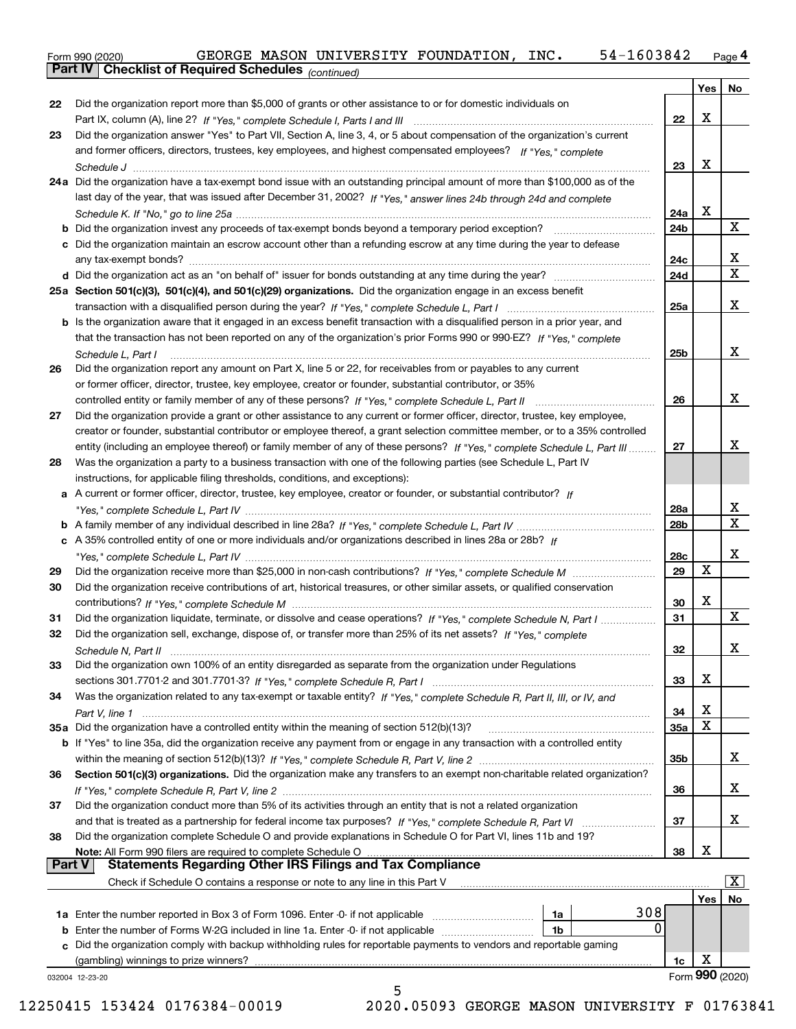Form 990 (2020) GEORGE MASON UNIVERSITY FOUNDATION,INC**.** 54-1603842 <sub>Page</sub> 4<br>**Part IV | Checklist of Required Schedules** <sub>(continued)</sub>

*(continued)*

|               |                                                                                                                                    |            | Yes         | No                      |
|---------------|------------------------------------------------------------------------------------------------------------------------------------|------------|-------------|-------------------------|
| 22            | Did the organization report more than \$5,000 of grants or other assistance to or for domestic individuals on                      |            |             |                         |
|               |                                                                                                                                    | 22         | Χ           |                         |
| 23            | Did the organization answer "Yes" to Part VII, Section A, line 3, 4, or 5 about compensation of the organization's current         |            |             |                         |
|               | and former officers, directors, trustees, key employees, and highest compensated employees? If "Yes," complete                     |            |             |                         |
|               |                                                                                                                                    | 23         | X           |                         |
|               | 24a Did the organization have a tax-exempt bond issue with an outstanding principal amount of more than \$100,000 as of the        |            |             |                         |
|               | last day of the year, that was issued after December 31, 2002? If "Yes," answer lines 24b through 24d and complete                 |            |             |                         |
|               |                                                                                                                                    | 24a        | х           |                         |
|               | <b>b</b> Did the organization invest any proceeds of tax-exempt bonds beyond a temporary period exception?                         | 24b        |             | X                       |
|               | c Did the organization maintain an escrow account other than a refunding escrow at any time during the year to defease             |            |             |                         |
|               |                                                                                                                                    | 24c        |             | x                       |
|               | d Did the organization act as an "on behalf of" issuer for bonds outstanding at any time during the year?                          | 24d        |             | $\mathbf{x}$            |
|               | 25a Section 501(c)(3), 501(c)(4), and 501(c)(29) organizations. Did the organization engage in an excess benefit                   |            |             |                         |
|               |                                                                                                                                    | 25a        |             | x                       |
|               | b Is the organization aware that it engaged in an excess benefit transaction with a disqualified person in a prior year, and       |            |             |                         |
|               | that the transaction has not been reported on any of the organization's prior Forms 990 or 990-EZ? If "Yes," complete              |            |             |                         |
|               | Schedule L, Part I                                                                                                                 | 25b        |             | X.                      |
| 26            | Did the organization report any amount on Part X, line 5 or 22, for receivables from or payables to any current                    |            |             |                         |
|               | or former officer, director, trustee, key employee, creator or founder, substantial contributor, or 35%                            |            |             |                         |
|               |                                                                                                                                    | 26         |             | X.                      |
| 27            | Did the organization provide a grant or other assistance to any current or former officer, director, trustee, key employee,        |            |             |                         |
|               | creator or founder, substantial contributor or employee thereof, a grant selection committee member, or to a 35% controlled        |            |             |                         |
|               | entity (including an employee thereof) or family member of any of these persons? If "Yes," complete Schedule L, Part III           | 27         |             | x                       |
| 28            | Was the organization a party to a business transaction with one of the following parties (see Schedule L, Part IV                  |            |             |                         |
|               | instructions, for applicable filing thresholds, conditions, and exceptions):                                                       |            |             |                         |
|               | a A current or former officer, director, trustee, key employee, creator or founder, or substantial contributor? If                 |            |             |                         |
|               |                                                                                                                                    | 28a        |             | X                       |
|               |                                                                                                                                    | 28b        |             | $\mathbf{x}$            |
|               | c A 35% controlled entity of one or more individuals and/or organizations described in lines 28a or 28b? If                        |            |             |                         |
|               |                                                                                                                                    | 28c        |             | x                       |
| 29            |                                                                                                                                    | 29         | $\mathbf X$ |                         |
| 30            | Did the organization receive contributions of art, historical treasures, or other similar assets, or qualified conservation        |            |             |                         |
|               |                                                                                                                                    | 30         | x           |                         |
| 31            | Did the organization liquidate, terminate, or dissolve and cease operations? If "Yes," complete Schedule N, Part I                 | 31         |             | X                       |
| 32            | Did the organization sell, exchange, dispose of, or transfer more than 25% of its net assets? If "Yes," complete                   |            |             |                         |
|               |                                                                                                                                    | 32         |             | x                       |
| 33            | Did the organization own 100% of an entity disregarded as separate from the organization under Regulations                         |            |             |                         |
|               |                                                                                                                                    | 33         | х           |                         |
| 34            | Was the organization related to any tax-exempt or taxable entity? If "Yes," complete Schedule R, Part II, III, or IV, and          |            |             |                         |
|               |                                                                                                                                    | 34         | х<br>X      |                         |
|               | 35a Did the organization have a controlled entity within the meaning of section 512(b)(13)?                                        | <b>35a</b> |             |                         |
|               | <b>b</b> If "Yes" to line 35a, did the organization receive any payment from or engage in any transaction with a controlled entity |            |             | x                       |
|               |                                                                                                                                    | 35b        |             |                         |
| 36            | Section 501(c)(3) organizations. Did the organization make any transfers to an exempt non-charitable related organization?         |            |             | х                       |
|               | Did the organization conduct more than 5% of its activities through an entity that is not a related organization                   | 36         |             |                         |
| 37            |                                                                                                                                    | 37         |             | х                       |
| 38            | Did the organization complete Schedule O and provide explanations in Schedule O for Part VI, lines 11b and 19?                     |            |             |                         |
|               | Note: All Form 990 filers are required to complete Schedule O                                                                      | 38         | х           |                         |
| <b>Part V</b> | <b>Statements Regarding Other IRS Filings and Tax Compliance</b>                                                                   |            |             |                         |
|               | Check if Schedule O contains a response or note to any line in this Part V                                                         |            |             | $\overline{\mathbf{x}}$ |
|               |                                                                                                                                    |            | Yes         | No                      |
|               | 308<br>1a                                                                                                                          |            |             |                         |
| b             | 0<br>Enter the number of Forms W-2G included in line 1a. Enter -0- if not applicable<br>1b                                         |            |             |                         |
|               | c Did the organization comply with backup withholding rules for reportable payments to vendors and reportable gaming               |            |             |                         |
|               | (gambling) winnings to prize winners?                                                                                              | 1c         | х           |                         |
|               | 032004 12-23-20                                                                                                                    |            |             | Form 990 (2020)         |
|               | 5                                                                                                                                  |            |             |                         |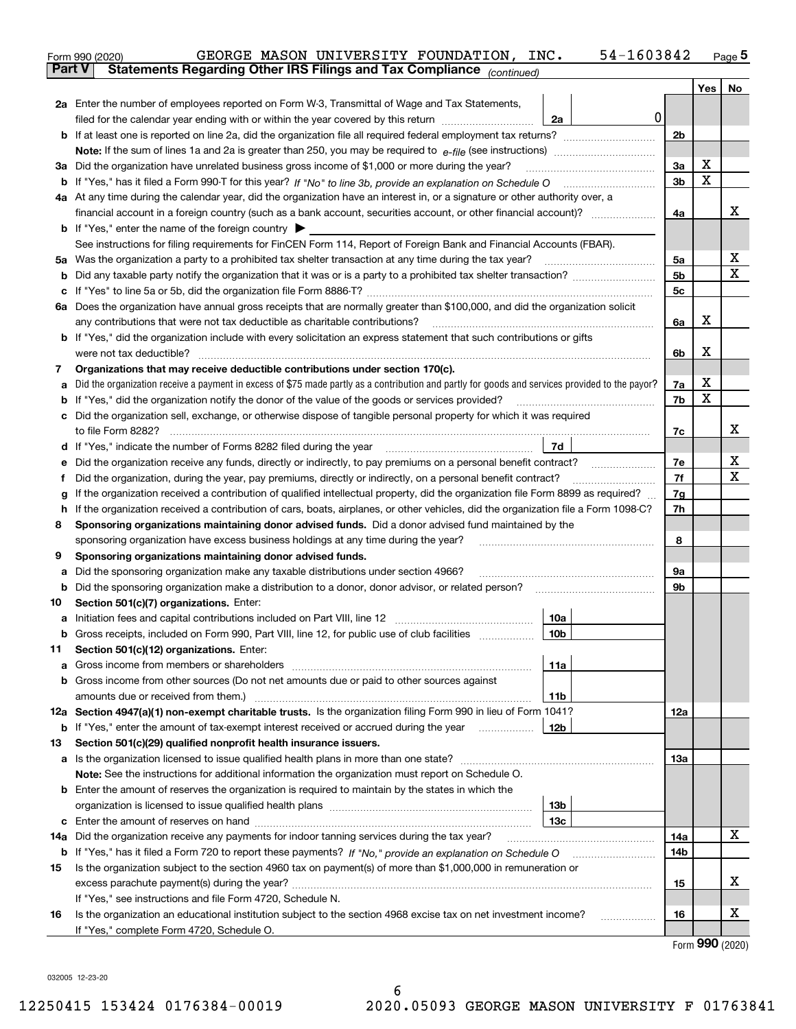|    | 54-1603842<br>GEORGE MASON UNIVERSITY FOUNDATION, INC.<br>Form 990 (2020)                                                                                                                                                            |                |         | $Page$ <sup>5</sup> |  |  |  |
|----|--------------------------------------------------------------------------------------------------------------------------------------------------------------------------------------------------------------------------------------|----------------|---------|---------------------|--|--|--|
|    | Statements Regarding Other IRS Filings and Tax Compliance (continued)<br><b>Part V</b>                                                                                                                                               |                |         |                     |  |  |  |
|    |                                                                                                                                                                                                                                      |                | Yes $ $ | No                  |  |  |  |
|    | 2a Enter the number of employees reported on Form W-3, Transmittal of Wage and Tax Statements,                                                                                                                                       |                |         |                     |  |  |  |
|    | 0<br>filed for the calendar year ending with or within the year covered by this return <i>manumumumum</i><br>2a                                                                                                                      |                |         |                     |  |  |  |
|    |                                                                                                                                                                                                                                      | 2 <sub>b</sub> |         |                     |  |  |  |
|    |                                                                                                                                                                                                                                      |                |         |                     |  |  |  |
|    | 3a Did the organization have unrelated business gross income of \$1,000 or more during the year?                                                                                                                                     | 3a             | х       |                     |  |  |  |
|    |                                                                                                                                                                                                                                      | 3 <sub>b</sub> | X       |                     |  |  |  |
|    | 4a At any time during the calendar year, did the organization have an interest in, or a signature or other authority over, a                                                                                                         |                |         |                     |  |  |  |
|    | financial account in a foreign country (such as a bank account, securities account, or other financial account)?                                                                                                                     | 4a             |         | х                   |  |  |  |
|    | <b>b</b> If "Yes," enter the name of the foreign country $\blacktriangleright$                                                                                                                                                       |                |         |                     |  |  |  |
|    | See instructions for filing requirements for FinCEN Form 114, Report of Foreign Bank and Financial Accounts (FBAR).                                                                                                                  |                |         |                     |  |  |  |
|    |                                                                                                                                                                                                                                      | 5a             |         | Х                   |  |  |  |
|    |                                                                                                                                                                                                                                      | 5 <sub>b</sub> |         | х                   |  |  |  |
|    |                                                                                                                                                                                                                                      | 5c             |         |                     |  |  |  |
|    | 6a Does the organization have annual gross receipts that are normally greater than \$100,000, and did the organization solicit                                                                                                       |                |         |                     |  |  |  |
|    | any contributions that were not tax deductible as charitable contributions?                                                                                                                                                          | 6a             | х       |                     |  |  |  |
|    | <b>b</b> If "Yes," did the organization include with every solicitation an express statement that such contributions or gifts                                                                                                        |                |         |                     |  |  |  |
|    | were not tax deductible?                                                                                                                                                                                                             | 6b             | x       |                     |  |  |  |
| 7  | Organizations that may receive deductible contributions under section 170(c).                                                                                                                                                        |                |         |                     |  |  |  |
| а  | Did the organization receive a payment in excess of \$75 made partly as a contribution and partly for goods and services provided to the payor?                                                                                      | 7a             | х       |                     |  |  |  |
|    | <b>b</b> If "Yes," did the organization notify the donor of the value of the goods or services provided?                                                                                                                             | 7b             | X       |                     |  |  |  |
|    | c Did the organization sell, exchange, or otherwise dispose of tangible personal property for which it was required                                                                                                                  |                |         |                     |  |  |  |
|    |                                                                                                                                                                                                                                      | 7c             |         | х                   |  |  |  |
|    | 7d<br>d If "Yes," indicate the number of Forms 8282 filed during the year [11] [11] The System manuscription of Forms 8282 filed during the year [11] [12] The System manuscription of the Wales of the Wales of the Wales of the Wa |                |         |                     |  |  |  |
| е  | Did the organization receive any funds, directly or indirectly, to pay premiums on a personal benefit contract?                                                                                                                      | 7e             |         | X                   |  |  |  |
| f  | Did the organization, during the year, pay premiums, directly or indirectly, on a personal benefit contract?                                                                                                                         | 7f             |         | X                   |  |  |  |
| g  | If the organization received a contribution of qualified intellectual property, did the organization file Form 8899 as required?                                                                                                     |                |         |                     |  |  |  |
| h  | If the organization received a contribution of cars, boats, airplanes, or other vehicles, did the organization file a Form 1098-C?                                                                                                   | 7h             |         |                     |  |  |  |
| 8  | Sponsoring organizations maintaining donor advised funds. Did a donor advised fund maintained by the                                                                                                                                 |                |         |                     |  |  |  |
|    | sponsoring organization have excess business holdings at any time during the year?                                                                                                                                                   | 8              |         |                     |  |  |  |
| 9  | Sponsoring organizations maintaining donor advised funds.                                                                                                                                                                            |                |         |                     |  |  |  |
| а  | Did the sponsoring organization make any taxable distributions under section 4966?                                                                                                                                                   | 9а             |         |                     |  |  |  |
| b  | Did the sponsoring organization make a distribution to a donor, donor advisor, or related person?                                                                                                                                    | 9b             |         |                     |  |  |  |
| 10 | Section 501(c)(7) organizations. Enter:                                                                                                                                                                                              |                |         |                     |  |  |  |
| а  | 10a<br>Initiation fees and capital contributions included on Part VIII, line 12 [111] [11] [12] [11] [12] [11] [12] [                                                                                                                |                |         |                     |  |  |  |
|    | 10b <br>Gross receipts, included on Form 990, Part VIII, line 12, for public use of club facilities                                                                                                                                  |                |         |                     |  |  |  |
| 11 | Section 501(c)(12) organizations. Enter:                                                                                                                                                                                             |                |         |                     |  |  |  |
| а  | Gross income from members or shareholders<br>11a                                                                                                                                                                                     |                |         |                     |  |  |  |
|    | b Gross income from other sources (Do not net amounts due or paid to other sources against                                                                                                                                           |                |         |                     |  |  |  |
|    | amounts due or received from them.)<br>11b<br>12a Section 4947(a)(1) non-exempt charitable trusts. Is the organization filing Form 990 in lieu of Form 1041?                                                                         |                |         |                     |  |  |  |
|    |                                                                                                                                                                                                                                      | 12a            |         |                     |  |  |  |
| 13 | 12b<br><b>b</b> If "Yes," enter the amount of tax-exempt interest received or accrued during the year                                                                                                                                |                |         |                     |  |  |  |
|    | Section 501(c)(29) qualified nonprofit health insurance issuers.<br>a Is the organization licensed to issue qualified health plans in more than one state?                                                                           | 13а            |         |                     |  |  |  |
|    | Note: See the instructions for additional information the organization must report on Schedule O.                                                                                                                                    |                |         |                     |  |  |  |
|    | <b>b</b> Enter the amount of reserves the organization is required to maintain by the states in which the                                                                                                                            |                |         |                     |  |  |  |
|    | 13b                                                                                                                                                                                                                                  |                |         |                     |  |  |  |
|    | 13с                                                                                                                                                                                                                                  |                |         |                     |  |  |  |
|    | 14a Did the organization receive any payments for indoor tanning services during the tax year?                                                                                                                                       | 14a            |         | x                   |  |  |  |
|    | <b>b</b> If "Yes," has it filed a Form 720 to report these payments? If "No," provide an explanation on Schedule O                                                                                                                   | 14b            |         |                     |  |  |  |
| 15 | Is the organization subject to the section 4960 tax on payment(s) of more than \$1,000,000 in remuneration or                                                                                                                        |                |         |                     |  |  |  |
|    |                                                                                                                                                                                                                                      |                |         |                     |  |  |  |
|    | If "Yes," see instructions and file Form 4720, Schedule N.                                                                                                                                                                           | 15             |         | x                   |  |  |  |
| 16 | Is the organization an educational institution subject to the section 4968 excise tax on net investment income?                                                                                                                      | 16             |         | x                   |  |  |  |
|    | If "Yes," complete Form 4720, Schedule O.                                                                                                                                                                                            |                |         |                     |  |  |  |
|    |                                                                                                                                                                                                                                      |                |         | $\mathbf{QQ}$       |  |  |  |

Form (2020) **990**

032005 12-23-20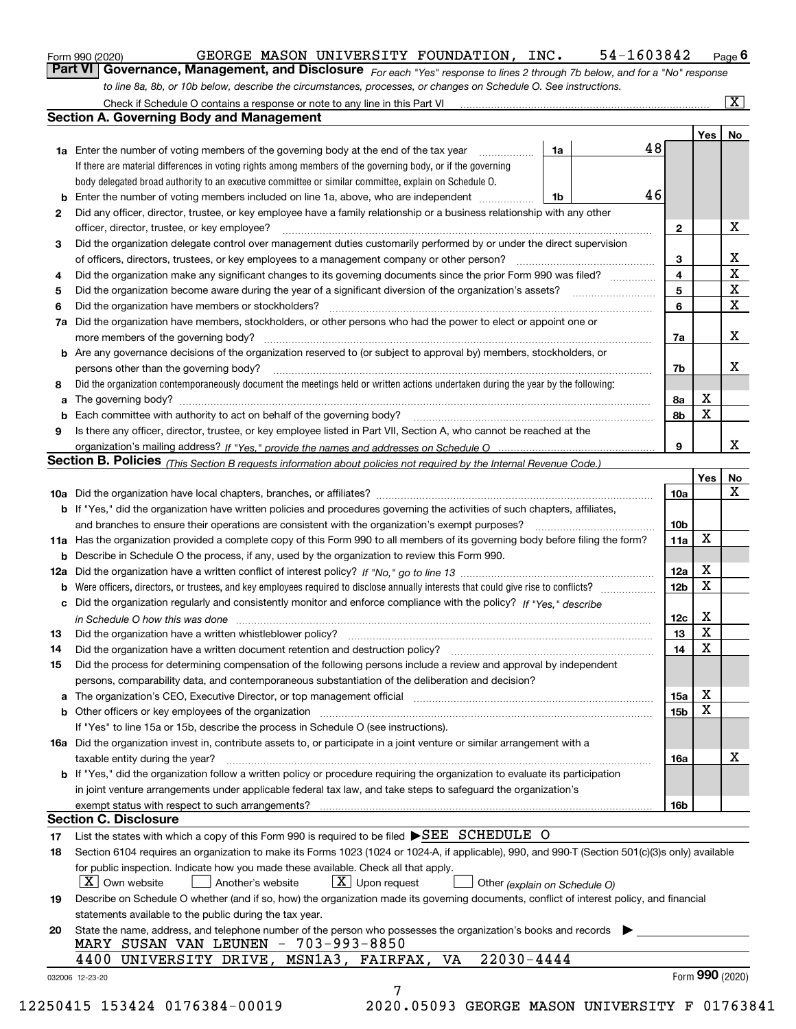|  | Form 990 (2020) |
|--|-----------------|
|  |                 |

#### $_{\rm Form\ 990\ (2020)}$  GEORGE MASON UNIVERSITY FOUNDATION, INC. 54-1603842  $_{\rm Page}$

orm 990 (2020) GEORGE MASON UNIVERSITY FOUNDATION, INC**.** 54-1603842 <sub>Page</sub> 6<br><mark>Part VI | Governance, Management, and Disclosure</mark> <sub>For each "Yes" response to lines 2 through 7b below, and for a "No" response</sub> *to line 8a, 8b, or 10b below, describe the circumstances, processes, or changes on Schedule O. See instructions.*

|    |                                                                                                                                                                            |    |    |                 | Yes   No        |             |
|----|----------------------------------------------------------------------------------------------------------------------------------------------------------------------------|----|----|-----------------|-----------------|-------------|
|    | <b>1a</b> Enter the number of voting members of the governing body at the end of the tax year <i>manumum</i>                                                               | 1a | 48 |                 |                 |             |
|    | If there are material differences in voting rights among members of the governing body, or if the governing                                                                |    |    |                 |                 |             |
|    | body delegated broad authority to an executive committee or similar committee, explain on Schedule O.                                                                      |    |    |                 |                 |             |
|    |                                                                                                                                                                            | 1b | 46 |                 |                 |             |
| 2  | Did any officer, director, trustee, or key employee have a family relationship or a business relationship with any other                                                   |    |    |                 |                 |             |
|    | officer, director, trustee, or key employee?                                                                                                                               |    |    | $\mathbf{2}$    |                 | X           |
| 3  | Did the organization delegate control over management duties customarily performed by or under the direct supervision                                                      |    |    |                 |                 |             |
|    |                                                                                                                                                                            |    |    | 3               |                 | X           |
| 4  | Did the organization make any significant changes to its governing documents since the prior Form 990 was filed?                                                           |    |    | 4               |                 | $\mathbf X$ |
| 5  |                                                                                                                                                                            |    |    | 5               |                 | $\mathbf X$ |
| 6  | Did the organization have members or stockholders?                                                                                                                         |    |    | 6               |                 | X           |
|    | 7a Did the organization have members, stockholders, or other persons who had the power to elect or appoint one or                                                          |    |    |                 |                 |             |
|    |                                                                                                                                                                            |    |    | 7a              |                 | X           |
|    | <b>b</b> Are any governance decisions of the organization reserved to (or subject to approval by) members, stockholders, or                                                |    |    |                 |                 |             |
|    | persons other than the governing body?                                                                                                                                     |    |    | 7b              |                 | Х           |
| 8  | Did the organization contemporaneously document the meetings held or written actions undertaken during the year by the following:                                          |    |    |                 |                 |             |
| a  |                                                                                                                                                                            |    |    | 8a              | X               |             |
|    |                                                                                                                                                                            |    |    | 8b              | $\mathbf X$     |             |
| 9  | Is there any officer, director, trustee, or key employee listed in Part VII, Section A, who cannot be reached at the                                                       |    |    |                 |                 |             |
|    |                                                                                                                                                                            |    |    | 9               |                 | X           |
|    | Section B. Policies <sub>(This</sub> Section B requests information about policies not required by the Internal Revenue Code.)                                             |    |    |                 |                 |             |
|    |                                                                                                                                                                            |    |    |                 | Yes             | <b>No</b>   |
|    |                                                                                                                                                                            |    |    | <b>10a</b>      |                 | X           |
|    | <b>b</b> If "Yes," did the organization have written policies and procedures governing the activities of such chapters, affiliates,                                        |    |    |                 |                 |             |
|    |                                                                                                                                                                            |    |    | 10 <sub>b</sub> |                 |             |
|    | 11a Has the organization provided a complete copy of this Form 990 to all members of its governing body before filing the form?                                            |    |    | 11a             | X               |             |
|    | <b>b</b> Describe in Schedule O the process, if any, used by the organization to review this Form 990.                                                                     |    |    |                 |                 |             |
|    |                                                                                                                                                                            |    |    | 12a             | X               |             |
| b  |                                                                                                                                                                            |    |    | 12 <sub>b</sub> | X               |             |
|    | c Did the organization regularly and consistently monitor and enforce compliance with the policy? If "Yes," describe                                                       |    |    |                 |                 |             |
|    | in Schedule O how this was done measured and contained a state of the state of the state of the state of the s                                                             |    |    | 12c             | X               |             |
| 13 |                                                                                                                                                                            |    |    | 13              | $\mathbf X$     |             |
| 14 | Did the organization have a written document retention and destruction policy? manufactured and the organization have a written document retention and destruction policy? |    |    | 14              | $\mathbf X$     |             |
| 15 | Did the process for determining compensation of the following persons include a review and approval by independent                                                         |    |    |                 |                 |             |
|    | persons, comparability data, and contemporaneous substantiation of the deliberation and decision?                                                                          |    |    |                 |                 |             |
|    |                                                                                                                                                                            |    |    | 15a             | X               |             |
|    | <b>b</b> Other officers or key employees of the organization                                                                                                               |    |    | 15b             | X               |             |
|    | If "Yes" to line 15a or 15b, describe the process in Schedule O (see instructions).                                                                                        |    |    |                 |                 |             |
|    | 16a Did the organization invest in, contribute assets to, or participate in a joint venture or similar arrangement with a                                                  |    |    |                 |                 |             |
|    | taxable entity during the year?                                                                                                                                            |    |    | 16a             |                 | X           |
|    | b If "Yes," did the organization follow a written policy or procedure requiring the organization to evaluate its participation                                             |    |    |                 |                 |             |
|    | in joint venture arrangements under applicable federal tax law, and take steps to safeguard the organization's                                                             |    |    |                 |                 |             |
|    | exempt status with respect to such arrangements?                                                                                                                           |    |    | <b>16b</b>      |                 |             |
|    | <b>Section C. Disclosure</b>                                                                                                                                               |    |    |                 |                 |             |
| 17 | List the states with which a copy of this Form 990 is required to be filed $\blacktriangleright$ SEE SCHEDULE O                                                            |    |    |                 |                 |             |
| 18 | Section 6104 requires an organization to make its Forms 1023 (1024 or 1024-A, if applicable), 990, and 990-T (Section 501(c)(3)s only) available                           |    |    |                 |                 |             |
|    | for public inspection. Indicate how you made these available. Check all that apply.                                                                                        |    |    |                 |                 |             |
|    | $X$ Upon request<br>$ X $ Own website<br>Another's website<br>Other (explain on Schedule O)                                                                                |    |    |                 |                 |             |
| 19 | Describe on Schedule O whether (and if so, how) the organization made its governing documents, conflict of interest policy, and financial                                  |    |    |                 |                 |             |
|    | statements available to the public during the tax year.                                                                                                                    |    |    |                 |                 |             |
|    | State the name, address, and telephone number of the person who possesses the organization's books and records                                                             |    |    |                 |                 |             |
| 20 | MARY SUSAN VAN LEUNEN - 703-993-8850                                                                                                                                       |    |    |                 |                 |             |
|    | $22030 - 4444$<br>4400 UNIVERSITY DRIVE, MSN1A3, FAIRFAX, VA                                                                                                               |    |    |                 |                 |             |
|    |                                                                                                                                                                            |    |    |                 | Form 990 (2020) |             |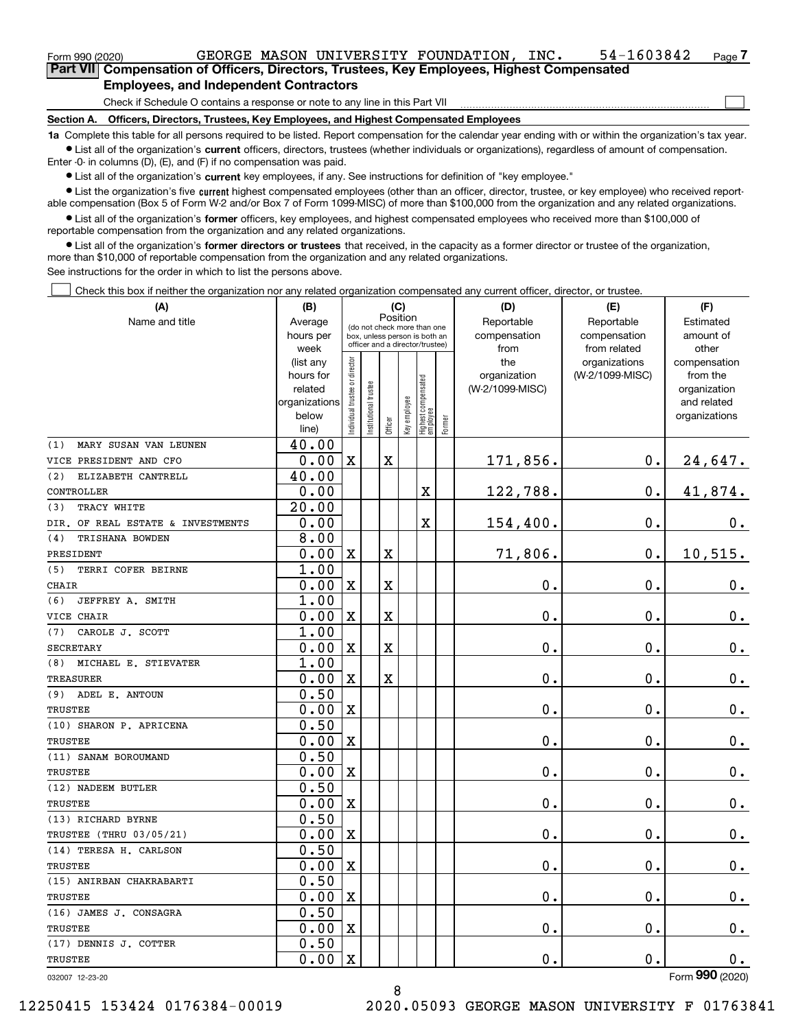| Form 990 (2020) |                                                                                            |  | GEORGE MASON UNIVERSITY FOUNDATION, | INC. | 54-1603842 | Page $\overline{I}$ |
|-----------------|--------------------------------------------------------------------------------------------|--|-------------------------------------|------|------------|---------------------|
|                 | Part VII Compensation of Officers, Directors, Trustees, Key Employees, Highest Compensated |  |                                     |      |            |                     |

#### **Employees, and Independent Contractors**

Check if Schedule O contains a response or note to any line in this Part VII

**Section A. Officers, Directors, Trustees, Key Employees, and Highest Compensated Employees**

**1a**  Complete this table for all persons required to be listed. Report compensation for the calendar year ending with or within the organization's tax year. **•** List all of the organization's current officers, directors, trustees (whether individuals or organizations), regardless of amount of compensation.

 $\mathcal{L}^{\text{max}}$ 

Enter -0- in columns (D), (E), and (F) if no compensation was paid.

 $\bullet$  List all of the organization's  $\,$ current key employees, if any. See instructions for definition of "key employee."

**•** List the organization's five current highest compensated employees (other than an officer, director, trustee, or key employee) who received reportable compensation (Box 5 of Form W-2 and/or Box 7 of Form 1099-MISC) of more than \$100,000 from the organization and any related organizations.

**•** List all of the organization's former officers, key employees, and highest compensated employees who received more than \$100,000 of reportable compensation from the organization and any related organizations.

**former directors or trustees**  ¥ List all of the organization's that received, in the capacity as a former director or trustee of the organization, more than \$10,000 of reportable compensation from the organization and any related organizations.

See instructions for the order in which to list the persons above.

Check this box if neither the organization nor any related organization compensated any current officer, director, or trustee.  $\mathcal{L}^{\text{max}}$ 

| (A)                                                  | (B)                  | (C)                           |                                                                  |             |              |                                   |        | (D)                             | (E)             | (F)                      |
|------------------------------------------------------|----------------------|-------------------------------|------------------------------------------------------------------|-------------|--------------|-----------------------------------|--------|---------------------------------|-----------------|--------------------------|
| Name and title                                       | Average              |                               | (do not check more than one                                      |             | Position     |                                   |        | Reportable                      | Reportable      | Estimated                |
|                                                      | hours per            |                               | box, unless person is both an<br>officer and a director/trustee) |             |              |                                   |        | compensation                    | compensation    | amount of                |
|                                                      | week                 |                               |                                                                  |             |              |                                   |        | from                            | from related    | other                    |
|                                                      | (list any            |                               |                                                                  |             |              |                                   |        | the                             | organizations   | compensation             |
|                                                      | hours for<br>related |                               |                                                                  |             |              |                                   |        | organization<br>(W-2/1099-MISC) | (W-2/1099-MISC) | from the<br>organization |
|                                                      | organizations        |                               |                                                                  |             |              |                                   |        |                                 |                 | and related              |
|                                                      | below                |                               |                                                                  |             |              |                                   |        |                                 |                 | organizations            |
|                                                      | line)                | ndividual trustee or director | nstitutional trustee                                             | Officer     | Key employee | Highest compensated<br>  employee | Former |                                 |                 |                          |
| MARY SUSAN VAN LEUNEN<br>(1)                         | 40.00                |                               |                                                                  |             |              |                                   |        |                                 |                 |                          |
| VICE PRESIDENT AND CFO                               | 0.00                 | $\mathbf X$                   |                                                                  | $\mathbf X$ |              |                                   |        | 171,856.                        | 0.              | 24,647.                  |
| ELIZABETH CANTRELL<br>(2)                            | 40.00                |                               |                                                                  |             |              |                                   |        |                                 |                 |                          |
| CONTROLLER                                           | 0.00                 |                               |                                                                  |             |              | X                                 |        | 122,788.                        | $\mathbf{0}$ .  | 41,874.                  |
| TRACY WHITE<br>(3)                                   | $\overline{20.00}$   |                               |                                                                  |             |              |                                   |        |                                 |                 |                          |
| DIR. OF REAL ESTATE & INVESTMENTS                    | 0.00                 |                               |                                                                  |             |              | X                                 |        | 154,400.                        | $\mathbf 0$ .   | 0.                       |
| TRISHANA BOWDEN<br>(4)                               | 8.00                 |                               |                                                                  |             |              |                                   |        |                                 |                 |                          |
| PRESIDENT                                            | 0.00                 | $\mathbf x$                   |                                                                  | $\mathbf X$ |              |                                   |        | 71,806.                         | $\mathbf{0}$ .  | 10, 515.                 |
| (5)<br>TERRI COFER BEIRNE                            | 1.00                 |                               |                                                                  |             |              |                                   |        |                                 |                 |                          |
| <b>CHAIR</b>                                         | 0.00                 | $\overline{\mathbf{X}}$       |                                                                  | $\mathbf X$ |              |                                   |        | 0.                              | $\mathbf 0$ .   | $\mathbf 0$ .            |
| JEFFREY A. SMITH<br>(6)                              | 1.00                 |                               |                                                                  |             |              |                                   |        |                                 |                 |                          |
| VICE CHAIR                                           | 0.00                 | $\mathbf X$                   |                                                                  | $\rm X$     |              |                                   |        | 0.                              | $\mathbf 0$ .   | $\mathbf 0$ .            |
| CAROLE J. SCOTT<br>(7)                               | 1.00                 |                               |                                                                  |             |              |                                   |        |                                 |                 |                          |
| <b>SECRETARY</b>                                     | 0.00                 | $\mathbf x$                   |                                                                  | $\rm X$     |              |                                   |        | 0.                              | $\mathbf{0}$ .  | 0.                       |
| MICHAEL E. STIEVATER<br>(8)                          | 1.00                 |                               |                                                                  |             |              |                                   |        |                                 |                 |                          |
| <b>TREASURER</b>                                     | 0.00                 | $\mathbf X$                   |                                                                  | $\rm X$     |              |                                   |        | 0.                              | $\mathbf 0$ .   | $0_{.}$                  |
| ADEL E. ANTOUN<br>(9)                                | 0.50                 |                               |                                                                  |             |              |                                   |        |                                 |                 |                          |
| TRUSTEE                                              | 0.00                 | $\mathbf X$                   |                                                                  |             |              |                                   |        | $\mathbf 0$ .                   | $\mathbf 0$ .   | $\mathbf 0$ .            |
| (10) SHARON P. APRICENA                              | 0.50                 |                               |                                                                  |             |              |                                   |        |                                 |                 |                          |
| TRUSTEE                                              | 0.00                 | $\mathbf X$                   |                                                                  |             |              |                                   |        | 0.                              | 0.              | $\mathbf 0$ .            |
| (11) SANAM BOROUMAND                                 | 0.50                 |                               |                                                                  |             |              |                                   |        |                                 |                 |                          |
| TRUSTEE                                              | 0.00                 | $\overline{\textbf{X}}$       |                                                                  |             |              |                                   |        | 0.                              | $\mathbf 0$ .   | 0.                       |
| (12) NADEEM BUTLER                                   | 0.50                 |                               |                                                                  |             |              |                                   |        |                                 |                 |                          |
| <b>TRUSTEE</b>                                       | 0.00<br>0.50         | $\overline{\textbf{X}}$       |                                                                  |             |              |                                   |        | $\mathbf 0$ .                   | $\mathbf 0$ .   | $0_{.}$                  |
| (13) RICHARD BYRNE<br><b>TRUSTEE (THRU 03/05/21)</b> | 0.00                 | X                             |                                                                  |             |              |                                   |        | 0.                              | 0.              | $\mathbf 0$ .            |
| (14) TERESA H. CARLSON                               | 0.50                 |                               |                                                                  |             |              |                                   |        |                                 |                 |                          |
| TRUSTEE                                              | 0.00                 | $\overline{\text{X}}$         |                                                                  |             |              |                                   |        | 0.                              | $\mathbf 0$ .   | 0.                       |
| (15) ANIRBAN CHAKRABARTI                             | 0.50                 |                               |                                                                  |             |              |                                   |        |                                 |                 |                          |
| TRUSTEE                                              | 0.00                 | $\mathbf X$                   |                                                                  |             |              |                                   |        | 0.                              | $\mathbf 0$ .   | $\mathbf 0$ .            |
| (16) JAMES J. CONSAGRA                               | 0.50                 |                               |                                                                  |             |              |                                   |        |                                 |                 |                          |
| TRUSTEE                                              | 0.00                 | $\mathbf X$                   |                                                                  |             |              |                                   |        | 0.                              | $\mathbf 0$ .   | $\mathbf 0$ .            |
| (17) DENNIS J. COTTER                                | 0.50                 |                               |                                                                  |             |              |                                   |        |                                 |                 |                          |
| <b>TRUSTEE</b>                                       | 0.00                 | $\overline{\textbf{X}}$       |                                                                  |             |              |                                   |        | 0.                              | $\mathbf 0$ .   | $0$ .                    |
| 032007 12-23-20                                      |                      |                               |                                                                  |             |              |                                   |        |                                 |                 | Form 990 (2020)          |

8

032007 12-23-20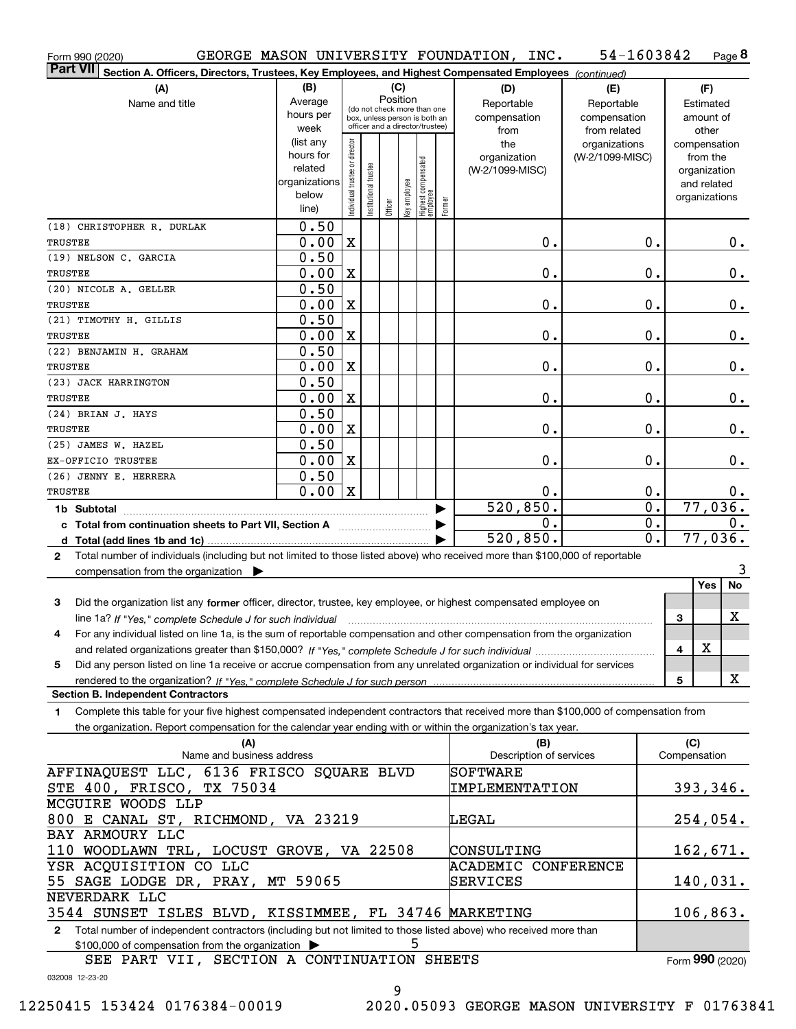| Form 990 (2020)                                                                                                                                 |                        |                                |                       |                                         |              |                                 |        | GEORGE MASON UNIVERSITY FOUNDATION, INC. | 54-1603842      |                  | Page 8        |
|-------------------------------------------------------------------------------------------------------------------------------------------------|------------------------|--------------------------------|-----------------------|-----------------------------------------|--------------|---------------------------------|--------|------------------------------------------|-----------------|------------------|---------------|
| <b>Part VII</b><br>Section A. Officers, Directors, Trustees, Key Employees, and Highest Compensated Employees (continued)                       |                        |                                |                       |                                         |              |                                 |        |                                          |                 |                  |               |
| (A)                                                                                                                                             | (B)                    |                                |                       |                                         | (C)          |                                 |        | (D)                                      | (E)             |                  | (F)           |
| Name and title                                                                                                                                  | Average                |                                |                       | Position<br>(do not check more than one |              |                                 |        | Reportable                               | Reportable      |                  | Estimated     |
|                                                                                                                                                 | hours per              |                                |                       | box, unless person is both an           |              |                                 |        | compensation                             | compensation    |                  | amount of     |
|                                                                                                                                                 | week                   |                                |                       | officer and a director/trustee)         |              |                                 |        | from                                     | from related    |                  | other         |
|                                                                                                                                                 | (list any              |                                |                       |                                         |              |                                 |        | the                                      | organizations   |                  | compensation  |
|                                                                                                                                                 | hours for              |                                |                       |                                         |              |                                 |        | organization                             | (W-2/1099-MISC) |                  | from the      |
|                                                                                                                                                 | related                |                                |                       |                                         |              |                                 |        | (W-2/1099-MISC)                          |                 |                  | organization  |
|                                                                                                                                                 | organizations<br>below |                                |                       |                                         |              |                                 |        |                                          |                 |                  | and related   |
|                                                                                                                                                 | line)                  | Individual trustee or director | Institutional trustee | Officer                                 | Key employee | Highest compensated<br>employee | Former |                                          |                 |                  | organizations |
| (18) CHRISTOPHER R. DURLAK                                                                                                                      | 0.50                   |                                |                       |                                         |              |                                 |        |                                          |                 |                  |               |
| <b>TRUSTEE</b>                                                                                                                                  | 0.00                   | X                              |                       |                                         |              |                                 |        | 0.                                       |                 | 0.               | 0.            |
| (19) NELSON C. GARCIA                                                                                                                           | 0.50                   |                                |                       |                                         |              |                                 |        |                                          |                 |                  |               |
| <b>TRUSTEE</b>                                                                                                                                  | 0.00                   | X                              |                       |                                         |              |                                 |        | 0.                                       |                 | 0.               | $0$ .         |
| (20) NICOLE A. GELLER                                                                                                                           | 0.50                   |                                |                       |                                         |              |                                 |        |                                          |                 |                  |               |
| <b>TRUSTEE</b>                                                                                                                                  | 0.00                   | X                              |                       |                                         |              |                                 |        | 0.                                       |                 | 0.               | $0$ .         |
| (21) TIMOTHY H. GILLIS                                                                                                                          | 0.50                   |                                |                       |                                         |              |                                 |        |                                          |                 |                  |               |
| <b>TRUSTEE</b>                                                                                                                                  | 0.00                   | X                              |                       |                                         |              |                                 |        | 0.                                       |                 | 0.               | $0$ .         |
| (22) BENJAMIN H. GRAHAM                                                                                                                         | 0.50                   |                                |                       |                                         |              |                                 |        |                                          |                 |                  |               |
| <b>TRUSTEE</b>                                                                                                                                  | 0.00                   | X                              |                       |                                         |              |                                 |        | 0.                                       |                 | 0.               | $0$ .         |
| (23) JACK HARRINGTON                                                                                                                            | 0.50                   |                                |                       |                                         |              |                                 |        |                                          |                 |                  |               |
| <b>TRUSTEE</b>                                                                                                                                  | 0.00                   | X                              |                       |                                         |              |                                 |        | 0.                                       |                 | 0.               | $0$ .         |
| (24) BRIAN J. HAYS                                                                                                                              | 0.50                   |                                |                       |                                         |              |                                 |        |                                          |                 |                  |               |
| <b>TRUSTEE</b>                                                                                                                                  | 0.00                   | X                              |                       |                                         |              |                                 |        | 0.                                       |                 | 0.               | $0$ .         |
| (25) JAMES W. HAZEL                                                                                                                             | 0.50                   |                                |                       |                                         |              |                                 |        |                                          |                 |                  |               |
| EX-OFFICIO TRUSTEE                                                                                                                              | 0.00                   | X                              |                       |                                         |              |                                 |        | 0.                                       |                 | 0.               | $0$ .         |
| (26) JENNY E. HERRERA                                                                                                                           | 0.50                   |                                |                       |                                         |              |                                 |        |                                          |                 |                  |               |
| <b>TRUSTEE</b>                                                                                                                                  | 0.00                   | X                              |                       |                                         |              |                                 |        | 0.                                       |                 | 0.               | 0.            |
|                                                                                                                                                 |                        |                                |                       |                                         |              |                                 |        | 520, 850.                                |                 | $\overline{0}$ . | 77,036.       |
| c Total from continuation sheets to Part VII, Section A                                                                                         |                        |                                |                       |                                         |              |                                 |        | 0.                                       |                 | 0.               | $0$ .         |
|                                                                                                                                                 |                        |                                |                       |                                         |              |                                 |        | 520,850.                                 |                 | $0$ .            | 77,036.       |
| Total number of individuals (including but not limited to those listed above) who received more than \$100,000 of reportable<br>$\mathbf{2}$    |                        |                                |                       |                                         |              |                                 |        |                                          |                 |                  |               |
| compensation from the organization $\blacktriangleright$                                                                                        |                        |                                |                       |                                         |              |                                 |        |                                          |                 |                  | 3             |
|                                                                                                                                                 |                        |                                |                       |                                         |              |                                 |        |                                          |                 |                  | Yes<br>No     |
| Did the organization list any former officer, director, trustee, key employee, or highest compensated employee on<br>3                          |                        |                                |                       |                                         |              |                                 |        |                                          |                 |                  | X             |
| line 1a? If "Yes," complete Schedule J for such individual manufactured contained and the 1a? If "Yes," complete Schedule J for such individual |                        |                                |                       |                                         |              |                                 |        |                                          |                 | 3                |               |
| For any individual listed on line 1a, is the sum of reportable compensation and other compensation from the organization                        |                        |                                |                       |                                         |              |                                 |        |                                          |                 |                  |               |
|                                                                                                                                                 |                        |                                |                       |                                         |              |                                 |        |                                          |                 | 4                | х             |
| Did any person listed on line 1a receive or accrue compensation from any unrelated organization or individual for services<br>5                 |                        |                                |                       |                                         |              |                                 |        |                                          |                 |                  | X             |
| <b>Section B. Independent Contractors</b>                                                                                                       |                        |                                |                       |                                         |              |                                 |        |                                          |                 | 5                |               |
| Complete this table for your five highest compensated independent contractors that received more than \$100,000 of compensation from<br>1       |                        |                                |                       |                                         |              |                                 |        |                                          |                 |                  |               |
| the organization. Report compensation for the calendar year ending with or within the organization's tax year.                                  |                        |                                |                       |                                         |              |                                 |        |                                          |                 |                  |               |
| (A)                                                                                                                                             |                        |                                |                       |                                         |              |                                 |        | (B)                                      |                 |                  | (C)           |
| Name and business address                                                                                                                       |                        |                                |                       |                                         |              |                                 |        | Description of services                  |                 |                  | Compensation  |
| AFFINAQUEST LLC, 6136 FRISCO SQUARE BLVD                                                                                                        |                        |                                |                       |                                         |              |                                 |        | SOFTWARE                                 |                 |                  |               |
| STE 400, FRISCO, TX 75034                                                                                                                       |                        |                                |                       |                                         |              |                                 |        | IMPLEMENTATION                           |                 |                  | 393,346.      |
| MCGUIRE WOODS LLP                                                                                                                               |                        |                                |                       |                                         |              |                                 |        |                                          |                 |                  |               |
| 800 E CANAL ST, RICHMOND, VA 23219                                                                                                              |                        |                                |                       |                                         |              |                                 |        | LEGAL                                    |                 |                  | 254,054.      |
| BAY ARMOURY LLC                                                                                                                                 |                        |                                |                       |                                         |              |                                 |        |                                          |                 |                  |               |
| 110 WOODLAWN TRL, LOCUST GROVE, VA 22508                                                                                                        |                        |                                |                       |                                         |              |                                 |        | CONSULTING                               |                 |                  | 162,671.      |
| YSR ACQUISITION CO LLC                                                                                                                          |                        |                                |                       |                                         |              |                                 |        | ACADEMIC CONFERENCE                      |                 |                  |               |
| 55 SAGE LODGE DR, PRAY, MT 59065                                                                                                                |                        |                                |                       |                                         |              |                                 |        | SERVICES                                 |                 |                  | 140,031.      |
| NEVERDARK LLC                                                                                                                                   |                        |                                |                       |                                         |              |                                 |        |                                          |                 |                  |               |
| 3544 SUNSET ISLES BLVD, KISSIMMEE, FL 34746 MARKETING                                                                                           |                        |                                |                       |                                         |              |                                 |        |                                          |                 |                  | 106,863.      |

**2**Total number of independent contractors (including but not limited to those listed above) who received more than \$100,000 of compensation from the organization  $\blacktriangleright$ 5

SEE PART VII, SECTION A CONTINUATION SHEETS

Form (2020) **990**

032008 12-23-20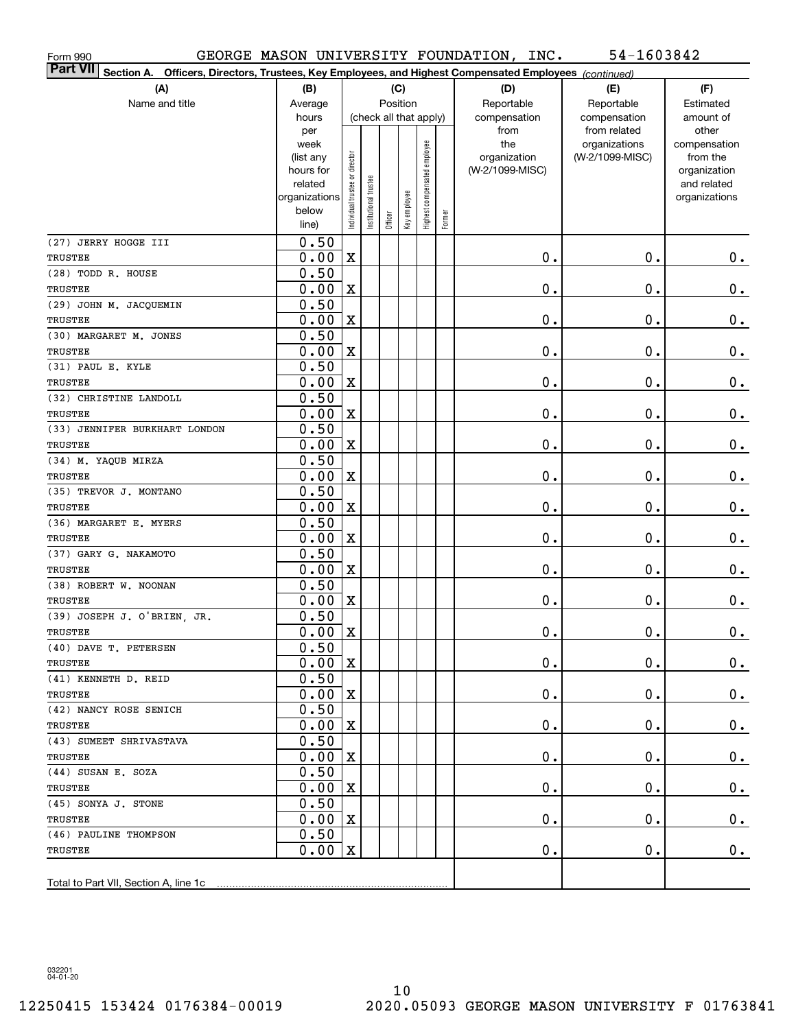| 54-1603842<br>GEORGE MASON UNIVERSITY FOUNDATION, INC.<br>Form 990                                                    |               |                                |                       |         |                        |                              |        |                 |                               |                       |
|-----------------------------------------------------------------------------------------------------------------------|---------------|--------------------------------|-----------------------|---------|------------------------|------------------------------|--------|-----------------|-------------------------------|-----------------------|
| Part VII<br>Officers, Directors, Trustees, Key Employees, and Highest Compensated Employees (continued)<br>Section A. |               |                                |                       |         |                        |                              |        |                 |                               |                       |
| (A)                                                                                                                   | (B)           |                                |                       |         | (C)                    |                              |        | (D)             | (E)                           | (F)                   |
| Name and title                                                                                                        | Average       |                                |                       |         | Position               |                              |        | Reportable      | Reportable                    | Estimated             |
|                                                                                                                       | hours         |                                |                       |         | (check all that apply) |                              |        | compensation    | compensation                  | amount of             |
|                                                                                                                       | per<br>week   |                                |                       |         |                        |                              |        | from<br>the     | from related<br>organizations | other<br>compensation |
|                                                                                                                       | (list any     |                                |                       |         |                        | Highest compensated employee |        | organization    | (W-2/1099-MISC)               | from the              |
|                                                                                                                       | hours for     |                                |                       |         |                        |                              |        | (W-2/1099-MISC) |                               | organization          |
|                                                                                                                       | related       |                                |                       |         |                        |                              |        |                 |                               | and related           |
|                                                                                                                       | organizations |                                |                       |         |                        |                              |        |                 |                               | organizations         |
|                                                                                                                       | below         | Individual trustee or director | Institutional trustee | Officer | Key employee           |                              | Former |                 |                               |                       |
|                                                                                                                       | line)         |                                |                       |         |                        |                              |        |                 |                               |                       |
| (27) JERRY HOGGE III                                                                                                  | 0.50          |                                |                       |         |                        |                              |        |                 |                               |                       |
| TRUSTEE                                                                                                               | 0.00          | $\mathbf X$                    |                       |         |                        |                              |        | $\mathbf 0$ .   | 0.                            | $\mathbf 0$ .         |
| (28) TODD R. HOUSE                                                                                                    | 0.50          |                                |                       |         |                        |                              |        |                 |                               |                       |
| TRUSTEE                                                                                                               | 0.00          | $\mathbf X$                    |                       |         |                        |                              |        | $\mathbf 0$ .   | 0.                            | $0_{.}$               |
| (29) JOHN M. JACQUEMIN                                                                                                | 0.50          |                                |                       |         |                        |                              |        |                 |                               |                       |
| TRUSTEE                                                                                                               | 0.00          | $\mathbf X$                    |                       |         |                        |                              |        | $\mathbf 0$ .   | 0.                            | $\mathbf 0$ .         |
| (30) MARGARET M. JONES                                                                                                | 0.50          |                                |                       |         |                        |                              |        |                 |                               |                       |
| TRUSTEE                                                                                                               | 0.00          | $\mathbf X$                    |                       |         |                        |                              |        | $\mathbf 0$ .   | 0.                            | $\mathbf 0$ .         |
| (31) PAUL E. KYLE<br><b>TRUSTEE</b>                                                                                   | 0.50          |                                |                       |         |                        |                              |        |                 |                               |                       |
|                                                                                                                       | 0.00<br>0.50  | $\mathbf X$                    |                       |         |                        |                              |        | $\mathbf 0$ .   | $\mathbf 0$ .                 | $\mathbf 0$ .         |
| (32) CHRISTINE LANDOLL<br>TRUSTEE                                                                                     | 0.00          | $\mathbf X$                    |                       |         |                        |                              |        | $\mathbf 0$ .   | $\mathbf 0$ .                 | $\mathbf 0$ .         |
| (33) JENNIFER BURKHART LONDON                                                                                         | 0.50          |                                |                       |         |                        |                              |        |                 |                               |                       |
| TRUSTEE                                                                                                               | 0.00          | $\mathbf X$                    |                       |         |                        |                              |        | $\mathbf 0$ .   | $\mathbf 0$ .                 | $\mathbf 0$ .         |
| (34) M. YAQUB MIRZA                                                                                                   | 0.50          |                                |                       |         |                        |                              |        |                 |                               |                       |
| TRUSTEE                                                                                                               | 0.00          | $\mathbf X$                    |                       |         |                        |                              |        | $\mathbf 0$ .   | 0.                            | $\mathbf 0$ .         |
| (35) TREVOR J. MONTANO                                                                                                | 0.50          |                                |                       |         |                        |                              |        |                 |                               |                       |
| TRUSTEE                                                                                                               | 0.00          | $\mathbf X$                    |                       |         |                        |                              |        | $\mathbf 0$ .   | 0.                            | $\mathbf 0$ .         |
| (36) MARGARET E. MYERS                                                                                                | 0.50          |                                |                       |         |                        |                              |        |                 |                               |                       |
| TRUSTEE                                                                                                               | 0.00          | $\mathbf X$                    |                       |         |                        |                              |        | $\mathbf 0$ .   | 0.                            | $0_{.}$               |
| (37) GARY G. NAKAMOTO                                                                                                 | 0.50          |                                |                       |         |                        |                              |        |                 |                               |                       |
| TRUSTEE                                                                                                               | 0.00          | $\mathbf X$                    |                       |         |                        |                              |        | $\mathbf 0$ .   | 0.                            | $0_{.}$               |
| (38) ROBERT W. NOONAN                                                                                                 | 0.50          |                                |                       |         |                        |                              |        |                 |                               |                       |
| TRUSTEE                                                                                                               | 0.00          | $\mathbf X$                    |                       |         |                        |                              |        | Ο.              | 0.                            | $0_{.}$               |
| (39) JOSEPH J. O'BRIEN, JR.                                                                                           | 0.50          |                                |                       |         |                        |                              |        |                 |                               |                       |
| TRUSTEE                                                                                                               | $0.00$ X      |                                |                       |         |                        |                              |        | $\mathbf 0$ .   | $\mathbf 0$ .                 | $0\,$                 |
| (40) DAVE T. PETERSEN                                                                                                 | 0.50          |                                |                       |         |                        |                              |        |                 |                               |                       |
| <b>TRUSTEE</b>                                                                                                        | 0.00          | X                              |                       |         |                        |                              |        | 0.              | $\mathbf 0$ .                 | $0_{.}$               |
| (41) KENNETH D. REID                                                                                                  | 0.50          |                                |                       |         |                        |                              |        |                 |                               |                       |
| TRUSTEE                                                                                                               | 0.00          | X                              |                       |         |                        |                              |        | 0.              | $\mathbf 0$ .                 | 0.                    |
| (42) NANCY ROSE SENICH                                                                                                | 0.50          |                                |                       |         |                        |                              |        |                 |                               |                       |
| TRUSTEE                                                                                                               | 0.00          | X                              |                       |         |                        |                              |        | 0.              | $\mathbf 0$ .                 | 0.                    |
| (43) SUMEET SHRIVASTAVA                                                                                               | 0.50          |                                |                       |         |                        |                              |        |                 |                               |                       |
| TRUSTEE                                                                                                               | 0.00          | X                              |                       |         |                        |                              |        | 0.              | $\mathbf 0$ .                 | 0.                    |
| (44) SUSAN E. SOZA                                                                                                    | 0.50          |                                |                       |         |                        |                              |        |                 |                               |                       |
| TRUSTEE                                                                                                               | 0.00          | X                              |                       |         |                        |                              |        | 0.              | $\mathbf 0$ .                 | 0.                    |
| (45) SONYA J. STONE                                                                                                   | 0.50          |                                |                       |         |                        |                              |        |                 |                               |                       |
| TRUSTEE                                                                                                               | 0.00          | X                              |                       |         |                        |                              |        | Ο.              | $\mathbf 0$ .                 | $0_{.}$               |
| (46) PAULINE THOMPSON                                                                                                 | 0.50          |                                |                       |         |                        |                              |        |                 |                               |                       |
| TRUSTEE                                                                                                               | 0.00          | X                              |                       |         |                        |                              |        | Ο.              | $\mathbf 0$ .                 | $0$ .                 |
|                                                                                                                       |               |                                |                       |         |                        |                              |        |                 |                               |                       |
| Total to Part VII, Section A, line 1c                                                                                 |               |                                |                       |         |                        |                              |        |                 |                               |                       |

032201 04-01-20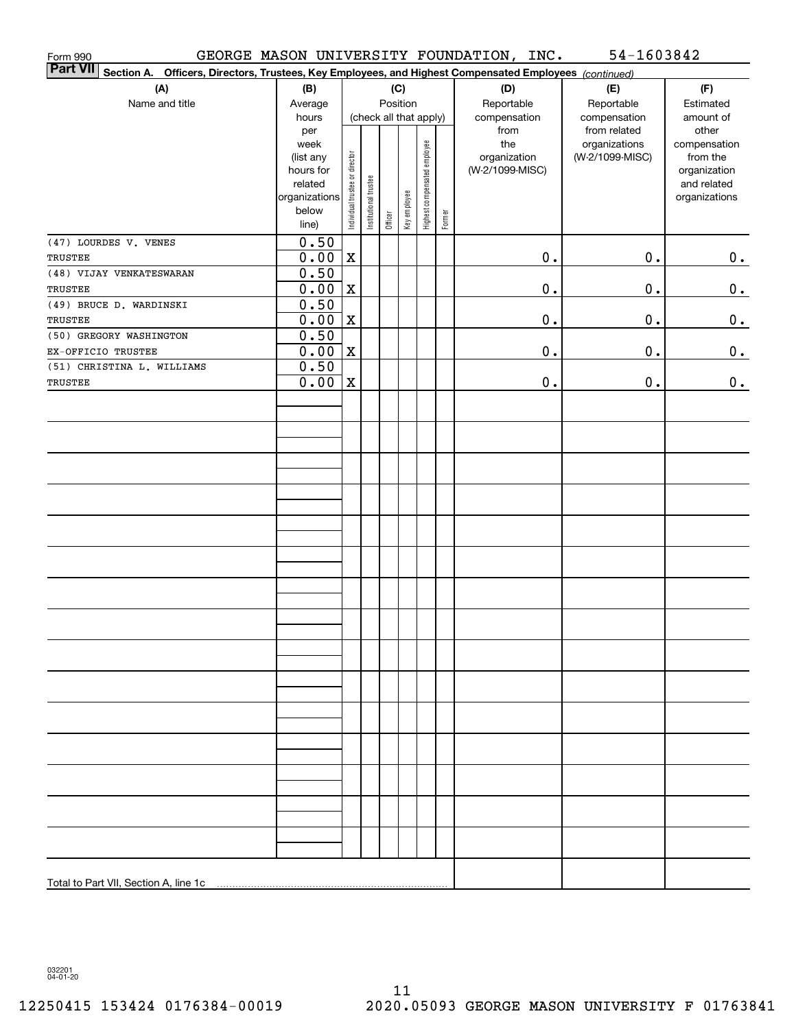| Form 990                                                                                                                  |                |                                |                       |         |                        |                              |        | GEORGE MASON UNIVERSITY FOUNDATION, INC. | 54-1603842                    |                          |
|---------------------------------------------------------------------------------------------------------------------------|----------------|--------------------------------|-----------------------|---------|------------------------|------------------------------|--------|------------------------------------------|-------------------------------|--------------------------|
| <b>Part VII</b><br>Section A. Officers, Directors, Trustees, Key Employees, and Highest Compensated Employees (continued) |                |                                |                       |         |                        |                              |        |                                          |                               |                          |
| (A)                                                                                                                       | (B)            | (C)                            |                       |         |                        |                              |        | (D)                                      | (E)                           | (F)                      |
| Name and title                                                                                                            | Average        |                                |                       |         | Position               |                              |        | Reportable                               | Reportable                    | Estimated                |
|                                                                                                                           | hours          |                                |                       |         | (check all that apply) |                              |        | compensation                             | compensation                  | amount of                |
|                                                                                                                           | per<br>week    |                                |                       |         |                        |                              |        | from<br>the                              | from related<br>organizations | other                    |
|                                                                                                                           | (list any      |                                |                       |         |                        |                              |        | organization                             | (W-2/1099-MISC)               | compensation<br>from the |
|                                                                                                                           | hours for      |                                |                       |         |                        |                              |        | (W-2/1099-MISC)                          |                               | organization             |
|                                                                                                                           | related        |                                |                       |         |                        |                              |        |                                          |                               | and related              |
|                                                                                                                           | organizations  |                                |                       |         |                        |                              |        |                                          |                               | organizations            |
|                                                                                                                           | below<br>line) | Individual trustee or director | Institutional trustee | Officer | Key employee           | Highest compensated employee | Former |                                          |                               |                          |
| (47) LOURDES V. VENES                                                                                                     | 0.50           |                                |                       |         |                        |                              |        |                                          |                               |                          |
| TRUSTEE                                                                                                                   | 0.00           | $\mathbf X$                    |                       |         |                        |                              |        | $\mathbf 0$ .                            | $\mathbf 0$ .                 | $0$ .                    |
| (48) VIJAY VENKATESWARAN                                                                                                  | 0.50           |                                |                       |         |                        |                              |        |                                          |                               |                          |
| TRUSTEE                                                                                                                   | 0.00           | X                              |                       |         |                        |                              |        | $\mathbf 0$ .                            | 0.                            | $0_{.}$                  |
| (49) BRUCE D. WARDINSKI                                                                                                   | 0.50           |                                |                       |         |                        |                              |        |                                          |                               |                          |
| TRUSTEE                                                                                                                   | 0.00           | X                              |                       |         |                        |                              |        | 0.                                       | 0.                            | $0_{.}$                  |
| (50) GREGORY WASHINGTON                                                                                                   | 0.50           |                                |                       |         |                        |                              |        |                                          |                               |                          |
| EX-OFFICIO TRUSTEE                                                                                                        | 0.00           | $\mathbf X$                    |                       |         |                        |                              |        | 0.                                       | 0.                            | $0_{.}$                  |
| (51) CHRISTINA L. WILLIAMS                                                                                                | 0.50           |                                |                       |         |                        |                              |        |                                          |                               |                          |
| TRUSTEE                                                                                                                   | 0.00           | X                              |                       |         |                        |                              |        | 0.                                       | 0.                            | 0.                       |
|                                                                                                                           |                |                                |                       |         |                        |                              |        |                                          |                               |                          |
|                                                                                                                           |                |                                |                       |         |                        |                              |        |                                          |                               |                          |
|                                                                                                                           |                |                                |                       |         |                        |                              |        |                                          |                               |                          |
|                                                                                                                           |                |                                |                       |         |                        |                              |        |                                          |                               |                          |
|                                                                                                                           |                |                                |                       |         |                        |                              |        |                                          |                               |                          |
|                                                                                                                           |                |                                |                       |         |                        |                              |        |                                          |                               |                          |
|                                                                                                                           |                |                                |                       |         |                        |                              |        |                                          |                               |                          |
|                                                                                                                           |                |                                |                       |         |                        |                              |        |                                          |                               |                          |
|                                                                                                                           |                |                                |                       |         |                        |                              |        |                                          |                               |                          |
|                                                                                                                           |                |                                |                       |         |                        |                              |        |                                          |                               |                          |
|                                                                                                                           |                |                                |                       |         |                        |                              |        |                                          |                               |                          |
|                                                                                                                           |                |                                |                       |         |                        |                              |        |                                          |                               |                          |
|                                                                                                                           |                |                                |                       |         |                        |                              |        |                                          |                               |                          |
|                                                                                                                           |                |                                |                       |         |                        |                              |        |                                          |                               |                          |
|                                                                                                                           |                |                                |                       |         |                        |                              |        |                                          |                               |                          |
|                                                                                                                           |                |                                |                       |         |                        |                              |        |                                          |                               |                          |
|                                                                                                                           |                |                                |                       |         |                        |                              |        |                                          |                               |                          |
|                                                                                                                           |                |                                |                       |         |                        |                              |        |                                          |                               |                          |
|                                                                                                                           |                |                                |                       |         |                        |                              |        |                                          |                               |                          |
|                                                                                                                           |                |                                |                       |         |                        |                              |        |                                          |                               |                          |
|                                                                                                                           |                |                                |                       |         |                        |                              |        |                                          |                               |                          |
|                                                                                                                           |                |                                |                       |         |                        |                              |        |                                          |                               |                          |
|                                                                                                                           |                |                                |                       |         |                        |                              |        |                                          |                               |                          |
|                                                                                                                           |                |                                |                       |         |                        |                              |        |                                          |                               |                          |
|                                                                                                                           |                |                                |                       |         |                        |                              |        |                                          |                               |                          |
|                                                                                                                           |                |                                |                       |         |                        |                              |        |                                          |                               |                          |
|                                                                                                                           |                |                                |                       |         |                        |                              |        |                                          |                               |                          |
|                                                                                                                           |                |                                |                       |         |                        |                              |        |                                          |                               |                          |
| Total to Part VII, Section A, line 1c                                                                                     |                |                                |                       |         |                        |                              |        |                                          |                               |                          |
|                                                                                                                           |                |                                |                       |         |                        |                              |        |                                          |                               |                          |

032201 04-01-20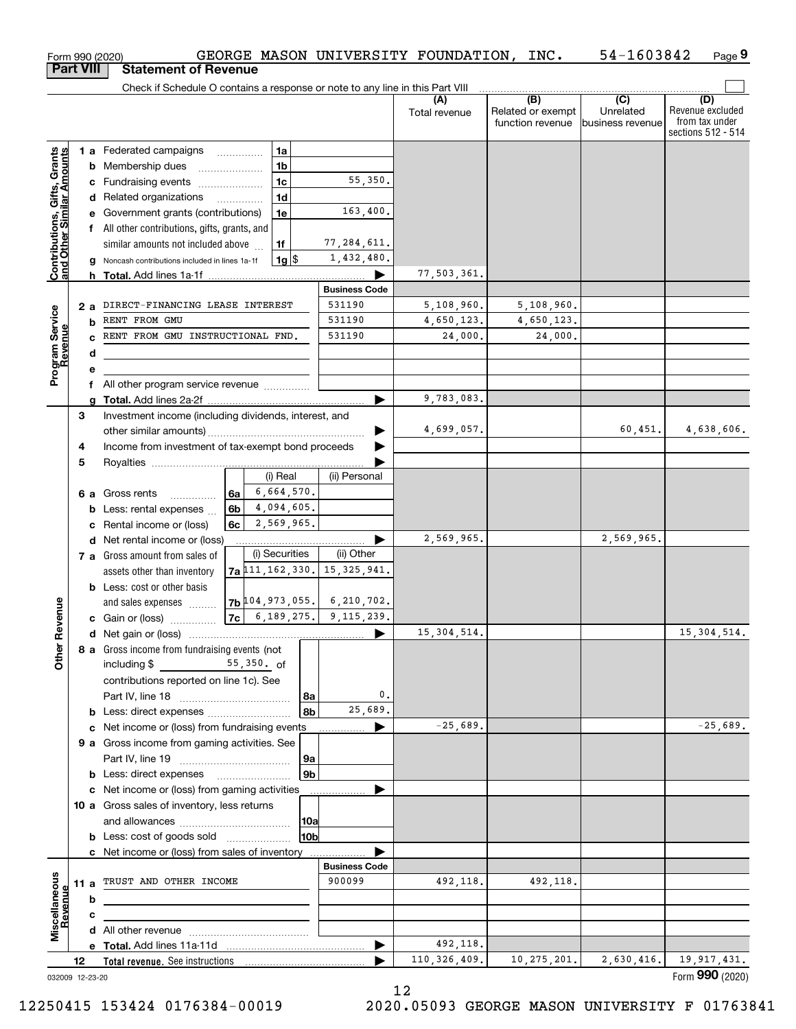|                                                           |     |    | Form 990 (2020)                                                                       |                |                          | GEORGE MASON UNIVERSITY FOUNDATION, INC.     |                      |                                              | 54-1603842                                        | Page 9                                                          |
|-----------------------------------------------------------|-----|----|---------------------------------------------------------------------------------------|----------------|--------------------------|----------------------------------------------|----------------------|----------------------------------------------|---------------------------------------------------|-----------------------------------------------------------------|
| <b>Part VIII</b>                                          |     |    | <b>Statement of Revenue</b>                                                           |                |                          |                                              |                      |                                              |                                                   |                                                                 |
|                                                           |     |    | Check if Schedule O contains a response or note to any line in this Part VIII         |                |                          |                                              |                      |                                              |                                                   |                                                                 |
|                                                           |     |    |                                                                                       |                |                          |                                              | (A)<br>Total revenue | (B)<br>Related or exempt<br>function revenue | $\overline{(C)}$<br>Unrelated<br>business revenue | (D)<br>Revenue excluded<br>from tax under<br>sections 512 - 514 |
|                                                           |     |    | 1 a Federated campaigns                                                               |                | 1a                       |                                              |                      |                                              |                                                   |                                                                 |
| Contributions, Gifts, Grants<br>and Other Similar Amounts |     |    | <b>b</b> Membership dues                                                              |                | 1b                       |                                              |                      |                                              |                                                   |                                                                 |
|                                                           |     |    | c Fundraising events                                                                  |                | 1 <sub>c</sub>           | 55,350.                                      |                      |                                              |                                                   |                                                                 |
|                                                           |     |    | d Related organizations                                                               |                | 1 <sub>d</sub>           |                                              |                      |                                              |                                                   |                                                                 |
|                                                           |     |    | e Government grants (contributions)                                                   |                | 1e                       | 163,400.                                     |                      |                                              |                                                   |                                                                 |
|                                                           |     |    | f All other contributions, gifts, grants, and                                         |                |                          |                                              |                      |                                              |                                                   |                                                                 |
|                                                           |     |    | similar amounts not included above<br>g Noncash contributions included in lines 1a-1f |                | 1f<br>$1g$ $\frac{1}{3}$ | 77,284,611.<br>1,432,480.                    |                      |                                              |                                                   |                                                                 |
|                                                           |     |    |                                                                                       |                |                          |                                              | 77,503,361.          |                                              |                                                   |                                                                 |
|                                                           |     |    |                                                                                       |                |                          | <b>Business Code</b>                         |                      |                                              |                                                   |                                                                 |
|                                                           | 2 a |    | DIRECT-FINANCING LEASE INTEREST                                                       |                |                          | 531190                                       | 5,108,960.           | 5,108,960.                                   |                                                   |                                                                 |
|                                                           |     |    | <b>b</b> RENT FROM GMU                                                                |                |                          | 531190                                       | 4,650,123.           | 4,650,123.                                   |                                                   |                                                                 |
|                                                           |     | C. | RENT FROM GMU INSTRUCTIONAL FND.                                                      |                |                          | 531190                                       | 24,000.              | 24,000.                                      |                                                   |                                                                 |
| Program Service<br>Revenue                                |     | d  |                                                                                       |                |                          |                                              |                      |                                              |                                                   |                                                                 |
|                                                           |     | е  |                                                                                       |                |                          |                                              |                      |                                              |                                                   |                                                                 |
|                                                           |     |    | f All other program service revenue                                                   |                |                          |                                              |                      |                                              |                                                   |                                                                 |
|                                                           |     | a  |                                                                                       |                |                          |                                              | 9,783,083.           |                                              |                                                   |                                                                 |
|                                                           | З   |    | Investment income (including dividends, interest, and                                 |                |                          |                                              | 4,699,057.           |                                              | 60,451.                                           | 4,638,606.                                                      |
|                                                           | 4   |    | Income from investment of tax-exempt bond proceeds                                    |                |                          |                                              |                      |                                              |                                                   |                                                                 |
|                                                           | 5   |    |                                                                                       |                |                          |                                              |                      |                                              |                                                   |                                                                 |
|                                                           |     |    |                                                                                       |                | (i) Real                 | (ii) Personal                                |                      |                                              |                                                   |                                                                 |
|                                                           |     |    | 6 a Gross rents                                                                       | 6a             | 6,664,570.               |                                              |                      |                                              |                                                   |                                                                 |
|                                                           |     |    | <b>b</b> Less: rental expenses $\ldots$                                               | 6 <sub>b</sub> | 4,094,605.               |                                              |                      |                                              |                                                   |                                                                 |
|                                                           |     |    | c Rental income or (loss)                                                             | 6с             | 2,569,965.               |                                              |                      |                                              |                                                   |                                                                 |
|                                                           |     |    | d Net rental income or (loss)                                                         |                |                          |                                              | 2,569,965.           |                                              | 2,569,965.                                        |                                                                 |
|                                                           |     |    | 7 a Gross amount from sales of                                                        |                | (i) Securities           | (ii) Other                                   |                      |                                              |                                                   |                                                                 |
|                                                           |     |    | assets other than inventory                                                           |                |                          | $7a$ $11, 162, 330$ . 15, 325, 941.          |                      |                                              |                                                   |                                                                 |
|                                                           |     |    | <b>b</b> Less: cost or other basis                                                    |                |                          | $7b$ <sup>104</sup> , 973, 055. 6, 210, 702. |                      |                                              |                                                   |                                                                 |
| evenue                                                    |     |    | and sales expenses                                                                    |                |                          | $ 7c $ 6, 189, 275. 9, 115, 239.             |                      |                                              |                                                   |                                                                 |
|                                                           |     |    | c Gain or (loss)                                                                      |                |                          |                                              | 15, 304, 514.        |                                              |                                                   | 15, 304, 514.                                                   |
| Other R                                                   |     |    | 8 a Gross income from fundraising events (not<br>including \$                         | 55,350. of     |                          |                                              |                      |                                              |                                                   |                                                                 |
|                                                           |     |    | contributions reported on line 1c). See                                               |                |                          |                                              |                      |                                              |                                                   |                                                                 |
|                                                           |     |    |                                                                                       |                | 8a                       | 0.                                           |                      |                                              |                                                   |                                                                 |
|                                                           |     |    |                                                                                       |                | 8b                       | 25,689.                                      |                      |                                              |                                                   |                                                                 |
|                                                           |     |    | c Net income or (loss) from fundraising events                                        |                |                          | ▶                                            | $-25,689.$           |                                              |                                                   | $-25,689.$                                                      |
|                                                           |     |    | 9 a Gross income from gaming activities. See                                          |                |                          |                                              |                      |                                              |                                                   |                                                                 |
|                                                           |     |    |                                                                                       |                | 9a                       |                                              |                      |                                              |                                                   |                                                                 |
|                                                           |     |    | <b>b</b> Less: direct expenses <b>manually</b>                                        |                | 9 <sub>b</sub>           |                                              |                      |                                              |                                                   |                                                                 |
|                                                           |     |    | c Net income or (loss) from gaming activities                                         |                |                          |                                              |                      |                                              |                                                   |                                                                 |
|                                                           |     |    | 10 a Gross sales of inventory, less returns                                           |                |                          |                                              |                      |                                              |                                                   |                                                                 |
|                                                           |     |    |                                                                                       |                | 10a<br>10 <sub>b</sub>   |                                              |                      |                                              |                                                   |                                                                 |
|                                                           |     |    | <b>b</b> Less: cost of goods sold                                                     |                |                          |                                              |                      |                                              |                                                   |                                                                 |
|                                                           |     |    | c Net income or (loss) from sales of inventory                                        |                |                          | <b>Business Code</b>                         |                      |                                              |                                                   |                                                                 |
|                                                           |     |    | 11 a TRUST AND OTHER INCOME                                                           |                |                          | 900099                                       | 492,118.             | 492,118.                                     |                                                   |                                                                 |
| Revenue                                                   |     | b  |                                                                                       |                |                          |                                              |                      |                                              |                                                   |                                                                 |
|                                                           |     | c  |                                                                                       |                |                          |                                              |                      |                                              |                                                   |                                                                 |
| Miscellaneous                                             |     |    |                                                                                       |                |                          |                                              |                      |                                              |                                                   |                                                                 |
|                                                           |     |    |                                                                                       |                |                          |                                              | 492,118.             |                                              |                                                   |                                                                 |
|                                                           | 12  |    |                                                                                       |                |                          |                                              | 110, 326, 409.       | 10, 275, 201.                                | 2,630,416.                                        | 19,917,431.                                                     |
| 032009 12-23-20                                           |     |    |                                                                                       |                |                          |                                              |                      |                                              |                                                   | Form 990 (2020)                                                 |

032009 12-23-20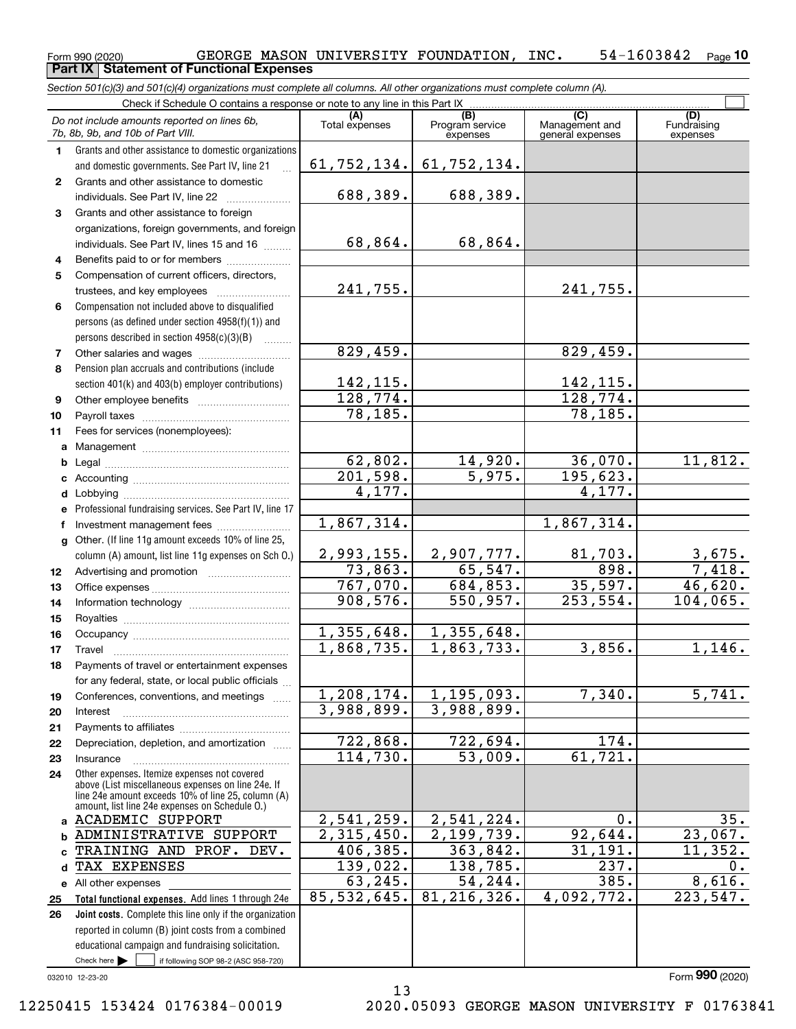#### $_{\rm Form}$   $_{990}$  (2020) GEORGE MASON UNIVERSITY FOUNDATION, INC.  $_{\rm ^{54}$  54-1603842  $_{\rm Page}$ **10 Part IX Statement of Functional Expenses**

*Section 501(c)(3) and 501(c)(4) organizations must complete all columns. All other organizations must complete column (A).*

|              | Check if Schedule O contains a response or note to any line in this Part IX                                                                              |                          |                                                 |                                                      |                                |
|--------------|----------------------------------------------------------------------------------------------------------------------------------------------------------|--------------------------|-------------------------------------------------|------------------------------------------------------|--------------------------------|
|              | Do not include amounts reported on lines 6b,<br>7b, 8b, 9b, and 10b of Part VIII.                                                                        | (A)<br>Total expenses    | $\overline{(B)}$<br>Program service<br>expenses | $\overline{C}$<br>Management and<br>general expenses | (D)<br>Fundraising<br>expenses |
| 1.           | Grants and other assistance to domestic organizations                                                                                                    |                          |                                                 |                                                      |                                |
|              | and domestic governments. See Part IV, line 21                                                                                                           | 61, 752, 134.            | 61,752,134.                                     |                                                      |                                |
| $\mathbf{2}$ | Grants and other assistance to domestic                                                                                                                  |                          |                                                 |                                                      |                                |
|              | individuals. See Part IV, line 22                                                                                                                        | 688,389.                 | 688,389.                                        |                                                      |                                |
| 3            | Grants and other assistance to foreign                                                                                                                   |                          |                                                 |                                                      |                                |
|              | organizations, foreign governments, and foreign                                                                                                          |                          |                                                 |                                                      |                                |
|              | individuals. See Part IV, lines 15 and 16                                                                                                                | 68,864.                  | 68,864.                                         |                                                      |                                |
| 4            | Benefits paid to or for members                                                                                                                          |                          |                                                 |                                                      |                                |
| 5            | Compensation of current officers, directors,                                                                                                             |                          |                                                 |                                                      |                                |
|              | trustees, and key employees                                                                                                                              | 241,755.                 |                                                 | 241,755.                                             |                                |
| 6            | Compensation not included above to disqualified                                                                                                          |                          |                                                 |                                                      |                                |
|              | persons (as defined under section 4958(f)(1)) and                                                                                                        |                          |                                                 |                                                      |                                |
|              | persons described in section 4958(c)(3)(B)                                                                                                               |                          |                                                 |                                                      |                                |
| 7            |                                                                                                                                                          | 829,459.                 |                                                 | 829,459.                                             |                                |
| 8            | Pension plan accruals and contributions (include                                                                                                         |                          |                                                 |                                                      |                                |
|              | section 401(k) and 403(b) employer contributions)                                                                                                        | 142,115.                 |                                                 | 142, 115.                                            |                                |
| 9            |                                                                                                                                                          | 128, 774.                |                                                 | 128, 774.                                            |                                |
| 10           |                                                                                                                                                          | 78, 185.                 |                                                 | 78, 185.                                             |                                |
| 11           | Fees for services (nonemployees):                                                                                                                        |                          |                                                 |                                                      |                                |
| a            |                                                                                                                                                          |                          |                                                 |                                                      |                                |
| b            |                                                                                                                                                          | 62,802.<br>201,598.      | 14,920.<br>5,975.                               | 36,070.                                              | 11,812.                        |
| c            |                                                                                                                                                          | 4,177.                   |                                                 | 195,623.<br>4,177.                                   |                                |
| d            |                                                                                                                                                          |                          |                                                 |                                                      |                                |
| e            | Professional fundraising services. See Part IV, line 17                                                                                                  | 1,867,314.               |                                                 | 1,867,314.                                           |                                |
| f            | Investment management fees                                                                                                                               |                          |                                                 |                                                      |                                |
| q            | Other. (If line 11g amount exceeds 10% of line 25,                                                                                                       | 2,993,155.               | 2,907,777.                                      | 81,703.                                              | 3,675.                         |
| 12           | column (A) amount, list line 11g expenses on Sch 0.)                                                                                                     | 73,863.                  | 65,547.                                         | 898.                                                 | 7,418.                         |
| 13           |                                                                                                                                                          | 767,070.                 | 684, 853.                                       | 35,597.                                              | 46,620.                        |
| 14           |                                                                                                                                                          | 908,576.                 | 550, 957.                                       | 253, 554.                                            | 104,065.                       |
| 15           |                                                                                                                                                          |                          |                                                 |                                                      |                                |
| 16           |                                                                                                                                                          | 1,355,648.               | 1,355,648.                                      |                                                      |                                |
| 17           | Travel                                                                                                                                                   | 1,868,735.               | 1,863,733.                                      | 3,856.                                               | 1,146.                         |
| 18           | Payments of travel or entertainment expenses                                                                                                             |                          |                                                 |                                                      |                                |
|              | for any federal, state, or local public officials                                                                                                        |                          |                                                 |                                                      |                                |
| 19           | Conferences, conventions, and meetings                                                                                                                   | 1,208,174.               | 1,195,093.                                      | 7,340.                                               | $\overline{5,741}$ .           |
| 20           | Interest                                                                                                                                                 | 3,988,899.               | 3,988,899.                                      |                                                      |                                |
| 21           |                                                                                                                                                          |                          |                                                 |                                                      |                                |
| 22           | Depreciation, depletion, and amortization                                                                                                                | 722,868.                 | 722,694.                                        | 174.                                                 |                                |
| 23           | Insurance                                                                                                                                                | 114,730.                 | 53,009.                                         | 61, 721.                                             |                                |
| 24           | Other expenses. Itemize expenses not covered<br>above (List miscellaneous expenses on line 24e. If<br>line 24e amount exceeds 10% of line 25, column (A) |                          |                                                 |                                                      |                                |
|              | amount, list line 24e expenses on Schedule O.)                                                                                                           |                          |                                                 |                                                      |                                |
| a            | <b>ACADEMIC SUPPORT</b>                                                                                                                                  | 2,541,259.               | 2,541,224.                                      | 0.                                                   | 35.                            |
| b            | ADMINISTRATIVE SUPPORT                                                                                                                                   | $\overline{2,315,450}$ . | 2,199,739.                                      | 92,644.                                              | 23,067.                        |
| C            | TRAINING AND PROF. DEV.                                                                                                                                  | 406,385.                 | 363,842.                                        | 31, 191.                                             | 11,352.                        |
| d            | TAX EXPENSES                                                                                                                                             | 139,022.                 | 138,785.                                        | 237.                                                 | 0.                             |
| е            | All other expenses                                                                                                                                       | 63, 245.                 | 54,244.                                         | 385.                                                 | 8,616.                         |
| 25           | Total functional expenses. Add lines 1 through 24e                                                                                                       | 85, 532, 645.            | 81, 216, 326.                                   | 4,092,772.                                           | 223,547.                       |
| 26           | Joint costs. Complete this line only if the organization                                                                                                 |                          |                                                 |                                                      |                                |
|              | reported in column (B) joint costs from a combined                                                                                                       |                          |                                                 |                                                      |                                |
|              | educational campaign and fundraising solicitation.                                                                                                       |                          |                                                 |                                                      |                                |
|              | Check here $\blacktriangleright$<br>if following SOP 98-2 (ASC 958-720)                                                                                  |                          |                                                 |                                                      |                                |

13

032010 12-23-20

Form (2020) **990**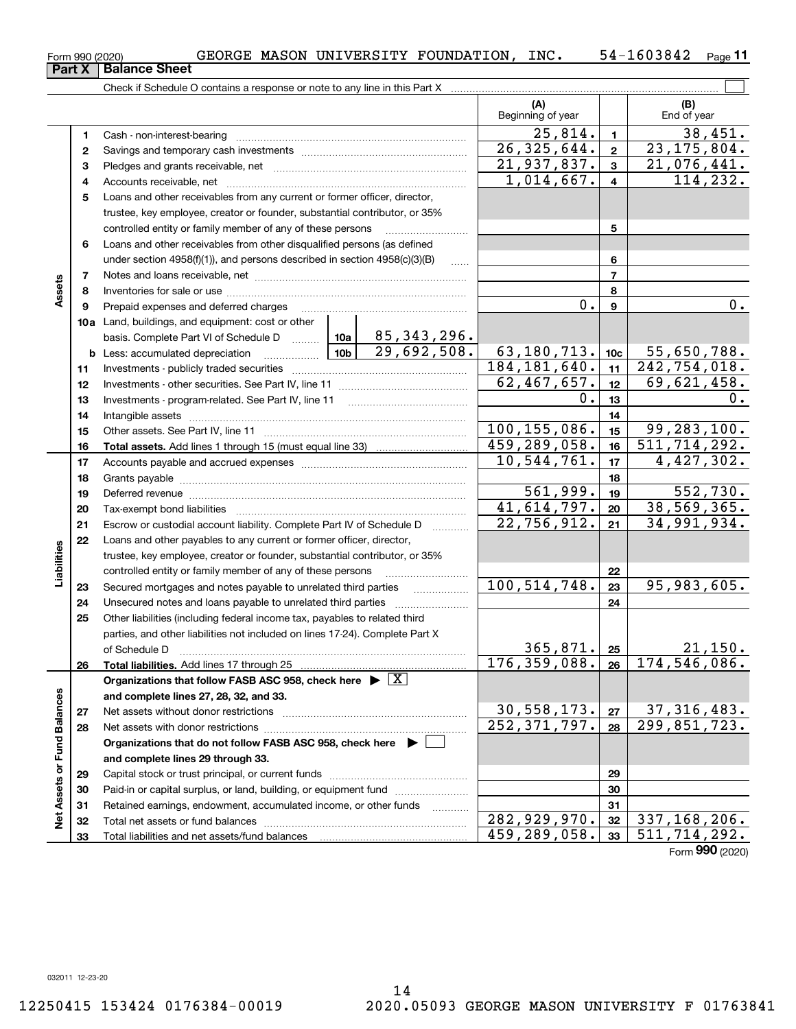**33**

Total liabilities and net assets/fund balances

**33**

**3** Pledges and grants receivable, net  $\ldots$  **multimes contained and grants receivable**, net **multimes contained and grants receivable**, net **multimes contained and grants receivable** Cash - non-interest-bearing ~~~~~~~~~~~~~~~~~~~~~~~~~ Savings and temporary cash investments ~~~~~~~~~~~~~~~~~~Accounts receivable, net ~~~~~~~~~~~~~~~~~~~~~~~~~~

Check if Schedule O contains a response or note to any line in this Part X

 $1,014,667.$   $4$  114,232. **445**Loans and other receivables from any current or former officer, director, trustee, key employee, creator or founder, substantial contributor, or 35% controlled entity or family member of any of these persons ............................ **5**Loans and other receivables from other disqualified persons (as defined **6**under section 4958(f)(1)), and persons described in section 4958(c)(3)(B) **677**Notes and loans receivable, net ~~~~~~~~~~~~~~~~~~~~~~~**Assets 88**Inventories for sale or use ~~~~~~~~~~~~~~~~~~~~~~~~~~ 0. 0. **99**Prepaid expenses and deferred charges ~~~~~~~~~~~~~~~~~~ **10a**Land, buildings, and equipment: cost or other 85,343,296. basis. Complete Part VI of Schedule D will aller <u>29,692,508.| 63,180,713.|10c| 55,650,788.</u> **b** Less: accumulated depreciation  $\ldots$  **10b** 184,181,640. 242,754,018. **1111**Investments - publicly traded securities ~~~~~~~~~~~~~~~~~~~  $62,467,657.$   $12$   $69,621,458.$ **1212**Investments - other securities. See Part IV, line 11 ~~~~~~~~~~~~~~  $0.1_{13}$  0. **1313**Investments - program-related. See Part IV, line 11 [2010] [2010] [2010] [2010] [2010] [2010] [2010] [2010] [2 **1414**Intangible assets ~~~~~~~~~~~~~~~~~~~~~~~~~~~~~~  $100, 155, 086.$  15 99, 283, 100. Other assets. See Part IV, line 11 ~~~~~~~~~~~~~~~~~~~~~~ **1515**459,289,058. 16 511,714,292. **1616Total assets.**  Add lines 1 through 15 (must equal line 33)  $10,544,761.$   $|17|$  4,427,302. **1717**Accounts payable and accrued expenses ~~~~~~~~~~~~~~~~~~ **1818**Grants payable ~~~~~~~~~~~~~~~~~~~~~~~~~~~~~~~  $561,999.$  19 552,730. **1919**Deferred revenue ~~~~~~~~~~~~~~~~~~~~~~~~~~~~~~ $41,614,797.$  20 38,569,365. **2020**Tax-exempt bond liabilities …………………………………………………………… 34,991,934. 22,756,912. Escrow or custodial account liability. Complete Part IV of Schedule D **212122**Loans and other payables to any current or former officer, director, **Liabilities** iabilities trustee, key employee, creator or founder, substantial contributor, or 35% controlled entity or family member of any of these persons ~~~~~~~~~**22** $100, 514, 748. |23 | 95, 983, 605.$ **23**Secured mortgages and notes payable to unrelated third parties **23**Unsecured notes and loans payable to unrelated third parties ~~~~~~~~ **242425**Other liabilities (including federal income tax, payables to related third parties, and other liabilities not included on lines 17-24). Complete Part X of Schedule D ~~~~~~~~~~~~~~~~~~~~~~~~~~~~~~~  $365,871.$  25 21,150. **25**176,359,088. 174,546,086. **2626Total liabilities.**  Add lines 17 through 25 **Organizations that follow FASB ASC 958, check here** | X Assets or Fund Balances **Net Assets or Fund Balances and complete lines 27, 28, 32, and 33.**  $30,558,173.$   $27 \mid 37,316,483.$ **2727**Net assets without donor restrictions <sub>…………………………………………………</sub>…… 252,371,797. 299,851,723. **2828**Net assets with donor restrictions ~~~~~~~~~~~~~~~~~~~~~~**Organizations that do not follow FASB ASC 958, check here** | **and complete lines 29 through 33. 2929**Capital stock or trust principal, or current funds ~~~~~~~~~~~~~~~ **3030**Paid-in or capital surplus, or land, building, or equipment fund www.commun.com **3131**Retained earnings, endowment, accumulated income, or other funds www.com اقع<br>ح Total net assets or fund balances ~~~~~~~~~~~~~~~~~~~~~~ 282,929,970. 32 337,168,206. **3232**

 $_{\rm Form}$   $_{990}$  (2020) GEORGE MASON UNIVERSITY FOUNDATION, INC.  $_{\rm ^{54}$  54-1603842  $_{\rm Page}$ 54-1603842 Page 11

**(A)**

**(B)**

 $\mathcal{L}^{\text{max}}$ 

**123**

21,937,837. 21,076,441.

 $26,325,644.$   $2 \mid 23,175,804.$ 

 $25,814.$  1 38,451.

Beginning of year  $\vert$  | End of year

Form (2020) **990**459,289,058. 511,714,292.

**12**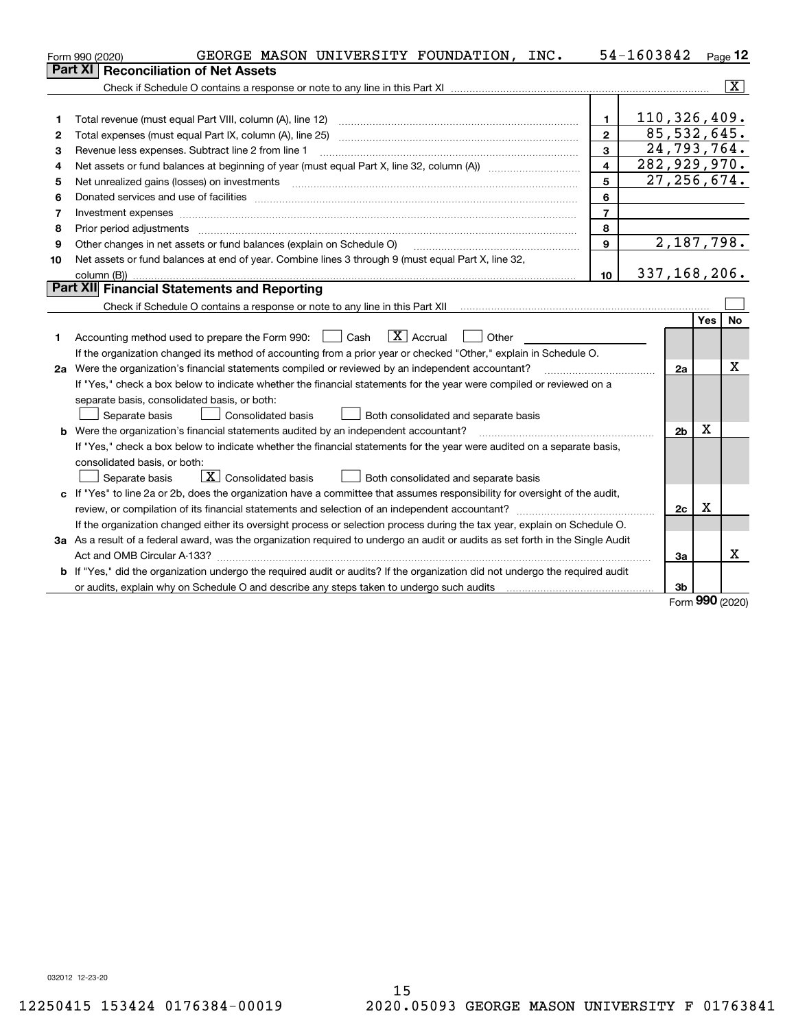|    | GEORGE MASON UNIVERSITY FOUNDATION, INC.<br>Form 990 (2020)                                                                     |                         | 54-1603842                   |                |            | $Page$ 12               |
|----|---------------------------------------------------------------------------------------------------------------------------------|-------------------------|------------------------------|----------------|------------|-------------------------|
|    | <b>Reconciliation of Net Assets</b><br>Part XI                                                                                  |                         |                              |                |            |                         |
|    |                                                                                                                                 |                         |                              |                |            | $\overline{\mathbf{X}}$ |
|    |                                                                                                                                 |                         |                              |                |            |                         |
| 1  | Total revenue (must equal Part VIII, column (A), line 12)                                                                       | $\mathbf{1}$            | 110, 326, 409.               |                |            |                         |
| 2  | Total expenses (must equal Part IX, column (A), line 25)                                                                        | $\overline{2}$          |                              | 85,532,645.    |            |                         |
| 3  | Revenue less expenses. Subtract line 2 from line 1                                                                              | 3                       |                              | 24,793,764.    |            |                         |
| 4  |                                                                                                                                 | $\overline{\mathbf{4}}$ | $\overline{282}$ , 929, 970. |                |            |                         |
| 5  | Net unrealized gains (losses) on investments                                                                                    | 5                       |                              | 27, 256, 674.  |            |                         |
| 6  |                                                                                                                                 | 6                       |                              |                |            |                         |
| 7  |                                                                                                                                 | $\overline{7}$          |                              |                |            |                         |
| 8  | Prior period adjustments                                                                                                        | 8                       |                              |                |            |                         |
| 9  | Other changes in net assets or fund balances (explain on Schedule O)                                                            | 9                       |                              | 2,187,798.     |            |                         |
| 10 | Net assets or fund balances at end of year. Combine lines 3 through 9 (must equal Part X, line 32,                              |                         |                              |                |            |                         |
|    | column (B))                                                                                                                     | 10                      | 337, 168, 206.               |                |            |                         |
|    | Part XII Financial Statements and Reporting                                                                                     |                         |                              |                |            |                         |
|    |                                                                                                                                 |                         |                              |                |            |                         |
|    |                                                                                                                                 |                         |                              |                | Yes        | <b>No</b>               |
| 1  | $\boxed{\mathbf{X}}$ Accrual<br>Accounting method used to prepare the Form 990: <u>June</u> Cash<br>Other                       |                         |                              |                |            |                         |
|    | If the organization changed its method of accounting from a prior year or checked "Other," explain in Schedule O.               |                         |                              |                |            |                         |
|    | 2a Were the organization's financial statements compiled or reviewed by an independent accountant?                              |                         |                              | 2a             |            | x                       |
|    | If "Yes," check a box below to indicate whether the financial statements for the year were compiled or reviewed on a            |                         |                              |                |            |                         |
|    | separate basis, consolidated basis, or both:                                                                                    |                         |                              |                |            |                         |
|    | Both consolidated and separate basis<br>Separate basis<br>Consolidated basis                                                    |                         |                              |                |            |                         |
|    | <b>b</b> Were the organization's financial statements audited by an independent accountant?                                     |                         |                              | 2 <sub>b</sub> | X          |                         |
|    | If "Yes," check a box below to indicate whether the financial statements for the year were audited on a separate basis,         |                         |                              |                |            |                         |
|    | consolidated basis, or both:                                                                                                    |                         |                              |                |            |                         |
|    | $\boxed{\textbf{X}}$ Consolidated basis<br>Separate basis<br>Both consolidated and separate basis                               |                         |                              |                |            |                         |
|    | c If "Yes" to line 2a or 2b, does the organization have a committee that assumes responsibility for oversight of the audit,     |                         |                              |                |            |                         |
|    | review, or compilation of its financial statements and selection of an independent accountant?                                  |                         |                              | 2c             | x          |                         |
|    | If the organization changed either its oversight process or selection process during the tax year, explain on Schedule O.       |                         |                              |                |            |                         |
|    | 3a As a result of a federal award, was the organization required to undergo an audit or audits as set forth in the Single Audit |                         |                              |                |            |                         |
|    |                                                                                                                                 |                         |                              | За             |            | х                       |
|    | b If "Yes," did the organization undergo the required audit or audits? If the organization did not undergo the required audit   |                         |                              |                |            |                         |
|    |                                                                                                                                 |                         |                              | 3b             | <u>nnn</u> |                         |

Form (2020) **990**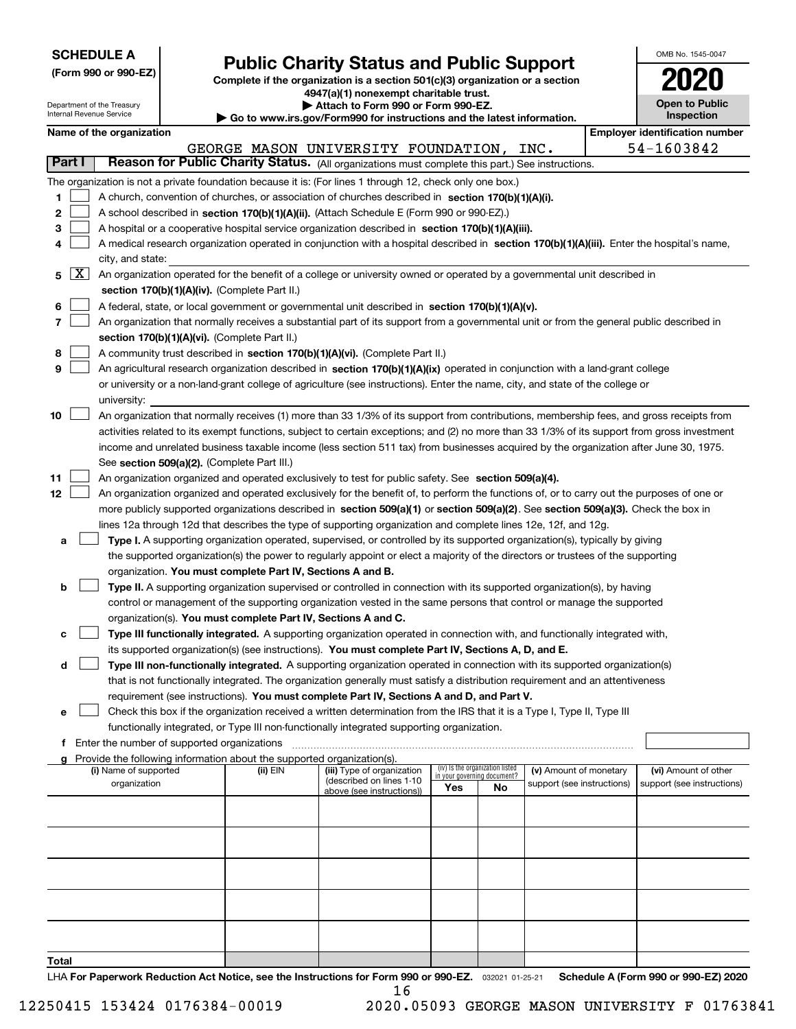| <b>SCHEDULE A</b> |  |
|-------------------|--|
|-------------------|--|

Department of the Treasury Internal Revenue Service

**(Form 990 or 990-EZ)**

# **Public Charity Status and Public Support**

**Complete if the organization is a section 501(c)(3) organization or a section 4947(a)(1) nonexempt charitable trust. | Attach to Form 990 or Form 990-EZ.** 

| Go to www.irs.gov/Form990 for instructions and the latest information. |  |  |
|------------------------------------------------------------------------|--|--|

| OMB No. 1545-0047                   |
|-------------------------------------|
| UZI                                 |
| <b>Open to Public</b><br>Inspection |
|                                     |

|                          |                                                                                                                                              |          | ad to mww.morgown ormood for modifications and the fattor mnormation. |                             |                                 |                            |  |                                       |  |
|--------------------------|----------------------------------------------------------------------------------------------------------------------------------------------|----------|-----------------------------------------------------------------------|-----------------------------|---------------------------------|----------------------------|--|---------------------------------------|--|
|                          | Name of the organization                                                                                                                     |          |                                                                       |                             |                                 |                            |  | <b>Employer identification number</b> |  |
|                          |                                                                                                                                              |          | GEORGE MASON UNIVERSITY FOUNDATION,                                   |                             |                                 | INC.                       |  | 54-1603842                            |  |
| Part I                   | Reason for Public Charity Status. (All organizations must complete this part.) See instructions.                                             |          |                                                                       |                             |                                 |                            |  |                                       |  |
|                          | The organization is not a private foundation because it is: (For lines 1 through 12, check only one box.)                                    |          |                                                                       |                             |                                 |                            |  |                                       |  |
| 1                        | A church, convention of churches, or association of churches described in section 170(b)(1)(A)(i).                                           |          |                                                                       |                             |                                 |                            |  |                                       |  |
| 2                        | A school described in section 170(b)(1)(A)(ii). (Attach Schedule E (Form 990 or 990-EZ).)                                                    |          |                                                                       |                             |                                 |                            |  |                                       |  |
|                          |                                                                                                                                              |          |                                                                       |                             |                                 |                            |  |                                       |  |
| 3                        | A hospital or a cooperative hospital service organization described in section 170(b)(1)(A)(iii).                                            |          |                                                                       |                             |                                 |                            |  |                                       |  |
| 4                        | A medical research organization operated in conjunction with a hospital described in section 170(b)(1)(A)(iii). Enter the hospital's name,   |          |                                                                       |                             |                                 |                            |  |                                       |  |
|                          | city, and state:                                                                                                                             |          |                                                                       |                             |                                 |                            |  |                                       |  |
| $\lfloor x \rfloor$<br>5 | An organization operated for the benefit of a college or university owned or operated by a governmental unit described in                    |          |                                                                       |                             |                                 |                            |  |                                       |  |
|                          | section 170(b)(1)(A)(iv). (Complete Part II.)                                                                                                |          |                                                                       |                             |                                 |                            |  |                                       |  |
| 6                        | A federal, state, or local government or governmental unit described in section 170(b)(1)(A)(v).                                             |          |                                                                       |                             |                                 |                            |  |                                       |  |
| 7                        | An organization that normally receives a substantial part of its support from a governmental unit or from the general public described in    |          |                                                                       |                             |                                 |                            |  |                                       |  |
|                          | section 170(b)(1)(A)(vi). (Complete Part II.)                                                                                                |          |                                                                       |                             |                                 |                            |  |                                       |  |
| 8                        | A community trust described in section 170(b)(1)(A)(vi). (Complete Part II.)                                                                 |          |                                                                       |                             |                                 |                            |  |                                       |  |
| 9                        | An agricultural research organization described in section 170(b)(1)(A)(ix) operated in conjunction with a land-grant college                |          |                                                                       |                             |                                 |                            |  |                                       |  |
|                          | or university or a non-land-grant college of agriculture (see instructions). Enter the name, city, and state of the college or               |          |                                                                       |                             |                                 |                            |  |                                       |  |
|                          |                                                                                                                                              |          |                                                                       |                             |                                 |                            |  |                                       |  |
|                          | university:                                                                                                                                  |          |                                                                       |                             |                                 |                            |  |                                       |  |
| 10                       | An organization that normally receives (1) more than 33 1/3% of its support from contributions, membership fees, and gross receipts from     |          |                                                                       |                             |                                 |                            |  |                                       |  |
|                          | activities related to its exempt functions, subject to certain exceptions; and (2) no more than 33 1/3% of its support from gross investment |          |                                                                       |                             |                                 |                            |  |                                       |  |
|                          | income and unrelated business taxable income (less section 511 tax) from businesses acquired by the organization after June 30, 1975.        |          |                                                                       |                             |                                 |                            |  |                                       |  |
|                          | See section 509(a)(2). (Complete Part III.)                                                                                                  |          |                                                                       |                             |                                 |                            |  |                                       |  |
| 11                       | An organization organized and operated exclusively to test for public safety. See section 509(a)(4).                                         |          |                                                                       |                             |                                 |                            |  |                                       |  |
| 12 <sub>2</sub>          | An organization organized and operated exclusively for the benefit of, to perform the functions of, or to carry out the purposes of one or   |          |                                                                       |                             |                                 |                            |  |                                       |  |
|                          | more publicly supported organizations described in section 509(a)(1) or section 509(a)(2). See section 509(a)(3). Check the box in           |          |                                                                       |                             |                                 |                            |  |                                       |  |
|                          | lines 12a through 12d that describes the type of supporting organization and complete lines 12e, 12f, and 12g.                               |          |                                                                       |                             |                                 |                            |  |                                       |  |
| а                        | Type I. A supporting organization operated, supervised, or controlled by its supported organization(s), typically by giving                  |          |                                                                       |                             |                                 |                            |  |                                       |  |
|                          | the supported organization(s) the power to regularly appoint or elect a majority of the directors or trustees of the supporting              |          |                                                                       |                             |                                 |                            |  |                                       |  |
|                          | organization. You must complete Part IV, Sections A and B.                                                                                   |          |                                                                       |                             |                                 |                            |  |                                       |  |
| b                        | Type II. A supporting organization supervised or controlled in connection with its supported organization(s), by having                      |          |                                                                       |                             |                                 |                            |  |                                       |  |
|                          | control or management of the supporting organization vested in the same persons that control or manage the supported                         |          |                                                                       |                             |                                 |                            |  |                                       |  |
|                          |                                                                                                                                              |          |                                                                       |                             |                                 |                            |  |                                       |  |
|                          | organization(s). You must complete Part IV, Sections A and C.                                                                                |          |                                                                       |                             |                                 |                            |  |                                       |  |
| с                        | Type III functionally integrated. A supporting organization operated in connection with, and functionally integrated with,                   |          |                                                                       |                             |                                 |                            |  |                                       |  |
|                          | its supported organization(s) (see instructions). You must complete Part IV, Sections A, D, and E.                                           |          |                                                                       |                             |                                 |                            |  |                                       |  |
| d                        | Type III non-functionally integrated. A supporting organization operated in connection with its supported organization(s)                    |          |                                                                       |                             |                                 |                            |  |                                       |  |
|                          | that is not functionally integrated. The organization generally must satisfy a distribution requirement and an attentiveness                 |          |                                                                       |                             |                                 |                            |  |                                       |  |
|                          | requirement (see instructions). You must complete Part IV, Sections A and D, and Part V.                                                     |          |                                                                       |                             |                                 |                            |  |                                       |  |
| е                        | Check this box if the organization received a written determination from the IRS that it is a Type I, Type II, Type III                      |          |                                                                       |                             |                                 |                            |  |                                       |  |
|                          | functionally integrated, or Type III non-functionally integrated supporting organization.                                                    |          |                                                                       |                             |                                 |                            |  |                                       |  |
| f                        | Enter the number of supported organizations                                                                                                  |          |                                                                       |                             |                                 |                            |  |                                       |  |
| a                        | Provide the following information about the supported organization(s).                                                                       |          |                                                                       |                             |                                 |                            |  |                                       |  |
|                          | (i) Name of supported                                                                                                                        | (ii) EIN | (iii) Type of organization                                            | in your governing document? | (iv) Is the organization listed | (v) Amount of monetary     |  | (vi) Amount of other                  |  |
|                          | organization                                                                                                                                 |          | (described on lines 1-10<br>above (see instructions))                 | Yes                         | No                              | support (see instructions) |  | support (see instructions)            |  |
|                          |                                                                                                                                              |          |                                                                       |                             |                                 |                            |  |                                       |  |
|                          |                                                                                                                                              |          |                                                                       |                             |                                 |                            |  |                                       |  |
|                          |                                                                                                                                              |          |                                                                       |                             |                                 |                            |  |                                       |  |
|                          |                                                                                                                                              |          |                                                                       |                             |                                 |                            |  |                                       |  |
|                          |                                                                                                                                              |          |                                                                       |                             |                                 |                            |  |                                       |  |
|                          |                                                                                                                                              |          |                                                                       |                             |                                 |                            |  |                                       |  |
|                          |                                                                                                                                              |          |                                                                       |                             |                                 |                            |  |                                       |  |
|                          |                                                                                                                                              |          |                                                                       |                             |                                 |                            |  |                                       |  |
|                          |                                                                                                                                              |          |                                                                       |                             |                                 |                            |  |                                       |  |
|                          |                                                                                                                                              |          |                                                                       |                             |                                 |                            |  |                                       |  |
|                          |                                                                                                                                              |          |                                                                       |                             |                                 |                            |  |                                       |  |

**Total**

LHA For Paperwork Reduction Act Notice, see the Instructions for Form 990 or 990-EZ. <sub>032021</sub> o1-25-21 Schedule A (Form 990 or 990-EZ) 2020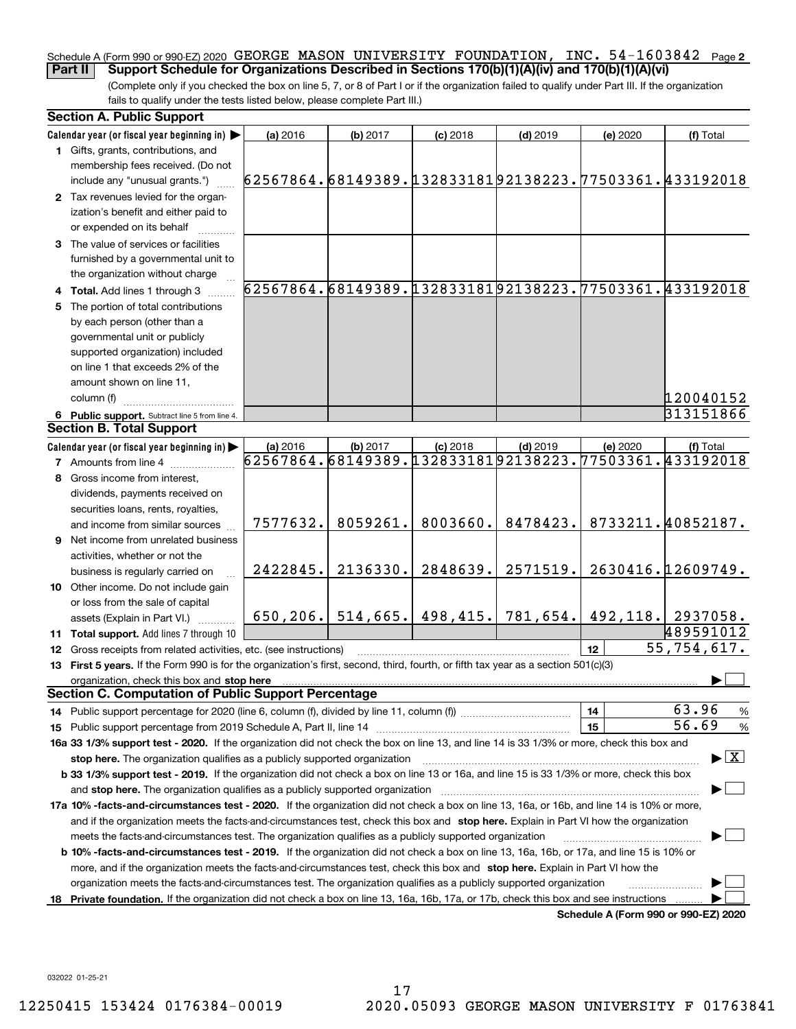#### Schedule A (Form 990 or 990-EZ) 2020 <code>GEORGE MASON UNIVERSITY FOUNDATION</code> , <code>INC. 54–1603842 Page 2</code> **Part II** Support Schedule for Organizations Described in Sections 170(b)(1)(A)(iv) and 170(b)(1)(A)(vi)

(Complete only if you checked the box on line 5, 7, or 8 of Part I or if the organization failed to qualify under Part III. If the organization fails to qualify under the tests listed below, please complete Part III.)

|    | <b>Section A. Public Support</b>                                                                                                                                                                                                                           |                                                        |          |                     |            |          |                                                        |
|----|------------------------------------------------------------------------------------------------------------------------------------------------------------------------------------------------------------------------------------------------------------|--------------------------------------------------------|----------|---------------------|------------|----------|--------------------------------------------------------|
|    | Calendar year (or fiscal year beginning in)                                                                                                                                                                                                                | (a) 2016                                               | (b) 2017 | $(c)$ 2018          | $(d)$ 2019 | (e) 2020 | (f) Total                                              |
|    | 1 Gifts, grants, contributions, and<br>membership fees received. (Do not                                                                                                                                                                                   |                                                        |          |                     |            |          |                                                        |
|    | include any "unusual grants.")                                                                                                                                                                                                                             | 62567864.68149389.13283318192138223.77503361.433192018 |          |                     |            |          |                                                        |
|    | 2 Tax revenues levied for the organ-<br>ization's benefit and either paid to<br>or expended on its behalf                                                                                                                                                  |                                                        |          |                     |            |          |                                                        |
|    | 3 The value of services or facilities<br>furnished by a governmental unit to                                                                                                                                                                               |                                                        |          |                     |            |          |                                                        |
|    | the organization without charge                                                                                                                                                                                                                            |                                                        |          |                     |            |          |                                                        |
|    | 4 Total. Add lines 1 through 3                                                                                                                                                                                                                             |                                                        |          |                     |            |          | 62567864.68149389.13283318192138223.77503361.433192018 |
|    | 5 The portion of total contributions                                                                                                                                                                                                                       |                                                        |          |                     |            |          |                                                        |
|    | by each person (other than a                                                                                                                                                                                                                               |                                                        |          |                     |            |          |                                                        |
|    | governmental unit or publicly                                                                                                                                                                                                                              |                                                        |          |                     |            |          |                                                        |
|    | supported organization) included                                                                                                                                                                                                                           |                                                        |          |                     |            |          |                                                        |
|    | on line 1 that exceeds 2% of the                                                                                                                                                                                                                           |                                                        |          |                     |            |          |                                                        |
|    | amount shown on line 11,                                                                                                                                                                                                                                   |                                                        |          |                     |            |          |                                                        |
|    | column (f)                                                                                                                                                                                                                                                 |                                                        |          |                     |            |          | 120040152                                              |
|    | 6 Public support. Subtract line 5 from line 4.                                                                                                                                                                                                             |                                                        |          |                     |            |          | 313151866                                              |
|    | <b>Section B. Total Support</b>                                                                                                                                                                                                                            |                                                        |          |                     |            |          |                                                        |
|    | Calendar year (or fiscal year beginning in)                                                                                                                                                                                                                | (a) 2016                                               | (b) 2017 | $(c)$ 2018          | $(d)$ 2019 | (e) 2020 | (f) Total                                              |
|    | <b>7</b> Amounts from line 4                                                                                                                                                                                                                               | 62567864.68149389.13283318192138223.77503361.433192018 |          |                     |            |          |                                                        |
|    | 8 Gross income from interest,                                                                                                                                                                                                                              |                                                        |          |                     |            |          |                                                        |
|    | dividends, payments received on                                                                                                                                                                                                                            |                                                        |          |                     |            |          |                                                        |
|    | securities loans, rents, royalties,                                                                                                                                                                                                                        |                                                        |          |                     |            |          |                                                        |
|    | and income from similar sources                                                                                                                                                                                                                            | 7577632.                                               | 8059261. | 8003660.            | 8478423.   |          | 8733211.40852187.                                      |
|    | 9 Net income from unrelated business                                                                                                                                                                                                                       |                                                        |          |                     |            |          |                                                        |
|    | activities, whether or not the                                                                                                                                                                                                                             |                                                        |          |                     |            |          |                                                        |
|    | business is regularly carried on                                                                                                                                                                                                                           | 2422845.                                               | 2136330. | 2848639.            | 2571519.   |          | 2630416.12609749.                                      |
|    | 10 Other income. Do not include gain                                                                                                                                                                                                                       |                                                        |          |                     |            |          |                                                        |
|    | or loss from the sale of capital                                                                                                                                                                                                                           |                                                        |          |                     |            |          |                                                        |
|    | assets (Explain in Part VI.)                                                                                                                                                                                                                               | 650, 206.                                              |          | $514,665.$ 498,415. | 781,654.   |          | 492, 118. 2937058.                                     |
|    | 11 Total support. Add lines 7 through 10                                                                                                                                                                                                                   |                                                        |          |                     |            |          | 489591012                                              |
|    | 12 Gross receipts from related activities, etc. (see instructions)                                                                                                                                                                                         |                                                        |          |                     |            | 12       | 55,754,617.                                            |
|    | 13 First 5 years. If the Form 990 is for the organization's first, second, third, fourth, or fifth tax year as a section 501(c)(3)                                                                                                                         |                                                        |          |                     |            |          |                                                        |
|    | organization, check this box and stop here<br>Section C. Computation of Public Support Percentage                                                                                                                                                          |                                                        |          |                     |            |          |                                                        |
|    |                                                                                                                                                                                                                                                            |                                                        |          |                     |            |          | 63.96                                                  |
|    |                                                                                                                                                                                                                                                            |                                                        |          |                     |            | 14       | $\%$<br>56.69                                          |
|    |                                                                                                                                                                                                                                                            |                                                        |          |                     |            | 15       | $\%$                                                   |
|    | 16a 33 1/3% support test - 2020. If the organization did not check the box on line 13, and line 14 is 33 1/3% or more, check this box and                                                                                                                  |                                                        |          |                     |            |          | $\blacktriangleright$ $\boxed{\text{X}}$               |
|    | stop here. The organization qualifies as a publicly supported organization                                                                                                                                                                                 |                                                        |          |                     |            |          |                                                        |
|    | b 33 1/3% support test - 2019. If the organization did not check a box on line 13 or 16a, and line 15 is 33 1/3% or more, check this box                                                                                                                   |                                                        |          |                     |            |          |                                                        |
|    | and stop here. The organization qualifies as a publicly supported organization                                                                                                                                                                             |                                                        |          |                     |            |          |                                                        |
|    | 17a 10% -facts-and-circumstances test - 2020. If the organization did not check a box on line 13, 16a, or 16b, and line 14 is 10% or more,                                                                                                                 |                                                        |          |                     |            |          |                                                        |
|    | and if the organization meets the facts-and-circumstances test, check this box and stop here. Explain in Part VI how the organization                                                                                                                      |                                                        |          |                     |            |          |                                                        |
|    | meets the facts-and-circumstances test. The organization qualifies as a publicly supported organization                                                                                                                                                    |                                                        |          |                     |            |          |                                                        |
|    | <b>b 10% -facts-and-circumstances test - 2019.</b> If the organization did not check a box on line 13, 16a, 16b, or 17a, and line 15 is 10% or                                                                                                             |                                                        |          |                     |            |          |                                                        |
|    | more, and if the organization meets the facts-and-circumstances test, check this box and stop here. Explain in Part VI how the                                                                                                                             |                                                        |          |                     |            |          |                                                        |
| 18 | organization meets the facts-and-circumstances test. The organization qualifies as a publicly supported organization<br>Private foundation. If the organization did not check a box on line 13, 16a, 16b, 17a, or 17b, check this box and see instructions |                                                        |          |                     |            |          |                                                        |
|    |                                                                                                                                                                                                                                                            |                                                        |          |                     |            |          | Schedule A (Form 990 or 990-EZ) 2020                   |
|    |                                                                                                                                                                                                                                                            |                                                        |          |                     |            |          |                                                        |

032022 01-25-21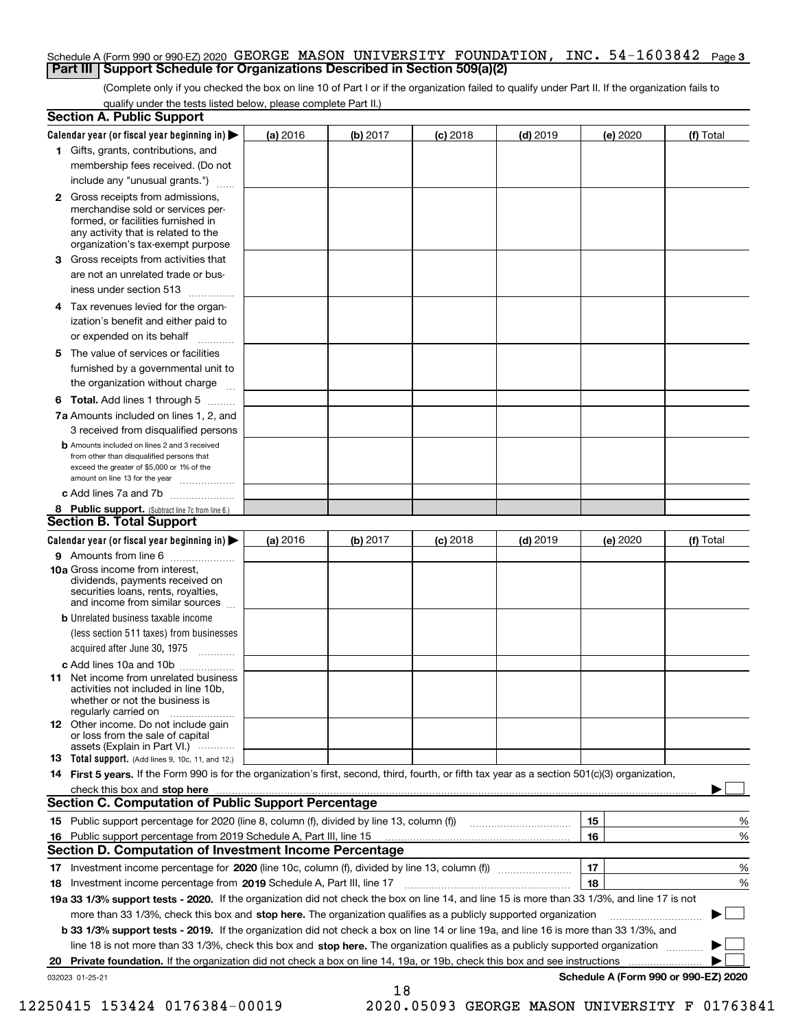#### Schedule A (Form 990 or 990-EZ) 2020 <code>GEORGE MASON UNIVERSITY FOUNDATION</code> , <code>INC. 54–1603842 Page 3</code> **Part III Support Schedule for Organizations Described in Section 509(a)(2)**

(Complete only if you checked the box on line 10 of Part I or if the organization failed to qualify under Part II. If the organization fails to qualify under the tests listed below, please complete Part II.)

| <b>Section A. Public Support</b>                                                                                                                                                                                               |          |          |                 |            |          |                                      |
|--------------------------------------------------------------------------------------------------------------------------------------------------------------------------------------------------------------------------------|----------|----------|-----------------|------------|----------|--------------------------------------|
| Calendar year (or fiscal year beginning in) $\blacktriangleright$                                                                                                                                                              | (a) 2016 | (b) 2017 | <b>(c)</b> 2018 | $(d)$ 2019 | (e) 2020 | (f) Total                            |
| 1 Gifts, grants, contributions, and                                                                                                                                                                                            |          |          |                 |            |          |                                      |
| membership fees received. (Do not                                                                                                                                                                                              |          |          |                 |            |          |                                      |
| include any "unusual grants.")                                                                                                                                                                                                 |          |          |                 |            |          |                                      |
| <b>2</b> Gross receipts from admissions,<br>merchandise sold or services per-<br>formed, or facilities furnished in<br>any activity that is related to the<br>organization's tax-exempt purpose                                |          |          |                 |            |          |                                      |
| 3 Gross receipts from activities that<br>are not an unrelated trade or bus-                                                                                                                                                    |          |          |                 |            |          |                                      |
| iness under section 513                                                                                                                                                                                                        |          |          |                 |            |          |                                      |
| 4 Tax revenues levied for the organ-<br>ization's benefit and either paid to                                                                                                                                                   |          |          |                 |            |          |                                      |
| or expended on its behalf<br>.                                                                                                                                                                                                 |          |          |                 |            |          |                                      |
| 5 The value of services or facilities<br>furnished by a governmental unit to                                                                                                                                                   |          |          |                 |            |          |                                      |
| the organization without charge                                                                                                                                                                                                |          |          |                 |            |          |                                      |
| <b>6 Total.</b> Add lines 1 through 5                                                                                                                                                                                          |          |          |                 |            |          |                                      |
| 7a Amounts included on lines 1, 2, and<br>3 received from disqualified persons                                                                                                                                                 |          |          |                 |            |          |                                      |
| <b>b</b> Amounts included on lines 2 and 3 received<br>from other than disqualified persons that<br>exceed the greater of \$5,000 or 1% of the<br>amount on line 13 for the year                                               |          |          |                 |            |          |                                      |
| c Add lines 7a and 7b                                                                                                                                                                                                          |          |          |                 |            |          |                                      |
| 8 Public support. (Subtract line 7c from line 6.)<br><b>Section B. Total Support</b>                                                                                                                                           |          |          |                 |            |          |                                      |
| Calendar year (or fiscal year beginning in)                                                                                                                                                                                    | (a) 2016 | (b) 2017 | $(c)$ 2018      | $(d)$ 2019 | (e) 2020 | (f) Total                            |
| 9 Amounts from line 6                                                                                                                                                                                                          |          |          |                 |            |          |                                      |
| 10a Gross income from interest,<br>dividends, payments received on<br>securities loans, rents, royalties,<br>and income from similar sources                                                                                   |          |          |                 |            |          |                                      |
| <b>b</b> Unrelated business taxable income<br>(less section 511 taxes) from businesses<br>acquired after June 30, 1975                                                                                                         |          |          |                 |            |          |                                      |
| c Add lines 10a and 10b                                                                                                                                                                                                        |          |          |                 |            |          |                                      |
| 11 Net income from unrelated business<br>activities not included in line 10b,<br>whether or not the business is<br>regularly carried on                                                                                        |          |          |                 |            |          |                                      |
| <b>12</b> Other income. Do not include gain<br>or loss from the sale of capital<br>assets (Explain in Part VI.)                                                                                                                |          |          |                 |            |          |                                      |
| <b>13</b> Total support. (Add lines 9, 10c, 11, and 12.)                                                                                                                                                                       |          |          |                 |            |          |                                      |
| 14 First 5 years. If the Form 990 is for the organization's first, second, third, fourth, or fifth tax year as a section 501(c)(3) organization,                                                                               |          |          |                 |            |          |                                      |
| check this box and stop here measurements are all the state of the state of the state of the state of the state of the state of the state of the state of the state of the state of the state of the state of the state of the |          |          |                 |            |          |                                      |
| <b>Section C. Computation of Public Support Percentage</b>                                                                                                                                                                     |          |          |                 |            |          |                                      |
|                                                                                                                                                                                                                                |          |          |                 |            | 15       | %                                    |
| 16 Public support percentage from 2019 Schedule A, Part III, line 15                                                                                                                                                           |          |          |                 |            | 16       | %                                    |
| Section D. Computation of Investment Income Percentage                                                                                                                                                                         |          |          |                 |            |          |                                      |
| 17 Investment income percentage for 2020 (line 10c, column (f), divided by line 13, column (f))<br>18 Investment income percentage from 2019 Schedule A, Part III, line 17                                                     |          |          |                 |            | 17<br>18 | %<br>%                               |
| 19a 33 1/3% support tests - 2020. If the organization did not check the box on line 14, and line 15 is more than 33 1/3%, and line 17 is not                                                                                   |          |          |                 |            |          |                                      |
| more than 33 1/3%, check this box and stop here. The organization qualifies as a publicly supported organization                                                                                                               |          |          |                 |            |          |                                      |
| b 33 1/3% support tests - 2019. If the organization did not check a box on line 14 or line 19a, and line 16 is more than 33 1/3%, and                                                                                          |          |          |                 |            |          |                                      |
| line 18 is not more than 33 1/3%, check this box and stop here. The organization qualifies as a publicly supported organization                                                                                                |          |          |                 |            |          |                                      |
| 20 Private foundation. If the organization did not check a box on line 14, 19a, or 19b, check this box and see instructions                                                                                                    |          |          |                 |            |          |                                      |
| 032023 01-25-21                                                                                                                                                                                                                |          |          |                 |            |          | Schedule A (Form 990 or 990-EZ) 2020 |
|                                                                                                                                                                                                                                |          | 18       |                 |            |          |                                      |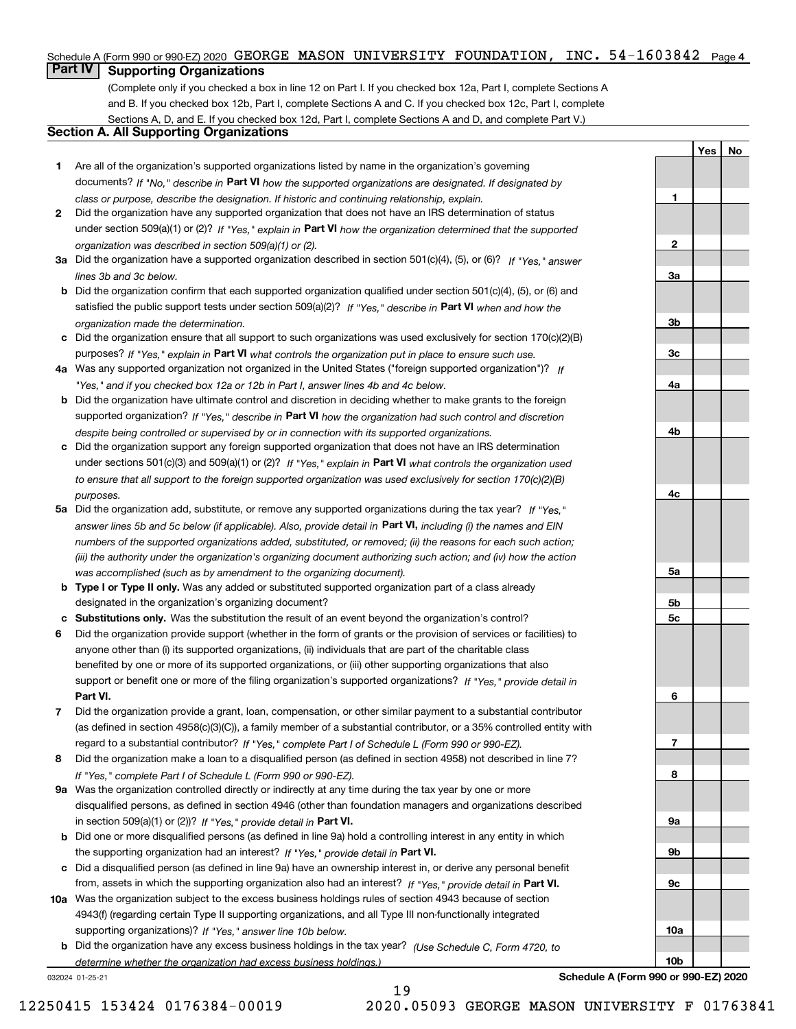#### Schedule A (Form 990 or 990-EZ) 2020 <code>GEORGE MASON UNIVERSITY FOUNDATION</code> , <code>INC. 54-1603842 Page 4</code>

# **Part IV Supporting Organizations**

(Complete only if you checked a box in line 12 on Part I. If you checked box 12a, Part I, complete Sections A and B. If you checked box 12b, Part I, complete Sections A and C. If you checked box 12c, Part I, complete Sections A, D, and E. If you checked box 12d, Part I, complete Sections A and D, and complete Part V.)

## **Section A. All Supporting Organizations**

- **1** Are all of the organization's supported organizations listed by name in the organization's governing documents? If "No," describe in **Part VI** how the supported organizations are designated. If designated by *class or purpose, describe the designation. If historic and continuing relationship, explain.*
- **2** Did the organization have any supported organization that does not have an IRS determination of status under section 509(a)(1) or (2)? If "Yes," explain in Part VI how the organization determined that the supported *organization was described in section 509(a)(1) or (2).*
- **3a** Did the organization have a supported organization described in section 501(c)(4), (5), or (6)? If "Yes," answer *lines 3b and 3c below.*
- **b** Did the organization confirm that each supported organization qualified under section 501(c)(4), (5), or (6) and satisfied the public support tests under section 509(a)(2)? If "Yes," describe in **Part VI** when and how the *organization made the determination.*
- **c**Did the organization ensure that all support to such organizations was used exclusively for section 170(c)(2)(B) purposes? If "Yes," explain in **Part VI** what controls the organization put in place to ensure such use.
- **4a***If* Was any supported organization not organized in the United States ("foreign supported organization")? *"Yes," and if you checked box 12a or 12b in Part I, answer lines 4b and 4c below.*
- **b** Did the organization have ultimate control and discretion in deciding whether to make grants to the foreign supported organization? If "Yes," describe in **Part VI** how the organization had such control and discretion *despite being controlled or supervised by or in connection with its supported organizations.*
- **c** Did the organization support any foreign supported organization that does not have an IRS determination under sections 501(c)(3) and 509(a)(1) or (2)? If "Yes," explain in **Part VI** what controls the organization used *to ensure that all support to the foreign supported organization was used exclusively for section 170(c)(2)(B) purposes.*
- **5a** Did the organization add, substitute, or remove any supported organizations during the tax year? If "Yes," answer lines 5b and 5c below (if applicable). Also, provide detail in **Part VI,** including (i) the names and EIN *numbers of the supported organizations added, substituted, or removed; (ii) the reasons for each such action; (iii) the authority under the organization's organizing document authorizing such action; and (iv) how the action was accomplished (such as by amendment to the organizing document).*
- **b** Type I or Type II only. Was any added or substituted supported organization part of a class already designated in the organization's organizing document?
- **cSubstitutions only.**  Was the substitution the result of an event beyond the organization's control?
- **6** Did the organization provide support (whether in the form of grants or the provision of services or facilities) to **Part VI.** *If "Yes," provide detail in* support or benefit one or more of the filing organization's supported organizations? anyone other than (i) its supported organizations, (ii) individuals that are part of the charitable class benefited by one or more of its supported organizations, or (iii) other supporting organizations that also
- **7**Did the organization provide a grant, loan, compensation, or other similar payment to a substantial contributor *If "Yes," complete Part I of Schedule L (Form 990 or 990-EZ).* regard to a substantial contributor? (as defined in section 4958(c)(3)(C)), a family member of a substantial contributor, or a 35% controlled entity with
- **8** Did the organization make a loan to a disqualified person (as defined in section 4958) not described in line 7? *If "Yes," complete Part I of Schedule L (Form 990 or 990-EZ).*
- **9a** Was the organization controlled directly or indirectly at any time during the tax year by one or more in section 509(a)(1) or (2))? If "Yes," *provide detail in* <code>Part VI.</code> disqualified persons, as defined in section 4946 (other than foundation managers and organizations described
- **b** Did one or more disqualified persons (as defined in line 9a) hold a controlling interest in any entity in which the supporting organization had an interest? If "Yes," provide detail in P**art VI**.
- **c**Did a disqualified person (as defined in line 9a) have an ownership interest in, or derive any personal benefit from, assets in which the supporting organization also had an interest? If "Yes," provide detail in P**art VI.**
- **10a** Was the organization subject to the excess business holdings rules of section 4943 because of section supporting organizations)? If "Yes," answer line 10b below. 4943(f) (regarding certain Type II supporting organizations, and all Type III non-functionally integrated
- **b** Did the organization have any excess business holdings in the tax year? (Use Schedule C, Form 4720, to *determine whether the organization had excess business holdings.)*

19

032024 01-25-21

**Schedule A (Form 990 or 990-EZ) 2020**

**YesNo**

**1**

**2**

**3a**

**3b**

**3c**

**4a**

**4b**

**4c**

**5a**

**5b5c**

**6**

**7**

**8**

**9a**

**9b**

**9c**

**10a**

**10b**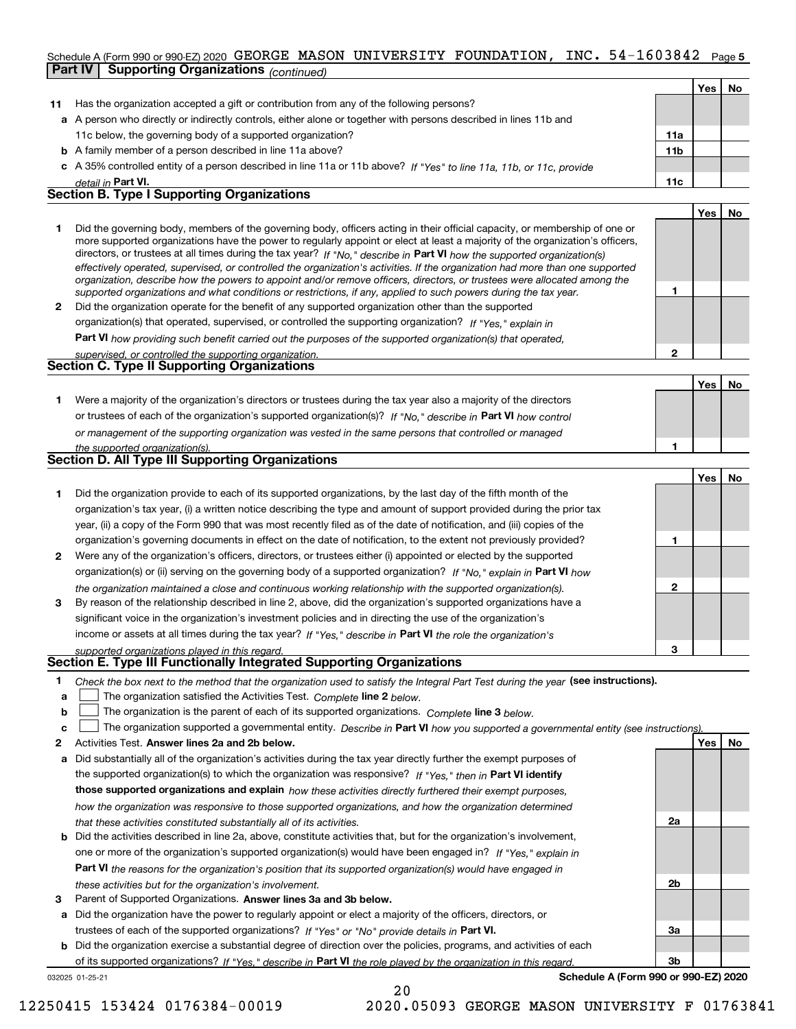#### Schedule A (Form 990 or 990-EZ) 2020 <code>GEORGE MASON UNIVERSITY FOUNDATION</code> , <code>INC. 54-1603842 Page 5</code> **Part IV Supporting Organizations** *(continued)*

|    |                                                                                                                            |                 | Yes | No |
|----|----------------------------------------------------------------------------------------------------------------------------|-----------------|-----|----|
| 11 | Has the organization accepted a gift or contribution from any of the following persons?                                    |                 |     |    |
|    | a A person who directly or indirectly controls, either alone or together with persons described in lines 11b and           |                 |     |    |
|    | 11c below, the governing body of a supported organization?                                                                 | 11a             |     |    |
|    | <b>b</b> A family member of a person described in line 11a above?                                                          | 11 <sub>b</sub> |     |    |
|    | c A 35% controlled entity of a person described in line 11a or 11b above? If "Yes" to line 11a, 11b, or 11c, provide       |                 |     |    |
|    | detail in Part VI.                                                                                                         | 11c             |     |    |
|    | <b>Section B. Type I Supporting Organizations</b>                                                                          |                 |     |    |
|    |                                                                                                                            |                 | Yes | No |
|    | Did the governing body, members of the governing body, officers acting in their official capacity, or membership of one or |                 |     |    |

|   | Did the governing body, members of the governing body, onicers acting in their onicial capacity, or membership of one or       |  |
|---|--------------------------------------------------------------------------------------------------------------------------------|--|
|   | more supported organizations have the power to regularly appoint or elect at least a majority of the organization's officers,  |  |
|   | directors, or trustees at all times during the tax year? If "No," describe in Part VI how the supported organization(s)        |  |
|   | effectively operated, supervised, or controlled the organization's activities. If the organization had more than one supported |  |
|   | organization, describe how the powers to appoint and/or remove officers, directors, or trustees were allocated among the       |  |
|   | supported organizations and what conditions or restrictions, if any, applied to such powers during the tax year.               |  |
| 2 | Did the organization operate for the benefit of any supported organization other than the supported                            |  |
|   | organization(s) that operated, supervised, or controlled the supporting organization? If "Yes," explain in                     |  |
|   |                                                                                                                                |  |

**Part VI**  *how providing such benefit carried out the purposes of the supported organization(s) that operated,*

| supervised, or controlled the supporting organization. |
|--------------------------------------------------------|
| <b>Section C. Type II Supporting Organizations</b>     |

**Yes No 1**or trustees of each of the organization's supported organization(s)? If "No," describe in **Part VI** how control **1***or management of the supporting organization was vested in the same persons that controlled or managed the supported organization(s).* Were a majority of the organization's directors or trustees during the tax year also a majority of the directors

| <b>Section D. All Type III Supporting Organizations</b> |  |
|---------------------------------------------------------|--|
|                                                         |  |

|              |                                                                                                                        |   | Tesi No |  |
|--------------|------------------------------------------------------------------------------------------------------------------------|---|---------|--|
|              | Did the organization provide to each of its supported organizations, by the last day of the fifth month of the         |   |         |  |
|              | organization's tax year, (i) a written notice describing the type and amount of support provided during the prior tax  |   |         |  |
|              | year, (ii) a copy of the Form 990 that was most recently filed as of the date of notification, and (iii) copies of the |   |         |  |
|              | organization's governing documents in effect on the date of notification, to the extent not previously provided?       |   |         |  |
| $\mathbf{2}$ | Were any of the organization's officers, directors, or trustees either (i) appointed or elected by the supported       |   |         |  |
|              | organization(s) or (ii) serving on the governing body of a supported organization? If "No," explain in Part VI how     |   |         |  |
|              | the organization maintained a close and continuous working relationship with the supported organization(s).            | 2 |         |  |
| 3            | By reason of the relationship described in line 2, above, did the organization's supported organizations have a        |   |         |  |
|              | significant voice in the organization's investment policies and in directing the use of the organization's             |   |         |  |
|              | income or assets at all times during the tax year? If "Yes," describe in Part VI the role the organization's           |   |         |  |
|              | supported organizations played in this regard.                                                                         | з |         |  |

# *supported organizations played in this regard.* **Section E. Type III Functionally Integrated Supporting Organizations**

- **1**Check the box next to the method that the organization used to satisfy the Integral Part Test during the year (see instructions).
- **alinupy** The organization satisfied the Activities Test. Complete line 2 below.
- **bThe organization is the parent of each of its supported organizations. Complete line 3 below.**

|  |  | c $\Box$ The organization supported a governmental entity. Describe in Part VI how you supported a governmental entity (see instructions). |  |
|--|--|--------------------------------------------------------------------------------------------------------------------------------------------|--|
|--|--|--------------------------------------------------------------------------------------------------------------------------------------------|--|

20

- **2Answer lines 2a and 2b below. Yes No** Activities Test.
- **a** Did substantially all of the organization's activities during the tax year directly further the exempt purposes of the supported organization(s) to which the organization was responsive? If "Yes," then in **Part VI identify those supported organizations and explain**  *how these activities directly furthered their exempt purposes, how the organization was responsive to those supported organizations, and how the organization determined that these activities constituted substantially all of its activities.*
- **b** Did the activities described in line 2a, above, constitute activities that, but for the organization's involvement, **Part VI**  *the reasons for the organization's position that its supported organization(s) would have engaged in* one or more of the organization's supported organization(s) would have been engaged in? If "Yes," e*xplain in these activities but for the organization's involvement.*
- **3** Parent of Supported Organizations. Answer lines 3a and 3b below.

**a** Did the organization have the power to regularly appoint or elect a majority of the officers, directors, or trustees of each of the supported organizations? If "Yes" or "No" provide details in **Part VI.** 

**b** Did the organization exercise a substantial degree of direction over the policies, programs, and activities of each of its supported organizations? If "Yes," describe in Part VI the role played by the organization in this regard.

032025 01-25-21

**Schedule A (Form 990 or 990-EZ) 2020**

**2a**

**2b**

**3a**

**3b**

**2**

**Yes**

**No**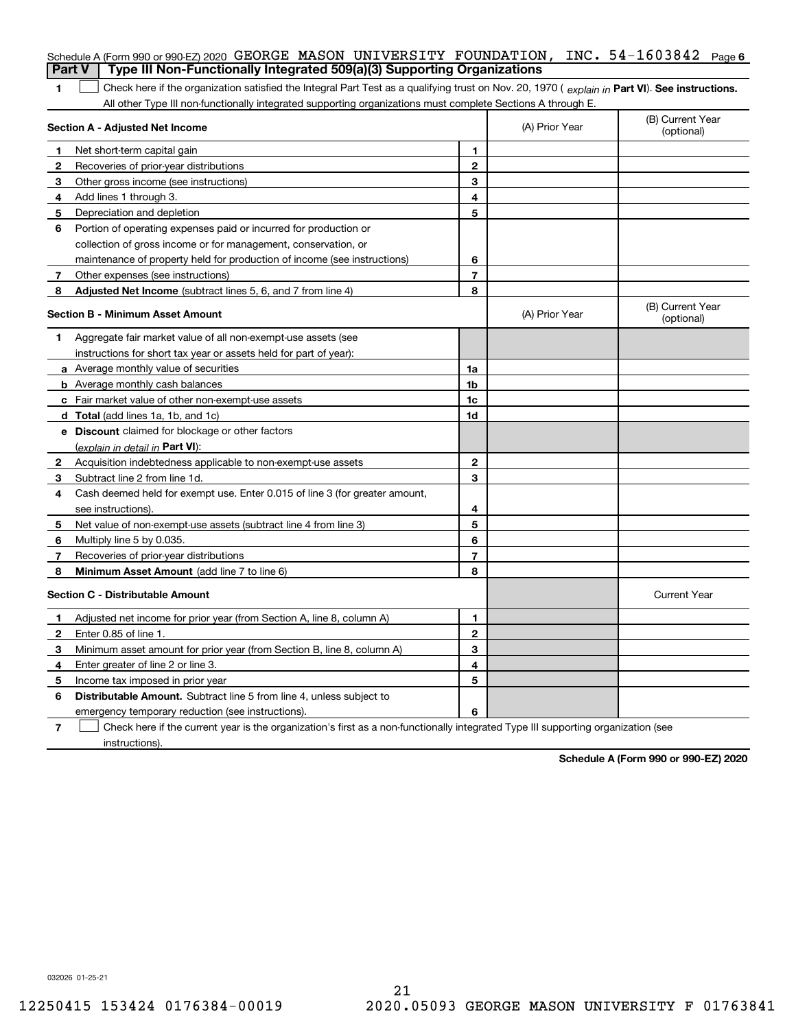| <b>Part V</b>  | Schedule A (Form 990 or 990-EZ) 2020 GEORGE MASON UNIVERSITY FOUNDATION, INC. $54-1603842$<br>Type III Non-Functionally Integrated 509(a)(3) Supporting Organizations                                                                                         |                |                | Page 6                         |
|----------------|---------------------------------------------------------------------------------------------------------------------------------------------------------------------------------------------------------------------------------------------------------------|----------------|----------------|--------------------------------|
|                |                                                                                                                                                                                                                                                               |                |                |                                |
| 1              | Check here if the organization satisfied the Integral Part Test as a qualifying trust on Nov. 20, 1970 (explain in Part VI). See instructions.<br>All other Type III non-functionally integrated supporting organizations must complete Sections A through E. |                |                |                                |
|                | Section A - Adjusted Net Income                                                                                                                                                                                                                               |                | (A) Prior Year | (B) Current Year<br>(optional) |
| 1              | Net short-term capital gain                                                                                                                                                                                                                                   | 1.             |                |                                |
| $\overline{2}$ | Recoveries of prior-year distributions                                                                                                                                                                                                                        | $\mathbf{2}$   |                |                                |
| З              | Other gross income (see instructions)                                                                                                                                                                                                                         | 3              |                |                                |
| 4              | Add lines 1 through 3.                                                                                                                                                                                                                                        | 4              |                |                                |
| 5              | Depreciation and depletion                                                                                                                                                                                                                                    | 5              |                |                                |
| 6              | Portion of operating expenses paid or incurred for production or                                                                                                                                                                                              |                |                |                                |
|                | collection of gross income or for management, conservation, or                                                                                                                                                                                                |                |                |                                |
|                | maintenance of property held for production of income (see instructions)                                                                                                                                                                                      | 6              |                |                                |
| 7              | Other expenses (see instructions)                                                                                                                                                                                                                             | $\overline{7}$ |                |                                |
| 8              | Adjusted Net Income (subtract lines 5, 6, and 7 from line 4)                                                                                                                                                                                                  | 8              |                |                                |
|                | Section B - Minimum Asset Amount                                                                                                                                                                                                                              |                | (A) Prior Year | (B) Current Year<br>(optional) |
| 1              | Aggregate fair market value of all non-exempt-use assets (see                                                                                                                                                                                                 |                |                |                                |
|                | instructions for short tax year or assets held for part of year):                                                                                                                                                                                             |                |                |                                |
|                | <b>a</b> Average monthly value of securities                                                                                                                                                                                                                  | 1a             |                |                                |
|                | <b>b</b> Average monthly cash balances                                                                                                                                                                                                                        | 1b             |                |                                |
|                | c Fair market value of other non-exempt-use assets                                                                                                                                                                                                            | 1c             |                |                                |
|                | <b>d</b> Total (add lines 1a, 1b, and 1c)                                                                                                                                                                                                                     | 1d             |                |                                |
|                | <b>e</b> Discount claimed for blockage or other factors                                                                                                                                                                                                       |                |                |                                |
|                | (explain in detail in Part VI):                                                                                                                                                                                                                               |                |                |                                |
| 2              | Acquisition indebtedness applicable to non-exempt-use assets                                                                                                                                                                                                  | $\mathbf{2}$   |                |                                |
| 3              | Subtract line 2 from line 1d.                                                                                                                                                                                                                                 | 3              |                |                                |
| 4              | Cash deemed held for exempt use. Enter 0.015 of line 3 (for greater amount,                                                                                                                                                                                   |                |                |                                |
|                | see instructions).                                                                                                                                                                                                                                            | 4              |                |                                |
| 5              | Net value of non-exempt-use assets (subtract line 4 from line 3)                                                                                                                                                                                              | 5              |                |                                |
| 6              | Multiply line 5 by 0.035.                                                                                                                                                                                                                                     | 6              |                |                                |
| 7              | Recoveries of prior-year distributions                                                                                                                                                                                                                        | $\overline{7}$ |                |                                |
| 8              | Minimum Asset Amount (add line 7 to line 6)                                                                                                                                                                                                                   | 8              |                |                                |
|                | <b>Section C - Distributable Amount</b>                                                                                                                                                                                                                       |                |                | <b>Current Year</b>            |
|                | Adjusted net income for prior year (from Section A, line 8, column A)                                                                                                                                                                                         | 1              |                |                                |
|                | Enter 0.85 of line 1.                                                                                                                                                                                                                                         | 2              |                |                                |
| З              | Minimum asset amount for prior year (from Section B, line 8, column A)                                                                                                                                                                                        | 3              |                |                                |
| 4              | Enter greater of line 2 or line 3.                                                                                                                                                                                                                            | 4              |                |                                |
| 5              | Income tax imposed in prior year                                                                                                                                                                                                                              | 5              |                |                                |
| 6              | <b>Distributable Amount.</b> Subtract line 5 from line 4, unless subject to                                                                                                                                                                                   |                |                |                                |
|                | emergency temporary reduction (see instructions).                                                                                                                                                                                                             | 6              |                |                                |
| 7              | Check here if the current year is the organization's first as a non-functionally integrated Type III supporting organization (see                                                                                                                             |                |                |                                |

instructions).

**Schedule A (Form 990 or 990-EZ) 2020**

032026 01-25-21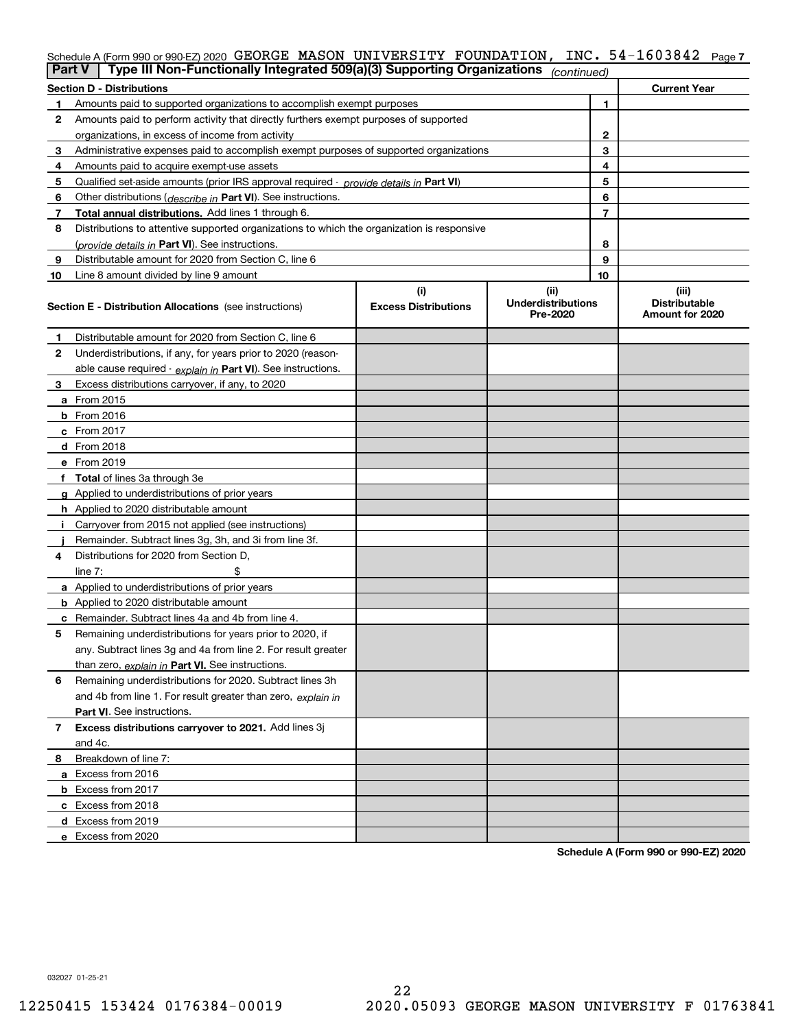## Schedule A (Form 990 or 990-EZ) 2020 <code>GEORGE MASON UNIVERSITY FOUNDATION</code> , <code>INC. 54–1603842 Page 7</code>

| Part V       | Type III Non-Functionally Integrated 509(a)(3) Supporting Organizations                    |                             | (continued)                           |                |                                         |
|--------------|--------------------------------------------------------------------------------------------|-----------------------------|---------------------------------------|----------------|-----------------------------------------|
|              | <b>Section D - Distributions</b>                                                           |                             |                                       |                | <b>Current Year</b>                     |
|              | Amounts paid to supported organizations to accomplish exempt purposes                      |                             | 1                                     |                |                                         |
| 2            | Amounts paid to perform activity that directly furthers exempt purposes of supported       |                             |                                       |                |                                         |
|              | organizations, in excess of income from activity                                           |                             | $\mathbf{2}$                          |                |                                         |
| 3            | Administrative expenses paid to accomplish exempt purposes of supported organizations      |                             | 3                                     |                |                                         |
| 4            | Amounts paid to acquire exempt-use assets                                                  |                             |                                       | 4              |                                         |
| 5            | Qualified set aside amounts (prior IRS approval required - provide details in Part VI)     |                             |                                       | 5              |                                         |
| 6            | Other distributions ( <i>describe in</i> Part VI). See instructions.                       |                             |                                       | 6              |                                         |
| 7            | Total annual distributions. Add lines 1 through 6.                                         |                             |                                       | $\overline{7}$ |                                         |
| 8            | Distributions to attentive supported organizations to which the organization is responsive |                             |                                       |                |                                         |
|              | (provide details in Part VI). See instructions.                                            |                             |                                       | 8              |                                         |
| 9            | Distributable amount for 2020 from Section C, line 6                                       |                             |                                       | 9              |                                         |
| 10           | Line 8 amount divided by line 9 amount                                                     |                             |                                       | 10             |                                         |
|              |                                                                                            | (i)                         | (ii)                                  |                | (iii)                                   |
|              | <b>Section E - Distribution Allocations</b> (see instructions)                             | <b>Excess Distributions</b> | <b>Underdistributions</b><br>Pre-2020 |                | <b>Distributable</b><br>Amount for 2020 |
| 1            | Distributable amount for 2020 from Section C, line 6                                       |                             |                                       |                |                                         |
| 2            | Underdistributions, if any, for years prior to 2020 (reason-                               |                             |                                       |                |                                         |
|              | able cause required - explain in Part VI). See instructions.                               |                             |                                       |                |                                         |
| 3            | Excess distributions carryover, if any, to 2020                                            |                             |                                       |                |                                         |
|              | a From 2015                                                                                |                             |                                       |                |                                         |
|              | $b$ From 2016                                                                              |                             |                                       |                |                                         |
|              | $c$ From 2017                                                                              |                             |                                       |                |                                         |
|              | <b>d</b> From 2018                                                                         |                             |                                       |                |                                         |
|              | e From 2019                                                                                |                             |                                       |                |                                         |
|              | f Total of lines 3a through 3e                                                             |                             |                                       |                |                                         |
|              | g Applied to underdistributions of prior years                                             |                             |                                       |                |                                         |
|              | <b>h</b> Applied to 2020 distributable amount                                              |                             |                                       |                |                                         |
|              | Carryover from 2015 not applied (see instructions)                                         |                             |                                       |                |                                         |
|              | Remainder. Subtract lines 3g, 3h, and 3i from line 3f.                                     |                             |                                       |                |                                         |
| 4            | Distributions for 2020 from Section D.                                                     |                             |                                       |                |                                         |
|              | line $7:$                                                                                  |                             |                                       |                |                                         |
|              | a Applied to underdistributions of prior years                                             |                             |                                       |                |                                         |
|              | <b>b</b> Applied to 2020 distributable amount                                              |                             |                                       |                |                                         |
|              | c Remainder. Subtract lines 4a and 4b from line 4.                                         |                             |                                       |                |                                         |
| 5            | Remaining underdistributions for years prior to 2020, if                                   |                             |                                       |                |                                         |
|              | any. Subtract lines 3g and 4a from line 2. For result greater                              |                             |                                       |                |                                         |
|              | than zero, explain in Part VI. See instructions.                                           |                             |                                       |                |                                         |
| 6            | Remaining underdistributions for 2020. Subtract lines 3h                                   |                             |                                       |                |                                         |
|              | and 4b from line 1. For result greater than zero, explain in                               |                             |                                       |                |                                         |
|              | <b>Part VI.</b> See instructions.                                                          |                             |                                       |                |                                         |
| $\mathbf{7}$ | Excess distributions carryover to 2021. Add lines 3j                                       |                             |                                       |                |                                         |
|              | and 4c.                                                                                    |                             |                                       |                |                                         |
| 8            | Breakdown of line 7:                                                                       |                             |                                       |                |                                         |
|              | a Excess from 2016                                                                         |                             |                                       |                |                                         |
|              | <b>b</b> Excess from 2017                                                                  |                             |                                       |                |                                         |
|              | c Excess from 2018                                                                         |                             |                                       |                |                                         |
|              | d Excess from 2019                                                                         |                             |                                       |                |                                         |
|              | e Excess from 2020                                                                         |                             |                                       |                |                                         |
|              |                                                                                            |                             |                                       |                |                                         |

**Schedule A (Form 990 or 990-EZ) 2020**

032027 01-25-21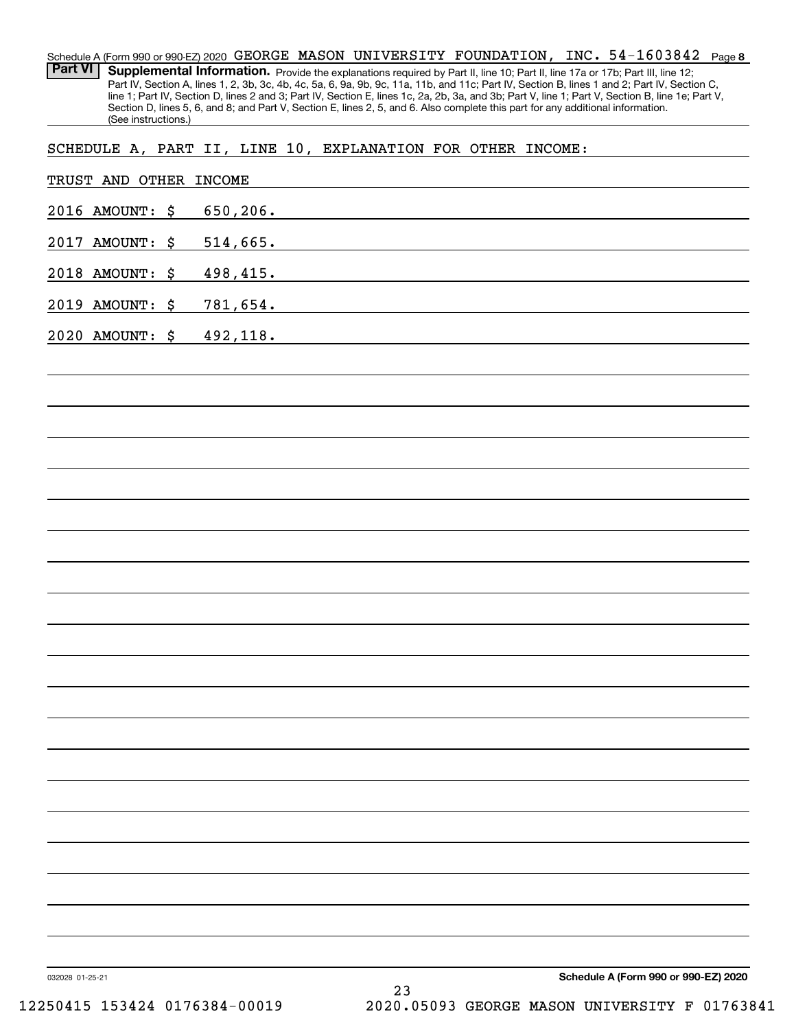**8** 54-1603842 Schedule A (Form 990 or 990-EZ) 2020  $\,$  GEORGE  $\,$  MASON  $\,$  UNIVERSITY  $\,$  FOUNDATION ,  $\,$  INC  $\,$   $\,$  54–1603842  $\,$  Page Part VI | Supplemental Information. Provide the explanations required by Part II, line 10; Part II, line 17a or 17b; Part III, line 12; Part IV, Section A, lines 1, 2, 3b, 3c, 4b, 4c, 5a, 6, 9a, 9b, 9c, 11a, 11b, and 11c; Part IV, Section B, lines 1 and 2; Part IV, Section C, line 1; Part IV, Section D, lines 2 and 3; Part IV, Section E, lines 1c, 2a, 2b, 3a, and 3b; Part V, line 1; Part V, Section B, line 1e; Part V, Section D, lines 5, 6, and 8; and Part V, Section E, lines 2, 5, and 6. Also complete this part for any additional information. (See instructions.)

SCHEDULE A, PART II, LINE 10, EXPLANATION FOR OTHER INCOME:

| 2016 AMOUNT: \$ 650,206. |                                      |
|--------------------------|--------------------------------------|
| 2017 AMOUNT: \$ 514,665. |                                      |
| 2018 AMOUNT: \$ 498,415. |                                      |
| 2019 AMOUNT: \$ 781,654. |                                      |
| 2020 AMOUNT: \$ 492,118. |                                      |
|                          |                                      |
|                          |                                      |
|                          |                                      |
|                          |                                      |
|                          |                                      |
|                          |                                      |
|                          |                                      |
|                          |                                      |
|                          |                                      |
|                          |                                      |
|                          |                                      |
|                          |                                      |
|                          |                                      |
|                          |                                      |
|                          |                                      |
|                          |                                      |
|                          |                                      |
|                          |                                      |
|                          |                                      |
|                          |                                      |
|                          |                                      |
| 032028 01-25-21          | Schedule A (Form 990 or 990-EZ) 2020 |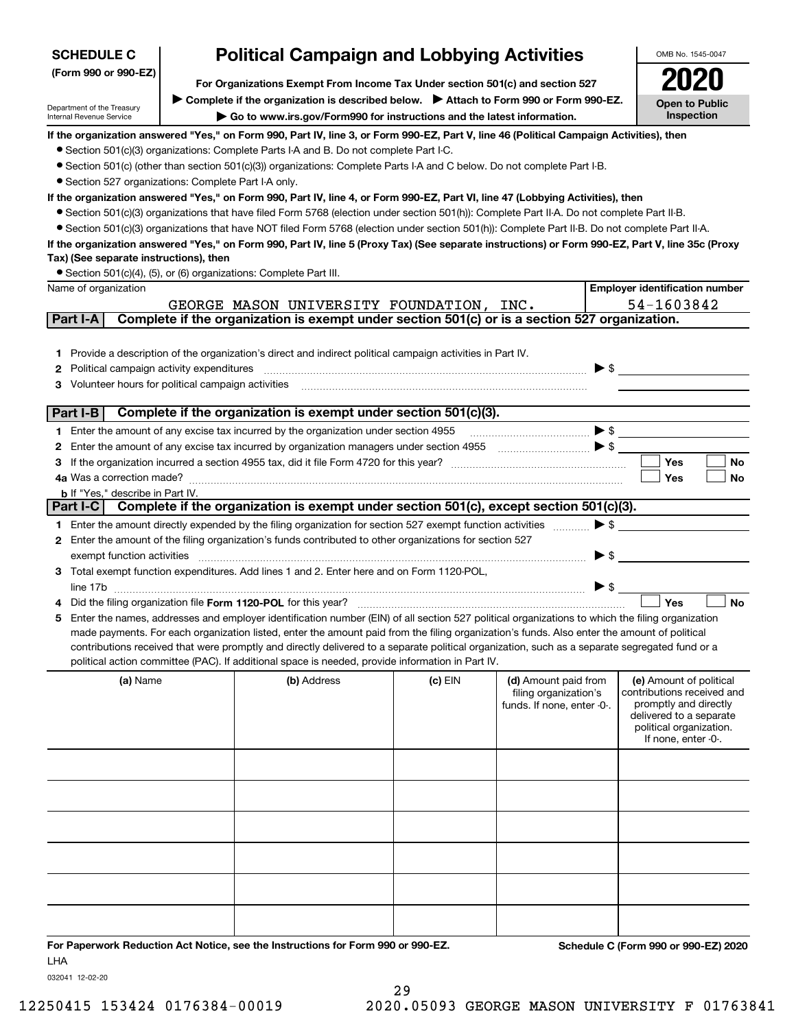| <b>SCHEDULE C</b><br>(Form 990 or 990-EZ)                                                                                                                                                                                                                       |  | <b>Political Campaign and Lobbying Activities</b>                                                                                                                                                                                                                                                                                                                                                                                                                                                                                                                                                                                                                                                                                                                                                                                                                                                                                                                                                                                                                                                                                                                                                               | OMB No. 1545-0047                                                                                                                                                         |                                                                             |                                                                                                                                                             |  |  |
|-----------------------------------------------------------------------------------------------------------------------------------------------------------------------------------------------------------------------------------------------------------------|--|-----------------------------------------------------------------------------------------------------------------------------------------------------------------------------------------------------------------------------------------------------------------------------------------------------------------------------------------------------------------------------------------------------------------------------------------------------------------------------------------------------------------------------------------------------------------------------------------------------------------------------------------------------------------------------------------------------------------------------------------------------------------------------------------------------------------------------------------------------------------------------------------------------------------------------------------------------------------------------------------------------------------------------------------------------------------------------------------------------------------------------------------------------------------------------------------------------------------|---------------------------------------------------------------------------------------------------------------------------------------------------------------------------|-----------------------------------------------------------------------------|-------------------------------------------------------------------------------------------------------------------------------------------------------------|--|--|
|                                                                                                                                                                                                                                                                 |  |                                                                                                                                                                                                                                                                                                                                                                                                                                                                                                                                                                                                                                                                                                                                                                                                                                                                                                                                                                                                                                                                                                                                                                                                                 |                                                                                                                                                                           |                                                                             |                                                                                                                                                             |  |  |
|                                                                                                                                                                                                                                                                 |  |                                                                                                                                                                                                                                                                                                                                                                                                                                                                                                                                                                                                                                                                                                                                                                                                                                                                                                                                                                                                                                                                                                                                                                                                                 | For Organizations Exempt From Income Tax Under section 501(c) and section 527<br>Complete if the organization is described below.<br>> Attach to Form 990 or Form 990-EZ. |                                                                             |                                                                                                                                                             |  |  |
| Department of the Treasury<br>Internal Revenue Service                                                                                                                                                                                                          |  | Go to www.irs.gov/Form990 for instructions and the latest information.                                                                                                                                                                                                                                                                                                                                                                                                                                                                                                                                                                                                                                                                                                                                                                                                                                                                                                                                                                                                                                                                                                                                          |                                                                                                                                                                           |                                                                             | Inspection                                                                                                                                                  |  |  |
| • Section 527 organizations: Complete Part I-A only.<br>Tax) (See separate instructions), then<br>• Section 501(c)(4), (5), or (6) organizations: Complete Part III.<br>Name of organization<br>Part I-A<br>1.<br>Political campaign activity expenditures<br>2 |  | If the organization answered "Yes," on Form 990, Part IV, line 3, or Form 990-EZ, Part V, line 46 (Political Campaign Activities), then<br>• Section 501(c)(3) organizations: Complete Parts I-A and B. Do not complete Part I-C.<br>• Section 501(c) (other than section 501(c)(3)) organizations: Complete Parts I-A and C below. Do not complete Part I-B.<br>If the organization answered "Yes," on Form 990, Part IV, line 4, or Form 990-EZ, Part VI, line 47 (Lobbying Activities), then<br>• Section 501(c)(3) organizations that have filed Form 5768 (election under section 501(h)): Complete Part II-A. Do not complete Part II-B.<br>• Section 501(c)(3) organizations that have NOT filed Form 5768 (election under section 501(h)): Complete Part II-B. Do not complete Part II-A.<br>If the organization answered "Yes," on Form 990, Part IV, line 5 (Proxy Tax) (See separate instructions) or Form 990-EZ, Part V, line 35c (Proxy<br>GEORGE MASON UNIVERSITY FOUNDATION, INC.<br>Complete if the organization is exempt under section 501(c) or is a section 527 organization.<br>Provide a description of the organization's direct and indirect political campaign activities in Part IV. |                                                                                                                                                                           | $\blacktriangleright$ \$                                                    | <b>Open to Public</b><br><b>Employer identification number</b><br>54-1603842                                                                                |  |  |
| Volunteer hours for political campaign activities<br>з                                                                                                                                                                                                          |  |                                                                                                                                                                                                                                                                                                                                                                                                                                                                                                                                                                                                                                                                                                                                                                                                                                                                                                                                                                                                                                                                                                                                                                                                                 |                                                                                                                                                                           |                                                                             |                                                                                                                                                             |  |  |
| Part I-B                                                                                                                                                                                                                                                        |  | Complete if the organization is exempt under section 501(c)(3).                                                                                                                                                                                                                                                                                                                                                                                                                                                                                                                                                                                                                                                                                                                                                                                                                                                                                                                                                                                                                                                                                                                                                 |                                                                                                                                                                           |                                                                             |                                                                                                                                                             |  |  |
| 1.                                                                                                                                                                                                                                                              |  | Enter the amount of any excise tax incurred by the organization under section 4955                                                                                                                                                                                                                                                                                                                                                                                                                                                                                                                                                                                                                                                                                                                                                                                                                                                                                                                                                                                                                                                                                                                              |                                                                                                                                                                           | $\begin{array}{c} \hline \end{array}$                                       |                                                                                                                                                             |  |  |
| 2                                                                                                                                                                                                                                                               |  |                                                                                                                                                                                                                                                                                                                                                                                                                                                                                                                                                                                                                                                                                                                                                                                                                                                                                                                                                                                                                                                                                                                                                                                                                 |                                                                                                                                                                           |                                                                             |                                                                                                                                                             |  |  |
| з<br>4a Was a correction made?                                                                                                                                                                                                                                  |  |                                                                                                                                                                                                                                                                                                                                                                                                                                                                                                                                                                                                                                                                                                                                                                                                                                                                                                                                                                                                                                                                                                                                                                                                                 |                                                                                                                                                                           |                                                                             | <b>Yes</b><br>No<br>Yes<br>No                                                                                                                               |  |  |
| <b>b</b> If "Yes," describe in Part IV.                                                                                                                                                                                                                         |  |                                                                                                                                                                                                                                                                                                                                                                                                                                                                                                                                                                                                                                                                                                                                                                                                                                                                                                                                                                                                                                                                                                                                                                                                                 |                                                                                                                                                                           |                                                                             |                                                                                                                                                             |  |  |
| Part I-C                                                                                                                                                                                                                                                        |  | Complete if the organization is exempt under section 501(c), except section 501(c)(3).                                                                                                                                                                                                                                                                                                                                                                                                                                                                                                                                                                                                                                                                                                                                                                                                                                                                                                                                                                                                                                                                                                                          |                                                                                                                                                                           |                                                                             |                                                                                                                                                             |  |  |
|                                                                                                                                                                                                                                                                 |  | 1 Enter the amount directly expended by the filing organization for section 527 exempt function activities                                                                                                                                                                                                                                                                                                                                                                                                                                                                                                                                                                                                                                                                                                                                                                                                                                                                                                                                                                                                                                                                                                      |                                                                                                                                                                           | $\blacktriangleright$ \$                                                    |                                                                                                                                                             |  |  |
| 2.                                                                                                                                                                                                                                                              |  | Enter the amount of the filing organization's funds contributed to other organizations for section 527                                                                                                                                                                                                                                                                                                                                                                                                                                                                                                                                                                                                                                                                                                                                                                                                                                                                                                                                                                                                                                                                                                          |                                                                                                                                                                           |                                                                             |                                                                                                                                                             |  |  |
| exempt function activities                                                                                                                                                                                                                                      |  |                                                                                                                                                                                                                                                                                                                                                                                                                                                                                                                                                                                                                                                                                                                                                                                                                                                                                                                                                                                                                                                                                                                                                                                                                 |                                                                                                                                                                           | $\blacktriangleright$ \$                                                    |                                                                                                                                                             |  |  |
|                                                                                                                                                                                                                                                                 |  | 3 Total exempt function expenditures. Add lines 1 and 2. Enter here and on Form 1120-POL,                                                                                                                                                                                                                                                                                                                                                                                                                                                                                                                                                                                                                                                                                                                                                                                                                                                                                                                                                                                                                                                                                                                       |                                                                                                                                                                           |                                                                             |                                                                                                                                                             |  |  |
|                                                                                                                                                                                                                                                                 |  |                                                                                                                                                                                                                                                                                                                                                                                                                                                                                                                                                                                                                                                                                                                                                                                                                                                                                                                                                                                                                                                                                                                                                                                                                 |                                                                                                                                                                           | ▶ \$                                                                        |                                                                                                                                                             |  |  |
|                                                                                                                                                                                                                                                                 |  | Did the filing organization file Form 1120-POL for this year?                                                                                                                                                                                                                                                                                                                                                                                                                                                                                                                                                                                                                                                                                                                                                                                                                                                                                                                                                                                                                                                                                                                                                   |                                                                                                                                                                           |                                                                             | Yes<br><b>No</b>                                                                                                                                            |  |  |
| 5                                                                                                                                                                                                                                                               |  | Enter the names, addresses and employer identification number (EIN) of all section 527 political organizations to which the filing organization<br>made payments. For each organization listed, enter the amount paid from the filing organization's funds. Also enter the amount of political<br>contributions received that were promptly and directly delivered to a separate political organization, such as a separate segregated fund or a<br>political action committee (PAC). If additional space is needed, provide information in Part IV.                                                                                                                                                                                                                                                                                                                                                                                                                                                                                                                                                                                                                                                            |                                                                                                                                                                           |                                                                             |                                                                                                                                                             |  |  |
| (a) Name                                                                                                                                                                                                                                                        |  | (b) Address                                                                                                                                                                                                                                                                                                                                                                                                                                                                                                                                                                                                                                                                                                                                                                                                                                                                                                                                                                                                                                                                                                                                                                                                     | (c) EIN                                                                                                                                                                   | (d) Amount paid from<br>filing organization's<br>funds. If none, enter -0-. | (e) Amount of political<br>contributions received and<br>promptly and directly<br>delivered to a separate<br>political organization.<br>If none, enter -0-. |  |  |
|                                                                                                                                                                                                                                                                 |  |                                                                                                                                                                                                                                                                                                                                                                                                                                                                                                                                                                                                                                                                                                                                                                                                                                                                                                                                                                                                                                                                                                                                                                                                                 |                                                                                                                                                                           |                                                                             |                                                                                                                                                             |  |  |
|                                                                                                                                                                                                                                                                 |  |                                                                                                                                                                                                                                                                                                                                                                                                                                                                                                                                                                                                                                                                                                                                                                                                                                                                                                                                                                                                                                                                                                                                                                                                                 |                                                                                                                                                                           |                                                                             |                                                                                                                                                             |  |  |
|                                                                                                                                                                                                                                                                 |  |                                                                                                                                                                                                                                                                                                                                                                                                                                                                                                                                                                                                                                                                                                                                                                                                                                                                                                                                                                                                                                                                                                                                                                                                                 |                                                                                                                                                                           |                                                                             |                                                                                                                                                             |  |  |
| <b>LHA</b>                                                                                                                                                                                                                                                      |  | For Paperwork Reduction Act Notice, see the Instructions for Form 990 or 990-EZ.                                                                                                                                                                                                                                                                                                                                                                                                                                                                                                                                                                                                                                                                                                                                                                                                                                                                                                                                                                                                                                                                                                                                |                                                                                                                                                                           |                                                                             | Schedule C (Form 990 or 990-EZ) 2020                                                                                                                        |  |  |

032041 12-02-20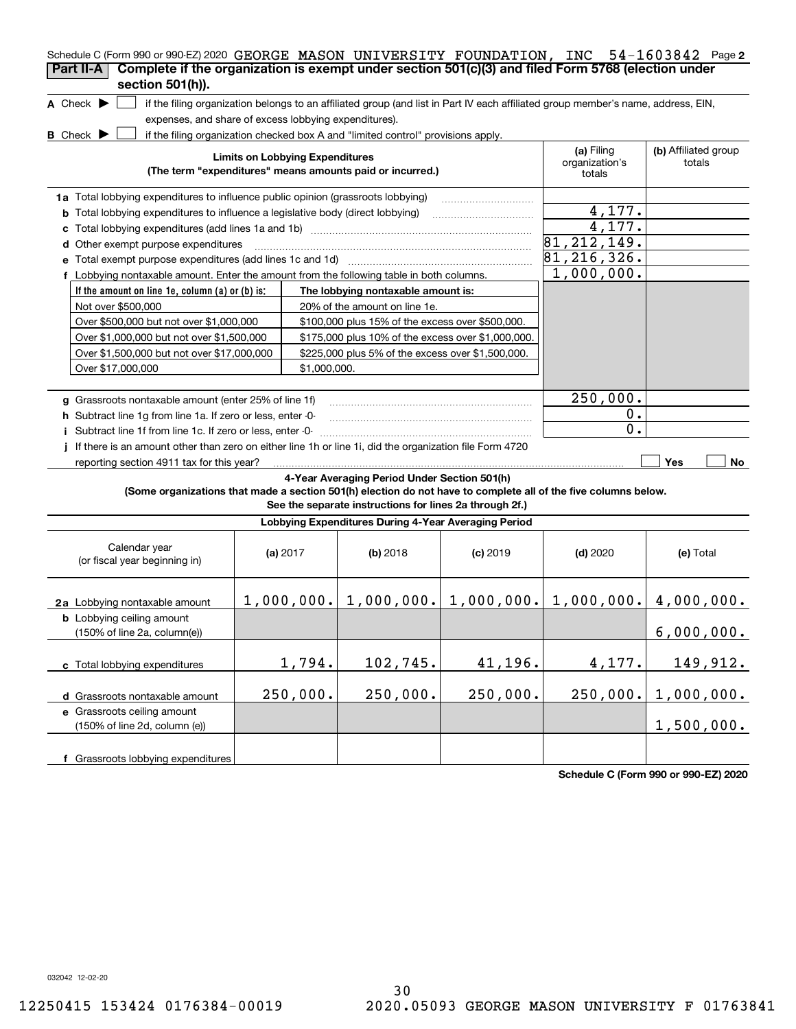| Schedule C (Form 990 or 990-EZ) 2020 GEORGE MASON UNIVERSITY FOUNDATION, INC 54-1603842 Page 2                                                                     |                                                                                  |              |                                                                                         |            |                              |                                |  |  |  |
|--------------------------------------------------------------------------------------------------------------------------------------------------------------------|----------------------------------------------------------------------------------|--------------|-----------------------------------------------------------------------------------------|------------|------------------------------|--------------------------------|--|--|--|
| Complete if the organization is exempt under section 501(c)(3) and filed Form 5768 (election under<br>Part II-A                                                    |                                                                                  |              |                                                                                         |            |                              |                                |  |  |  |
| section 501(h)).                                                                                                                                                   |                                                                                  |              |                                                                                         |            |                              |                                |  |  |  |
| A Check $\blacktriangleright$<br>if the filing organization belongs to an affiliated group (and list in Part IV each affiliated group member's name, address, EIN, |                                                                                  |              |                                                                                         |            |                              |                                |  |  |  |
| expenses, and share of excess lobbying expenditures).                                                                                                              |                                                                                  |              |                                                                                         |            |                              |                                |  |  |  |
| <b>B</b> Check $\blacktriangleright$<br>if the filing organization checked box A and "limited control" provisions apply.                                           |                                                                                  |              |                                                                                         |            |                              |                                |  |  |  |
|                                                                                                                                                                    | <b>Limits on Lobbying Expenditures</b>                                           |              |                                                                                         |            | (a) Filing<br>organization's | (b) Affiliated group<br>totals |  |  |  |
|                                                                                                                                                                    | (The term "expenditures" means amounts paid or incurred.)                        |              |                                                                                         |            |                              |                                |  |  |  |
|                                                                                                                                                                    | 1a Total lobbying expenditures to influence public opinion (grassroots lobbying) |              |                                                                                         |            |                              |                                |  |  |  |
| <b>b</b> Total lobbying expenditures to influence a legislative body (direct lobbying)                                                                             |                                                                                  |              |                                                                                         |            | 4,177.                       |                                |  |  |  |
| c                                                                                                                                                                  |                                                                                  |              |                                                                                         |            | 4,177.                       |                                |  |  |  |
| Other exempt purpose expenditures<br>d                                                                                                                             |                                                                                  |              |                                                                                         |            | 81, 212, 149.                |                                |  |  |  |
| Total exempt purpose expenditures (add lines 1c and 1d)                                                                                                            |                                                                                  |              |                                                                                         |            | 81, 216, 326.                |                                |  |  |  |
| f Lobbying nontaxable amount. Enter the amount from the following table in both columns.                                                                           |                                                                                  |              |                                                                                         |            | 1,000,000.                   |                                |  |  |  |
| If the amount on line 1e, column (a) or (b) is:                                                                                                                    |                                                                                  |              | The lobbying nontaxable amount is:                                                      |            |                              |                                |  |  |  |
| Not over \$500,000                                                                                                                                                 |                                                                                  |              | 20% of the amount on line 1e.                                                           |            |                              |                                |  |  |  |
| Over \$500,000 but not over \$1,000,000                                                                                                                            |                                                                                  |              | \$100,000 plus 15% of the excess over \$500,000.                                        |            |                              |                                |  |  |  |
| Over \$1,000,000 but not over \$1,500,000                                                                                                                          |                                                                                  |              | \$175,000 plus 10% of the excess over \$1,000,000.                                      |            |                              |                                |  |  |  |
| Over \$1,500,000 but not over \$17,000,000                                                                                                                         |                                                                                  |              | \$225,000 plus 5% of the excess over \$1,500,000.                                       |            |                              |                                |  |  |  |
| Over \$17,000,000                                                                                                                                                  |                                                                                  | \$1,000,000. |                                                                                         |            |                              |                                |  |  |  |
|                                                                                                                                                                    |                                                                                  |              |                                                                                         |            |                              |                                |  |  |  |
| g Grassroots nontaxable amount (enter 25% of line 1f)                                                                                                              |                                                                                  |              |                                                                                         |            | 250,000.                     |                                |  |  |  |
| h Subtract line 1q from line 1a. If zero or less, enter -0-                                                                                                        |                                                                                  |              |                                                                                         |            | 0.                           |                                |  |  |  |
| i Subtract line 1f from line 1c. If zero or less, enter -0-                                                                                                        |                                                                                  |              |                                                                                         |            | $\mathbf 0$ .                |                                |  |  |  |
| If there is an amount other than zero on either line 1h or line 1i, did the organization file Form 4720                                                            |                                                                                  |              |                                                                                         |            |                              |                                |  |  |  |
| reporting section 4911 tax for this year?                                                                                                                          |                                                                                  |              |                                                                                         |            |                              | Yes<br>No                      |  |  |  |
|                                                                                                                                                                    |                                                                                  |              | 4-Year Averaging Period Under Section 501(h)                                            |            |                              |                                |  |  |  |
| (Some organizations that made a section 501(h) election do not have to complete all of the five columns below.                                                     |                                                                                  |              | See the separate instructions for lines 2a through 2f.)                                 |            |                              |                                |  |  |  |
|                                                                                                                                                                    |                                                                                  |              | Lobbying Expenditures During 4-Year Averaging Period                                    |            |                              |                                |  |  |  |
|                                                                                                                                                                    |                                                                                  |              |                                                                                         |            |                              |                                |  |  |  |
| Calendar year                                                                                                                                                      | (a) $2017$                                                                       |              | $(b)$ 2018                                                                              | $(c)$ 2019 | $(d)$ 2020                   | (e) Total                      |  |  |  |
| (or fiscal year beginning in)                                                                                                                                      |                                                                                  |              |                                                                                         |            |                              |                                |  |  |  |
|                                                                                                                                                                    |                                                                                  |              |                                                                                         |            |                              |                                |  |  |  |
| 2a Lobbying nontaxable amount                                                                                                                                      |                                                                                  |              | $1,000,000$ , $1,000,000$ , $1,000,000$ , $1,000$ , $000$ , $1,000,000$ , $4,000,000$ . |            |                              |                                |  |  |  |
| <b>b</b> Lobbying ceiling amount                                                                                                                                   |                                                                                  |              |                                                                                         |            |                              |                                |  |  |  |
| (150% of line 2a, column(e))                                                                                                                                       |                                                                                  |              |                                                                                         |            |                              | 6,000,000.                     |  |  |  |
|                                                                                                                                                                    |                                                                                  |              |                                                                                         |            |                              |                                |  |  |  |
| c Total lobbying expenditures                                                                                                                                      | 1,794.                                                                           |              | 102,745.                                                                                | 41,196.    | 4,177.                       | 149,912.                       |  |  |  |
|                                                                                                                                                                    | 250,000.                                                                         |              | 250,000.                                                                                | 250,000.   | 250,000.                     | 1,000,000.                     |  |  |  |
| d Grassroots nontaxable amount<br>e Grassroots ceiling amount                                                                                                      |                                                                                  |              |                                                                                         |            |                              |                                |  |  |  |
| (150% of line 2d, column (e))                                                                                                                                      |                                                                                  |              |                                                                                         |            |                              | 1,500,000.                     |  |  |  |
|                                                                                                                                                                    |                                                                                  |              |                                                                                         |            |                              |                                |  |  |  |
| f Grassroots lobbying expenditures                                                                                                                                 |                                                                                  |              |                                                                                         |            |                              |                                |  |  |  |

**Schedule C (Form 990 or 990-EZ) 2020**

032042 12-02-20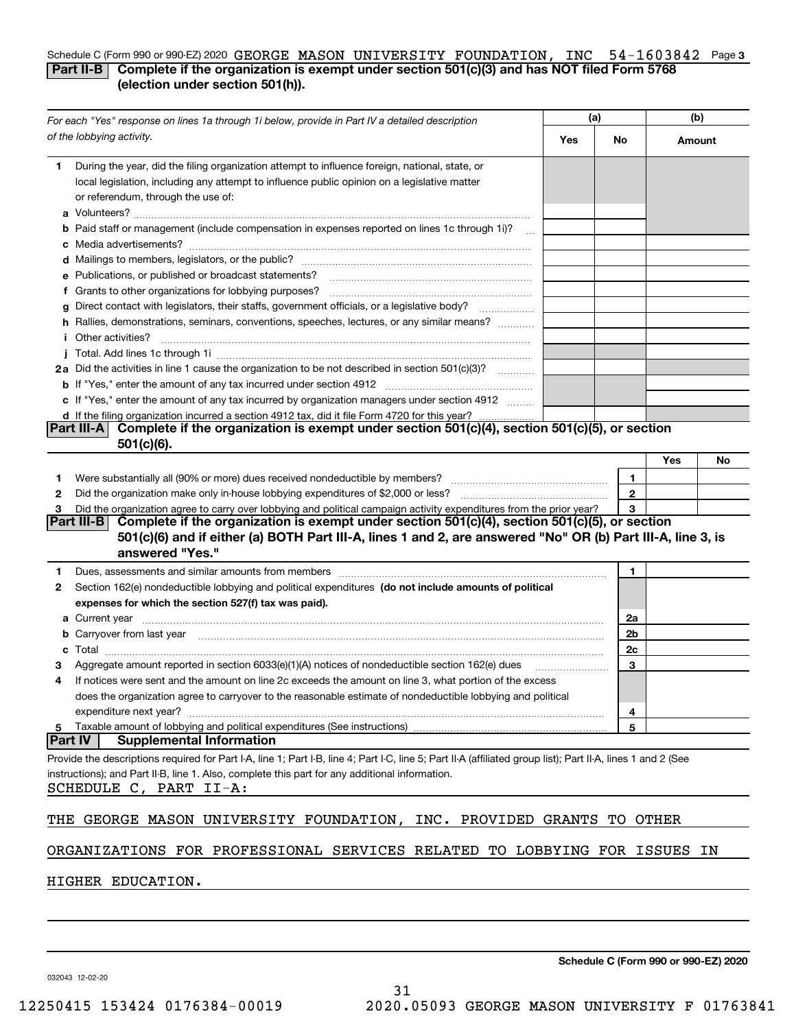#### Schedule C (Form 990 or 990-EZ) 2020 GEORGE MASON UNIVERSITY FOUNDATION, INC 54-1603842 Page 3 **Part II-B** Complete if the organization is exempt under section 501(c)(3) and has NOT filed Form 5768 **(election under section 501(h)).**

| For each "Yes" response on lines 1a through 1i below, provide in Part IV a detailed description                                                                                                                                     | (a) |              | (b)    |    |  |  |  |  |  |
|-------------------------------------------------------------------------------------------------------------------------------------------------------------------------------------------------------------------------------------|-----|--------------|--------|----|--|--|--|--|--|
| of the lobbying activity.                                                                                                                                                                                                           | Yes | No.          | Amount |    |  |  |  |  |  |
| During the year, did the filing organization attempt to influence foreign, national, state, or<br>1                                                                                                                                 |     |              |        |    |  |  |  |  |  |
| local legislation, including any attempt to influence public opinion on a legislative matter                                                                                                                                        |     |              |        |    |  |  |  |  |  |
| or referendum, through the use of:                                                                                                                                                                                                  |     |              |        |    |  |  |  |  |  |
|                                                                                                                                                                                                                                     |     |              |        |    |  |  |  |  |  |
| <b>b</b> Paid staff or management (include compensation in expenses reported on lines 1c through 1i)?                                                                                                                               |     |              |        |    |  |  |  |  |  |
|                                                                                                                                                                                                                                     |     |              |        |    |  |  |  |  |  |
| e Publications, or published or broadcast statements?                                                                                                                                                                               |     |              |        |    |  |  |  |  |  |
| f Grants to other organizations for lobbying purposes?                                                                                                                                                                              |     |              |        |    |  |  |  |  |  |
| Direct contact with legislators, their staffs, government officials, or a legislative body?<br>g<br>.                                                                                                                               |     |              |        |    |  |  |  |  |  |
| h Rallies, demonstrations, seminars, conventions, speeches, lectures, or any similar means?                                                                                                                                         |     |              |        |    |  |  |  |  |  |
| <i>i</i> Other activities?                                                                                                                                                                                                          |     |              |        |    |  |  |  |  |  |
|                                                                                                                                                                                                                                     |     |              |        |    |  |  |  |  |  |
| 2a Did the activities in line 1 cause the organization to be not described in section 501(c)(3)?                                                                                                                                    |     |              |        |    |  |  |  |  |  |
|                                                                                                                                                                                                                                     |     |              |        |    |  |  |  |  |  |
| c If "Yes," enter the amount of any tax incurred by organization managers under section 4912                                                                                                                                        |     |              |        |    |  |  |  |  |  |
| d If the filing organization incurred a section 4912 tax, did it file Form 4720 for this year?<br>Complete if the organization is exempt under section 501(c)(4), section 501(c)(5), or section<br> Part III-A                      |     |              |        |    |  |  |  |  |  |
| $501(c)(6)$ .                                                                                                                                                                                                                       |     |              |        |    |  |  |  |  |  |
|                                                                                                                                                                                                                                     |     |              | Yes    | No |  |  |  |  |  |
| 1.                                                                                                                                                                                                                                  |     | 1            |        |    |  |  |  |  |  |
| 2                                                                                                                                                                                                                                   |     | $\mathbf{2}$ |        |    |  |  |  |  |  |
| Did the organization agree to carry over lobbying and political campaign activity expenditures from the prior year?<br>з                                                                                                            |     | 3            |        |    |  |  |  |  |  |
| Complete if the organization is exempt under section 501(c)(4), section 501(c)(5), or section<br> Part III-B                                                                                                                        |     |              |        |    |  |  |  |  |  |
| 501(c)(6) and if either (a) BOTH Part III-A, lines 1 and 2, are answered "No" OR (b) Part III-A, line 3, is<br>answered "Yes."                                                                                                      |     |              |        |    |  |  |  |  |  |
| Dues, assessments and similar amounts from members [11] matter content to the state of the state of the state of the state of the state of the state of the state of the state of the state of the state of the state of the s<br>1 |     | 1            |        |    |  |  |  |  |  |
| Section 162(e) nondeductible lobbying and political expenditures (do not include amounts of political<br>2                                                                                                                          |     |              |        |    |  |  |  |  |  |
| expenses for which the section 527(f) tax was paid).                                                                                                                                                                                |     |              |        |    |  |  |  |  |  |
|                                                                                                                                                                                                                                     |     | 2a           |        |    |  |  |  |  |  |
| <b>b</b> Carryover from last year 2000 minimum construction contracts and construct the construction of the construction of the construction of the construction of the construction of the construction of the construction of the |     | 2b           |        |    |  |  |  |  |  |
| c                                                                                                                                                                                                                                   |     | 2c           |        |    |  |  |  |  |  |
| Aggregate amount reported in section 6033(e)(1)(A) notices of nondeductible section 162(e) dues                                                                                                                                     |     | 3            |        |    |  |  |  |  |  |
| If notices were sent and the amount on line 2c exceeds the amount on line 3, what portion of the excess<br>4                                                                                                                        |     |              |        |    |  |  |  |  |  |
| does the organization agree to carryover to the reasonable estimate of nondeductible lobbying and political                                                                                                                         |     |              |        |    |  |  |  |  |  |
| expenditure next year?                                                                                                                                                                                                              |     | 4            |        |    |  |  |  |  |  |
| Taxable amount of lobbying and political expenditures (See instructions)<br>5<br><b>Part IV</b><br><b>Supplemental Information</b>                                                                                                  |     | 5            |        |    |  |  |  |  |  |
| Provide the descriptions required for Part I-A, line 1; Part I-B, line 4; Part I-C, line 5; Part II-A (affiliated group list); Part II-A, lines 1 and 2 (See                                                                        |     |              |        |    |  |  |  |  |  |
| instructions); and Part II-B, line 1. Also, complete this part for any additional information.                                                                                                                                      |     |              |        |    |  |  |  |  |  |
| SCHEDULE C, PART II-A:                                                                                                                                                                                                              |     |              |        |    |  |  |  |  |  |
|                                                                                                                                                                                                                                     |     |              |        |    |  |  |  |  |  |
| GEORGE MASON UNIVERSITY FOUNDATION, INC. PROVIDED GRANTS<br>THE                                                                                                                                                                     |     | TO           | OTHER  |    |  |  |  |  |  |
| ORGANIZATIONS FOR PROFESSIONAL SERVICES RELATED TO LOBBYING FOR ISSUES                                                                                                                                                              |     |              |        | ΙN |  |  |  |  |  |
| HIGHER EDUCATION.                                                                                                                                                                                                                   |     |              |        |    |  |  |  |  |  |

**Schedule C (Form 990 or 990-EZ) 2020**

032043 12-02-20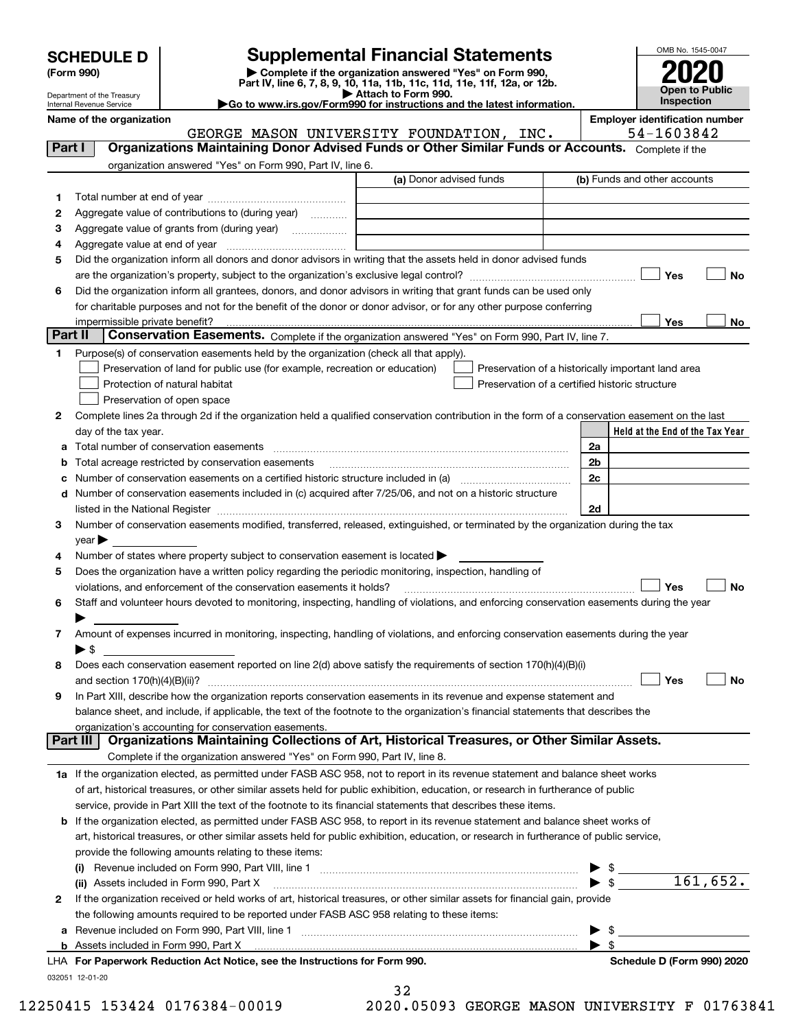| <b>SCHEDULE D</b> |  |
|-------------------|--|
|-------------------|--|

| (Form 990) |  |
|------------|--|
|------------|--|

# **Supplemental Financial Statements**

(Form 990)<br>
Pepartment of the Treasury<br>
Department of the Treasury<br>
Department of the Treasury<br>
Department of the Treasury<br> **Co to www.irs.gov/Form990 for instructions and the latest information.**<br> **Co to www.irs.gov/Form9** 



Department of the Treasury Internal Revenue Service

**Name of the organization Employer identification number** GEORGE MASON UNIVERSITY FOUNDATION, INC. | 54-1603842

| Part I       | <b>Organizations Maintaining Donor Advised Funds or Other Similar Funds or Accounts.</b> Complete if the                                                          |                         |                                                    |           |
|--------------|-------------------------------------------------------------------------------------------------------------------------------------------------------------------|-------------------------|----------------------------------------------------|-----------|
|              | organization answered "Yes" on Form 990, Part IV, line 6.                                                                                                         |                         |                                                    |           |
|              |                                                                                                                                                                   | (a) Donor advised funds | (b) Funds and other accounts                       |           |
| 1.           |                                                                                                                                                                   |                         |                                                    |           |
| 2            | Aggregate value of contributions to (during year)                                                                                                                 |                         |                                                    |           |
| з            | Aggregate value of grants from (during year)                                                                                                                      |                         |                                                    |           |
| 4            |                                                                                                                                                                   |                         |                                                    |           |
| 5            | Did the organization inform all donors and donor advisors in writing that the assets held in donor advised funds                                                  |                         |                                                    |           |
|              |                                                                                                                                                                   |                         | Yes                                                | No        |
| 6            | Did the organization inform all grantees, donors, and donor advisors in writing that grant funds can be used only                                                 |                         |                                                    |           |
|              | for charitable purposes and not for the benefit of the donor or donor advisor, or for any other purpose conferring                                                |                         |                                                    |           |
|              | impermissible private benefit?                                                                                                                                    |                         | Yes                                                | No        |
| Part II      | Conservation Easements. Complete if the organization answered "Yes" on Form 990, Part IV, line 7.                                                                 |                         |                                                    |           |
| 1            | Purpose(s) of conservation easements held by the organization (check all that apply).                                                                             |                         |                                                    |           |
|              | Preservation of land for public use (for example, recreation or education)                                                                                        |                         | Preservation of a historically important land area |           |
|              | Protection of natural habitat                                                                                                                                     |                         | Preservation of a certified historic structure     |           |
|              | Preservation of open space                                                                                                                                        |                         |                                                    |           |
| 2            | Complete lines 2a through 2d if the organization held a qualified conservation contribution in the form of a conservation easement on the last                    |                         |                                                    |           |
|              | day of the tax year.                                                                                                                                              |                         | Held at the End of the Tax Year                    |           |
| а            | Total number of conservation easements                                                                                                                            |                         | 2a                                                 |           |
|              | Total acreage restricted by conservation easements                                                                                                                |                         | 2b                                                 |           |
| c            |                                                                                                                                                                   |                         | 2c                                                 |           |
| d            | Number of conservation easements included in (c) acquired after 7/25/06, and not on a historic structure                                                          |                         |                                                    |           |
|              |                                                                                                                                                                   |                         | 2d                                                 |           |
| З.           | Number of conservation easements modified, transferred, released, extinguished, or terminated by the organization during the tax                                  |                         |                                                    |           |
|              | $year \blacktriangleright$                                                                                                                                        |                         |                                                    |           |
| 4            | Number of states where property subject to conservation easement is located >                                                                                     |                         |                                                    |           |
| 5            | Does the organization have a written policy regarding the periodic monitoring, inspection, handling of                                                            |                         |                                                    |           |
|              | violations, and enforcement of the conservation easements it holds?                                                                                               |                         | Yes                                                | <b>No</b> |
| 6            | Staff and volunteer hours devoted to monitoring, inspecting, handling of violations, and enforcing conservation easements during the year                         |                         |                                                    |           |
|              |                                                                                                                                                                   |                         |                                                    |           |
| 7            | Amount of expenses incurred in monitoring, inspecting, handling of violations, and enforcing conservation easements during the year                               |                         |                                                    |           |
|              | $\blacktriangleright$ \$                                                                                                                                          |                         |                                                    |           |
| 8            | Does each conservation easement reported on line 2(d) above satisfy the requirements of section 170(h)(4)(B)(i)                                                   |                         |                                                    |           |
|              |                                                                                                                                                                   |                         | Yes                                                | No        |
| 9            | In Part XIII, describe how the organization reports conservation easements in its revenue and expense statement and                                               |                         |                                                    |           |
|              | balance sheet, and include, if applicable, the text of the footnote to the organization's financial statements that describes the                                 |                         |                                                    |           |
|              | organization's accounting for conservation easements.<br>Organizations Maintaining Collections of Art, Historical Treasures, or Other Similar Assets.<br>Part III |                         |                                                    |           |
|              |                                                                                                                                                                   |                         |                                                    |           |
|              | Complete if the organization answered "Yes" on Form 990, Part IV, line 8.                                                                                         |                         |                                                    |           |
|              | 1a If the organization elected, as permitted under FASB ASC 958, not to report in its revenue statement and balance sheet works                                   |                         |                                                    |           |
|              | of art, historical treasures, or other similar assets held for public exhibition, education, or research in furtherance of public                                 |                         |                                                    |           |
|              | service, provide in Part XIII the text of the footnote to its financial statements that describes these items.                                                    |                         |                                                    |           |
| b            | If the organization elected, as permitted under FASB ASC 958, to report in its revenue statement and balance sheet works of                                       |                         |                                                    |           |
|              | art, historical treasures, or other similar assets held for public exhibition, education, or research in furtherance of public service,                           |                         |                                                    |           |
|              | provide the following amounts relating to these items:                                                                                                            |                         |                                                    |           |
|              |                                                                                                                                                                   |                         |                                                    |           |
|              | (ii) Assets included in Form 990, Part X                                                                                                                          |                         | 161,652.<br>$\blacktriangleright$ \$               |           |
| $\mathbf{2}$ | If the organization received or held works of art, historical treasures, or other similar assets for financial gain, provide                                      |                         |                                                    |           |
|              | the following amounts required to be reported under FASB ASC 958 relating to these items:                                                                         |                         |                                                    |           |
| а            |                                                                                                                                                                   |                         | $\mathbb{S}$                                       |           |
|              | <b>b</b> Assets included in Form 990, Part X                                                                                                                      |                         | $\blacktriangleright$ s                            |           |
|              | LHA For Paperwork Reduction Act Notice, see the Instructions for Form 990.                                                                                        |                         | Schedule D (Form 990) 2020                         |           |
|              | 032051 12-01-20                                                                                                                                                   |                         |                                                    |           |

32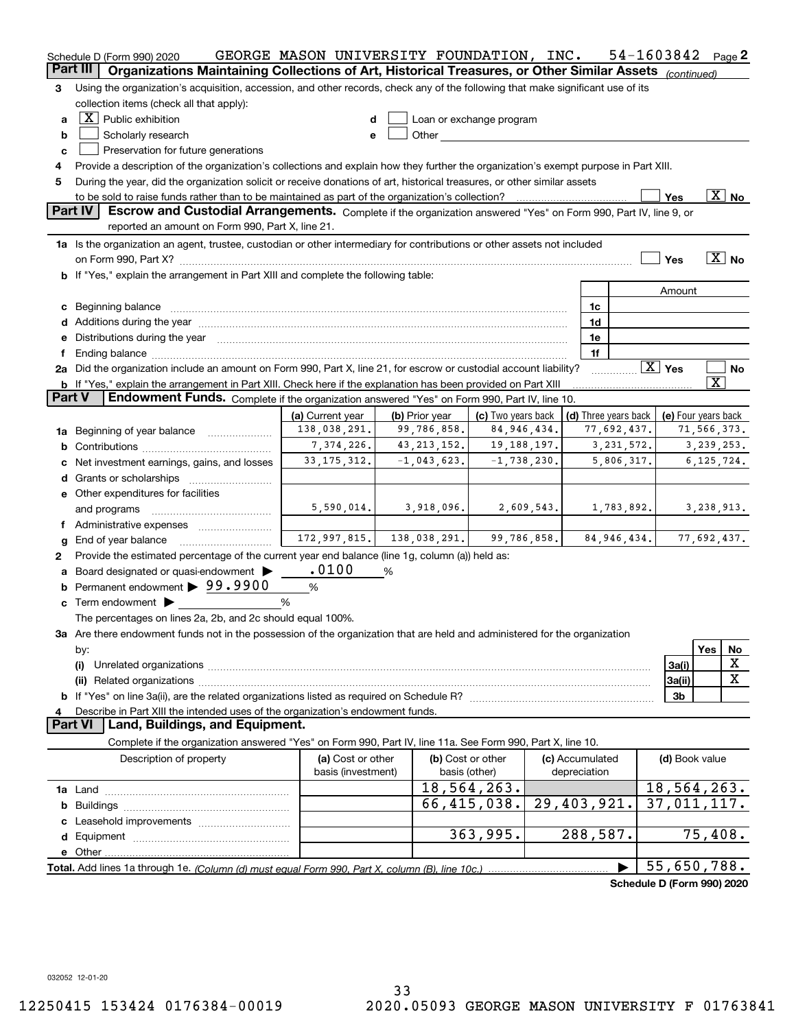|               | Schedule D (Form 990) 2020<br>Part III I                                                                                                                                                                                       | GEORGE MASON UNIVERSITY FOUNDATION, INC. |                                           |                                                                                                                                                                                                                                |  |                                            | 54-1603842                 |                         | Page 2                   |  |
|---------------|--------------------------------------------------------------------------------------------------------------------------------------------------------------------------------------------------------------------------------|------------------------------------------|-------------------------------------------|--------------------------------------------------------------------------------------------------------------------------------------------------------------------------------------------------------------------------------|--|--------------------------------------------|----------------------------|-------------------------|--------------------------|--|
|               | Organizations Maintaining Collections of Art, Historical Treasures, or Other Similar Assets (continued)                                                                                                                        |                                          |                                           |                                                                                                                                                                                                                                |  |                                            |                            |                         |                          |  |
| 3             | Using the organization's acquisition, accession, and other records, check any of the following that make significant use of its                                                                                                |                                          |                                           |                                                                                                                                                                                                                                |  |                                            |                            |                         |                          |  |
|               | collection items (check all that apply):                                                                                                                                                                                       |                                          |                                           |                                                                                                                                                                                                                                |  |                                            |                            |                         |                          |  |
| a             | $\boxed{\textbf{X}}$ Public exhibition                                                                                                                                                                                         |                                          |                                           | Loan or exchange program                                                                                                                                                                                                       |  |                                            |                            |                         |                          |  |
| b             | Scholarly research                                                                                                                                                                                                             | e                                        |                                           | Other and the control of the control of the control of the control of the control of the control of the control of the control of the control of the control of the control of the control of the control of the control of th |  |                                            |                            |                         |                          |  |
| c             | Preservation for future generations                                                                                                                                                                                            |                                          |                                           |                                                                                                                                                                                                                                |  |                                            |                            |                         |                          |  |
| 4             | Provide a description of the organization's collections and explain how they further the organization's exempt purpose in Part XIII.                                                                                           |                                          |                                           |                                                                                                                                                                                                                                |  |                                            |                            |                         |                          |  |
| 5             | During the year, did the organization solicit or receive donations of art, historical treasures, or other similar assets                                                                                                       |                                          |                                           |                                                                                                                                                                                                                                |  |                                            |                            |                         |                          |  |
|               |                                                                                                                                                                                                                                |                                          |                                           |                                                                                                                                                                                                                                |  |                                            | Yes                        |                         | $\overline{\text{X}}$ No |  |
|               | <b>Part IV</b><br>Escrow and Custodial Arrangements. Complete if the organization answered "Yes" on Form 990, Part IV, line 9, or                                                                                              |                                          |                                           |                                                                                                                                                                                                                                |  |                                            |                            |                         |                          |  |
|               | reported an amount on Form 990, Part X, line 21.                                                                                                                                                                               |                                          |                                           |                                                                                                                                                                                                                                |  |                                            |                            |                         |                          |  |
|               | 1a Is the organization an agent, trustee, custodian or other intermediary for contributions or other assets not included                                                                                                       |                                          |                                           |                                                                                                                                                                                                                                |  |                                            |                            |                         |                          |  |
|               | on Form 990, Part X? [11] matter contract the contract of the contract of the contract of the contract of the contract of the contract of the contract of the contract of the contract of the contract of the contract of the  |                                          |                                           |                                                                                                                                                                                                                                |  |                                            | Yes                        |                         | $\boxed{\text{X}}$ No    |  |
|               | b If "Yes," explain the arrangement in Part XIII and complete the following table:                                                                                                                                             |                                          |                                           |                                                                                                                                                                                                                                |  |                                            |                            |                         |                          |  |
|               |                                                                                                                                                                                                                                |                                          |                                           |                                                                                                                                                                                                                                |  |                                            | Amount                     |                         |                          |  |
|               | c Beginning balance                                                                                                                                                                                                            |                                          |                                           |                                                                                                                                                                                                                                |  | 1c                                         |                            |                         |                          |  |
|               |                                                                                                                                                                                                                                |                                          |                                           |                                                                                                                                                                                                                                |  | 1d                                         |                            |                         |                          |  |
|               | e Distributions during the year manufactured and contain an account of the year manufactured and the year manufactured and the year manufactured and the year manufactured and the year manufactured and the year manufactured |                                          |                                           |                                                                                                                                                                                                                                |  | 1e                                         |                            |                         |                          |  |
| f             |                                                                                                                                                                                                                                |                                          |                                           |                                                                                                                                                                                                                                |  | 1f                                         |                            |                         |                          |  |
|               | 2a Did the organization include an amount on Form 990, Part X, line 21, for escrow or custodial account liability?                                                                                                             |                                          |                                           |                                                                                                                                                                                                                                |  |                                            | $\boxed{\text{X}}$ Yes     |                         | No                       |  |
|               | b If "Yes," explain the arrangement in Part XIII. Check here if the explanation has been provided on Part XIII                                                                                                                 |                                          |                                           |                                                                                                                                                                                                                                |  |                                            |                            | $\overline{\texttt{x}}$ |                          |  |
| <b>Part V</b> | Endowment Funds. Complete if the organization answered "Yes" on Form 990, Part IV, line 10.                                                                                                                                    |                                          |                                           |                                                                                                                                                                                                                                |  |                                            |                            |                         |                          |  |
|               |                                                                                                                                                                                                                                | (a) Current year                         | (b) Prior year                            | (c) Two vears back                                                                                                                                                                                                             |  | (d) Three years back   (e) Four years back |                            |                         |                          |  |
|               | 1a Beginning of year balance                                                                                                                                                                                                   | 138,038,291.                             | 99,786,858.                               | 84, 946, 434.                                                                                                                                                                                                                  |  | 77,692,437.                                |                            | 71,566,373.             |                          |  |
|               |                                                                                                                                                                                                                                | 7,374,226.                               | 43, 213, 152.                             | 19,188,197.                                                                                                                                                                                                                    |  | 3, 231, 572.                               |                            | 3, 239, 253.            |                          |  |
|               | c Net investment earnings, gains, and losses                                                                                                                                                                                   | 33, 175, 312.                            | $-1,043,623.$                             | $-1,738,230.$                                                                                                                                                                                                                  |  | 5,806,317.                                 |                            | 6, 125, 724.            |                          |  |
|               | d Grants or scholarships <i>manually contained</i>                                                                                                                                                                             |                                          |                                           |                                                                                                                                                                                                                                |  |                                            |                            |                         |                          |  |
|               | e Other expenditures for facilities                                                                                                                                                                                            |                                          |                                           |                                                                                                                                                                                                                                |  |                                            |                            |                         |                          |  |
|               | and programs                                                                                                                                                                                                                   |                                          | $5,590,014.$ 3,918,096.                   | 2,609,543.                                                                                                                                                                                                                     |  | 1,783,892.                                 |                            | 3,238,913.              |                          |  |
|               | f Administrative expenses                                                                                                                                                                                                      |                                          |                                           |                                                                                                                                                                                                                                |  |                                            |                            |                         |                          |  |
| g             | End of year balance                                                                                                                                                                                                            |                                          | $172,997,815.$ $138,038,291.$ 99,786,858. |                                                                                                                                                                                                                                |  | 84,946,434.                                |                            | 77,692,437.             |                          |  |
| 2             | Provide the estimated percentage of the current year end balance (line 1g, column (a)) held as:                                                                                                                                |                                          |                                           |                                                                                                                                                                                                                                |  |                                            |                            |                         |                          |  |
|               | a Board designated or quasi-endowment >                                                                                                                                                                                        | .0100                                    | %                                         |                                                                                                                                                                                                                                |  |                                            |                            |                         |                          |  |
|               | <b>b</b> Permanent endowment > 99.9900                                                                                                                                                                                         | %                                        |                                           |                                                                                                                                                                                                                                |  |                                            |                            |                         |                          |  |
|               | $\circ$ Term endowment $\blacktriangleright$                                                                                                                                                                                   | %                                        |                                           |                                                                                                                                                                                                                                |  |                                            |                            |                         |                          |  |
|               | The percentages on lines 2a, 2b, and 2c should equal 100%.                                                                                                                                                                     |                                          |                                           |                                                                                                                                                                                                                                |  |                                            |                            |                         |                          |  |
|               | 3a Are there endowment funds not in the possession of the organization that are held and administered for the organization                                                                                                     |                                          |                                           |                                                                                                                                                                                                                                |  |                                            |                            |                         |                          |  |
|               | by:                                                                                                                                                                                                                            |                                          |                                           |                                                                                                                                                                                                                                |  |                                            |                            | Yes                     | No                       |  |
|               | (i)                                                                                                                                                                                                                            |                                          |                                           |                                                                                                                                                                                                                                |  |                                            | 3a(i)                      |                         | X                        |  |
|               |                                                                                                                                                                                                                                |                                          |                                           |                                                                                                                                                                                                                                |  |                                            | 3a(ii)                     |                         | X                        |  |
|               |                                                                                                                                                                                                                                |                                          |                                           |                                                                                                                                                                                                                                |  |                                            | 3 <sub>b</sub>             |                         |                          |  |
| 4             | Describe in Part XIII the intended uses of the organization's endowment funds.                                                                                                                                                 |                                          |                                           |                                                                                                                                                                                                                                |  |                                            |                            |                         |                          |  |
|               | Land, Buildings, and Equipment.<br><b>Part VI</b>                                                                                                                                                                              |                                          |                                           |                                                                                                                                                                                                                                |  |                                            |                            |                         |                          |  |
|               | Complete if the organization answered "Yes" on Form 990, Part IV, line 11a. See Form 990, Part X, line 10.                                                                                                                     |                                          |                                           |                                                                                                                                                                                                                                |  |                                            |                            |                         |                          |  |
|               | Description of property                                                                                                                                                                                                        | (a) Cost or other                        |                                           | (b) Cost or other                                                                                                                                                                                                              |  | (c) Accumulated                            |                            | (d) Book value          |                          |  |
|               |                                                                                                                                                                                                                                | basis (investment)                       |                                           | basis (other)                                                                                                                                                                                                                  |  | depreciation                               |                            |                         |                          |  |
|               |                                                                                                                                                                                                                                |                                          |                                           | 18, 564, 263.                                                                                                                                                                                                                  |  |                                            | 18,564,263.                |                         |                          |  |
|               |                                                                                                                                                                                                                                |                                          |                                           | 66,415,038.                                                                                                                                                                                                                    |  | 29,403,921.                                | 37,011,117.                |                         |                          |  |
|               |                                                                                                                                                                                                                                |                                          |                                           |                                                                                                                                                                                                                                |  |                                            |                            |                         |                          |  |
|               |                                                                                                                                                                                                                                |                                          |                                           | 363,995.                                                                                                                                                                                                                       |  | 288,587.                                   |                            | 75,408.                 |                          |  |
|               |                                                                                                                                                                                                                                |                                          |                                           |                                                                                                                                                                                                                                |  |                                            |                            |                         |                          |  |
|               |                                                                                                                                                                                                                                |                                          |                                           |                                                                                                                                                                                                                                |  |                                            | 55,650,788.                |                         |                          |  |
|               |                                                                                                                                                                                                                                |                                          |                                           |                                                                                                                                                                                                                                |  |                                            |                            |                         |                          |  |
|               |                                                                                                                                                                                                                                |                                          |                                           |                                                                                                                                                                                                                                |  |                                            | Schedule D (Form 990) 2020 |                         |                          |  |

032052 12-01-20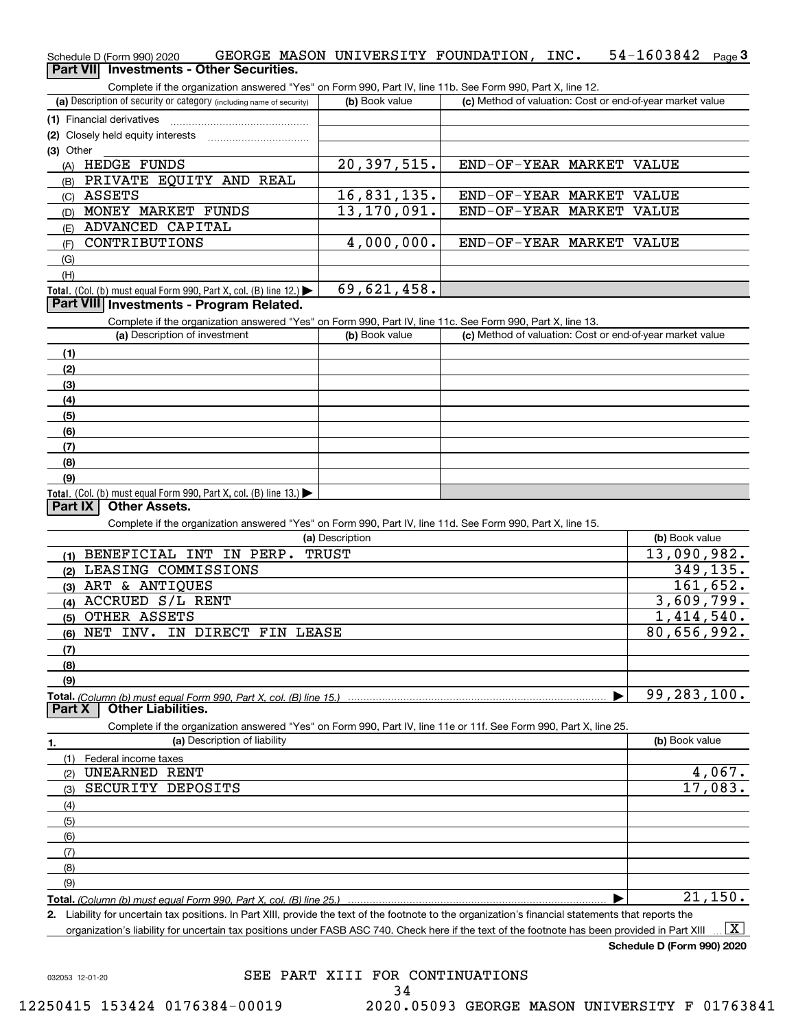| Schedule D (Form 990) 2020               |  | GEORGE MASON UNIVERSITY FOUNDATION. | INC. | 54-1603842 $_{Page}$ 3 |  |
|------------------------------------------|--|-------------------------------------|------|------------------------|--|
| Part VII Investments - Other Securities. |  |                                     |      |                        |  |

| (a) Description of security or category (including name of security)<br>(b) Book value<br>(1) Financial derivatives<br>(2) Closely held equity interests<br>(A) HEDGE FUNDS<br>20,397,515.<br>(B) PRIVATE EQUITY AND REAL<br><b>ASSETS</b><br>16,831,135.<br>(C)<br>13, 170, 091.<br>MONEY MARKET FUNDS<br>(D)<br>ADVANCED CAPITAL<br>(E)<br>4,000,000.<br>CONTRIBUTIONS<br>(F)<br>(G)<br>(H)<br>69,621,458.<br>Total. (Col. (b) must equal Form 990, Part X, col. (B) line 12.)<br>Part VIII Investments - Program Related.<br>Complete if the organization answered "Yes" on Form 990, Part IV, line 11c. See Form 990, Part X, line 13.<br>(a) Description of investment<br>(b) Book value<br>(1)<br>(2)<br>(3)<br>(4)<br>(5)<br>(6)<br>(7)<br>(8)<br>(9)<br>Total. (Col. (b) must equal Form 990, Part X, col. (B) line 13.)<br><b>Other Assets.</b><br>Part IX<br>Complete if the organization answered "Yes" on Form 990, Part IV, line 11d. See Form 990, Part X, line 15.<br>(a) Description<br>BENEFICIAL INT IN PERP. TRUST<br>(1)<br>LEASING COMMISSIONS<br>(2)<br>(3) ART & ANTIQUES<br>ACCRUED S/L RENT<br>(4)<br>(5) OTHER ASSETS<br>NET INV. IN DIRECT FIN LEASE<br>(6)<br>(7) | END-OF-YEAR MARKET VALUE<br>END-OF-YEAR MARKET VALUE<br>END-OF-YEAR MARKET VALUE<br>END-OF-YEAR MARKET VALUE | (c) Method of valuation: Cost or end-of-year market value<br>(c) Method of valuation: Cost or end-of-year market value |
|-----------------------------------------------------------------------------------------------------------------------------------------------------------------------------------------------------------------------------------------------------------------------------------------------------------------------------------------------------------------------------------------------------------------------------------------------------------------------------------------------------------------------------------------------------------------------------------------------------------------------------------------------------------------------------------------------------------------------------------------------------------------------------------------------------------------------------------------------------------------------------------------------------------------------------------------------------------------------------------------------------------------------------------------------------------------------------------------------------------------------------------------------------------------------------------------------|--------------------------------------------------------------------------------------------------------------|------------------------------------------------------------------------------------------------------------------------|
|                                                                                                                                                                                                                                                                                                                                                                                                                                                                                                                                                                                                                                                                                                                                                                                                                                                                                                                                                                                                                                                                                                                                                                                               |                                                                                                              |                                                                                                                        |
|                                                                                                                                                                                                                                                                                                                                                                                                                                                                                                                                                                                                                                                                                                                                                                                                                                                                                                                                                                                                                                                                                                                                                                                               |                                                                                                              |                                                                                                                        |
| (3) Other                                                                                                                                                                                                                                                                                                                                                                                                                                                                                                                                                                                                                                                                                                                                                                                                                                                                                                                                                                                                                                                                                                                                                                                     |                                                                                                              |                                                                                                                        |
|                                                                                                                                                                                                                                                                                                                                                                                                                                                                                                                                                                                                                                                                                                                                                                                                                                                                                                                                                                                                                                                                                                                                                                                               |                                                                                                              |                                                                                                                        |
|                                                                                                                                                                                                                                                                                                                                                                                                                                                                                                                                                                                                                                                                                                                                                                                                                                                                                                                                                                                                                                                                                                                                                                                               |                                                                                                              |                                                                                                                        |
|                                                                                                                                                                                                                                                                                                                                                                                                                                                                                                                                                                                                                                                                                                                                                                                                                                                                                                                                                                                                                                                                                                                                                                                               |                                                                                                              |                                                                                                                        |
|                                                                                                                                                                                                                                                                                                                                                                                                                                                                                                                                                                                                                                                                                                                                                                                                                                                                                                                                                                                                                                                                                                                                                                                               |                                                                                                              |                                                                                                                        |
|                                                                                                                                                                                                                                                                                                                                                                                                                                                                                                                                                                                                                                                                                                                                                                                                                                                                                                                                                                                                                                                                                                                                                                                               |                                                                                                              |                                                                                                                        |
|                                                                                                                                                                                                                                                                                                                                                                                                                                                                                                                                                                                                                                                                                                                                                                                                                                                                                                                                                                                                                                                                                                                                                                                               |                                                                                                              |                                                                                                                        |
|                                                                                                                                                                                                                                                                                                                                                                                                                                                                                                                                                                                                                                                                                                                                                                                                                                                                                                                                                                                                                                                                                                                                                                                               |                                                                                                              |                                                                                                                        |
|                                                                                                                                                                                                                                                                                                                                                                                                                                                                                                                                                                                                                                                                                                                                                                                                                                                                                                                                                                                                                                                                                                                                                                                               |                                                                                                              |                                                                                                                        |
|                                                                                                                                                                                                                                                                                                                                                                                                                                                                                                                                                                                                                                                                                                                                                                                                                                                                                                                                                                                                                                                                                                                                                                                               |                                                                                                              |                                                                                                                        |
|                                                                                                                                                                                                                                                                                                                                                                                                                                                                                                                                                                                                                                                                                                                                                                                                                                                                                                                                                                                                                                                                                                                                                                                               |                                                                                                              |                                                                                                                        |
|                                                                                                                                                                                                                                                                                                                                                                                                                                                                                                                                                                                                                                                                                                                                                                                                                                                                                                                                                                                                                                                                                                                                                                                               |                                                                                                              |                                                                                                                        |
|                                                                                                                                                                                                                                                                                                                                                                                                                                                                                                                                                                                                                                                                                                                                                                                                                                                                                                                                                                                                                                                                                                                                                                                               |                                                                                                              |                                                                                                                        |
|                                                                                                                                                                                                                                                                                                                                                                                                                                                                                                                                                                                                                                                                                                                                                                                                                                                                                                                                                                                                                                                                                                                                                                                               |                                                                                                              |                                                                                                                        |
|                                                                                                                                                                                                                                                                                                                                                                                                                                                                                                                                                                                                                                                                                                                                                                                                                                                                                                                                                                                                                                                                                                                                                                                               |                                                                                                              |                                                                                                                        |
|                                                                                                                                                                                                                                                                                                                                                                                                                                                                                                                                                                                                                                                                                                                                                                                                                                                                                                                                                                                                                                                                                                                                                                                               |                                                                                                              |                                                                                                                        |
|                                                                                                                                                                                                                                                                                                                                                                                                                                                                                                                                                                                                                                                                                                                                                                                                                                                                                                                                                                                                                                                                                                                                                                                               |                                                                                                              |                                                                                                                        |
|                                                                                                                                                                                                                                                                                                                                                                                                                                                                                                                                                                                                                                                                                                                                                                                                                                                                                                                                                                                                                                                                                                                                                                                               |                                                                                                              |                                                                                                                        |
|                                                                                                                                                                                                                                                                                                                                                                                                                                                                                                                                                                                                                                                                                                                                                                                                                                                                                                                                                                                                                                                                                                                                                                                               |                                                                                                              |                                                                                                                        |
|                                                                                                                                                                                                                                                                                                                                                                                                                                                                                                                                                                                                                                                                                                                                                                                                                                                                                                                                                                                                                                                                                                                                                                                               |                                                                                                              |                                                                                                                        |
|                                                                                                                                                                                                                                                                                                                                                                                                                                                                                                                                                                                                                                                                                                                                                                                                                                                                                                                                                                                                                                                                                                                                                                                               |                                                                                                              |                                                                                                                        |
|                                                                                                                                                                                                                                                                                                                                                                                                                                                                                                                                                                                                                                                                                                                                                                                                                                                                                                                                                                                                                                                                                                                                                                                               |                                                                                                              |                                                                                                                        |
|                                                                                                                                                                                                                                                                                                                                                                                                                                                                                                                                                                                                                                                                                                                                                                                                                                                                                                                                                                                                                                                                                                                                                                                               |                                                                                                              |                                                                                                                        |
|                                                                                                                                                                                                                                                                                                                                                                                                                                                                                                                                                                                                                                                                                                                                                                                                                                                                                                                                                                                                                                                                                                                                                                                               |                                                                                                              |                                                                                                                        |
|                                                                                                                                                                                                                                                                                                                                                                                                                                                                                                                                                                                                                                                                                                                                                                                                                                                                                                                                                                                                                                                                                                                                                                                               |                                                                                                              |                                                                                                                        |
|                                                                                                                                                                                                                                                                                                                                                                                                                                                                                                                                                                                                                                                                                                                                                                                                                                                                                                                                                                                                                                                                                                                                                                                               |                                                                                                              |                                                                                                                        |
|                                                                                                                                                                                                                                                                                                                                                                                                                                                                                                                                                                                                                                                                                                                                                                                                                                                                                                                                                                                                                                                                                                                                                                                               |                                                                                                              |                                                                                                                        |
|                                                                                                                                                                                                                                                                                                                                                                                                                                                                                                                                                                                                                                                                                                                                                                                                                                                                                                                                                                                                                                                                                                                                                                                               |                                                                                                              | (b) Book value                                                                                                         |
|                                                                                                                                                                                                                                                                                                                                                                                                                                                                                                                                                                                                                                                                                                                                                                                                                                                                                                                                                                                                                                                                                                                                                                                               |                                                                                                              | 13,090,982.                                                                                                            |
|                                                                                                                                                                                                                                                                                                                                                                                                                                                                                                                                                                                                                                                                                                                                                                                                                                                                                                                                                                                                                                                                                                                                                                                               |                                                                                                              | 349,135.                                                                                                               |
|                                                                                                                                                                                                                                                                                                                                                                                                                                                                                                                                                                                                                                                                                                                                                                                                                                                                                                                                                                                                                                                                                                                                                                                               |                                                                                                              | 161,652.                                                                                                               |
|                                                                                                                                                                                                                                                                                                                                                                                                                                                                                                                                                                                                                                                                                                                                                                                                                                                                                                                                                                                                                                                                                                                                                                                               |                                                                                                              | 3,609,799.                                                                                                             |
|                                                                                                                                                                                                                                                                                                                                                                                                                                                                                                                                                                                                                                                                                                                                                                                                                                                                                                                                                                                                                                                                                                                                                                                               |                                                                                                              | 1,414,540.                                                                                                             |
|                                                                                                                                                                                                                                                                                                                                                                                                                                                                                                                                                                                                                                                                                                                                                                                                                                                                                                                                                                                                                                                                                                                                                                                               |                                                                                                              | 80,656,992.                                                                                                            |
|                                                                                                                                                                                                                                                                                                                                                                                                                                                                                                                                                                                                                                                                                                                                                                                                                                                                                                                                                                                                                                                                                                                                                                                               |                                                                                                              |                                                                                                                        |
| (8)                                                                                                                                                                                                                                                                                                                                                                                                                                                                                                                                                                                                                                                                                                                                                                                                                                                                                                                                                                                                                                                                                                                                                                                           |                                                                                                              |                                                                                                                        |
| (9)                                                                                                                                                                                                                                                                                                                                                                                                                                                                                                                                                                                                                                                                                                                                                                                                                                                                                                                                                                                                                                                                                                                                                                                           |                                                                                                              |                                                                                                                        |
| Total. (Column (b) must equal Form 990. Part X, col. (B) line 15.)                                                                                                                                                                                                                                                                                                                                                                                                                                                                                                                                                                                                                                                                                                                                                                                                                                                                                                                                                                                                                                                                                                                            |                                                                                                              | 99,283,100.                                                                                                            |
| <b>Other Liabilities.</b><br><b>Part X</b>                                                                                                                                                                                                                                                                                                                                                                                                                                                                                                                                                                                                                                                                                                                                                                                                                                                                                                                                                                                                                                                                                                                                                    |                                                                                                              |                                                                                                                        |
| Complete if the organization answered "Yes" on Form 990, Part IV, line 11e or 11f. See Form 990, Part X, line 25.                                                                                                                                                                                                                                                                                                                                                                                                                                                                                                                                                                                                                                                                                                                                                                                                                                                                                                                                                                                                                                                                             |                                                                                                              |                                                                                                                        |
| (a) Description of liability<br>1.                                                                                                                                                                                                                                                                                                                                                                                                                                                                                                                                                                                                                                                                                                                                                                                                                                                                                                                                                                                                                                                                                                                                                            |                                                                                                              | (b) Book value                                                                                                         |
| (1)<br>Federal income taxes                                                                                                                                                                                                                                                                                                                                                                                                                                                                                                                                                                                                                                                                                                                                                                                                                                                                                                                                                                                                                                                                                                                                                                   |                                                                                                              |                                                                                                                        |
| UNEARNED RENT<br>(2)                                                                                                                                                                                                                                                                                                                                                                                                                                                                                                                                                                                                                                                                                                                                                                                                                                                                                                                                                                                                                                                                                                                                                                          |                                                                                                              | 4,067.                                                                                                                 |
| SECURITY DEPOSITS<br>(3)                                                                                                                                                                                                                                                                                                                                                                                                                                                                                                                                                                                                                                                                                                                                                                                                                                                                                                                                                                                                                                                                                                                                                                      |                                                                                                              | 17,083.                                                                                                                |
| (4)                                                                                                                                                                                                                                                                                                                                                                                                                                                                                                                                                                                                                                                                                                                                                                                                                                                                                                                                                                                                                                                                                                                                                                                           |                                                                                                              |                                                                                                                        |
|                                                                                                                                                                                                                                                                                                                                                                                                                                                                                                                                                                                                                                                                                                                                                                                                                                                                                                                                                                                                                                                                                                                                                                                               |                                                                                                              |                                                                                                                        |
| (5)                                                                                                                                                                                                                                                                                                                                                                                                                                                                                                                                                                                                                                                                                                                                                                                                                                                                                                                                                                                                                                                                                                                                                                                           |                                                                                                              |                                                                                                                        |
| (6)                                                                                                                                                                                                                                                                                                                                                                                                                                                                                                                                                                                                                                                                                                                                                                                                                                                                                                                                                                                                                                                                                                                                                                                           |                                                                                                              |                                                                                                                        |
| (7)                                                                                                                                                                                                                                                                                                                                                                                                                                                                                                                                                                                                                                                                                                                                                                                                                                                                                                                                                                                                                                                                                                                                                                                           |                                                                                                              |                                                                                                                        |
| (8)                                                                                                                                                                                                                                                                                                                                                                                                                                                                                                                                                                                                                                                                                                                                                                                                                                                                                                                                                                                                                                                                                                                                                                                           |                                                                                                              |                                                                                                                        |
| (9)                                                                                                                                                                                                                                                                                                                                                                                                                                                                                                                                                                                                                                                                                                                                                                                                                                                                                                                                                                                                                                                                                                                                                                                           |                                                                                                              |                                                                                                                        |
| Total. (Column (b) must equal Form 990, Part X, col. (B) line 25.)<br>2. Liability for uncertain tax positions. In Part XIII, provide the text of the footnote to the organization's financial statements that reports the                                                                                                                                                                                                                                                                                                                                                                                                                                                                                                                                                                                                                                                                                                                                                                                                                                                                                                                                                                    |                                                                                                              | 21,150.                                                                                                                |

organization's liability for uncertain tax positions under FASB ASC 740. Check here if the text of the footnote has been provided in Part XIII  $\boxed{\text{X}}$ 

**Schedule D (Form 990) 2020**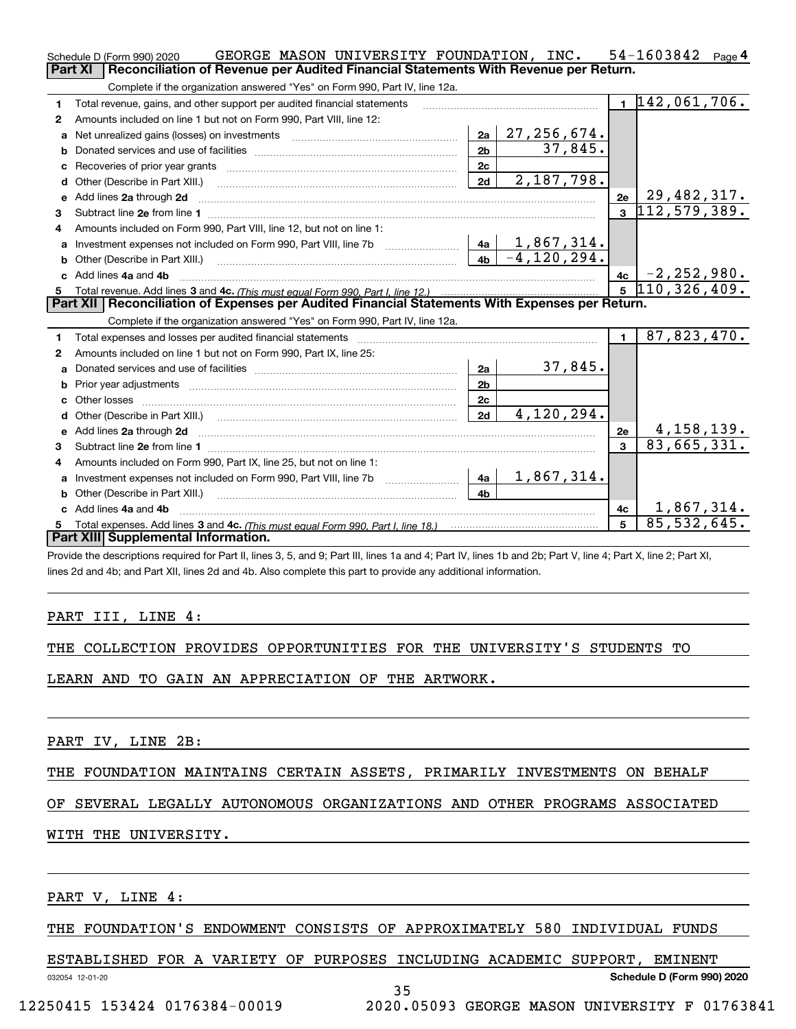|    | GEORGE MASON UNIVERSITY FOUNDATION, INC.<br>Schedule D (Form 990) 2020                                                                                                                                                              |                |                         |              | 54-1603842<br>Page $\mathbf 4$              |
|----|-------------------------------------------------------------------------------------------------------------------------------------------------------------------------------------------------------------------------------------|----------------|-------------------------|--------------|---------------------------------------------|
|    | Part XI<br>Reconciliation of Revenue per Audited Financial Statements With Revenue per Return.                                                                                                                                      |                |                         |              |                                             |
|    | Complete if the organization answered "Yes" on Form 990, Part IV, line 12a.                                                                                                                                                         |                |                         |              |                                             |
| 1  | Total revenue, gains, and other support per audited financial statements                                                                                                                                                            |                |                         |              | $1\overline{142,061,706}$ .                 |
| 2  | Amounts included on line 1 but not on Form 990. Part VIII. line 12:                                                                                                                                                                 |                |                         |              |                                             |
| a  |                                                                                                                                                                                                                                     | 2a             | 27, 256, 674.           |              |                                             |
|    |                                                                                                                                                                                                                                     | 2 <sub>b</sub> | 37,845.                 |              |                                             |
|    |                                                                                                                                                                                                                                     | 2c             |                         |              |                                             |
| d  | Other (Describe in Part XIII.) <b>Construction Contract Construction</b> Chemical Construction Chemical Chemical Chemical Chemical Chemical Chemical Chemical Chemical Chemical Chemical Chemical Chemical Chemical Chemical Chemic | 2d             | 2,187,798.              |              |                                             |
| е  | Add lines 2a through 2d                                                                                                                                                                                                             |                |                         | 2e           | <u>2e   29,482,317.</u><br>3   112,579,389. |
| 3  |                                                                                                                                                                                                                                     |                |                         |              |                                             |
| 4  | Amounts included on Form 990, Part VIII, line 12, but not on line 1:                                                                                                                                                                |                |                         |              |                                             |
|    |                                                                                                                                                                                                                                     |                |                         |              |                                             |
|    |                                                                                                                                                                                                                                     |                | $4b \mid -4, 120, 294.$ |              |                                             |
| c. | Add lines 4a and 4b                                                                                                                                                                                                                 |                |                         | 4c           | <u>4c   −2,252,980.</u><br>5  110,326,409.  |
|    |                                                                                                                                                                                                                                     |                |                         |              |                                             |
|    |                                                                                                                                                                                                                                     |                |                         |              |                                             |
|    | Part XII   Reconciliation of Expenses per Audited Financial Statements With Expenses per Return.                                                                                                                                    |                |                         |              |                                             |
|    | Complete if the organization answered "Yes" on Form 990, Part IV, line 12a.                                                                                                                                                         |                |                         |              |                                             |
| 1. | Total expenses and losses per audited financial statements [11] [12] manuscription and contract the statements [13] manuscription and the statements [13] manuscription and the statements and the statements and the statemen      |                |                         | $\mathbf{1}$ | 87,823,470.                                 |
| 2  | Amounts included on line 1 but not on Form 990, Part IX, line 25:                                                                                                                                                                   |                |                         |              |                                             |
| a  |                                                                                                                                                                                                                                     | 2a             | 37,845.                 |              |                                             |
|    |                                                                                                                                                                                                                                     | 2 <sub>b</sub> |                         |              |                                             |
| c. |                                                                                                                                                                                                                                     | 2 <sub>c</sub> |                         |              |                                             |
|    |                                                                                                                                                                                                                                     | 2d             | 4,120,294.              |              |                                             |
|    |                                                                                                                                                                                                                                     |                |                         | 2e           | 4, 158, 139.                                |
| 3  |                                                                                                                                                                                                                                     |                |                         | $\mathbf{a}$ | 83,665,331.                                 |
| 4  | Amounts included on Form 990, Part IX, line 25, but not on line 1:                                                                                                                                                                  |                |                         |              |                                             |
| a  | Investment expenses not included on Form 990, Part VIII, line 7b [100] [100] [100] [100] [100] [100] [100] [10                                                                                                                      | 4a             | 1,867,314.              |              |                                             |
| b  | Other (Describe in Part XIII.) [100] [100] [100] [100] [100] [100] [100] [100] [100] [100] [100] [100] [100] [                                                                                                                      | 4 <sub>h</sub> |                         |              |                                             |
|    | Add lines 4a and 4b                                                                                                                                                                                                                 |                |                         | 4c           | 1,867,314.                                  |
|    | Part XIII Supplemental Information.                                                                                                                                                                                                 |                |                         | 5            | 85, 532, 645.                               |

Provide the descriptions required for Part II, lines 3, 5, and 9; Part III, lines 1a and 4; Part IV, lines 1b and 2b; Part V, line 4; Part X, line 2; Part XI, lines 2d and 4b; and Part XII, lines 2d and 4b. Also complete this part to provide any additional information.

## PART III, LINE 4:

|  |  |  | THE COLLECTION PROVIDES OPPORTUNITIES FOR THE UNIVERSITY'S STUDENTS TO |  |  |  |  |  |
|--|--|--|------------------------------------------------------------------------|--|--|--|--|--|
|--|--|--|------------------------------------------------------------------------|--|--|--|--|--|

LEARN AND TO GAIN AN APPRECIATION OF THE ARTWORK.

PART IV, LINE 2B:

THE FOUNDATION MAINTAINS CERTAIN ASSETS, PRIMARILY INVESTMENTS ON BEHALF

## OF SEVERAL LEGALLY AUTONOMOUS ORGANIZATIONS AND OTHER PROGRAMS ASSOCIATED

## WITH THE UNIVERSITY.

PART V, LINE 4:

### THE FOUNDATION'S ENDOWMENT CONSISTS OF APPROXIMATELY 580 INDIVIDUAL FUNDS

#### ESTABLISHED FOR A VARIETY OF PURPOSES INCLUDING ACADEMIC SUPPORT, EMINENT

35

032054 12-01-20

**Schedule D (Form 990) 2020**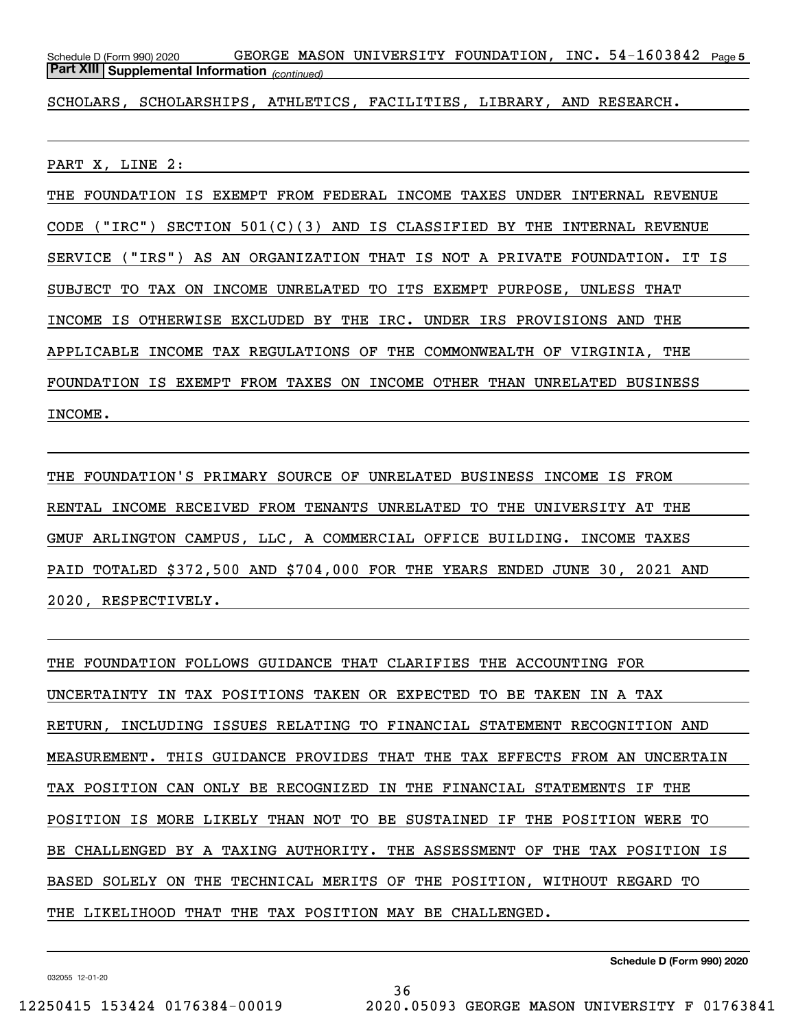Schedule D (Form 990) 2020 GEORGE MASON UNIVERSITY FOUNDATION,INC.54-1603842 <sub>Page 5</sub> *(continued)* **Part XIII Supplemental Information** 

SCHOLARS, SCHOLARSHIPS, ATHLETICS, FACILITIES, LIBRARY, AND RESEARCH.

PART X, LINE 2:

THE FOUNDATION IS EXEMPT FROM FEDERAL INCOME TAXES UNDER INTERNAL REVENUE CODE ("IRC") SECTION  $501(C)(3)$  AND IS CLASSIFIED BY THE INTERNAL REVENUE SERVICE ("IRS") AS AN ORGANIZATION THAT IS NOT A PRIVATE FOUNDATION. IT IS SUBJECT TO TAX ON INCOME UNRELATED TO ITS EXEMPT PURPOSE, UNLESS THAT INCOME IS OTHERWISE EXCLUDED BY THE IRC. UNDER IRS PROVISIONS AND THE APPLICABLE INCOME TAX REGULATIONS OF THE COMMONWEALTH OF VIRGINIA, THE FOUNDATION IS EXEMPT FROM TAXES ON INCOME OTHER THAN UNRELATED BUSINESS INCOME.

THE FOUNDATION'S PRIMARY SOURCE OF UNRELATED BUSINESS INCOME IS FROM RENTAL INCOME RECEIVED FROM TENANTS UNRELATED TO THE UNIVERSITY AT THE GMUF ARLINGTON CAMPUS, LLC, A COMMERCIAL OFFICE BUILDING. INCOME TAXES PAID TOTALED \$372,500 AND \$704,000 FOR THE YEARS ENDED JUNE 30, 2021 AND 2020, RESPECTIVELY.

THE FOUNDATION FOLLOWS GUIDANCE THAT CLARIFIES THE ACCOUNTING FOR UNCERTAINTY IN TAX POSITIONS TAKEN OR EXPECTED TO BE TAKEN IN A TAX RETURN, INCLUDING ISSUES RELATING TO FINANCIAL STATEMENT RECOGNITION AND MEASUREMENT. THIS GUIDANCE PROVIDES THAT THE TAX EFFECTS FROM AN UNCERTAIN TAX POSITION CAN ONLY BE RECOGNIZED IN THE FINANCIAL STATEMENTS IF THE POSITION IS MORE LIKELY THAN NOT TO BE SUSTAINED IF THE POSITION WERE TO BE CHALLENGED BY A TAXING AUTHORITY. THE ASSESSMENT OF THE TAX POSITION IS BASED SOLELY ON THE TECHNICAL MERITS OF THE POSITION, WITHOUT REGARD TO THE LIKELIHOOD THAT THE TAX POSITION MAY BE CHALLENGED.

36

**Schedule D (Form 990) 2020**

032055 12-01-20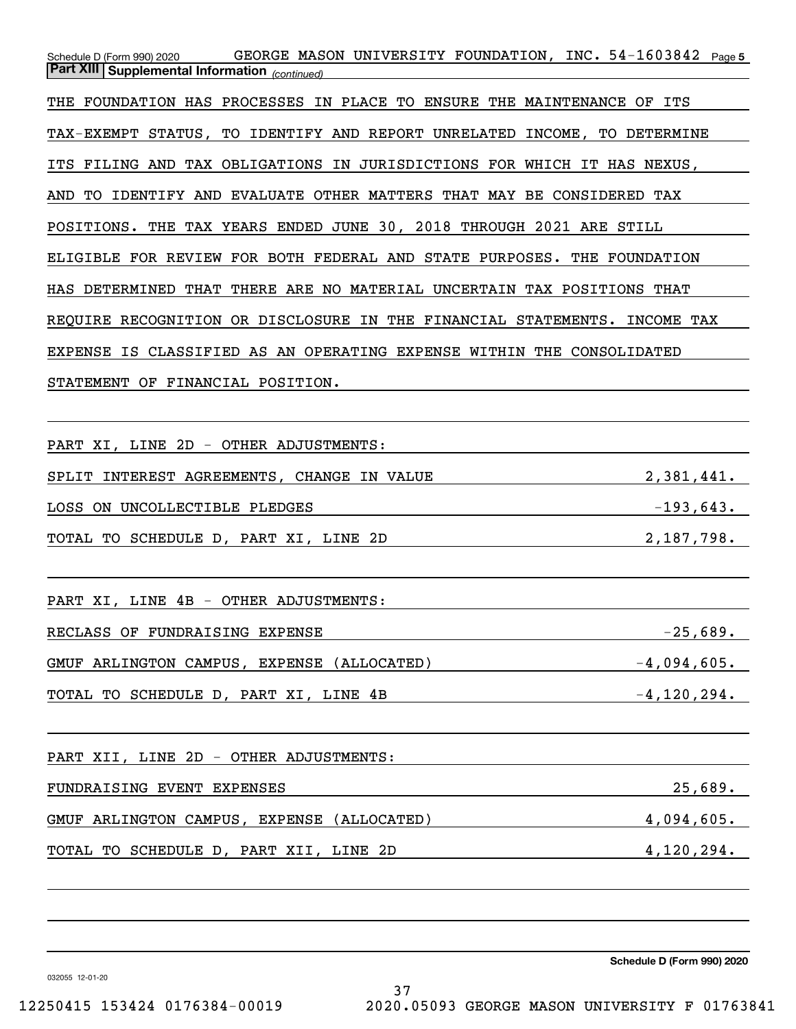Schedule D (Form 990) 2020 GEORGE MASON UNIVERSITY FOUNDATION,INC.54-1603842 <sub>Page 5</sub> *(continued)* **Part XIII Supplemental Information**  THE FOUNDATION HAS PROCESSES IN PLACE TO ENSURE THE MAINTENANCE OF ITS TAX-EXEMPT STATUS, TO IDENTIFY AND REPORT UNRELATED INCOME, TO DETERMINE ITS FILING AND TAX OBLIGATIONS IN JURISDICTIONS FOR WHICH IT HAS NEXUS, AND TO IDENTIFY AND EVALUATE OTHER MATTERS THAT MAY BE CONSIDERED TAX POSITIONS. THE TAX YEARS ENDED JUNE 30, 2018 THROUGH 2021 ARE STILL ELIGIBLE FOR REVIEW FOR BOTH FEDERAL AND STATE PURPOSES. THE FOUNDATION HAS DETERMINED THAT THERE ARE NO MATERIAL UNCERTAIN TAX POSITIONS THAT REQUIRE RECOGNITION OR DISCLOSURE IN THE FINANCIAL STATEMENTS. INCOME TAX EXPENSE IS CLASSIFIED AS AN OPERATING EXPENSE WITHIN THE CONSOLIDATED STATEMENT OF FINANCIAL POSITION.

PART XI, LINE 2D - OTHER ADJUSTMENTS: SPLIT INTEREST AGREEMENTS, CHANGE IN VALUE  $2,381,441$ . LOSS ON UNCOLLECTIBLE PLEDGES  $-193,643$ . TOTAL TO SCHEDULE D, PART XI, LINE 2D 2,187,798.

PART XI, LINE 4B - OTHER ADJUSTMENTS: RECLASS OF FUNDRAISING EXPENSE -25,689. GMUF ARLINGTON CAMPUS, EXPENSE (ALLOCATED)  $-4,094,605$ . TOTAL TO SCHEDULE D, PART XI, LINE  $4B$  -4,120,294.

PART XII, LINE 2D - OTHER ADJUSTMENTS:

FUNDRAISING EVENT EXPENSES 25,689. GMUF ARLINGTON CAMPUS, EXPENSE (ALLOCATED) 4,094,605. TOTAL TO SCHEDULE D, PART XII, LINE 2D 4,120,294.

**Schedule D (Form 990) 2020**

032055 12-01-20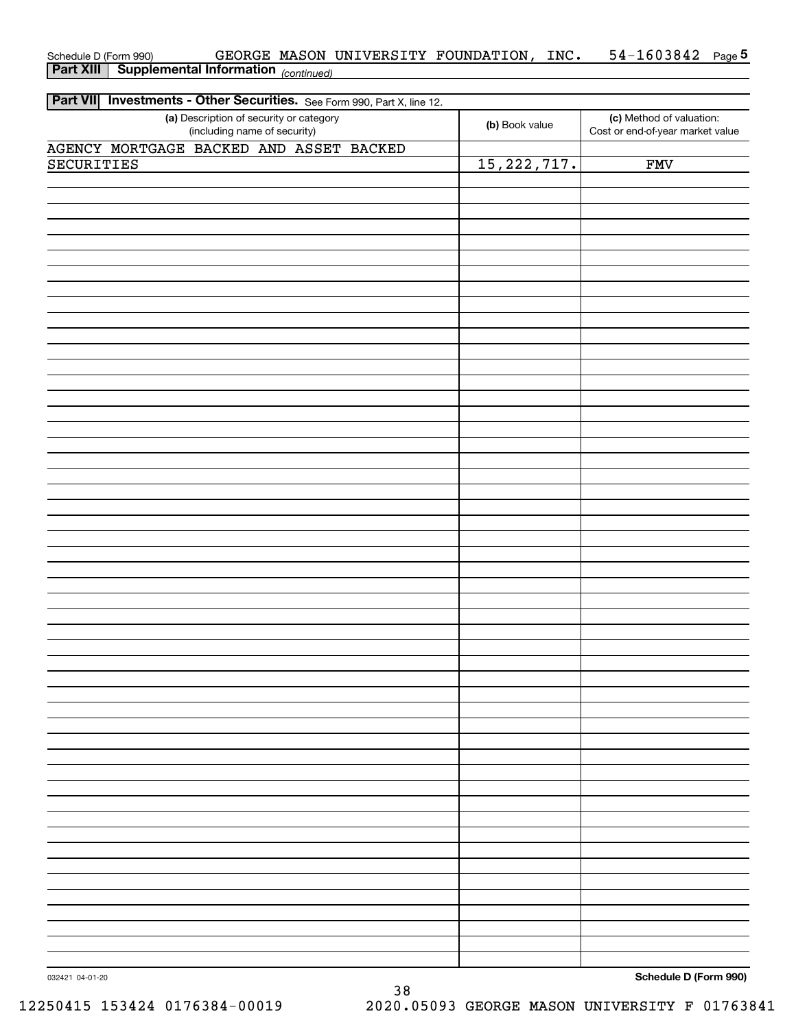| AGENCY MORTGAGE BACKED AND ASSET BACKED |               |     |
|-----------------------------------------|---------------|-----|
| <b>SECURITIES</b>                       | 15, 222, 717. | FWV |
|                                         |               |     |
|                                         |               |     |
|                                         |               |     |
|                                         |               |     |
|                                         |               |     |
|                                         |               |     |
|                                         |               |     |
|                                         |               |     |
|                                         |               |     |
|                                         |               |     |
|                                         |               |     |
|                                         |               |     |
|                                         |               |     |
|                                         |               |     |
|                                         |               |     |
|                                         |               |     |
|                                         |               |     |
|                                         |               |     |
|                                         |               |     |
|                                         |               |     |
|                                         |               |     |
|                                         |               |     |
|                                         |               |     |
|                                         |               |     |
|                                         |               |     |
|                                         |               |     |
|                                         |               |     |
|                                         |               |     |
|                                         |               |     |
|                                         |               |     |
|                                         |               |     |
|                                         |               |     |
|                                         |               |     |
|                                         |               |     |
|                                         |               |     |
|                                         |               |     |
|                                         |               |     |
|                                         |               |     |
|                                         |               |     |
|                                         |               |     |
|                                         |               |     |
|                                         |               |     |
|                                         |               |     |
|                                         |               |     |
|                                         |               |     |
|                                         |               |     |
|                                         |               |     |
|                                         |               |     |
|                                         |               |     |
|                                         |               |     |

## *(continued)* **Part XIII Supplemental Information**  Schedule D (Form 990) GEORGE MASON UNIVERSITY FOUNDATION,INC.  $\,$  54-1603842  $\,$  Page

**(b)**  Book value

**(c)**  Method of valuation:

**5**

Cost or end-of-year market value

**(a)**  Description of security or category

(including name of security)

**Part VII** Investments - Other Securities. See Form 990, Part X, line 12.

**Schedule D (Form 990)**

032421 04-01-20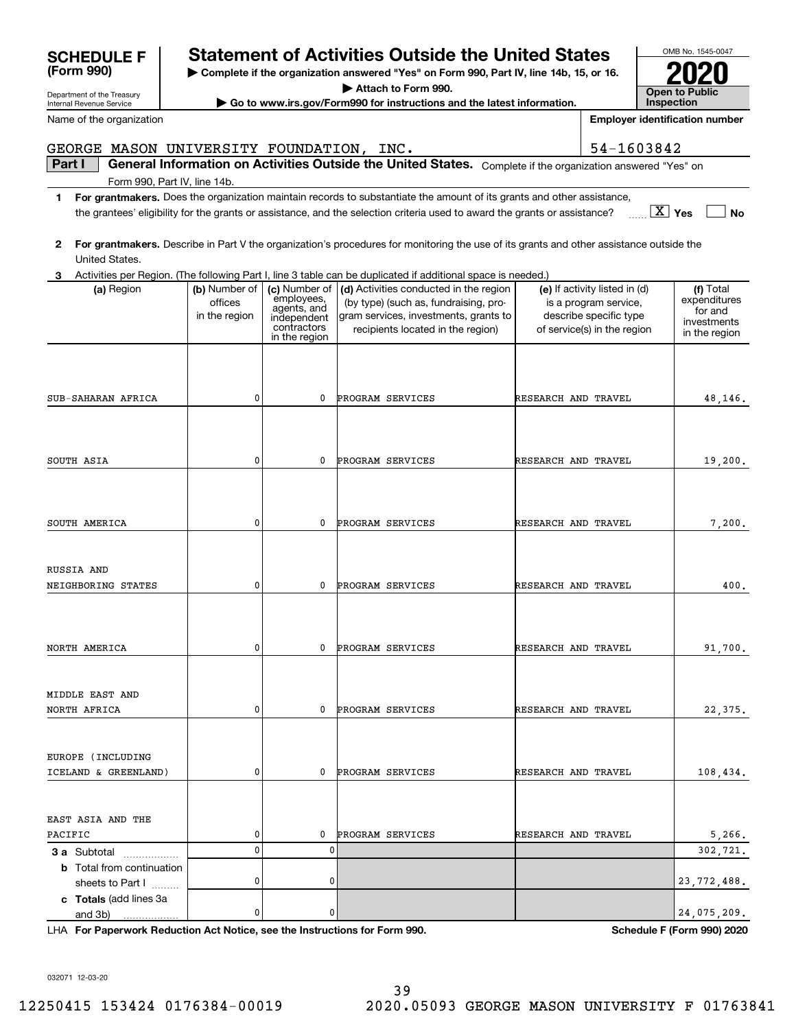## **| Complete if the organization answered "Yes" on Form 990, Part IV, line 14b, 15, or 16. SCHEDULE F Statement of Activities Outside the United States**

**Part I**  $\parallel$  General Information on Activities Outside the United States. Complete if the organization answered "Yes" on

GEORGE MASON UNIVERSITY FOUNDATION, INC.  $\vert$  54-1603842

**1For grantmakers.**  Does the organization maintain records to substantiate the amount of its grants and other assistance,

the grantees' eligibility for the grants or assistance, and the selection criteria used to award the grants or assistance?

**| Attach to Form 990.**

**| Go to www.irs.gov/Form990 for instructions and the latest information.**

**23** Activities per Region. (The following Part I, line 3 table can be duplicated if additional space is needed.) **For grantmakers.**  Describe in Part V the organization's procedures for monitoring the use of its grants and other assistance outside the **(a)** Region  $\begin{pmatrix} \mathbf{b} \end{pmatrix}$  Number of  $\begin{pmatrix} \mathbf{c} \end{pmatrix}$  Mumber of  $\begin{pmatrix} \mathbf{d} \end{pmatrix}$  Activities conducted in the region  $\begin{pmatrix} \mathbf{e} \end{pmatrix}$  If activity listed in (d)  $\begin{pmatrix} \mathbf{f} \end{pmatrix}$ **3 a** Subtotal .................. **b** Total from continuation **c Totals**  (add lines 3a United States. (a) Region (b) Number of officesin the region employees, agents, and independent contractors in the region (by type) (such as, fundraising, program services, investments, grants to recipients located in the region)  $(e)$  If activity listed in  $(d)$ is a program service, describe specific type of service(s) in the region Total expenditures for and investments in the region sheets to Part  $1$   $\ldots$ ... and 3b) 48,146. 19,200. 7,200. 400. 91,700. 22,375. 108,434. 5,266. PROGRAM SERVICES RESEARCH AND TRAVEL PROGRAM SERVICES PROGRAM SERVICES PROGRAM SERVICES PROGRAM SERVICES PROGRAM SERVICES 302,721. PROGRAM SERVICES PROGRAM SERVICES RESEARCH AND TRAVEL RESEARCH AND TRAVEL RESEARCH AND TRAVEL RESEARCH AND TRAVEL RESEARCH AND TRAVEL RESEARCH AND TRAVEL RESEARCH AND TRAVEL 0000000 $\Omega$ 000000000RUSSIA AND  $\Omega$ SUB-SAHARAN AFRICA SOUTH ASIA SOUTH AMERICA NEIGHBORING STATES NORTH AMERICA NORTH AFRICA ICELAND & GREENLAND) PACIFICMIDDLE EAST AND EUROPE (INCLUDING EAST ASIA AND THE 0 23,772,488.  $\Omega$  24,075,209. 00

LHA For Paperwork Reduction Act Notice, see the Instructions for Form 990. Schedule F (Form 990) 2020

032071 12-03-20



Name of the organization

Form 990, Part IV, line 14b.

OMB No. 1545-0047 **Open to Public 2020**

**InspectionEmployer identification number**

**Yes** X

**No**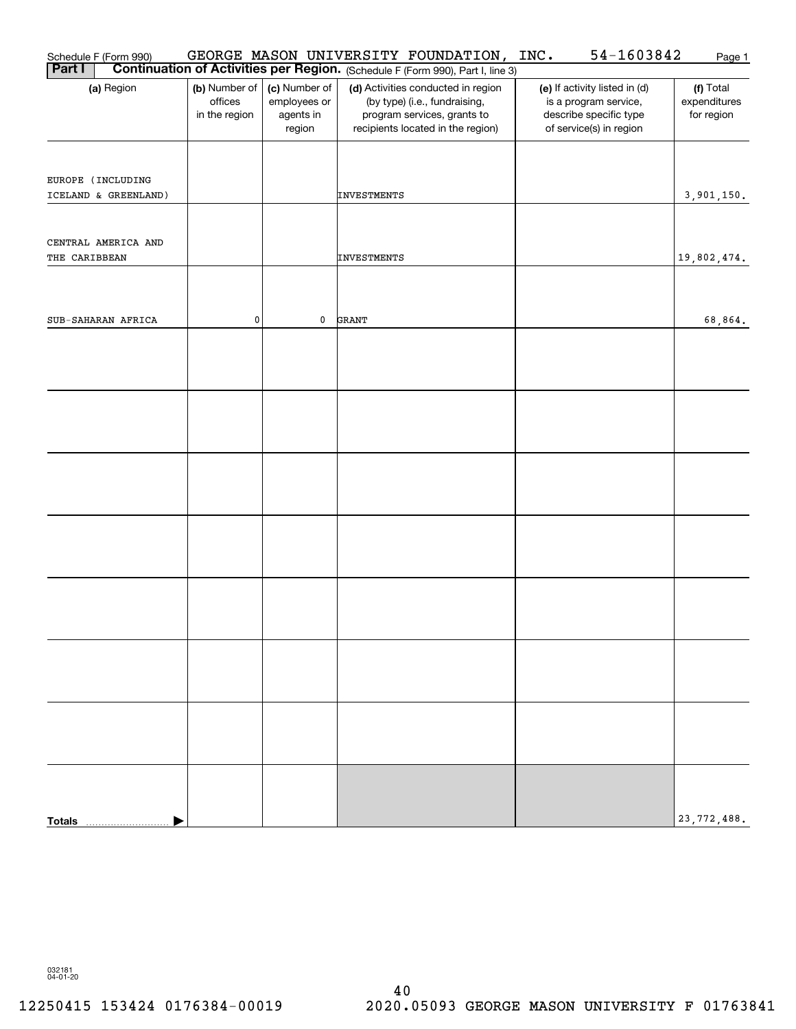| Schedule F (Form 990)                     |                                           |                                                      | GEORGE MASON UNIVERSITY FOUNDATION,                                                                                                     | INC.<br>54-1603842                                                                                          | Page 1                                  |
|-------------------------------------------|-------------------------------------------|------------------------------------------------------|-----------------------------------------------------------------------------------------------------------------------------------------|-------------------------------------------------------------------------------------------------------------|-----------------------------------------|
| <b>Part I</b>                             |                                           |                                                      | <b>Continuation of Activities per Region.</b> (Schedule F (Form 990), Part I, line 3)                                                   |                                                                                                             |                                         |
| (a) Region                                | (b) Number of<br>offices<br>in the region | (c) Number of<br>employees or<br>agents in<br>region | (d) Activities conducted in region<br>(by type) (i.e., fundraising,<br>program services, grants to<br>recipients located in the region) | (e) If activity listed in (d)<br>is a program service,<br>describe specific type<br>of service(s) in region | (f) Total<br>expenditures<br>for region |
| EUROPE (INCLUDING<br>ICELAND & GREENLAND) |                                           |                                                      | INVESTMENTS                                                                                                                             |                                                                                                             | 3,901,150.                              |
| CENTRAL AMERICA AND<br>THE CARIBBEAN      |                                           |                                                      | INVESTMENTS                                                                                                                             |                                                                                                             | 19,802,474.                             |
| SUB-SAHARAN AFRICA                        | $\pmb{0}$                                 | 0                                                    | GRANT                                                                                                                                   |                                                                                                             | 68,864.                                 |
|                                           |                                           |                                                      |                                                                                                                                         |                                                                                                             |                                         |
|                                           |                                           |                                                      |                                                                                                                                         |                                                                                                             |                                         |
|                                           |                                           |                                                      |                                                                                                                                         |                                                                                                             |                                         |
|                                           |                                           |                                                      |                                                                                                                                         |                                                                                                             |                                         |
|                                           |                                           |                                                      |                                                                                                                                         |                                                                                                             |                                         |
|                                           |                                           |                                                      |                                                                                                                                         |                                                                                                             |                                         |
|                                           |                                           |                                                      |                                                                                                                                         |                                                                                                             |                                         |
|                                           |                                           |                                                      |                                                                                                                                         |                                                                                                             |                                         |
| <b>Totals</b>                             |                                           |                                                      |                                                                                                                                         |                                                                                                             | 23,772,488.                             |

032181 04-01-20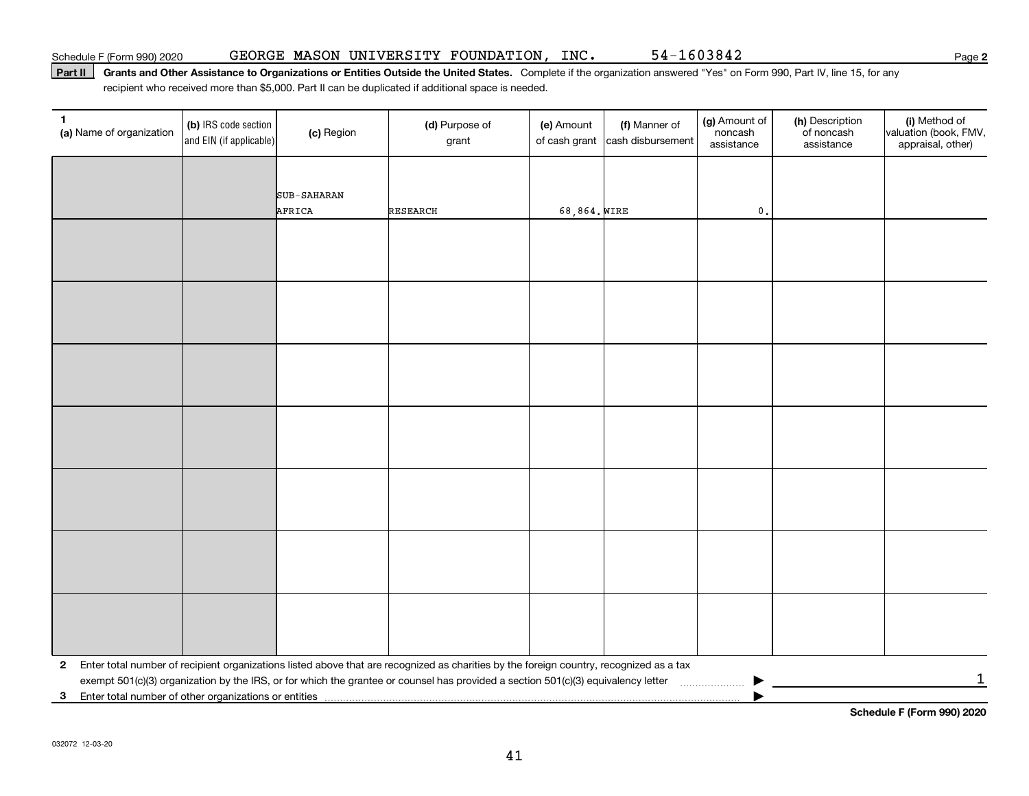#### Part II | Grants and Other Assistance to Organizations or Entities Outside the United States. Complete if the organization answered "Yes" on Form 990, Part IV, line 15, for any recipient who received more than \$5,000. Part II can be duplicated if additional space is needed.

| 1<br>(a) Name of organization                                         | (b) IRS code section<br>and EIN (if applicable) | (c) Region  | (d) Purpose of<br>grant                                                                                                                 | (e) Amount<br>of cash grant | (f) Manner of<br>cash disbursement | (g) Amount of<br>noncash<br>assistance | (h) Description<br>of noncash<br>assistance | (i) Method of<br>valuation (book, FMV,<br>appraisal, other) |
|-----------------------------------------------------------------------|-------------------------------------------------|-------------|-----------------------------------------------------------------------------------------------------------------------------------------|-----------------------------|------------------------------------|----------------------------------------|---------------------------------------------|-------------------------------------------------------------|
|                                                                       |                                                 |             |                                                                                                                                         |                             |                                    |                                        |                                             |                                                             |
|                                                                       |                                                 | SUB-SAHARAN |                                                                                                                                         |                             |                                    |                                        |                                             |                                                             |
|                                                                       |                                                 | AFRICA      | <b>RESEARCH</b>                                                                                                                         | 68,864. WIRE                |                                    | $\mathfrak o$ .                        |                                             |                                                             |
|                                                                       |                                                 |             |                                                                                                                                         |                             |                                    |                                        |                                             |                                                             |
|                                                                       |                                                 |             |                                                                                                                                         |                             |                                    |                                        |                                             |                                                             |
|                                                                       |                                                 |             |                                                                                                                                         |                             |                                    |                                        |                                             |                                                             |
|                                                                       |                                                 |             |                                                                                                                                         |                             |                                    |                                        |                                             |                                                             |
|                                                                       |                                                 |             |                                                                                                                                         |                             |                                    |                                        |                                             |                                                             |
|                                                                       |                                                 |             |                                                                                                                                         |                             |                                    |                                        |                                             |                                                             |
|                                                                       |                                                 |             |                                                                                                                                         |                             |                                    |                                        |                                             |                                                             |
|                                                                       |                                                 |             |                                                                                                                                         |                             |                                    |                                        |                                             |                                                             |
|                                                                       |                                                 |             |                                                                                                                                         |                             |                                    |                                        |                                             |                                                             |
|                                                                       |                                                 |             |                                                                                                                                         |                             |                                    |                                        |                                             |                                                             |
|                                                                       |                                                 |             |                                                                                                                                         |                             |                                    |                                        |                                             |                                                             |
|                                                                       |                                                 |             |                                                                                                                                         |                             |                                    |                                        |                                             |                                                             |
|                                                                       |                                                 |             |                                                                                                                                         |                             |                                    |                                        |                                             |                                                             |
|                                                                       |                                                 |             |                                                                                                                                         |                             |                                    |                                        |                                             |                                                             |
|                                                                       |                                                 |             |                                                                                                                                         |                             |                                    |                                        |                                             |                                                             |
|                                                                       |                                                 |             |                                                                                                                                         |                             |                                    |                                        |                                             |                                                             |
|                                                                       |                                                 |             |                                                                                                                                         |                             |                                    |                                        |                                             |                                                             |
|                                                                       |                                                 |             |                                                                                                                                         |                             |                                    |                                        |                                             |                                                             |
|                                                                       |                                                 |             |                                                                                                                                         |                             |                                    |                                        |                                             |                                                             |
| $\mathbf{2}$                                                          |                                                 |             | Enter total number of recipient organizations listed above that are recognized as charities by the foreign country, recognized as a tax |                             |                                    |                                        |                                             | $\mathbf 1$                                                 |
| Enter total number of other organizations or entities<br>$\mathbf{3}$ |                                                 |             |                                                                                                                                         |                             |                                    |                                        |                                             |                                                             |

**Schedule F (Form 990) 2020**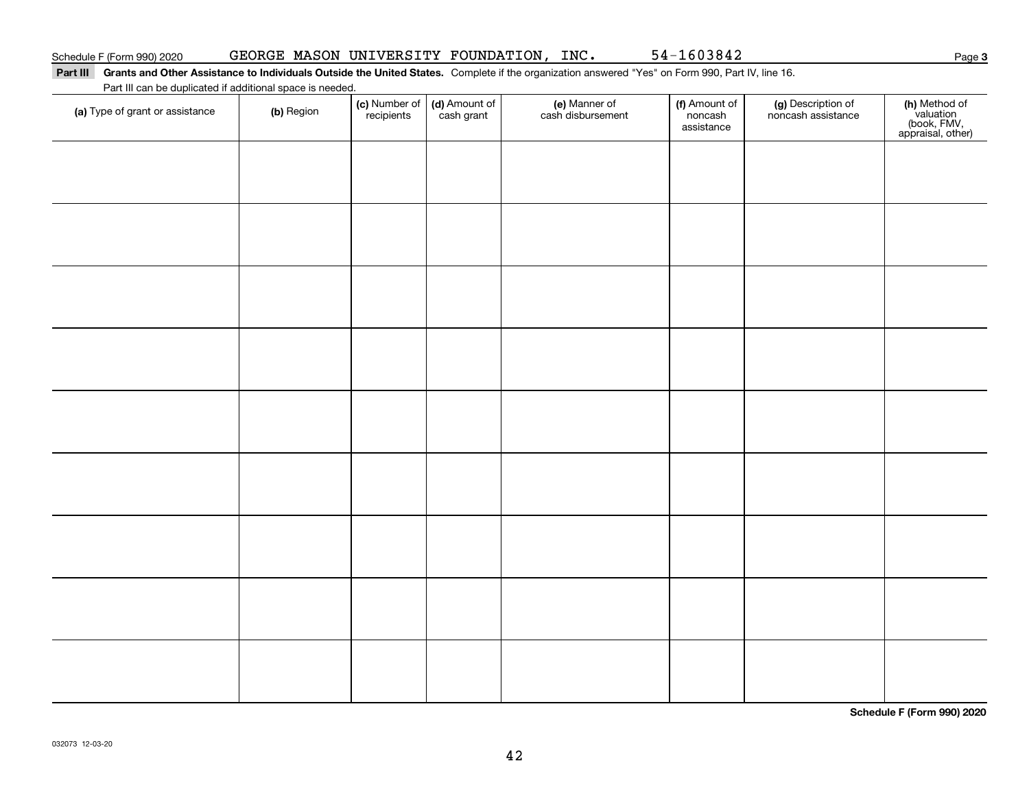#### Part III Grants and Other Assistance to Individuals Outside the United States. Complete if the organization answered "Yes" on Form 990, Part IV, line 16. Part III can be duplicated if additional space is needed.

| Fait in call be duplicated if additional space is needed.<br>(a) Type of grant or assistance | (b) Region | (c) Number of<br>recipients | (d) Amount of<br>cash grant | (e) Manner of<br>cash disbursement | (f) Amount of<br>noncash<br>assistance | (g) Description of<br>noncash assistance | (h) Method of<br>valuation<br>(book, FMV,<br>appraisal, other) |
|----------------------------------------------------------------------------------------------|------------|-----------------------------|-----------------------------|------------------------------------|----------------------------------------|------------------------------------------|----------------------------------------------------------------|
|                                                                                              |            |                             |                             |                                    |                                        |                                          |                                                                |
|                                                                                              |            |                             |                             |                                    |                                        |                                          |                                                                |
|                                                                                              |            |                             |                             |                                    |                                        |                                          |                                                                |
|                                                                                              |            |                             |                             |                                    |                                        |                                          |                                                                |
|                                                                                              |            |                             |                             |                                    |                                        |                                          |                                                                |
|                                                                                              |            |                             |                             |                                    |                                        |                                          |                                                                |
|                                                                                              |            |                             |                             |                                    |                                        |                                          |                                                                |
|                                                                                              |            |                             |                             |                                    |                                        |                                          |                                                                |
|                                                                                              |            |                             |                             |                                    |                                        |                                          |                                                                |
|                                                                                              |            |                             |                             |                                    |                                        |                                          |                                                                |
|                                                                                              |            |                             |                             |                                    |                                        |                                          |                                                                |

**Schedule F (Form 990) 2020**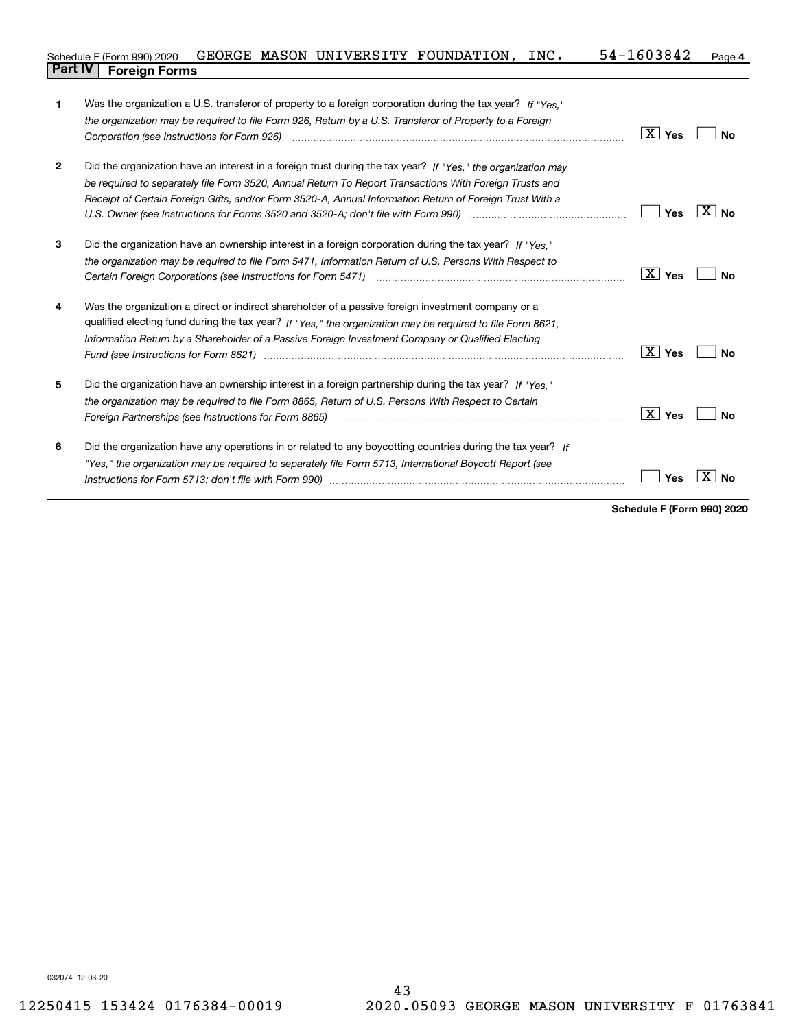|                | Schedule F (Form 990) 2020 | GEORGE | MASON | UNIVERSITY | <b>FOUNDATION,</b> | INC. | 1603842<br>$54-$ | Page 4 |
|----------------|----------------------------|--------|-------|------------|--------------------|------|------------------|--------|
| <b>Part IV</b> | <b>Foreign Forms</b>       |        |       |            |                    |      |                  |        |

| 1              | Was the organization a U.S. transferor of property to a foreign corporation during the tax year? If "Yes."                                                                                                                     |                              |
|----------------|--------------------------------------------------------------------------------------------------------------------------------------------------------------------------------------------------------------------------------|------------------------------|
|                | the organization may be required to file Form 926, Return by a U.S. Transferor of Property to a Foreign                                                                                                                        |                              |
|                |                                                                                                                                                                                                                                | $\boxed{\text{X}}$ Yes<br>No |
|                |                                                                                                                                                                                                                                |                              |
| $\overline{2}$ | Did the organization have an interest in a foreign trust during the tax year? If "Yes," the organization may                                                                                                                   |                              |
|                | be required to separately file Form 3520, Annual Return To Report Transactions With Foreign Trusts and                                                                                                                         |                              |
|                | Receipt of Certain Foreign Gifts, and/or Form 3520-A, Annual Information Return of Foreign Trust With a                                                                                                                        |                              |
|                | U.S. Owner (see Instructions for Forms 3520 and 3520-A; don't file with Form 990) manufactured and the U.S.                                                                                                                    | $X \mid N_{\Omega}$<br>Yes   |
| 3              | Did the organization have an ownership interest in a foreign corporation during the tax year? If "Yes."                                                                                                                        |                              |
|                | the organization may be required to file Form 5471, Information Return of U.S. Persons With Respect to                                                                                                                         |                              |
|                |                                                                                                                                                                                                                                | $X \mid Y$ es<br>No          |
| 4              | Was the organization a direct or indirect shareholder of a passive foreign investment company or a                                                                                                                             |                              |
|                | qualified electing fund during the tax year? If "Yes," the organization may be required to file Form 8621,                                                                                                                     |                              |
|                | Information Return by a Shareholder of a Passive Foreign Investment Company or Qualified Electing                                                                                                                              |                              |
|                |                                                                                                                                                                                                                                | $X$ Yes<br>No                |
| 5              | Did the organization have an ownership interest in a foreign partnership during the tax year? If "Yes."                                                                                                                        |                              |
|                | the organization may be required to file Form 8865, Return of U.S. Persons With Respect to Certain                                                                                                                             |                              |
|                |                                                                                                                                                                                                                                | $\mid X \mid$ Yes<br>No      |
| 6              | Did the organization have any operations in or related to any boycotting countries during the tax year? If                                                                                                                     |                              |
|                | "Yes," the organization may be required to separately file Form 5713, International Boycott Report (see                                                                                                                        |                              |
|                | Instructions for Form 5713; don't file with Form 990) manufactured contained and contained and the local manufactured and the local manufactured and the local manufactured and the local manufactured and the local manufactu | Yes                          |
|                |                                                                                                                                                                                                                                |                              |

**Schedule F (Form 990) 2020**

032074 12-03-20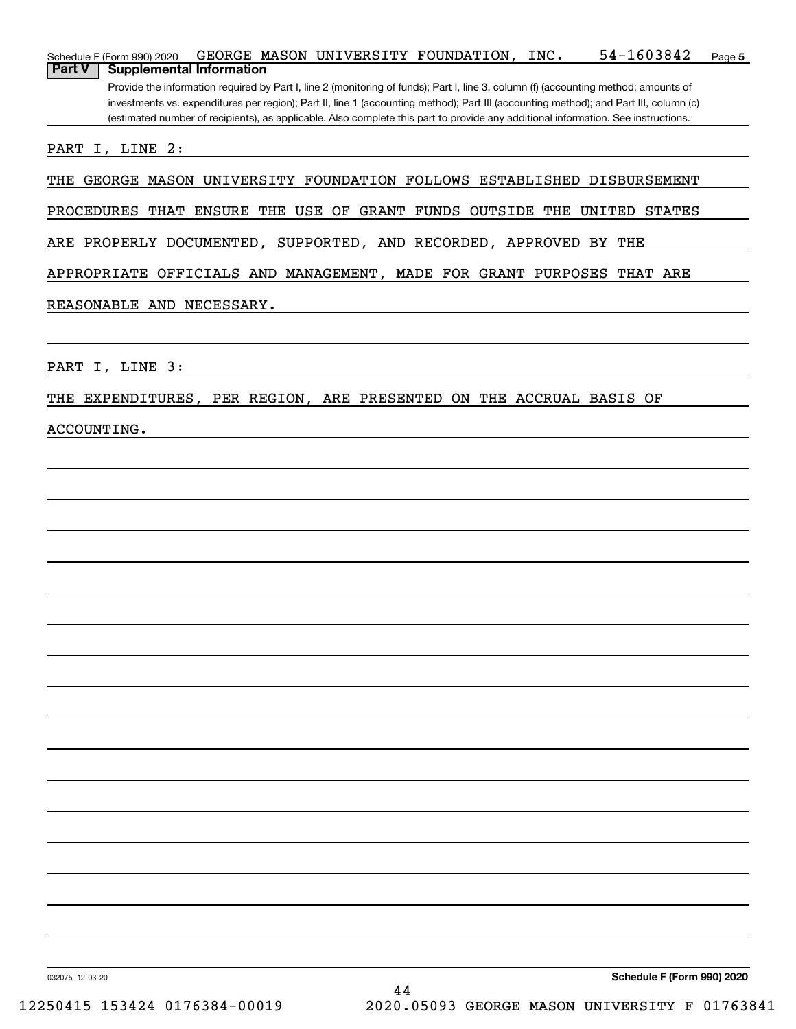| 54-1603842<br>GEORGE MASON UNIVERSITY FOUNDATION, INC.<br>Schedule F (Form 990) 2020<br>Page 5                                                                                                                                                                                                                                                                                                                                                                        |
|-----------------------------------------------------------------------------------------------------------------------------------------------------------------------------------------------------------------------------------------------------------------------------------------------------------------------------------------------------------------------------------------------------------------------------------------------------------------------|
| <b>Part V</b><br><b>Supplemental Information</b><br>Provide the information required by Part I, line 2 (monitoring of funds); Part I, line 3, column (f) (accounting method; amounts of<br>investments vs. expenditures per region); Part II, line 1 (accounting method); Part III (accounting method); and Part III, column (c)<br>(estimated number of recipients), as applicable. Also complete this part to provide any additional information. See instructions. |
| PART I, LINE 2:                                                                                                                                                                                                                                                                                                                                                                                                                                                       |
| THE GEORGE MASON UNIVERSITY FOUNDATION FOLLOWS ESTABLISHED DISBURSEMENT                                                                                                                                                                                                                                                                                                                                                                                               |
| PROCEDURES THAT ENSURE THE USE OF GRANT FUNDS OUTSIDE THE UNITED STATES                                                                                                                                                                                                                                                                                                                                                                                               |
| ARE PROPERLY DOCUMENTED, SUPPORTED, AND RECORDED, APPROVED BY THE                                                                                                                                                                                                                                                                                                                                                                                                     |
| APPROPRIATE OFFICIALS AND MANAGEMENT, MADE FOR GRANT PURPOSES THAT ARE                                                                                                                                                                                                                                                                                                                                                                                                |
| REASONABLE AND NECESSARY.                                                                                                                                                                                                                                                                                                                                                                                                                                             |
|                                                                                                                                                                                                                                                                                                                                                                                                                                                                       |
| PART I, LINE 3:                                                                                                                                                                                                                                                                                                                                                                                                                                                       |
| THE EXPENDITURES, PER REGION, ARE PRESENTED ON THE ACCRUAL BASIS OF                                                                                                                                                                                                                                                                                                                                                                                                   |
| <b>ACCOUNTING.</b>                                                                                                                                                                                                                                                                                                                                                                                                                                                    |
|                                                                                                                                                                                                                                                                                                                                                                                                                                                                       |
|                                                                                                                                                                                                                                                                                                                                                                                                                                                                       |
|                                                                                                                                                                                                                                                                                                                                                                                                                                                                       |
|                                                                                                                                                                                                                                                                                                                                                                                                                                                                       |
|                                                                                                                                                                                                                                                                                                                                                                                                                                                                       |
|                                                                                                                                                                                                                                                                                                                                                                                                                                                                       |
|                                                                                                                                                                                                                                                                                                                                                                                                                                                                       |
|                                                                                                                                                                                                                                                                                                                                                                                                                                                                       |
|                                                                                                                                                                                                                                                                                                                                                                                                                                                                       |
|                                                                                                                                                                                                                                                                                                                                                                                                                                                                       |
|                                                                                                                                                                                                                                                                                                                                                                                                                                                                       |
|                                                                                                                                                                                                                                                                                                                                                                                                                                                                       |

032075 12-03-20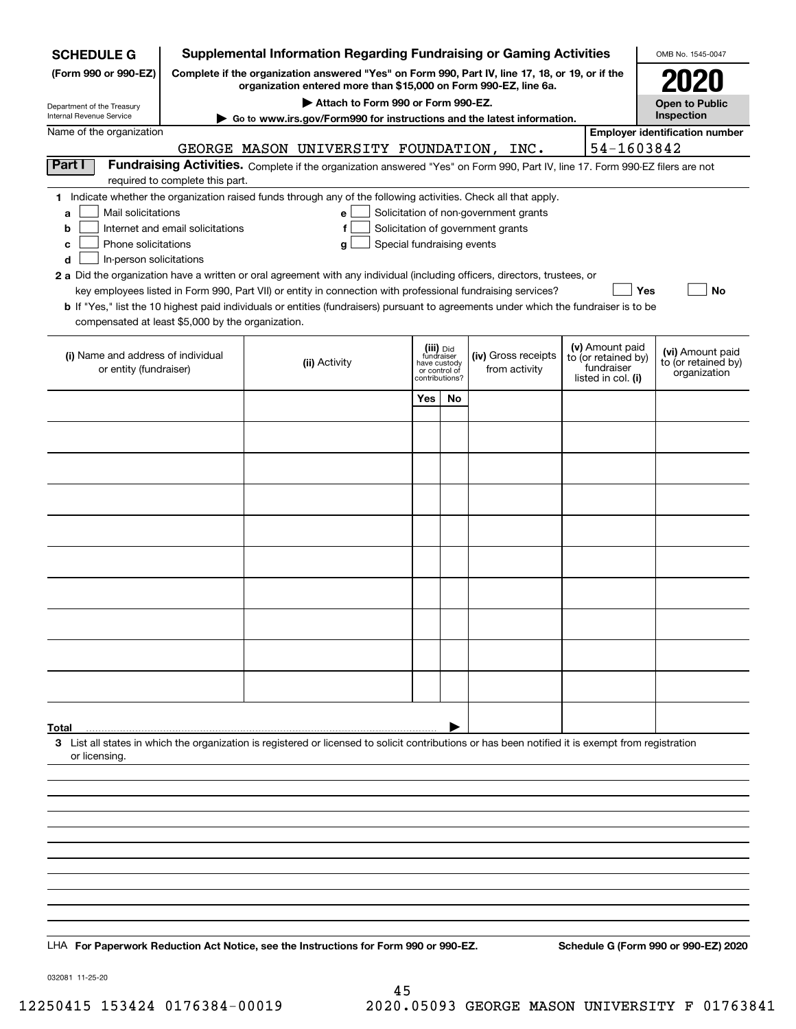| <b>SCHEDULE G</b>                                                                                                                             |                                                                                                                                                                     |  | <b>Supplemental Information Regarding Fundraising or Gaming Activities</b>                                                                                                                                                                                                                                                                                                                                                                                                                                                  |                                                                            |    |                                                                            |  |                                                                            | OMB No. 1545-0047                                       |  |
|-----------------------------------------------------------------------------------------------------------------------------------------------|---------------------------------------------------------------------------------------------------------------------------------------------------------------------|--|-----------------------------------------------------------------------------------------------------------------------------------------------------------------------------------------------------------------------------------------------------------------------------------------------------------------------------------------------------------------------------------------------------------------------------------------------------------------------------------------------------------------------------|----------------------------------------------------------------------------|----|----------------------------------------------------------------------------|--|----------------------------------------------------------------------------|---------------------------------------------------------|--|
| (Form 990 or 990-EZ)                                                                                                                          | Complete if the organization answered "Yes" on Form 990, Part IV, line 17, 18, or 19, or if the<br>organization entered more than \$15,000 on Form 990-EZ, line 6a. |  |                                                                                                                                                                                                                                                                                                                                                                                                                                                                                                                             |                                                                            |    |                                                                            |  |                                                                            |                                                         |  |
|                                                                                                                                               |                                                                                                                                                                     |  | Attach to Form 990 or Form 990-EZ.                                                                                                                                                                                                                                                                                                                                                                                                                                                                                          |                                                                            |    |                                                                            |  |                                                                            | <b>Open to Public</b>                                   |  |
| Department of the Treasury<br>Internal Revenue Service                                                                                        |                                                                                                                                                                     |  | ► Go to www.irs.gov/Form990 for instructions and the latest information.                                                                                                                                                                                                                                                                                                                                                                                                                                                    |                                                                            |    |                                                                            |  |                                                                            | Inspection                                              |  |
| Name of the organization                                                                                                                      |                                                                                                                                                                     |  | GEORGE MASON UNIVERSITY FOUNDATION, INC.                                                                                                                                                                                                                                                                                                                                                                                                                                                                                    |                                                                            |    |                                                                            |  | 54-1603842                                                                 | <b>Employer identification number</b>                   |  |
| Part I                                                                                                                                        |                                                                                                                                                                     |  | Fundraising Activities. Complete if the organization answered "Yes" on Form 990, Part IV, line 17. Form 990-EZ filers are not                                                                                                                                                                                                                                                                                                                                                                                               |                                                                            |    |                                                                            |  |                                                                            |                                                         |  |
|                                                                                                                                               | required to complete this part.                                                                                                                                     |  |                                                                                                                                                                                                                                                                                                                                                                                                                                                                                                                             |                                                                            |    |                                                                            |  |                                                                            |                                                         |  |
| Mail solicitations<br>a<br>b<br>Phone solicitations<br>с<br>In-person solicitations<br>d<br>compensated at least \$5,000 by the organization. | Internet and email solicitations                                                                                                                                    |  | 1 Indicate whether the organization raised funds through any of the following activities. Check all that apply.<br>е<br>f<br>g<br>2 a Did the organization have a written or oral agreement with any individual (including officers, directors, trustees, or<br>key employees listed in Form 990, Part VII) or entity in connection with professional fundraising services?<br><b>b</b> If "Yes," list the 10 highest paid individuals or entities (fundraisers) pursuant to agreements under which the fundraiser is to be | Special fundraising events                                                 |    | Solicitation of non-government grants<br>Solicitation of government grants |  | Yes                                                                        | No                                                      |  |
| (i) Name and address of individual<br>or entity (fundraiser)                                                                                  |                                                                                                                                                                     |  | (ii) Activity                                                                                                                                                                                                                                                                                                                                                                                                                                                                                                               | (iii) Did<br>fundraiser<br>have custody<br>or control of<br>contributions? |    | (iv) Gross receipts<br>from activity                                       |  | (v) Amount paid<br>to (or retained by)<br>fundraiser<br>listed in col. (i) | (vi) Amount paid<br>to (or retained by)<br>organization |  |
|                                                                                                                                               |                                                                                                                                                                     |  |                                                                                                                                                                                                                                                                                                                                                                                                                                                                                                                             | Yes                                                                        | No |                                                                            |  |                                                                            |                                                         |  |
|                                                                                                                                               |                                                                                                                                                                     |  |                                                                                                                                                                                                                                                                                                                                                                                                                                                                                                                             |                                                                            |    |                                                                            |  |                                                                            |                                                         |  |
|                                                                                                                                               |                                                                                                                                                                     |  |                                                                                                                                                                                                                                                                                                                                                                                                                                                                                                                             |                                                                            |    |                                                                            |  |                                                                            |                                                         |  |
|                                                                                                                                               |                                                                                                                                                                     |  |                                                                                                                                                                                                                                                                                                                                                                                                                                                                                                                             |                                                                            |    |                                                                            |  |                                                                            |                                                         |  |
|                                                                                                                                               |                                                                                                                                                                     |  |                                                                                                                                                                                                                                                                                                                                                                                                                                                                                                                             |                                                                            |    |                                                                            |  |                                                                            |                                                         |  |
|                                                                                                                                               |                                                                                                                                                                     |  |                                                                                                                                                                                                                                                                                                                                                                                                                                                                                                                             |                                                                            |    |                                                                            |  |                                                                            |                                                         |  |
|                                                                                                                                               |                                                                                                                                                                     |  |                                                                                                                                                                                                                                                                                                                                                                                                                                                                                                                             |                                                                            |    |                                                                            |  |                                                                            |                                                         |  |
|                                                                                                                                               |                                                                                                                                                                     |  |                                                                                                                                                                                                                                                                                                                                                                                                                                                                                                                             |                                                                            |    |                                                                            |  |                                                                            |                                                         |  |
|                                                                                                                                               |                                                                                                                                                                     |  |                                                                                                                                                                                                                                                                                                                                                                                                                                                                                                                             |                                                                            |    |                                                                            |  |                                                                            |                                                         |  |
|                                                                                                                                               |                                                                                                                                                                     |  |                                                                                                                                                                                                                                                                                                                                                                                                                                                                                                                             |                                                                            |    |                                                                            |  |                                                                            |                                                         |  |
|                                                                                                                                               |                                                                                                                                                                     |  |                                                                                                                                                                                                                                                                                                                                                                                                                                                                                                                             |                                                                            |    |                                                                            |  |                                                                            |                                                         |  |
|                                                                                                                                               |                                                                                                                                                                     |  |                                                                                                                                                                                                                                                                                                                                                                                                                                                                                                                             |                                                                            |    |                                                                            |  |                                                                            |                                                         |  |
|                                                                                                                                               |                                                                                                                                                                     |  |                                                                                                                                                                                                                                                                                                                                                                                                                                                                                                                             |                                                                            |    |                                                                            |  |                                                                            |                                                         |  |
|                                                                                                                                               |                                                                                                                                                                     |  |                                                                                                                                                                                                                                                                                                                                                                                                                                                                                                                             |                                                                            |    |                                                                            |  |                                                                            |                                                         |  |
| Total                                                                                                                                         |                                                                                                                                                                     |  |                                                                                                                                                                                                                                                                                                                                                                                                                                                                                                                             |                                                                            |    |                                                                            |  |                                                                            |                                                         |  |
| or licensing.                                                                                                                                 |                                                                                                                                                                     |  | 3 List all states in which the organization is registered or licensed to solicit contributions or has been notified it is exempt from registration                                                                                                                                                                                                                                                                                                                                                                          |                                                                            |    |                                                                            |  |                                                                            |                                                         |  |
|                                                                                                                                               |                                                                                                                                                                     |  |                                                                                                                                                                                                                                                                                                                                                                                                                                                                                                                             |                                                                            |    |                                                                            |  |                                                                            |                                                         |  |
|                                                                                                                                               |                                                                                                                                                                     |  |                                                                                                                                                                                                                                                                                                                                                                                                                                                                                                                             |                                                                            |    |                                                                            |  |                                                                            |                                                         |  |
|                                                                                                                                               |                                                                                                                                                                     |  |                                                                                                                                                                                                                                                                                                                                                                                                                                                                                                                             |                                                                            |    |                                                                            |  |                                                                            |                                                         |  |
|                                                                                                                                               |                                                                                                                                                                     |  |                                                                                                                                                                                                                                                                                                                                                                                                                                                                                                                             |                                                                            |    |                                                                            |  |                                                                            |                                                         |  |
|                                                                                                                                               |                                                                                                                                                                     |  |                                                                                                                                                                                                                                                                                                                                                                                                                                                                                                                             |                                                                            |    |                                                                            |  |                                                                            |                                                         |  |
|                                                                                                                                               |                                                                                                                                                                     |  |                                                                                                                                                                                                                                                                                                                                                                                                                                                                                                                             |                                                                            |    |                                                                            |  |                                                                            |                                                         |  |
|                                                                                                                                               |                                                                                                                                                                     |  |                                                                                                                                                                                                                                                                                                                                                                                                                                                                                                                             |                                                                            |    |                                                                            |  |                                                                            |                                                         |  |
|                                                                                                                                               |                                                                                                                                                                     |  |                                                                                                                                                                                                                                                                                                                                                                                                                                                                                                                             |                                                                            |    |                                                                            |  |                                                                            |                                                         |  |
| LHA For Paperwork Reduction Act Notice, see the Instructions for Form 990 or 990-EZ.                                                          |                                                                                                                                                                     |  |                                                                                                                                                                                                                                                                                                                                                                                                                                                                                                                             |                                                                            |    |                                                                            |  |                                                                            | Schedule G (Form 990 or 990-EZ) 2020                    |  |

032081 11-25-20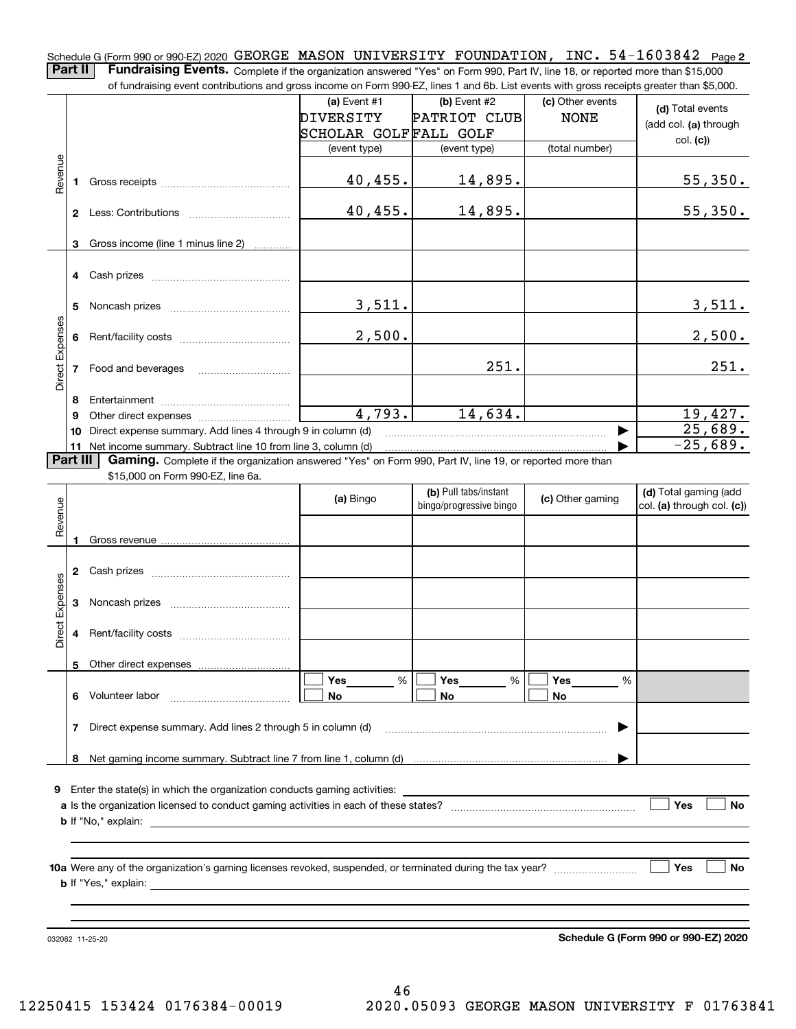Schedule G (Form 990 or 990-EZ) 2020 <code>GEORGE MASON UNIVERSITY FOUNDATION</code> , <code>INC. 54-1603842 Page 2</code> **Part II** | Fundraising Events. Complete if the organization answered "Yes" on Form 990, Part IV, line 18, or reported more than \$15,000

of fundraising event contributions and gross income on Form 990-EZ, lines 1 and 6b. List events with gross receipts greater than \$5,000. (c) Other events **(a)** Event #1  $\vert$  **(b)** Event #2 **(d)**  Total events PATRIOT CLUB NONE DIVERSITY (add col. **(a)** through SCHOLAR GOLF FALL GOLF col. **(c)**) (event type) (event type) (total number) Revenue Revenue 40,455. 14,895. 55,350. **1**Gross receipts ~~~~~~~~~~~~~~ 40,455. 14,895. 55,350. **2** Less: Contributions ................................ Gross income (line 1 minus line 2) **3**. . . . . . . . . . . . **4** Cash prizes <sub>……………………………………</sub> 3,511. 3,511. **5** Noncash prizes \_\_\_\_\_\_\_\_\_\_\_\_\_\_\_\_\_\_\_\_\_\_\_\_\_\_\_\_ Direct Expenses Direct Expense 2,500. 2,500. **6**Rent/facility costs ~~~~~~~~~~~~251. 251. **7**Food and beverages **8**Entertainment ~~~~~~~~~~~~~~ 4,793. 14,634. 19,427. Other direct expenses ~~~~~~~~~~ **9**25,689.  $\blacktriangleright$ **10** Direct expense summary. Add lines 4 through 9 in column (d)  $-25,689$ . …… ▶ **11** Net income summary. Subtract line 10 from line 3, column (d) **Part III | Gaming.** Complete if the organization answered "Yes" on Form 990, Part IV, line 19, or reported more than \$15,000 on Form 990-EZ, line 6a. **(b)**  Pull tabs/instant **(d)**  Total gaming (add **(a)**  Revenue Bingo **Contract of Contract Contract Contract Contract Contract Contract Contract Contract Contract Contract Contract Contract Contract Contract Contract Contract Contract Contract Contract Contract Contract Contract Contr** Revenue bingo/progressive bingo col. **(a)** through col. **(c)**) **1**Gross revenue **2** Cash prizes <sub>……………………………………</sub> Direct Expenses Direct Expenses **3**Noncash prizes **4**Rent/facility costs ~~~~~~~~~~~~**5**Other direct expenses  $\boxed{\Box}$  Yes \_\_\_\_\_\_\_ %  $\boxed{\Box}$  Yes \_\_\_\_\_\_\_ %  $\boxed{\Box}$  $\mathcal{L}^{\text{max}}$ %**Yes Yes Yes** % %  $\mathcal{L}^{\text{max}}$ **6** Volunteer labor **No**Volunteer labor \_\_\_\_\_\_\_\_\_\_\_\_\_\_\_\_\_\_\_\_\_\_\_\_\_\_\_\_\_ **No No 7**Direct expense summary. Add lines 2 through 5 in column (d) | …… ▶ **8**Net gaming income summary. Subtract line 7 from line 1, column (d) **9**Enter the state(s) in which the organization conducts gaming activities: **Yes**  $\mathcal{L}^{\text{max}}$ **a**Is the organization licensed to conduct gaming activities in each of these states? ~~~~~~~~~~~~~~~~~~~~ **No b**If "No," explain:

**10a**Were any of the organization's gaming licenses revoked, suspended, or terminated during the tax year? **b** If "Yes," explain: **Yes**

032082 11-25-20

**Schedule G (Form 990 or 990-EZ) 2020**

**No**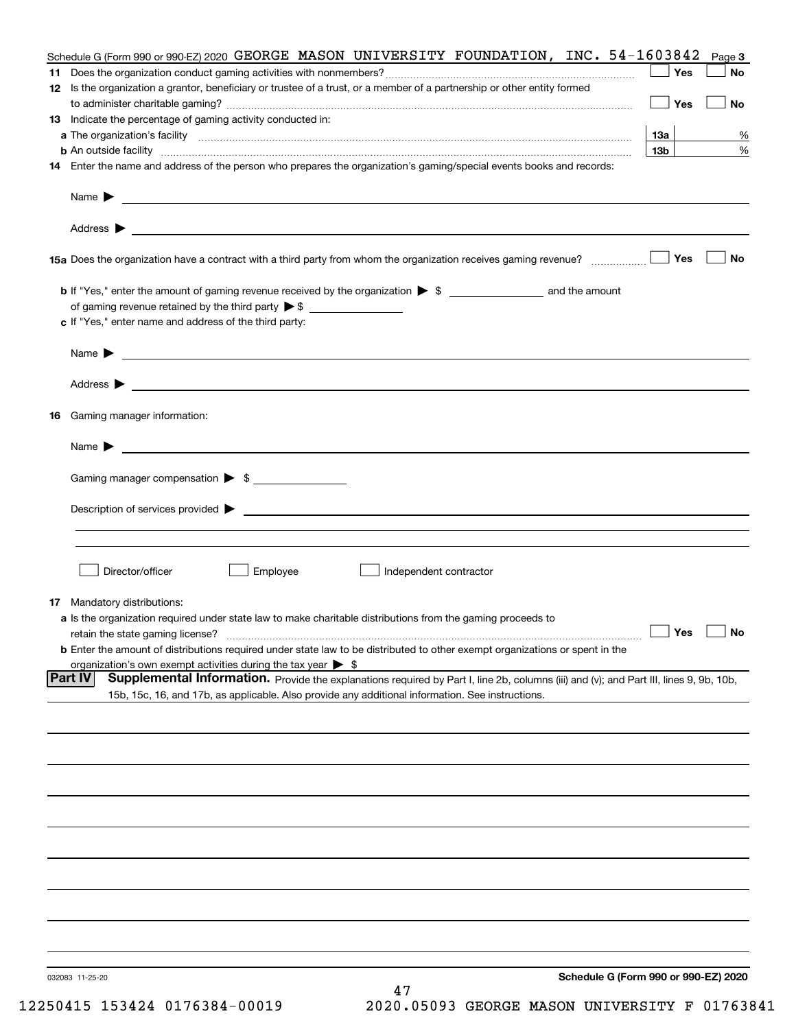|    | Schedule G (Form 990 or 990-EZ) 2020 GEORGE MASON UNIVERSITY FOUNDATION, INC. 54-1603842                                                                 |                 | Page 3    |
|----|----------------------------------------------------------------------------------------------------------------------------------------------------------|-----------------|-----------|
|    |                                                                                                                                                          | Yes             | No        |
|    | 12 Is the organization a grantor, beneficiary or trustee of a trust, or a member of a partnership or other entity formed                                 | Yes             | No        |
|    | 13 Indicate the percentage of gaming activity conducted in:                                                                                              |                 |           |
|    |                                                                                                                                                          | 13а             | %         |
|    |                                                                                                                                                          | 13 <sub>b</sub> | %         |
|    | 14 Enter the name and address of the person who prepares the organization's gaming/special events books and records:                                     |                 |           |
|    |                                                                                                                                                          |                 |           |
|    |                                                                                                                                                          |                 |           |
|    |                                                                                                                                                          | Yes             | No        |
|    |                                                                                                                                                          |                 |           |
|    | of gaming revenue retained by the third party $\triangleright$ \$                                                                                        |                 |           |
|    | c If "Yes," enter name and address of the third party:                                                                                                   |                 |           |
|    | <u> 1989 - Johann Barbara, marka a shekara tsa na shekara tsa na shekara tsa na shekara tsa na shekara tsa na sh</u><br>Name $\blacktriangleright$       |                 |           |
|    | Address $\blacktriangleright$                                                                                                                            |                 |           |
| 16 | Gaming manager information:                                                                                                                              |                 |           |
|    | $Name \rightarrow$                                                                                                                                       |                 |           |
|    | Gaming manager compensation > \$                                                                                                                         |                 |           |
|    |                                                                                                                                                          |                 |           |
|    |                                                                                                                                                          |                 |           |
|    |                                                                                                                                                          |                 |           |
|    |                                                                                                                                                          |                 |           |
|    | Director/officer<br>Employee<br>Independent contractor                                                                                                   |                 |           |
|    | <b>17</b> Mandatory distributions:                                                                                                                       |                 |           |
|    | a Is the organization required under state law to make charitable distributions from the gaming proceeds to                                              |                 |           |
|    | retain the state gaming license?                                                                                                                         | $\Box$ Yes      | $\Box$ No |
|    | <b>b</b> Enter the amount of distributions required under state law to be distributed to other exempt organizations or spent in the                      |                 |           |
|    | organization's own exempt activities during the tax year $\triangleright$ \$                                                                             |                 |           |
|    | <b>Part IV</b><br>Supplemental Information. Provide the explanations required by Part I, line 2b, columns (iii) and (v); and Part III, lines 9, 9b, 10b, |                 |           |
|    | 15b, 15c, 16, and 17b, as applicable. Also provide any additional information. See instructions.                                                         |                 |           |
|    |                                                                                                                                                          |                 |           |
|    |                                                                                                                                                          |                 |           |
|    |                                                                                                                                                          |                 |           |
|    |                                                                                                                                                          |                 |           |
|    |                                                                                                                                                          |                 |           |
|    |                                                                                                                                                          |                 |           |
|    |                                                                                                                                                          |                 |           |
|    |                                                                                                                                                          |                 |           |
|    |                                                                                                                                                          |                 |           |
|    | Schedule G (Form 990 or 990-EZ) 2020<br>032083 11-25-20<br>47                                                                                            |                 |           |
|    |                                                                                                                                                          |                 |           |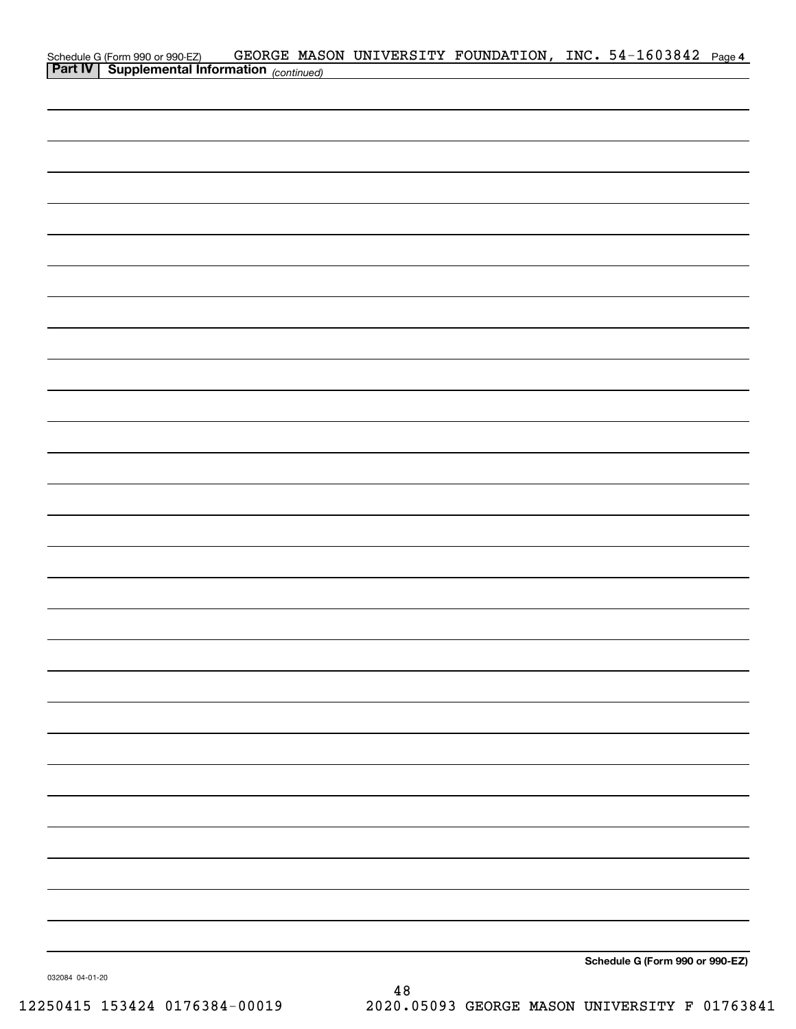| Schedule G (Form 990 or 990-EZ) GEORGE MAS<br><b>Part IV</b> Supplemental Information (continued) |  | GEORGE MASON UNIVERSITY FOUNDATION, INC. 54-1603842 Page 4 |                                 |  |
|---------------------------------------------------------------------------------------------------|--|------------------------------------------------------------|---------------------------------|--|
|                                                                                                   |  |                                                            |                                 |  |
|                                                                                                   |  |                                                            |                                 |  |
|                                                                                                   |  |                                                            |                                 |  |
|                                                                                                   |  |                                                            |                                 |  |
|                                                                                                   |  |                                                            |                                 |  |
|                                                                                                   |  |                                                            |                                 |  |
|                                                                                                   |  |                                                            |                                 |  |
|                                                                                                   |  |                                                            |                                 |  |
|                                                                                                   |  |                                                            |                                 |  |
|                                                                                                   |  |                                                            |                                 |  |
|                                                                                                   |  |                                                            |                                 |  |
|                                                                                                   |  |                                                            |                                 |  |
|                                                                                                   |  |                                                            |                                 |  |
|                                                                                                   |  |                                                            |                                 |  |
|                                                                                                   |  |                                                            |                                 |  |
|                                                                                                   |  |                                                            |                                 |  |
|                                                                                                   |  |                                                            |                                 |  |
|                                                                                                   |  |                                                            |                                 |  |
|                                                                                                   |  |                                                            |                                 |  |
|                                                                                                   |  |                                                            |                                 |  |
|                                                                                                   |  |                                                            |                                 |  |
|                                                                                                   |  |                                                            |                                 |  |
|                                                                                                   |  |                                                            |                                 |  |
|                                                                                                   |  |                                                            |                                 |  |
|                                                                                                   |  |                                                            |                                 |  |
|                                                                                                   |  |                                                            |                                 |  |
|                                                                                                   |  |                                                            |                                 |  |
|                                                                                                   |  |                                                            |                                 |  |
|                                                                                                   |  |                                                            |                                 |  |
|                                                                                                   |  |                                                            |                                 |  |
|                                                                                                   |  |                                                            |                                 |  |
|                                                                                                   |  |                                                            |                                 |  |
|                                                                                                   |  |                                                            |                                 |  |
|                                                                                                   |  |                                                            |                                 |  |
|                                                                                                   |  |                                                            |                                 |  |
|                                                                                                   |  |                                                            |                                 |  |
|                                                                                                   |  |                                                            |                                 |  |
|                                                                                                   |  |                                                            |                                 |  |
|                                                                                                   |  |                                                            |                                 |  |
|                                                                                                   |  |                                                            |                                 |  |
|                                                                                                   |  |                                                            |                                 |  |
|                                                                                                   |  |                                                            | Schedule G (Form 990 or 990-EZ) |  |

032084 04-01-20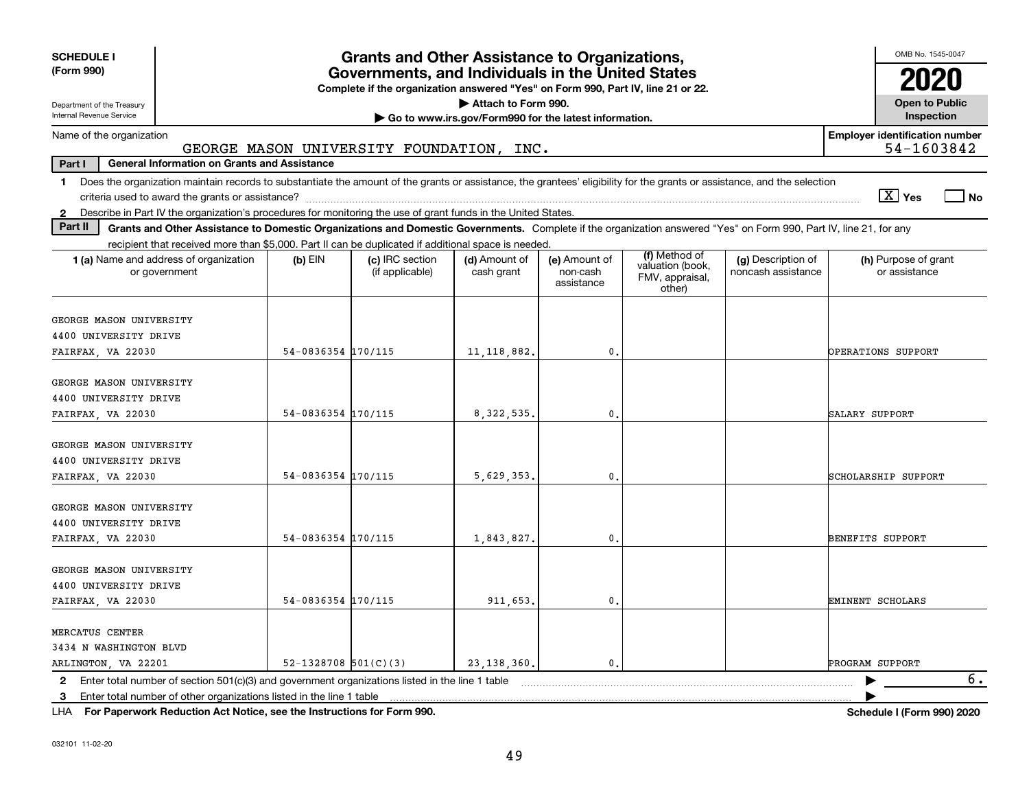| <b>SCHEDULE I</b><br>(Form 990)                                                                                                                                                                                                                                           |                            | <b>Grants and Other Assistance to Organizations,</b><br>Governments, and Individuals in the United States |                             |                                         |                                                                |                                          | OMB No. 1545-0047                     |  |  |  |
|---------------------------------------------------------------------------------------------------------------------------------------------------------------------------------------------------------------------------------------------------------------------------|----------------------------|-----------------------------------------------------------------------------------------------------------|-----------------------------|-----------------------------------------|----------------------------------------------------------------|------------------------------------------|---------------------------------------|--|--|--|
|                                                                                                                                                                                                                                                                           |                            | Complete if the organization answered "Yes" on Form 990, Part IV, line 21 or 22.                          |                             |                                         |                                                                |                                          | 2020                                  |  |  |  |
| Attach to Form 990.<br>Department of the Treasury                                                                                                                                                                                                                         |                            |                                                                                                           |                             |                                         |                                                                |                                          |                                       |  |  |  |
| Internal Revenue Service<br>Go to www.irs.gov/Form990 for the latest information.                                                                                                                                                                                         |                            |                                                                                                           |                             |                                         |                                                                |                                          |                                       |  |  |  |
| <b>Employer identification number</b><br>Name of the organization<br>54-1603842<br>GEORGE MASON UNIVERSITY FOUNDATION, INC.                                                                                                                                               |                            |                                                                                                           |                             |                                         |                                                                |                                          |                                       |  |  |  |
| Part I<br><b>General Information on Grants and Assistance</b>                                                                                                                                                                                                             |                            |                                                                                                           |                             |                                         |                                                                |                                          |                                       |  |  |  |
| Does the organization maintain records to substantiate the amount of the grants or assistance, the grantees' eligibility for the grants or assistance, and the selection<br>1.                                                                                            |                            |                                                                                                           |                             |                                         |                                                                |                                          | $\boxed{\text{X}}$ Yes<br>l No        |  |  |  |
| Describe in Part IV the organization's procedures for monitoring the use of grant funds in the United States.<br>$\mathbf{2}$<br>Part II                                                                                                                                  |                            |                                                                                                           |                             |                                         |                                                                |                                          |                                       |  |  |  |
| Grants and Other Assistance to Domestic Organizations and Domestic Governments. Complete if the organization answered "Yes" on Form 990, Part IV, line 21, for any<br>recipient that received more than \$5,000. Part II can be duplicated if additional space is needed. |                            |                                                                                                           |                             |                                         |                                                                |                                          |                                       |  |  |  |
| 1 (a) Name and address of organization<br>or government                                                                                                                                                                                                                   | $(b)$ EIN                  | (c) IRC section<br>(if applicable)                                                                        | (d) Amount of<br>cash grant | (e) Amount of<br>non-cash<br>assistance | (f) Method of<br>valuation (book,<br>FMV, appraisal,<br>other) | (g) Description of<br>noncash assistance | (h) Purpose of grant<br>or assistance |  |  |  |
| GEORGE MASON UNIVERSITY<br>4400 UNIVERSITY DRIVE                                                                                                                                                                                                                          |                            |                                                                                                           |                             |                                         |                                                                |                                          |                                       |  |  |  |
| FAIRFAX, VA 22030                                                                                                                                                                                                                                                         | 54-0836354 170/115         |                                                                                                           | 11, 118, 882.               | $\mathbf{0}$                            |                                                                |                                          | OPERATIONS SUPPORT                    |  |  |  |
| GEORGE MASON UNIVERSITY<br>4400 UNIVERSITY DRIVE<br>FAIRFAX, VA 22030                                                                                                                                                                                                     | 54-0836354 170/115         |                                                                                                           | 8, 322, 535,                | $\mathbf{0}$                            |                                                                |                                          | SALARY SUPPORT                        |  |  |  |
| GEORGE MASON UNIVERSITY<br>4400 UNIVERSITY DRIVE<br>FAIRFAX, VA 22030                                                                                                                                                                                                     | 54-0836354 170/115         |                                                                                                           | 5,629,353,                  | $\mathbf{0}$                            |                                                                |                                          | SCHOLARSHIP SUPPORT                   |  |  |  |
| GEORGE MASON UNIVERSITY<br>4400 UNIVERSITY DRIVE<br>FAIRFAX, VA 22030                                                                                                                                                                                                     | 54-0836354 170/115         |                                                                                                           | 1,843,827.                  | 0.                                      |                                                                |                                          | BENEFITS SUPPORT                      |  |  |  |
| GEORGE MASON UNIVERSITY<br>4400 UNIVERSITY DRIVE<br>FAIRFAX, VA 22030                                                                                                                                                                                                     | 54-0836354 170/115         |                                                                                                           | 911,653.                    | 0.                                      |                                                                |                                          | EMINENT SCHOLARS                      |  |  |  |
| MERCATUS CENTER<br>3434 N WASHINGTON BLVD<br>ARLINGTON, VA 22201                                                                                                                                                                                                          | $52 - 1328708$ $501(C)(3)$ |                                                                                                           | 23, 138, 360.               | $\mathfrak{o}$ .                        |                                                                |                                          | PROGRAM SUPPORT                       |  |  |  |
| 2 Enter total number of section 501(c)(3) and government organizations listed in the line 1 table<br>Enter total number of other organizations listed in the line 1 table<br>3                                                                                            |                            |                                                                                                           |                             |                                         |                                                                |                                          | 6.                                    |  |  |  |

**For Paperwork Reduction Act Notice, see the Instructions for Form 990. Schedule I (Form 990) 2020** LHA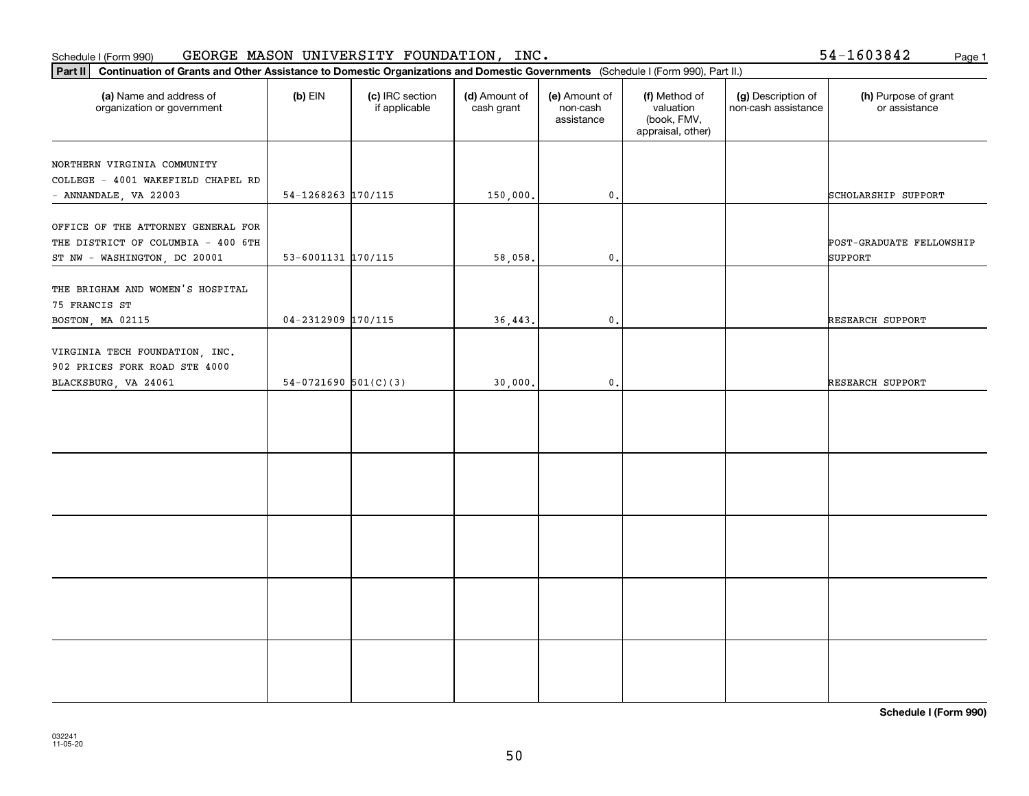#### **Part III Continuation of GEORGE MASON UNIVERSITY**<br>**Part II Continuation of Grants and Other Assistance to Domestic Organization** Schedule I (Form 990) GEORGE MASON UNIVERSITY FOUNDATION, INC. 54-1603842 <sub>Page 1</sub>

54-1603842

| Part II<br>Continuation of Grants and Other Assistance to Domestic Organizations and Domestic Governments (Schedule I (Form 990), Part II.) |                          |                                  |                             |                                         |                                                                |                                           |                                       |  |  |  |  |
|---------------------------------------------------------------------------------------------------------------------------------------------|--------------------------|----------------------------------|-----------------------------|-----------------------------------------|----------------------------------------------------------------|-------------------------------------------|---------------------------------------|--|--|--|--|
| (a) Name and address of<br>organization or government                                                                                       | $(b)$ EIN                | (c) IRC section<br>if applicable | (d) Amount of<br>cash grant | (e) Amount of<br>non-cash<br>assistance | (f) Method of<br>valuation<br>(book, FMV,<br>appraisal, other) | (g) Description of<br>non-cash assistance | (h) Purpose of grant<br>or assistance |  |  |  |  |
| NORTHERN VIRGINIA COMMUNITY<br>COLLEGE - 4001 WAKEFIELD CHAPEL RD<br>- ANNANDALE, VA 22003                                                  | 54-1268263 170/115       |                                  | 150,000.                    | $\mathfrak o$ .                         |                                                                |                                           | SCHOLARSHIP SUPPORT                   |  |  |  |  |
| OFFICE OF THE ATTORNEY GENERAL FOR<br>THE DISTRICT OF COLUMBIA - 400 6TH<br>ST NW - WASHINGTON, DC 20001                                    | $53 - 6001131$ 170/115   |                                  | 58,058.                     | $\mathbf{0}$                            |                                                                |                                           | POST-GRADUATE FELLOWSHIP<br>SUPPORT   |  |  |  |  |
| THE BRIGHAM AND WOMEN'S HOSPITAL<br>75 FRANCIS ST<br>BOSTON, MA 02115                                                                       | $04 - 2312909$ 170/115   |                                  | 36,443.                     | $\mathbf 0$ .                           |                                                                |                                           | RESEARCH SUPPORT                      |  |  |  |  |
| VIRGINIA TECH FOUNDATION, INC.<br>902 PRICES FORK ROAD STE 4000<br>BLACKSBURG, VA 24061                                                     | $54-0721690$ $501(C)(3)$ |                                  | 30,000.                     | $\mathfrak o$ .                         |                                                                |                                           | RESEARCH SUPPORT                      |  |  |  |  |
|                                                                                                                                             |                          |                                  |                             |                                         |                                                                |                                           |                                       |  |  |  |  |
|                                                                                                                                             |                          |                                  |                             |                                         |                                                                |                                           |                                       |  |  |  |  |
|                                                                                                                                             |                          |                                  |                             |                                         |                                                                |                                           |                                       |  |  |  |  |
|                                                                                                                                             |                          |                                  |                             |                                         |                                                                |                                           |                                       |  |  |  |  |
|                                                                                                                                             |                          |                                  |                             |                                         |                                                                |                                           |                                       |  |  |  |  |

**Schedule I (Form 990)**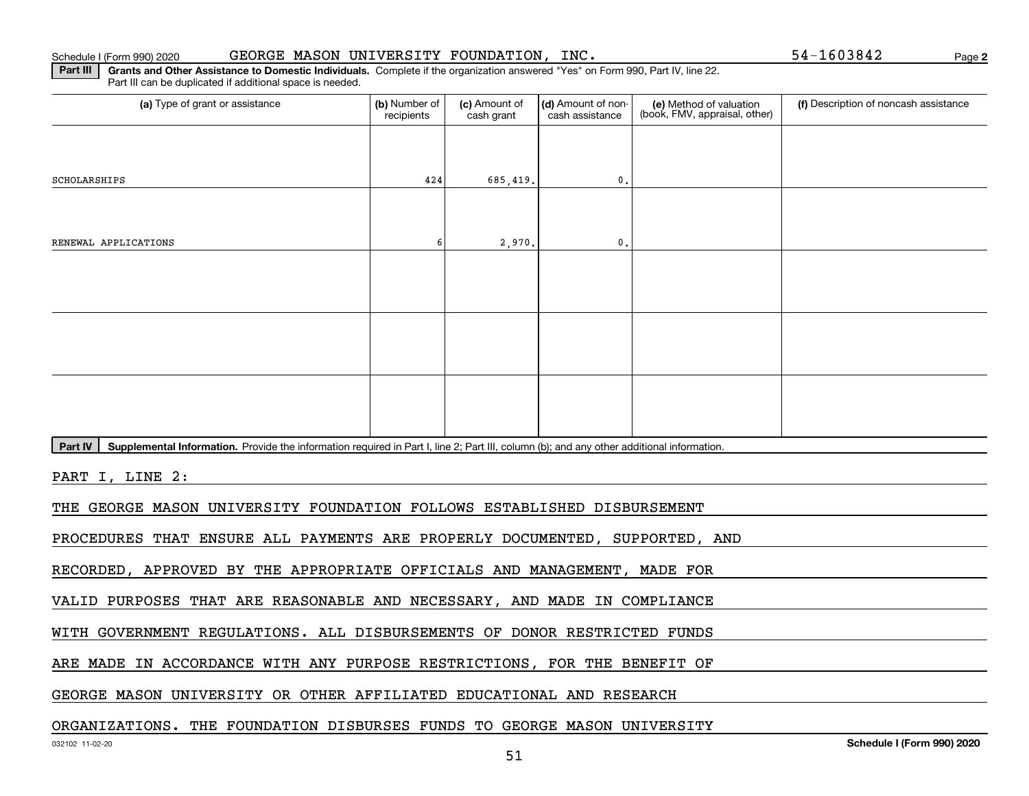Schedule I (Form 990) 2020 GEORGE MASON UNIVERSITY FOUNDATION, INC. 54-1603842 Page

**2**

**Part III | Grants and Other Assistance to Domestic Individuals. Complete if the organization answered "Yes" on Form 990, Part IV, line 22.** Part III can be duplicated if additional space is needed.

| (a) Type of grant or assistance                                                                                                                      | (b) Number of<br>recipients | (c) Amount of<br>cash grant | (d) Amount of non-<br>cash assistance | (e) Method of valuation<br>(book, FMV, appraisal, other) | (f) Description of noncash assistance |
|------------------------------------------------------------------------------------------------------------------------------------------------------|-----------------------------|-----------------------------|---------------------------------------|----------------------------------------------------------|---------------------------------------|
|                                                                                                                                                      |                             |                             |                                       |                                                          |                                       |
| SCHOLARSHIPS                                                                                                                                         | 424                         | 685,419.                    | $\mathbf{0}$                          |                                                          |                                       |
|                                                                                                                                                      |                             |                             |                                       |                                                          |                                       |
| RENEWAL APPLICATIONS                                                                                                                                 | 6                           | 2,970.                      | $\mathbf{0}$                          |                                                          |                                       |
|                                                                                                                                                      |                             |                             |                                       |                                                          |                                       |
|                                                                                                                                                      |                             |                             |                                       |                                                          |                                       |
|                                                                                                                                                      |                             |                             |                                       |                                                          |                                       |
|                                                                                                                                                      |                             |                             |                                       |                                                          |                                       |
|                                                                                                                                                      |                             |                             |                                       |                                                          |                                       |
|                                                                                                                                                      |                             |                             |                                       |                                                          |                                       |
| Part IV<br>Supplemental Information. Provide the information required in Part I, line 2; Part III, column (b); and any other additional information. |                             |                             |                                       |                                                          |                                       |
| PART I, LINE 2:                                                                                                                                      |                             |                             |                                       |                                                          |                                       |
| THE GEORGE MASON UNIVERSITY FOUNDATION FOLLOWS ESTABLISHED DISBURSEMENT                                                                              |                             |                             |                                       |                                                          |                                       |
| PROCEDURES THAT ENSURE ALL PAYMENTS ARE PROPERLY DOCUMENTED, SUPPORTED, AND                                                                          |                             |                             |                                       |                                                          |                                       |
| RECORDED, APPROVED BY THE APPROPRIATE OFFICIALS AND MANAGEMENT, MADE FOR                                                                             |                             |                             |                                       |                                                          |                                       |
| VALID PURPOSES THAT ARE REASONABLE AND NECESSARY, AND MADE IN COMPLIANCE                                                                             |                             |                             |                                       |                                                          |                                       |
| WITH GOVERNMENT REGULATIONS. ALL DISBURSEMENTS OF DONOR RESTRICTED FUNDS                                                                             |                             |                             |                                       |                                                          |                                       |

ARE MADE IN ACCORDANCE WITH ANY PURPOSE RESTRICTIONS, FOR THE BENEFIT OF

GEORGE MASON UNIVERSITY OR OTHER AFFILIATED EDUCATIONAL AND RESEARCH

### ORGANIZATIONS. THE FOUNDATION DISBURSES FUNDS TO GEORGE MASON UNIVERSITY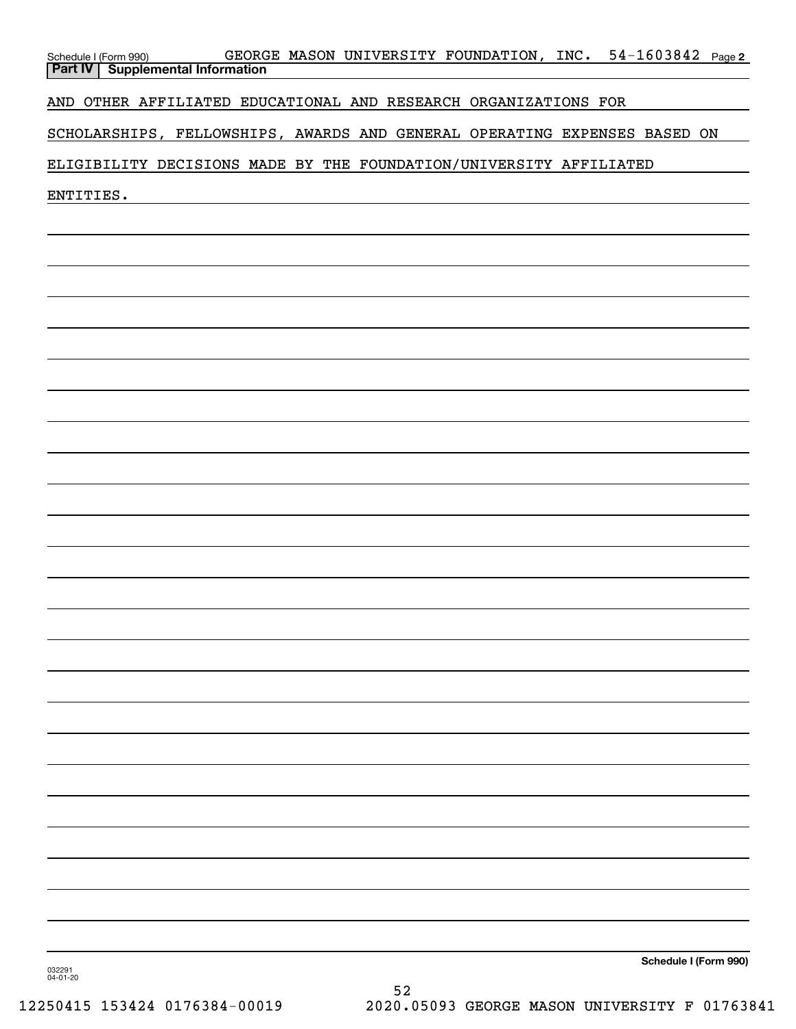| GEORGE MASON UNIVERSITY FOUNDATION, INC. 54-1603842 Page 2<br>Schedule I (Form 990)<br><b>Supplemental Information</b><br><b>Part IV</b> |
|------------------------------------------------------------------------------------------------------------------------------------------|
| AND OTHER AFFILIATED EDUCATIONAL AND RESEARCH ORGANIZATIONS FOR                                                                          |
| SCHOLARSHIPS, FELLOWSHIPS, AWARDS AND GENERAL OPERATING EXPENSES BASED ON                                                                |
| ELIGIBILITY DECISIONS MADE BY THE FOUNDATION/UNIVERSITY AFFILIATED                                                                       |
| ENTITIES.                                                                                                                                |
|                                                                                                                                          |
|                                                                                                                                          |
|                                                                                                                                          |
|                                                                                                                                          |
|                                                                                                                                          |
|                                                                                                                                          |
|                                                                                                                                          |
|                                                                                                                                          |
|                                                                                                                                          |
|                                                                                                                                          |
|                                                                                                                                          |
|                                                                                                                                          |
|                                                                                                                                          |
|                                                                                                                                          |
|                                                                                                                                          |
|                                                                                                                                          |
|                                                                                                                                          |
|                                                                                                                                          |
|                                                                                                                                          |
|                                                                                                                                          |
|                                                                                                                                          |
|                                                                                                                                          |
|                                                                                                                                          |
| Schedule I (Form 990)<br>032291<br>04-01-20                                                                                              |

52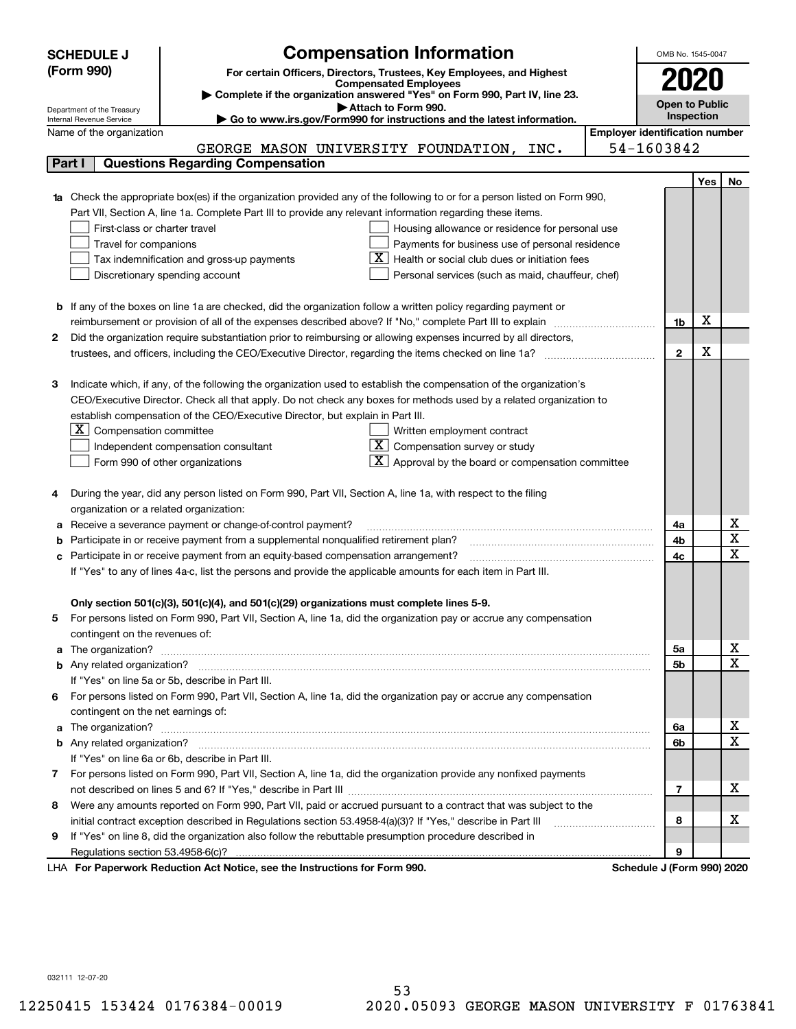|        | <b>Compensation Information</b><br><b>SCHEDULE J</b>                                                                                                    |            |              | OMB No. 1545-0047     |                         |
|--------|---------------------------------------------------------------------------------------------------------------------------------------------------------|------------|--------------|-----------------------|-------------------------|
|        | (Form 990)<br>For certain Officers, Directors, Trustees, Key Employees, and Highest                                                                     |            |              |                       |                         |
|        | <b>Compensated Employees</b>                                                                                                                            |            |              | 2020                  |                         |
|        | Complete if the organization answered "Yes" on Form 990, Part IV, line 23.                                                                              |            |              | <b>Open to Public</b> |                         |
|        | Attach to Form 990.<br>Department of the Treasury<br>Go to www.irs.gov/Form990 for instructions and the latest information.<br>Internal Revenue Service |            |              | Inspection            |                         |
|        | <b>Employer identification number</b><br>Name of the organization                                                                                       |            |              |                       |                         |
|        | GEORGE MASON UNIVERSITY FOUNDATION, INC.                                                                                                                | 54-1603842 |              |                       |                         |
| Part I | <b>Questions Regarding Compensation</b>                                                                                                                 |            |              |                       |                         |
|        |                                                                                                                                                         |            |              | Yes                   | No                      |
|        | 1a Check the appropriate box(es) if the organization provided any of the following to or for a person listed on Form 990,                               |            |              |                       |                         |
|        | Part VII, Section A, line 1a. Complete Part III to provide any relevant information regarding these items.                                              |            |              |                       |                         |
|        | First-class or charter travel<br>Housing allowance or residence for personal use                                                                        |            |              |                       |                         |
|        | Travel for companions<br>Payments for business use of personal residence                                                                                |            |              |                       |                         |
|        | Health or social club dues or initiation fees<br>Tax indemnification and gross-up payments                                                              |            |              |                       |                         |
|        | Discretionary spending account<br>Personal services (such as maid, chauffeur, chef)                                                                     |            |              |                       |                         |
|        |                                                                                                                                                         |            |              |                       |                         |
|        | <b>b</b> If any of the boxes on line 1a are checked, did the organization follow a written policy regarding payment or                                  |            |              |                       |                         |
|        | reimbursement or provision of all of the expenses described above? If "No," complete Part III to explain                                                |            | 1b           | X                     |                         |
| 2      | Did the organization require substantiation prior to reimbursing or allowing expenses incurred by all directors,                                        |            |              |                       |                         |
|        | trustees, and officers, including the CEO/Executive Director, regarding the items checked on line 1a?                                                   |            | $\mathbf{2}$ | X                     |                         |
|        |                                                                                                                                                         |            |              |                       |                         |
| з      | Indicate which, if any, of the following the organization used to establish the compensation of the organization's                                      |            |              |                       |                         |
|        | CEO/Executive Director. Check all that apply. Do not check any boxes for methods used by a related organization to                                      |            |              |                       |                         |
|        | establish compensation of the CEO/Executive Director, but explain in Part III.                                                                          |            |              |                       |                         |
|        | $X$ Compensation committee<br>Written employment contract                                                                                               |            |              |                       |                         |
|        | $X$ Compensation survey or study<br>Independent compensation consultant                                                                                 |            |              |                       |                         |
|        | $\mathbf{X}$ Approval by the board or compensation committee<br>Form 990 of other organizations                                                         |            |              |                       |                         |
|        |                                                                                                                                                         |            |              |                       |                         |
|        | During the year, did any person listed on Form 990, Part VII, Section A, line 1a, with respect to the filing                                            |            |              |                       |                         |
|        | organization or a related organization:                                                                                                                 |            |              |                       |                         |
| а      | Receive a severance payment or change-of-control payment?                                                                                               |            | 4a           |                       | х                       |
| b      | Participate in or receive payment from a supplemental nonqualified retirement plan?                                                                     |            | 4b           |                       | $\overline{\texttt{x}}$ |
| с      | Participate in or receive payment from an equity-based compensation arrangement?                                                                        |            | 4c           |                       | $\overline{\text{x}}$   |
|        | If "Yes" to any of lines 4a-c, list the persons and provide the applicable amounts for each item in Part III.                                           |            |              |                       |                         |
|        |                                                                                                                                                         |            |              |                       |                         |
|        | Only section 501(c)(3), 501(c)(4), and 501(c)(29) organizations must complete lines 5-9.                                                                |            |              |                       |                         |
|        | For persons listed on Form 990, Part VII, Section A, line 1a, did the organization pay or accrue any compensation                                       |            |              |                       |                         |
|        | contingent on the revenues of:                                                                                                                          |            |              |                       |                         |
| а      |                                                                                                                                                         |            | 5а           |                       | x                       |
|        |                                                                                                                                                         |            | <b>5b</b>    |                       | $\overline{\text{x}}$   |
|        | If "Yes" on line 5a or 5b, describe in Part III.                                                                                                        |            |              |                       |                         |
| 6.     | For persons listed on Form 990, Part VII, Section A, line 1a, did the organization pay or accrue any compensation                                       |            |              |                       |                         |
|        | contingent on the net earnings of:                                                                                                                      |            |              |                       |                         |
| a      |                                                                                                                                                         |            | 6a           |                       | x                       |
|        |                                                                                                                                                         |            | 6b           |                       | $\overline{\text{x}}$   |
|        | If "Yes" on line 6a or 6b, describe in Part III.                                                                                                        |            |              |                       |                         |
|        | 7 For persons listed on Form 990, Part VII, Section A, line 1a, did the organization provide any nonfixed payments                                      |            |              |                       |                         |
|        |                                                                                                                                                         |            | 7            |                       | х                       |
| 8      | Were any amounts reported on Form 990, Part VII, paid or accrued pursuant to a contract that was subject to the                                         |            |              |                       |                         |
|        | initial contract exception described in Regulations section 53.4958-4(a)(3)? If "Yes," describe in Part III                                             |            | 8            |                       | x                       |
| 9      | If "Yes" on line 8, did the organization also follow the rebuttable presumption procedure described in                                                  |            |              |                       |                         |
|        |                                                                                                                                                         |            | 9            |                       |                         |
|        | sucely Deduction Act Nation, and the Instructions for Form 000<br><b>Cohodule I</b> (Found                                                              |            |              |                       |                         |

**For Paperwork Reduction Act Notice, see the Instructions for Form 990. Schedule J (Form 990) 2020** LHA

032111 12-07-20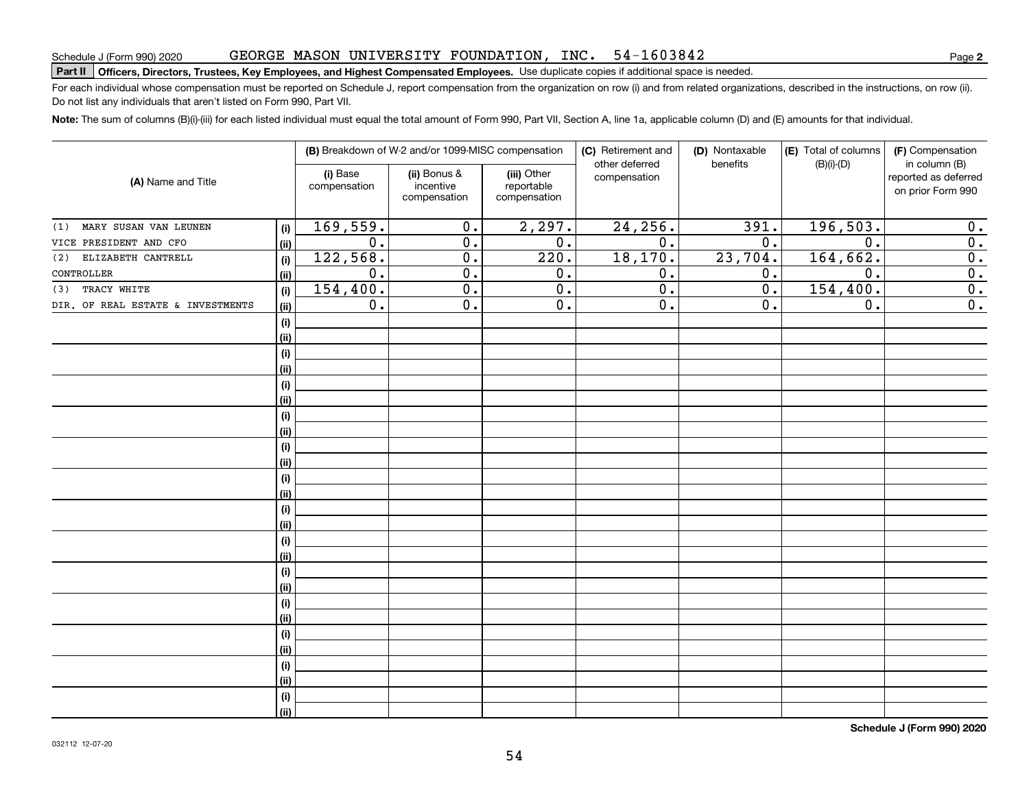#### GEORGE MASON UNIVERSITY FOUNDATION, INC. 54-1603842

# Schedule J (Form 990) 2020 GEORGE MASON UNIVERSITY FOUNDATION, INC。 54-I 6 0 3 8 4 Z<br>Part II | Officers, Directors, Trustees, Key Employees, and Highest Compensated Employees. Use duplicate copies if a

For each individual whose compensation must be reported on Schedule J, report compensation from the organization on row (i) and from related organizations, described in the instructions, on row (ii). Do not list any individuals that aren't listed on Form 990, Part VII.

**Note:**  The sum of columns (B)(i)-(iii) for each listed individual must equal the total amount of Form 990, Part VII, Section A, line 1a, applicable column (D) and (E) amounts for that individual.

|                                   |             |                          | (B) Breakdown of W-2 and/or 1099-MISC compensation |                                           | (C) Retirement and             | (D) Nontaxable | (E) Total of columns | (F) Compensation<br>in column (B)         |  |
|-----------------------------------|-------------|--------------------------|----------------------------------------------------|-------------------------------------------|--------------------------------|----------------|----------------------|-------------------------------------------|--|
| (A) Name and Title                |             | (i) Base<br>compensation | (ii) Bonus &<br>incentive<br>compensation          | (iii) Other<br>reportable<br>compensation | other deferred<br>compensation | benefits       | $(B)(i)-(D)$         | reported as deferred<br>on prior Form 990 |  |
| MARY SUSAN VAN LEUNEN<br>(1)      | (i)         | 169,559.                 | $\overline{0}$ .                                   | 2,297.                                    | 24, 256.                       | 391.           | 196, 503.            | 0.                                        |  |
| VICE PRESIDENT AND CFO            | (ii)        | $\overline{0}$ .         | $\overline{0}$ .                                   | $\overline{0}$ .                          | $\overline{0}$ .               | 0.             | $\overline{0}$ .     | $\overline{0}$ .                          |  |
| ELIZABETH CANTRELL<br>(2)         | (i)         | 122,568.                 | $\overline{0}$ .                                   | 220.                                      | 18, 170.                       | 23,704.        | 164, 662.            | $\overline{0}$ .                          |  |
| CONTROLLER                        | (ii)        | 0.                       | $\overline{0}$ .                                   | 0.                                        | 0.                             | 0.             | 0.                   | $\overline{0}$ .                          |  |
| TRACY WHITE<br>(3)                | (i)         | 154,400.                 | $\overline{0}$ .                                   | $\overline{0}$ .                          | $\overline{0}$ .               | 0.             | 154,400.             | $\overline{0}$ .                          |  |
| DIR. OF REAL ESTATE & INVESTMENTS | (ii)        | 0.                       | $\overline{0}$ .                                   | $0$ .                                     | 0.                             | 0.             | 0.                   | $\overline{0}$ .                          |  |
|                                   | (i)         |                          |                                                    |                                           |                                |                |                      |                                           |  |
|                                   | (ii)        |                          |                                                    |                                           |                                |                |                      |                                           |  |
|                                   | (i)         |                          |                                                    |                                           |                                |                |                      |                                           |  |
|                                   | (ii)        |                          |                                                    |                                           |                                |                |                      |                                           |  |
|                                   | (i)         |                          |                                                    |                                           |                                |                |                      |                                           |  |
|                                   | (ii)        |                          |                                                    |                                           |                                |                |                      |                                           |  |
|                                   | (i)         |                          |                                                    |                                           |                                |                |                      |                                           |  |
|                                   | (ii)        |                          |                                                    |                                           |                                |                |                      |                                           |  |
|                                   | (i)         |                          |                                                    |                                           |                                |                |                      |                                           |  |
|                                   | (ii)        |                          |                                                    |                                           |                                |                |                      |                                           |  |
|                                   | (i)         |                          |                                                    |                                           |                                |                |                      |                                           |  |
|                                   | (ii)        |                          |                                                    |                                           |                                |                |                      |                                           |  |
|                                   | (i)         |                          |                                                    |                                           |                                |                |                      |                                           |  |
|                                   | (ii)        |                          |                                                    |                                           |                                |                |                      |                                           |  |
|                                   | (i)         |                          |                                                    |                                           |                                |                |                      |                                           |  |
|                                   | (ii)        |                          |                                                    |                                           |                                |                |                      |                                           |  |
|                                   | (i)<br>(ii) |                          |                                                    |                                           |                                |                |                      |                                           |  |
|                                   | (i)         |                          |                                                    |                                           |                                |                |                      |                                           |  |
|                                   | (ii)        |                          |                                                    |                                           |                                |                |                      |                                           |  |
|                                   | (i)         |                          |                                                    |                                           |                                |                |                      |                                           |  |
|                                   | (ii)        |                          |                                                    |                                           |                                |                |                      |                                           |  |
|                                   | (i)         |                          |                                                    |                                           |                                |                |                      |                                           |  |
|                                   | (ii)        |                          |                                                    |                                           |                                |                |                      |                                           |  |
|                                   | $(\sf{i})$  |                          |                                                    |                                           |                                |                |                      |                                           |  |
|                                   | (ii)        |                          |                                                    |                                           |                                |                |                      |                                           |  |

**Schedule J (Form 990) 2020**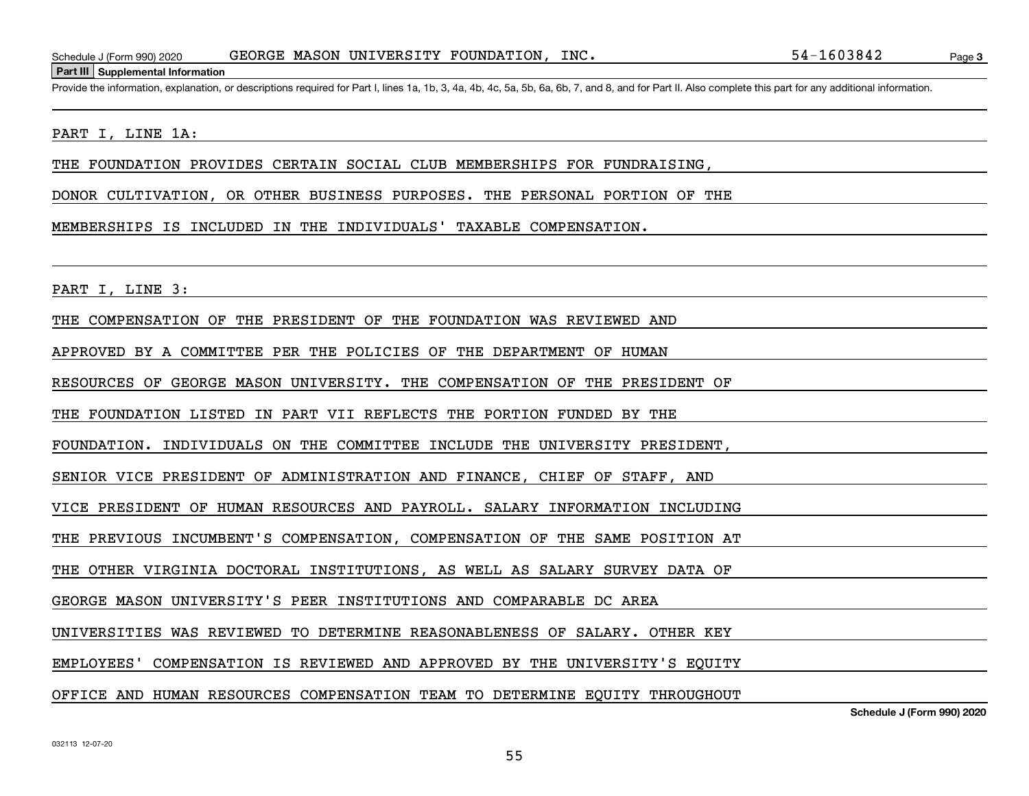#### **Part III Supplemental Information**

Schedule J (Form 990) 2020 GEORGE MASON UNIVERSITY FOUNDATION, INC.<br>Part III Supplemental Information<br>Provide the information, explanation, or descriptions required for Part I, lines 1a, 1b, 3, 4a, 4b, 4c, 5a, 5b, 6a, 6b,

#### PART I, LINE 1A:

THE FOUNDATION PROVIDES CERTAIN SOCIAL CLUB MEMBERSHIPS FOR FUNDRAISING,

DONOR CULTIVATION, OR OTHER BUSINESS PURPOSES. THE PERSONAL PORTION OF THE

#### MEMBERSHIPS IS INCLUDED IN THE INDIVIDUALS' TAXABLE COMPENSATION.

PART I, LINE 3:

THE COMPENSATION OF THE PRESIDENT OF THE FOUNDATION WAS REVIEWED AND

APPROVED BY A COMMITTEE PER THE POLICIES OF THE DEPARTMENT OF HUMAN

RESOURCES OF GEORGE MASON UNIVERSITY. THE COMPENSATION OF THE PRESIDENT OF

THE FOUNDATION LISTED IN PART VII REFLECTS THE PORTION FUNDED BY THE

FOUNDATION. INDIVIDUALS ON THE COMMITTEE INCLUDE THE UNIVERSITY PRESIDENT,

SENIOR VICE PRESIDENT OF ADMINISTRATION AND FINANCE, CHIEF OF STAFF, AND

VICE PRESIDENT OF HUMAN RESOURCES AND PAYROLL. SALARY INFORMATION INCLUDING

THE PREVIOUS INCUMBENT'S COMPENSATION, COMPENSATION OF THE SAME POSITION AT

THE OTHER VIRGINIA DOCTORAL INSTITUTIONS, AS WELL AS SALARY SURVEY DATA OF

GEORGE MASON UNIVERSITY'S PEER INSTITUTIONS AND COMPARABLE DC AREA

UNIVERSITIES WAS REVIEWED TO DETERMINE REASONABLENESS OF SALARY. OTHER KEY

EMPLOYEES' COMPENSATION IS REVIEWED AND APPROVED BY THE UNIVERSITY'S EQUITY

#### OFFICE AND HUMAN RESOURCES COMPENSATION TEAM TO DETERMINE EQUITY THROUGHOUT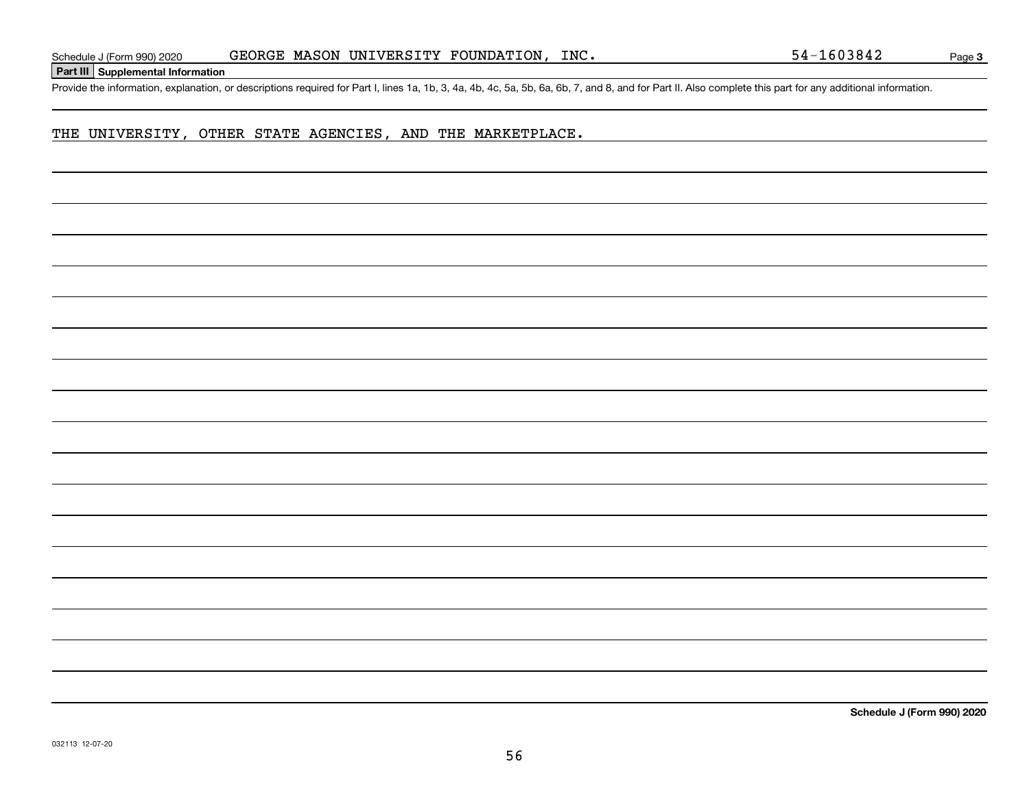**Part III Supplemental Information**

Schedule J (Form 990) 2020 GEORGE MASON UNIVERSITY FOUNDATION, INC.<br>Part III Supplemental Information<br>Provide the information, explanation, or descriptions required for Part I, lines 1a, 1b, 3, 4a, 4b, 4c, 5a, 5b, 6a, 6b,

## THE UNIVERSITY, OTHER STATE AGENCIES, AND THE MARKETPLACE.

**Schedule J (Form 990) 2020**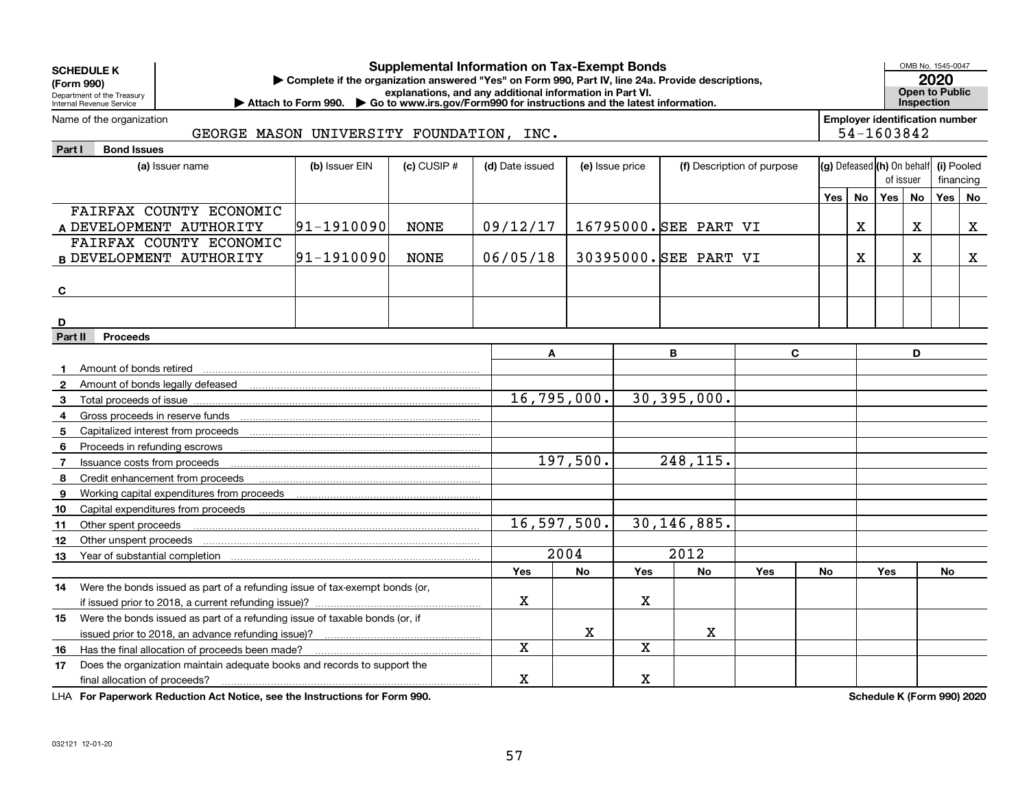| <b>Supplemental Information on Tax-Exempt Bonds</b><br><b>SCHEDULE K</b><br>Complete if the organization answered "Yes" on Form 990, Part IV, line 24a. Provide descriptions,<br>(Form 990)<br>explanations, and any additional information in Part VI.<br>Department of the Treasury<br>▶ Attach to Form 990. ▶ Go to www.irs.gov/Form990 for instructions and the latest information.<br>Internal Revenue Service |                  |                 |                 |                 |             |                       |                            |     |    | OMB No. 1545-0047<br>2020<br><b>Open to Public</b><br>Inspection |             |            |             |
|---------------------------------------------------------------------------------------------------------------------------------------------------------------------------------------------------------------------------------------------------------------------------------------------------------------------------------------------------------------------------------------------------------------------|------------------|-----------------|-----------------|-----------------|-------------|-----------------------|----------------------------|-----|----|------------------------------------------------------------------|-------------|------------|-------------|
| <b>Employer identification number</b><br>Name of the organization<br>GEORGE MASON UNIVERSITY FOUNDATION, INC.                                                                                                                                                                                                                                                                                                       |                  |                 |                 |                 |             |                       |                            |     |    |                                                                  |             |            |             |
|                                                                                                                                                                                                                                                                                                                                                                                                                     |                  |                 |                 |                 |             |                       |                            |     |    | 54-1603842                                                       |             |            |             |
| <b>Bond Issues</b><br>Part I                                                                                                                                                                                                                                                                                                                                                                                        |                  |                 |                 |                 |             |                       |                            |     |    |                                                                  |             |            |             |
| (a) Issuer name                                                                                                                                                                                                                                                                                                                                                                                                     | (b) Issuer EIN   | $(c)$ CUSIP $#$ | (d) Date issued | (e) Issue price |             |                       | (f) Description of purpose |     |    | $(g)$ Defeased $(h)$ On behalf                                   |             | (i) Pooled |             |
|                                                                                                                                                                                                                                                                                                                                                                                                                     |                  |                 |                 |                 |             |                       |                            |     |    | of issuer                                                        |             | financing  |             |
|                                                                                                                                                                                                                                                                                                                                                                                                                     |                  |                 |                 |                 |             |                       |                            | Yes | No | Yes No                                                           |             | Yes        | . No        |
| FAIRFAX COUNTY ECONOMIC                                                                                                                                                                                                                                                                                                                                                                                             |                  |                 |                 |                 |             |                       |                            |     |    |                                                                  |             |            |             |
| A DEVELOPMENT AUTHORITY                                                                                                                                                                                                                                                                                                                                                                                             | $ 91 - 1910090 $ | <b>NONE</b>     | 09/12/17        |                 |             | 16795000. SEE PART VI |                            |     | X  |                                                                  | $\mathbf X$ |            | X           |
| FAIRFAX COUNTY ECONOMIC                                                                                                                                                                                                                                                                                                                                                                                             |                  |                 |                 |                 |             | 30395000. SEE PART VI |                            |     |    |                                                                  | $\mathbf X$ |            |             |
| <b>B DEVELOPMENT AUTHORITY</b>                                                                                                                                                                                                                                                                                                                                                                                      | 91-1910090       | <b>NONE</b>     | 06/05/18        |                 |             |                       |                            |     | X. |                                                                  |             |            | $\mathbf X$ |
|                                                                                                                                                                                                                                                                                                                                                                                                                     |                  |                 |                 |                 |             |                       |                            |     |    |                                                                  |             |            |             |
| C                                                                                                                                                                                                                                                                                                                                                                                                                   |                  |                 |                 |                 |             |                       |                            |     |    |                                                                  |             |            |             |
|                                                                                                                                                                                                                                                                                                                                                                                                                     |                  |                 |                 |                 |             |                       |                            |     |    |                                                                  |             |            |             |
| D                                                                                                                                                                                                                                                                                                                                                                                                                   |                  |                 |                 |                 |             |                       |                            |     |    |                                                                  |             |            |             |
| Part II<br><b>Proceeds</b>                                                                                                                                                                                                                                                                                                                                                                                          |                  |                 |                 |                 |             |                       |                            |     |    |                                                                  |             |            |             |
|                                                                                                                                                                                                                                                                                                                                                                                                                     |                  |                 | A               |                 |             | В                     | C                          |     |    |                                                                  | D           |            |             |
| Amount of bonds retired<br>$\mathbf{1}$                                                                                                                                                                                                                                                                                                                                                                             |                  |                 |                 |                 |             |                       |                            |     |    |                                                                  |             |            |             |
| Amount of bonds legally defeased<br>$\mathbf{2}$                                                                                                                                                                                                                                                                                                                                                                    |                  |                 |                 | 16, 795, 000.   |             | 30,395,000.           |                            |     |    |                                                                  |             |            |             |
| 3<br>Total proceeds of issue                                                                                                                                                                                                                                                                                                                                                                                        |                  |                 |                 |                 |             |                       |                            |     |    |                                                                  |             |            |             |
| 4                                                                                                                                                                                                                                                                                                                                                                                                                   |                  |                 |                 |                 |             |                       |                            |     |    |                                                                  |             |            |             |
| Capitalized interest from proceeds<br>5                                                                                                                                                                                                                                                                                                                                                                             |                  |                 |                 |                 |             |                       |                            |     |    |                                                                  |             |            |             |
| 6<br>Proceeds in refunding escrows                                                                                                                                                                                                                                                                                                                                                                                  |                  |                 |                 | 197,500.        |             |                       |                            |     |    |                                                                  |             |            |             |
| Issuance costs from proceeds<br>$\overline{7}$                                                                                                                                                                                                                                                                                                                                                                      |                  |                 |                 | 248,115.        |             |                       |                            |     |    |                                                                  |             |            |             |
| Credit enhancement from proceeds<br>8                                                                                                                                                                                                                                                                                                                                                                               |                  |                 |                 |                 |             |                       |                            |     |    |                                                                  |             |            |             |
| 9<br>Working capital expenditures from proceeds                                                                                                                                                                                                                                                                                                                                                                     |                  |                 |                 |                 |             |                       |                            |     |    |                                                                  |             |            |             |
| Capital expenditures from proceeds<br>10                                                                                                                                                                                                                                                                                                                                                                            |                  |                 |                 | 16,597,500.     |             | 30, 146, 885.         |                            |     |    |                                                                  |             |            |             |
| Other spent proceeds<br>11<br>Other unspent proceeds<br>12                                                                                                                                                                                                                                                                                                                                                          |                  |                 |                 |                 |             |                       |                            |     |    |                                                                  |             |            |             |
| 13                                                                                                                                                                                                                                                                                                                                                                                                                  |                  |                 |                 | 2004            |             | $\frac{1}{2012}$      |                            |     |    |                                                                  |             |            |             |
|                                                                                                                                                                                                                                                                                                                                                                                                                     |                  |                 | <b>Yes</b>      | <b>No</b>       | <b>Yes</b>  | <b>No</b>             | Yes                        | No  |    | <b>Yes</b>                                                       |             | No         |             |
| Were the bonds issued as part of a refunding issue of tax-exempt bonds (or,<br>14                                                                                                                                                                                                                                                                                                                                   |                  |                 |                 |                 |             |                       |                            |     |    |                                                                  |             |            |             |
|                                                                                                                                                                                                                                                                                                                                                                                                                     |                  |                 | x               |                 | $\mathbf X$ |                       |                            |     |    |                                                                  |             |            |             |
| Were the bonds issued as part of a refunding issue of taxable bonds (or, if<br>15                                                                                                                                                                                                                                                                                                                                   |                  |                 |                 |                 |             |                       |                            |     |    |                                                                  |             |            |             |
|                                                                                                                                                                                                                                                                                                                                                                                                                     |                  |                 |                 | $\mathbf X$     |             | x                     |                            |     |    |                                                                  |             |            |             |
| Has the final allocation of proceeds been made?<br>16                                                                                                                                                                                                                                                                                                                                                               |                  |                 | X               |                 | X           |                       |                            |     |    |                                                                  |             |            |             |
| Does the organization maintain adequate books and records to support the<br>17                                                                                                                                                                                                                                                                                                                                      |                  |                 |                 |                 |             |                       |                            |     |    |                                                                  |             |            |             |
| final allocation of proceeds?                                                                                                                                                                                                                                                                                                                                                                                       |                  |                 | X               |                 | $\mathbf X$ |                       |                            |     |    |                                                                  |             |            |             |

**For Paperwork Reduction Act Notice, see the Instructions for Form 990. Schedule K (Form 990) 2020** LHA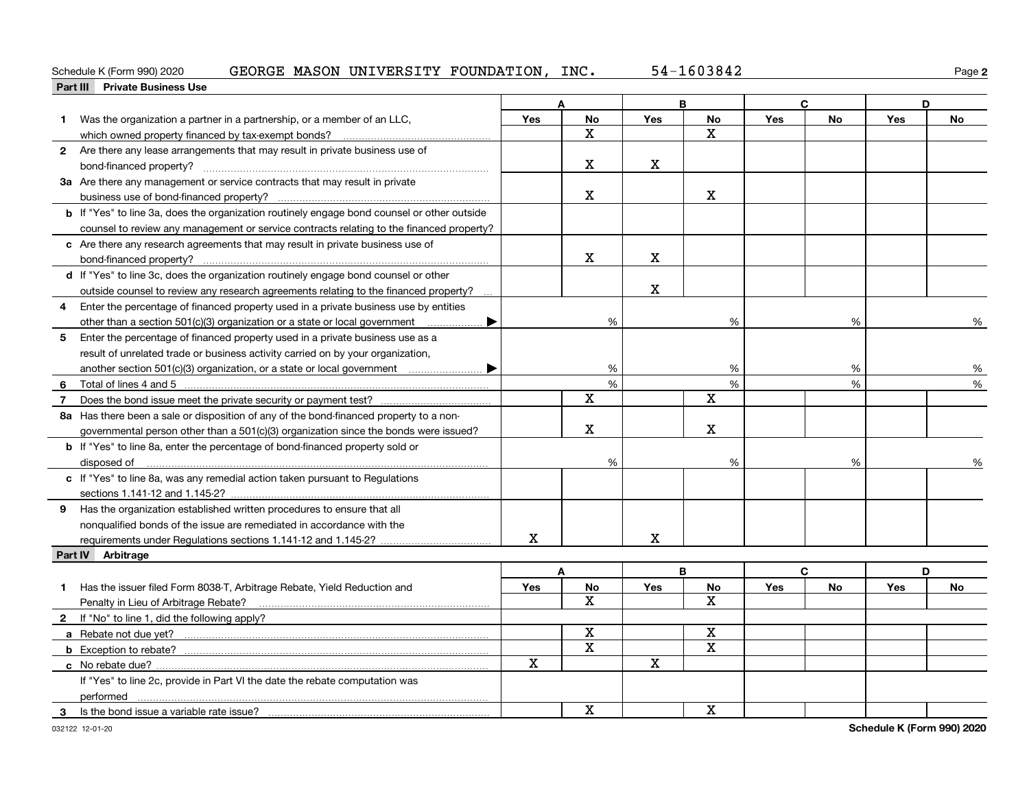#### GEORGE MASON UNIVERSITY FOUNDATION, INC. 54-1603842

| 2020 (<br>Schedule K (Form 990)         | GEORGE<br>MASON<br>UN | IVERSITY | FOUNDATION.<br>INC. | , , , , ,<br>- 54<br>304Z | Paqe |
|-----------------------------------------|-----------------------|----------|---------------------|---------------------------|------|
| Part III<br><b>Private Business Use</b> |                       |          |                     |                           |      |
|                                         |                       |          |                     |                           |      |

|    |                                                                                                    |            | A             |            | В           |            | C         |            | D  |
|----|----------------------------------------------------------------------------------------------------|------------|---------------|------------|-------------|------------|-----------|------------|----|
|    | 1 Was the organization a partner in a partnership, or a member of an LLC,                          | <b>Yes</b> | No            | <b>Yes</b> | No          | Yes        | <b>No</b> | Yes        | No |
|    | which owned property financed by tax-exempt bonds?                                                 |            | X             |            | $\mathbf x$ |            |           |            |    |
|    | 2 Are there any lease arrangements that may result in private business use of                      |            |               |            |             |            |           |            |    |
|    | bond-financed property?                                                                            |            | X             | X          |             |            |           |            |    |
|    | 3a Are there any management or service contracts that may result in private                        |            |               |            |             |            |           |            |    |
|    |                                                                                                    |            | x.            |            | х           |            |           |            |    |
|    | <b>b</b> If "Yes" to line 3a, does the organization routinely engage bond counsel or other outside |            |               |            |             |            |           |            |    |
|    | counsel to review any management or service contracts relating to the financed property?           |            |               |            |             |            |           |            |    |
|    | c Are there any research agreements that may result in private business use of                     |            |               |            |             |            |           |            |    |
|    |                                                                                                    |            | X             | X          |             |            |           |            |    |
|    | d If "Yes" to line 3c, does the organization routinely engage bond counsel or other                |            |               |            |             |            |           |            |    |
|    | outside counsel to review any research agreements relating to the financed property?               |            |               | X          |             |            |           |            |    |
| 4  | Enter the percentage of financed property used in a private business use by entities               |            |               |            |             |            |           |            |    |
|    |                                                                                                    |            | %             |            | %           |            | %         |            | %  |
| 5  | Enter the percentage of financed property used in a private business use as a                      |            |               |            |             |            |           |            |    |
|    | result of unrelated trade or business activity carried on by your organization,                    |            |               |            |             |            |           |            |    |
|    | another section 501(c)(3) organization, or a state or local government                             |            | %             |            | %           |            | %         |            | %  |
| 6  |                                                                                                    |            | $\frac{9}{6}$ |            | %           |            | %         |            | %  |
| 7  |                                                                                                    |            | $\mathbf X$   |            | X           |            |           |            |    |
|    | 8a Has there been a sale or disposition of any of the bond-financed property to a non-             |            |               |            |             |            |           |            |    |
|    | governmental person other than a 501(c)(3) organization since the bonds were issued?               |            | $\mathbf X$   |            | Χ           |            |           |            |    |
|    | <b>b</b> If "Yes" to line 8a, enter the percentage of bond-financed property sold or               |            |               |            |             |            |           |            |    |
|    | disposed of                                                                                        |            | %             |            | %           |            | %         |            | %  |
|    | c If "Yes" to line 8a, was any remedial action taken pursuant to Regulations                       |            |               |            |             |            |           |            |    |
|    | sections 1.141-12 and 1.145-2?                                                                     |            |               |            |             |            |           |            |    |
| 9  | Has the organization established written procedures to ensure that all                             |            |               |            |             |            |           |            |    |
|    | nonqualified bonds of the issue are remediated in accordance with the                              |            |               |            |             |            |           |            |    |
|    |                                                                                                    | X          |               | X          |             |            |           |            |    |
|    | Part IV Arbitrage                                                                                  |            |               |            |             |            |           |            |    |
|    |                                                                                                    |            | A             |            | B           |            | C         |            | D  |
| 1. | Has the issuer filed Form 8038-T, Arbitrage Rebate, Yield Reduction and                            | Yes        | No            | <b>Yes</b> | No          | <b>Yes</b> | <b>No</b> | <b>Yes</b> | No |
|    | Penalty in Lieu of Arbitrage Rebate?                                                               |            | X             |            | X           |            |           |            |    |
|    | 2 If "No" to line 1, did the following apply?                                                      |            |               |            |             |            |           |            |    |
|    |                                                                                                    |            | $\mathbf X$   |            | $\mathbf X$ |            |           |            |    |
|    |                                                                                                    |            | $\mathbf X$   |            | $\mathbf X$ |            |           |            |    |
|    |                                                                                                    | X          |               | X          |             |            |           |            |    |
|    | If "Yes" to line 2c, provide in Part VI the date the rebate computation was                        |            |               |            |             |            |           |            |    |
|    |                                                                                                    |            |               |            |             |            |           |            |    |
| 3  | Is the bond issue a variable rate issue?                                                           |            | $\mathbf X$   |            | X           |            |           |            |    |

**2**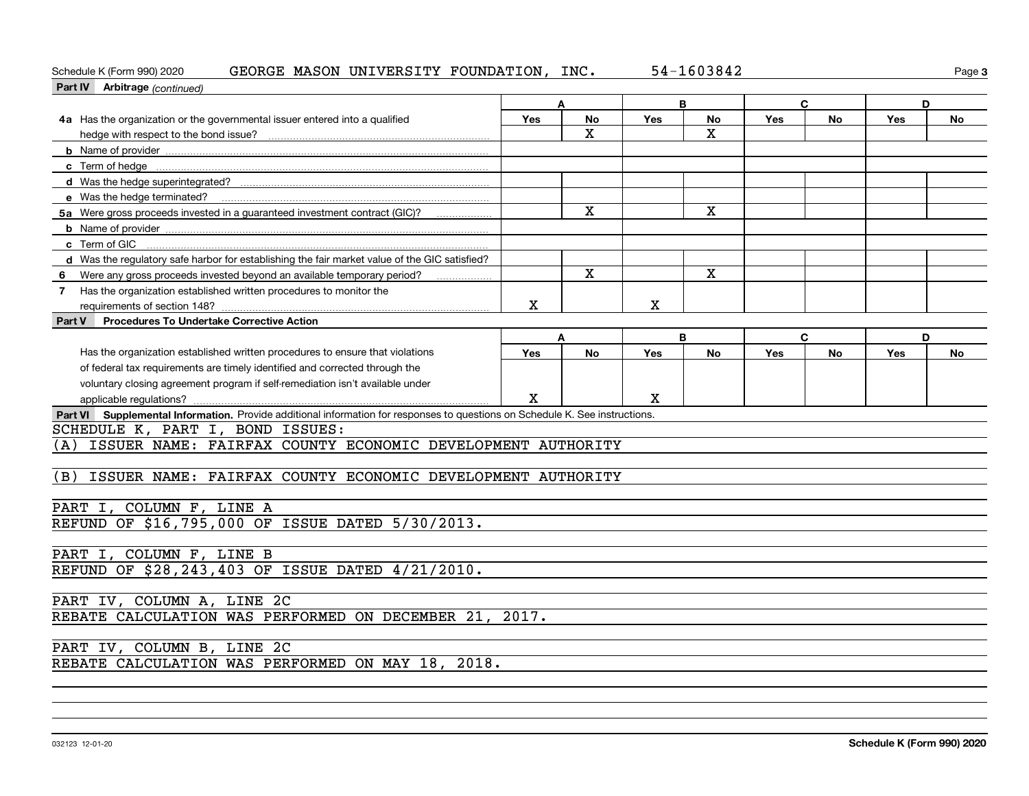## Schedule K (Form 990) 2020 GEORGE MASON UNIVERSITY FOUNDATION, INC. 5 $4\text{--}1603842$  Page

| Schedule K (Form 990) 2020<br>GEORGE MASON UNIVERSITY FOUNDATION, INC.                                                       |             |                         |             | 54-1603842              |     |    |            | Page 3 |
|------------------------------------------------------------------------------------------------------------------------------|-------------|-------------------------|-------------|-------------------------|-----|----|------------|--------|
| Part IV Arbitrage (continued)                                                                                                |             |                         |             |                         |     |    |            |        |
|                                                                                                                              | В<br>C<br>A |                         |             |                         |     |    |            | D      |
| 4a Has the organization or the governmental issuer entered into a qualified                                                  | <b>Yes</b>  | No                      | <b>Yes</b>  | No                      | Yes | No | <b>Yes</b> | No     |
|                                                                                                                              |             | x                       |             | X                       |     |    |            |        |
|                                                                                                                              |             |                         |             |                         |     |    |            |        |
|                                                                                                                              |             |                         |             |                         |     |    |            |        |
|                                                                                                                              |             |                         |             |                         |     |    |            |        |
|                                                                                                                              |             |                         |             |                         |     |    |            |        |
| 5a Were gross proceeds invested in a guaranteed investment contract (GIC)?                                                   |             | $\mathbf X$             |             | X                       |     |    |            |        |
|                                                                                                                              |             |                         |             |                         |     |    |            |        |
| c Term of GIC                                                                                                                |             |                         |             |                         |     |    |            |        |
| d Was the regulatory safe harbor for establishing the fair market value of the GIC satisfied?                                |             |                         |             |                         |     |    |            |        |
| 6 Were any gross proceeds invested beyond an available temporary period?                                                     |             | $\overline{\mathbf{x}}$ |             | $\overline{\mathbf{x}}$ |     |    |            |        |
| 7 Has the organization established written procedures to monitor the                                                         |             |                         |             |                         |     |    |            |        |
| requirements of section 148?                                                                                                 | X           |                         | X           |                         |     |    |            |        |
| Part V Procedures To Undertake Corrective Action                                                                             |             |                         |             |                         |     |    |            |        |
|                                                                                                                              | A           |                         | B           |                         |     | C  | D          |        |
| Has the organization established written procedures to ensure that violations                                                | Yes         | No                      | <b>Yes</b>  | No                      | Yes | No | Yes        | No     |
| of federal tax requirements are timely identified and corrected through the                                                  |             |                         |             |                         |     |    |            |        |
| voluntary closing agreement program if self-remediation isn't available under                                                |             |                         |             |                         |     |    |            |        |
| applicable regulations?                                                                                                      | X           |                         | $\mathbf x$ |                         |     |    |            |        |
| Part VI Supplemental Information. Provide additional information for responses to questions on Schedule K. See instructions. |             |                         |             |                         |     |    |            |        |
| SCHEDULE K, PART I, BOND ISSUES:                                                                                             |             |                         |             |                         |     |    |            |        |
| (A) ISSUER NAME: FAIRFAX COUNTY ECONOMIC DEVELOPMENT AUTHORITY                                                               |             |                         |             |                         |     |    |            |        |
|                                                                                                                              |             |                         |             |                         |     |    |            |        |
| (B) ISSUER NAME: FAIRFAX COUNTY ECONOMIC DEVELOPMENT AUTHORITY                                                               |             |                         |             |                         |     |    |            |        |
|                                                                                                                              |             |                         |             |                         |     |    |            |        |
| PART I, COLUMN F, LINE A                                                                                                     |             |                         |             |                         |     |    |            |        |
| REFUND OF \$16,795,000 OF ISSUE DATED 5/30/2013.                                                                             |             |                         |             |                         |     |    |            |        |
|                                                                                                                              |             |                         |             |                         |     |    |            |        |
| PART I, COLUMN F, LINE B<br>REFUND OF \$28,243,403 OF ISSUE DATED 4/21/2010.                                                 |             |                         |             |                         |     |    |            |        |
|                                                                                                                              |             |                         |             |                         |     |    |            |        |
| PART IV, COLUMN A, LINE 2C                                                                                                   |             |                         |             |                         |     |    |            |        |
| REBATE CALCULATION WAS PERFORMED ON DECEMBER 21, 2017.                                                                       |             |                         |             |                         |     |    |            |        |
|                                                                                                                              |             |                         |             |                         |     |    |            |        |
| PART IV, COLUMN B, LINE 2C                                                                                                   |             |                         |             |                         |     |    |            |        |
| REBATE CALCULATION WAS PERFORMED ON MAY 18, 2018.                                                                            |             |                         |             |                         |     |    |            |        |
|                                                                                                                              |             |                         |             |                         |     |    |            |        |
|                                                                                                                              |             |                         |             |                         |     |    |            |        |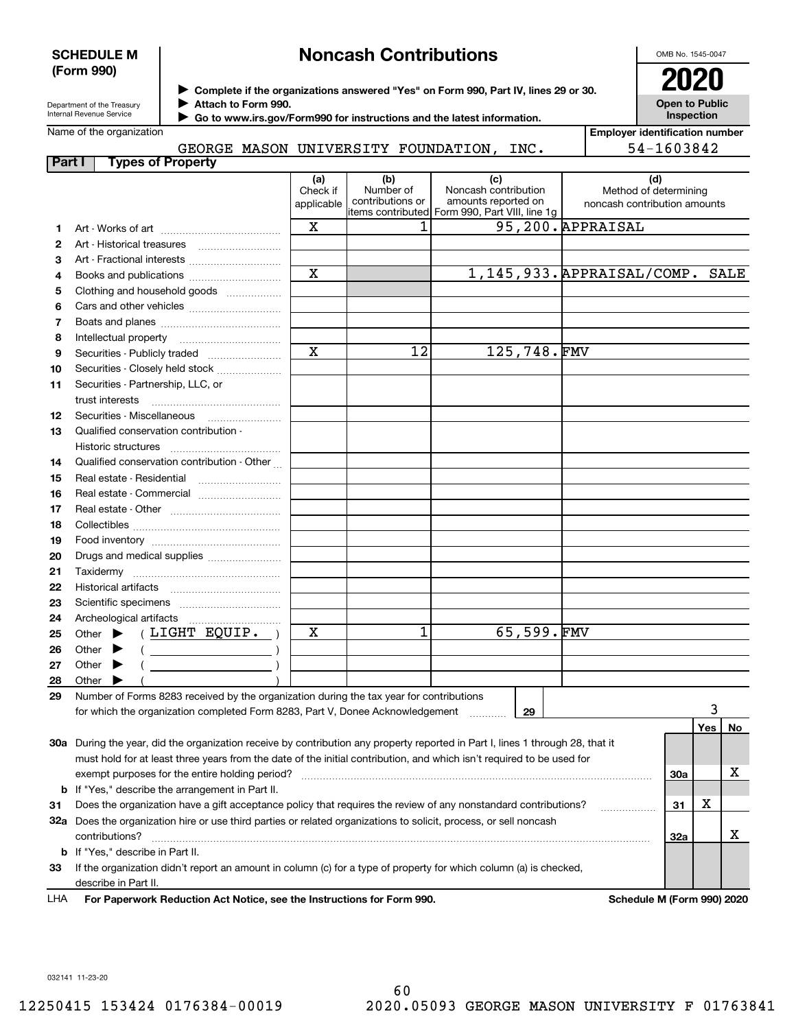### **SCHEDULE M (Form 990)**

# **Noncash Contributions**

OMB No. 1545-0047

| Department of the Treasury |  |
|----------------------------|--|
| Internal Revenue Service   |  |

**Complete if the organizations answered "Yes" on Form 990, Part IV, lines 29 or 30.** <sup>J</sup>**2020 Attach to Form 990.** J

**Open to Public Inspection**

|  | Name of the organization |
|--|--------------------------|
|--|--------------------------|

 **Go to www.irs.gov/Form990 for instructions and the latest information.** J

|  |                                     |      | <b>Employer identification number</b> |
|--|-------------------------------------|------|---------------------------------------|
|  | GEORGE MASON UNIVERSITY FOUNDATION. | INC. | 54-1603842                            |

| Part I | <b>Types of Property</b>                                                                                                       |                               |                                      |                                                                                                       |             |                                                              |     |     |    |
|--------|--------------------------------------------------------------------------------------------------------------------------------|-------------------------------|--------------------------------------|-------------------------------------------------------------------------------------------------------|-------------|--------------------------------------------------------------|-----|-----|----|
|        |                                                                                                                                | (a)<br>Check if<br>applicable | (b)<br>Number of<br>contributions or | (c)<br>Noncash contribution<br>amounts reported on<br>litems contributed Form 990, Part VIII, line 1g |             | (d)<br>Method of determining<br>noncash contribution amounts |     |     |    |
| 1      |                                                                                                                                | X                             | 1                                    |                                                                                                       |             | 95,200. APPRAISAL                                            |     |     |    |
| 2      | Art - Historical treasures                                                                                                     |                               |                                      |                                                                                                       |             |                                                              |     |     |    |
| з      | Art - Fractional interests                                                                                                     |                               |                                      |                                                                                                       |             |                                                              |     |     |    |
| 4      |                                                                                                                                | X                             |                                      |                                                                                                       |             | 1,145,933. APPRAISAL/COMP. SALE                              |     |     |    |
| 5      | Clothing and household goods                                                                                                   |                               |                                      |                                                                                                       |             |                                                              |     |     |    |
| 6      |                                                                                                                                |                               |                                      |                                                                                                       |             |                                                              |     |     |    |
| 7      |                                                                                                                                |                               |                                      |                                                                                                       |             |                                                              |     |     |    |
| 8      |                                                                                                                                |                               |                                      |                                                                                                       |             |                                                              |     |     |    |
| 9      | Securities - Publicly traded                                                                                                   | $\mathbf X$                   | 12                                   |                                                                                                       | 125,748.FMV |                                                              |     |     |    |
| 10     | Securities - Closely held stock                                                                                                |                               |                                      |                                                                                                       |             |                                                              |     |     |    |
| 11     | Securities - Partnership, LLC, or                                                                                              |                               |                                      |                                                                                                       |             |                                                              |     |     |    |
|        | trust interests                                                                                                                |                               |                                      |                                                                                                       |             |                                                              |     |     |    |
| 12     |                                                                                                                                |                               |                                      |                                                                                                       |             |                                                              |     |     |    |
| 13     | Qualified conservation contribution -                                                                                          |                               |                                      |                                                                                                       |             |                                                              |     |     |    |
|        | <b>Historic structures</b>                                                                                                     |                               |                                      |                                                                                                       |             |                                                              |     |     |    |
| 14     | Qualified conservation contribution - Other                                                                                    |                               |                                      |                                                                                                       |             |                                                              |     |     |    |
| 15     | Real estate - Residential                                                                                                      |                               |                                      |                                                                                                       |             |                                                              |     |     |    |
| 16     | Real estate - Commercial                                                                                                       |                               |                                      |                                                                                                       |             |                                                              |     |     |    |
| 17     |                                                                                                                                |                               |                                      |                                                                                                       |             |                                                              |     |     |    |
| 18     |                                                                                                                                |                               |                                      |                                                                                                       |             |                                                              |     |     |    |
| 19     |                                                                                                                                |                               |                                      |                                                                                                       |             |                                                              |     |     |    |
| 20     | Drugs and medical supplies                                                                                                     |                               |                                      |                                                                                                       |             |                                                              |     |     |    |
| 21     |                                                                                                                                |                               |                                      |                                                                                                       |             |                                                              |     |     |    |
| 22     |                                                                                                                                |                               |                                      |                                                                                                       |             |                                                              |     |     |    |
| 23     |                                                                                                                                |                               |                                      |                                                                                                       |             |                                                              |     |     |    |
| 24     |                                                                                                                                |                               |                                      |                                                                                                       |             |                                                              |     |     |    |
| 25     | (LIGHT EQUIP. )<br>Other $\blacktriangleright$                                                                                 | X                             | 1                                    |                                                                                                       | 65,599.FMV  |                                                              |     |     |    |
| 26     | Other $\blacktriangleright$                                                                                                    |                               |                                      |                                                                                                       |             |                                                              |     |     |    |
| 27     | Other $\blacktriangleright$                                                                                                    |                               |                                      |                                                                                                       |             |                                                              |     |     |    |
| 28     | Other<br>▶                                                                                                                     |                               |                                      |                                                                                                       |             |                                                              |     |     |    |
| 29     | Number of Forms 8283 received by the organization during the tax year for contributions                                        |                               |                                      |                                                                                                       |             |                                                              |     |     |    |
|        | for which the organization completed Form 8283, Part V, Donee Acknowledgement                                                  |                               |                                      |                                                                                                       | 29          |                                                              |     |     |    |
|        |                                                                                                                                |                               |                                      |                                                                                                       |             |                                                              |     | Yes | No |
|        | 30a During the year, did the organization receive by contribution any property reported in Part I, lines 1 through 28, that it |                               |                                      |                                                                                                       |             |                                                              |     |     |    |
|        | must hold for at least three years from the date of the initial contribution, and which isn't required to be used for          |                               |                                      |                                                                                                       |             |                                                              |     |     |    |
|        | exempt purposes for the entire holding period?                                                                                 |                               |                                      |                                                                                                       |             |                                                              | 30a |     | х  |
|        | <b>b</b> If "Yes," describe the arrangement in Part II.                                                                        |                               |                                      |                                                                                                       |             |                                                              |     |     |    |
| 31     | Does the organization have a gift acceptance policy that requires the review of any nonstandard contributions?                 |                               |                                      |                                                                                                       |             | .                                                            | 31  | X   |    |
|        | 32a Does the organization hire or use third parties or related organizations to solicit, process, or sell noncash              |                               |                                      |                                                                                                       |             |                                                              |     |     |    |
|        | contributions?                                                                                                                 |                               |                                      |                                                                                                       |             |                                                              | 32a |     | х  |
|        | <b>b</b> If "Yes," describe in Part II.                                                                                        |                               |                                      |                                                                                                       |             |                                                              |     |     |    |
| 33     | If the organization didn't report an amount in column (c) for a type of property for which column (a) is checked,              |                               |                                      |                                                                                                       |             |                                                              |     |     |    |
|        | describe in Part II.                                                                                                           |                               |                                      |                                                                                                       |             |                                                              |     |     |    |
| LHA    | For Paperwork Reduction Act Notice, see the Instructions for Form 990.                                                         |                               |                                      |                                                                                                       |             | Schedule M (Form 990) 2020                                   |     |     |    |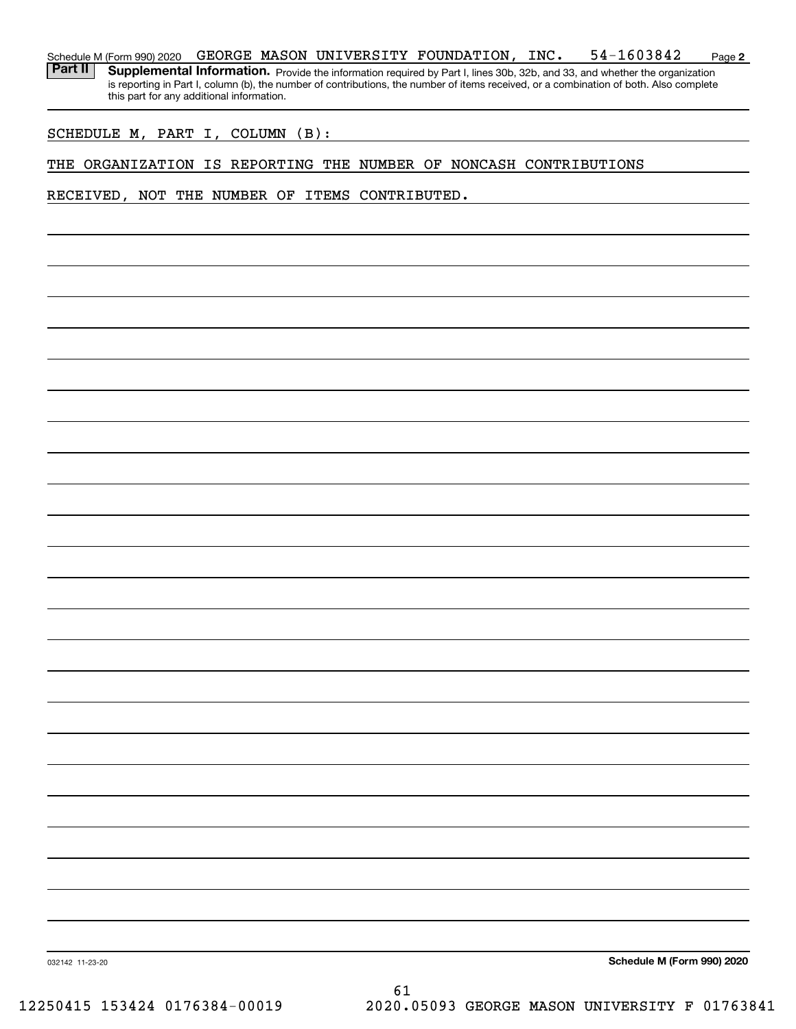**2** Schedule M (Form 990) 2020  $\,$  <code>GEORGE MASON</code> <code>UNIVERSITY FOUNDATION</code> , <code>INC.  $\,$  54-1603842  $\,$  <code>Page</code></code> Part II | Supplemental Information. Provide the information required by Part I, lines 30b, 32b, and 33, and whether the organization is reporting in Part I, column (b), the number of contributions, the number of items received, or a combination of both. Also complete

SCHEDULE M, PART I, COLUMN (B):

this part for any additional information.

THE ORGANIZATION IS REPORTING THE NUMBER OF NONCASH CONTRIBUTIONS

RECEIVED, NOT THE NUMBER OF ITEMS CONTRIBUTED.

**Schedule M (Form 990) 2020**

032142 11-23-20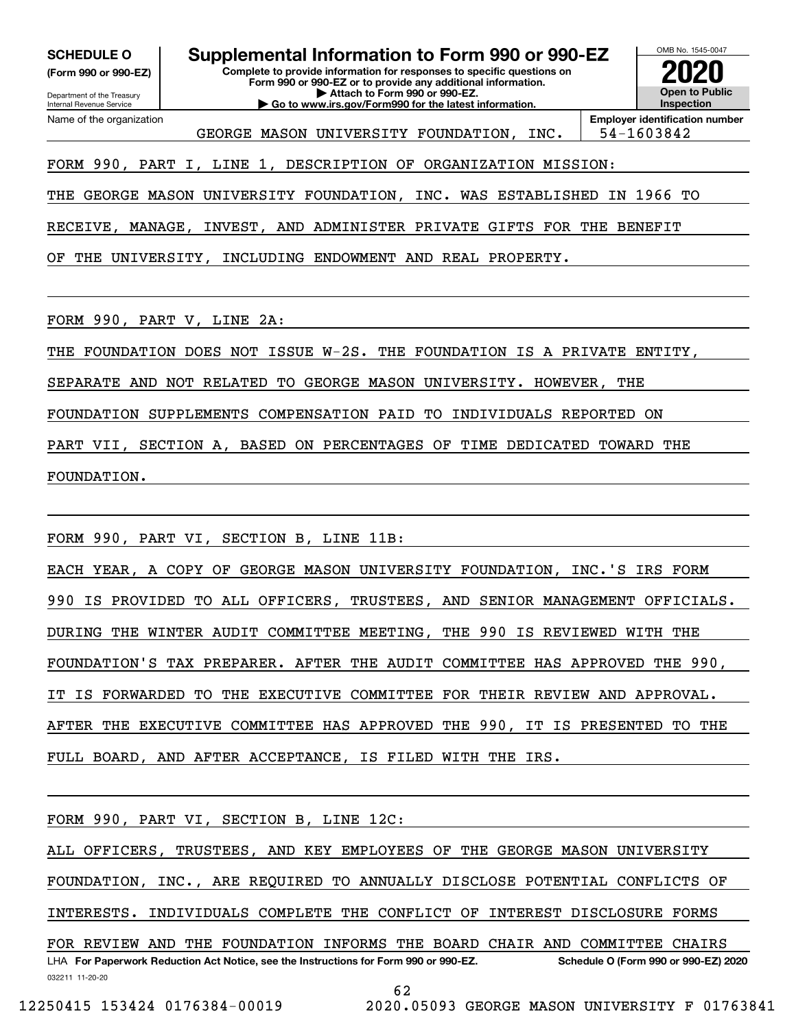**(Form 990 or 990-EZ)**

Department of the Treasury Internal Revenue Service Name of the organization

**Complete to provide information for responses to specific questions on Form 990 or 990-EZ or to provide any additional information. | Attach to Form 990 or 990-EZ. | Go to www.irs.gov/Form990 for the latest information. SCHEDULE O Supplemental Information to Form 990 or 990-EZ**



GEORGE MASON UNIVERSITY FOUNDATION, INC. | 54-1603842

FORM 990, PART I, LINE 1, DESCRIPTION OF ORGANIZATION MISSION:

THE GEORGE MASON UNIVERSITY FOUNDATION, INC. WAS ESTABLISHED IN 1966 TO

RECEIVE, MANAGE, INVEST, AND ADMINISTER PRIVATE GIFTS FOR THE BENEFIT

OF THE UNIVERSITY, INCLUDING ENDOWMENT AND REAL PROPERTY.

FORM 990, PART V, LINE 2A:

THE FOUNDATION DOES NOT ISSUE W-2S. THE FOUNDATION IS A PRIVATE ENTITY,

SEPARATE AND NOT RELATED TO GEORGE MASON UNIVERSITY. HOWEVER, THE

FOUNDATION SUPPLEMENTS COMPENSATION PAID TO INDIVIDUALS REPORTED ON

PART VII, SECTION A, BASED ON PERCENTAGES OF TIME DEDICATED TOWARD THE

FOUNDATION.

FORM 990, PART VI, SECTION B, LINE 11B:

EACH YEAR, A COPY OF GEORGE MASON UNIVERSITY FOUNDATION, INC.'S IRS FORM 990 IS PROVIDED TO ALL OFFICERS, TRUSTEES, AND SENIOR MANAGEMENT OFFICIALS. DURING THE WINTER AUDIT COMMITTEE MEETING, THE 990 IS REVIEWED WITH THE FOUNDATION'S TAX PREPARER. AFTER THE AUDIT COMMITTEE HAS APPROVED THE 990, IT IS FORWARDED TO THE EXECUTIVE COMMITTEE FOR THEIR REVIEW AND APPROVAL. AFTER THE EXECUTIVE COMMITTEE HAS APPROVED THE 990, IT IS PRESENTED TO THE FULL BOARD, AND AFTER ACCEPTANCE, IS FILED WITH THE IRS.

FORM 990, PART VI, SECTION B, LINE 12C:

ALL OFFICERS, TRUSTEES, AND KEY EMPLOYEES OF THE GEORGE MASON UNIVERSITY FOUNDATION, INC., ARE REQUIRED TO ANNUALLY DISCLOSE POTENTIAL CONFLICTS OF

INTERESTS. INDIVIDUALS COMPLETE THE CONFLICT OF INTEREST DISCLOSURE FORMS

032211 11-20-20 LHA For Paperwork Reduction Act Notice, see the Instructions for Form 990 or 990-EZ. Schedule O (Form 990 or 990-EZ) 2020 FOR REVIEW AND THE FOUNDATION INFORMS THE BOARD CHAIR AND COMMITTEE CHAIRS

62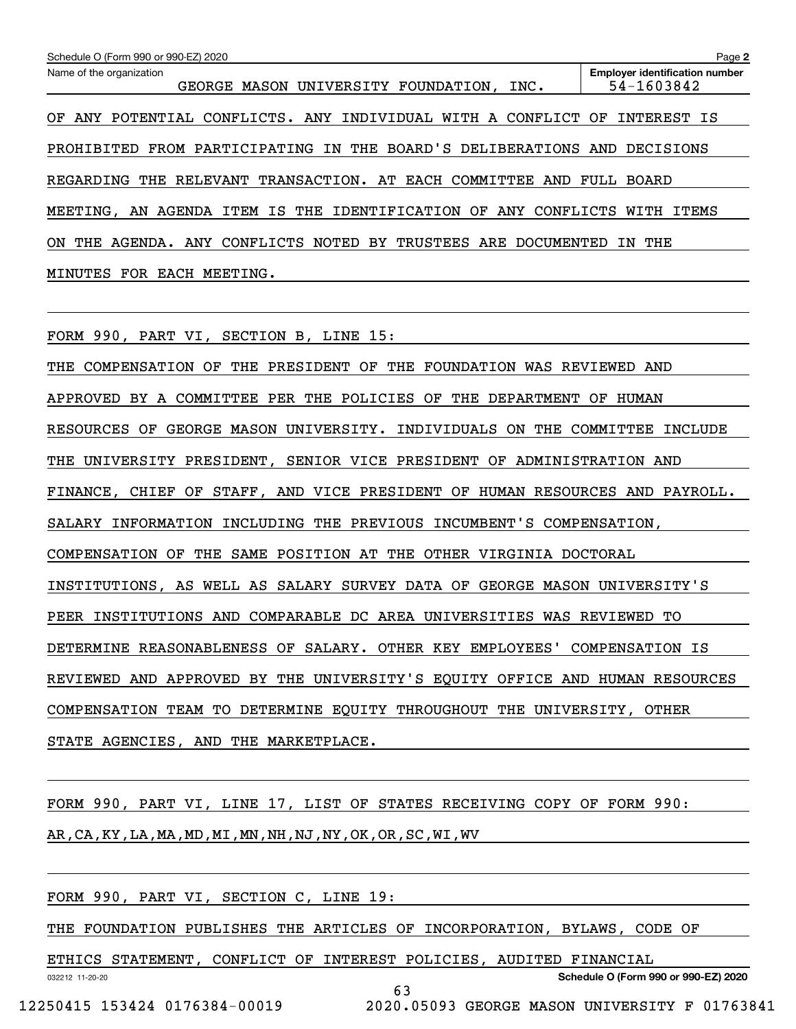| Schedule O (Form 990 or 990-EZ) 2020                                         | Page 2                                              |
|------------------------------------------------------------------------------|-----------------------------------------------------|
| Name of the organization<br>MASON UNIVERSITY FOUNDATION, INC.<br>GEORGE      | <b>Employer identification number</b><br>54-1603842 |
| CONFLICTS. ANY INDIVIDUAL WITH A CONFLICT<br>POTENTIAL<br>OF<br>ANY          | OF<br>INTEREST IS                                   |
| FROM PARTICIPATING IN THE BOARD'S DELIBERATIONS AND<br>PROHIBITED            | DECISIONS                                           |
| THE RELEVANT TRANSACTION. AT EACH COMMITTEE<br>REGARDING<br>AND              | FULL.<br>BOARD                                      |
| IS<br>THE IDENTIFICATION OF ANY<br>MEETING, AN AGENDA<br>ITEM<br>CONFLICTS   | ITEMS<br>WITH                                       |
| CONFLICTS NOTED BY TRUSTEES<br>ARE DOCUMENTED<br>ON<br>THE<br>AGENDA.<br>ANY | THE<br>ΙN                                           |
| MEETING.<br>EACH<br>MINUTES<br>FOR                                           |                                                     |

FORM 990, PART VI, SECTION B, LINE 15:

THE COMPENSATION OF THE PRESIDENT OF THE FOUNDATION WAS REVIEWED AND APPROVED BY A COMMITTEE PER THE POLICIES OF THE DEPARTMENT OF HUMAN RESOURCES OF GEORGE MASON UNIVERSITY. INDIVIDUALS ON THE COMMITTEE INCLUDE THE UNIVERSITY PRESIDENT, SENIOR VICE PRESIDENT OF ADMINISTRATION AND FINANCE, CHIEF OF STAFF, AND VICE PRESIDENT OF HUMAN RESOURCES AND PAYROLL. SALARY INFORMATION INCLUDING THE PREVIOUS INCUMBENT'S COMPENSATION, COMPENSATION OF THE SAME POSITION AT THE OTHER VIRGINIA DOCTORAL INSTITUTIONS, AS WELL AS SALARY SURVEY DATA OF GEORGE MASON UNIVERSITY'S PEER INSTITUTIONS AND COMPARABLE DC AREA UNIVERSITIES WAS REVIEWED TO DETERMINE REASONABLENESS OF SALARY. OTHER KEY EMPLOYEES' COMPENSATION IS REVIEWED AND APPROVED BY THE UNIVERSITY'S EQUITY OFFICE AND HUMAN RESOURCES COMPENSATION TEAM TO DETERMINE EQUITY THROUGHOUT THE UNIVERSITY, OTHER STATE AGENCIES, AND THE MARKETPLACE.

FORM 990, PART VI, LINE 17, LIST OF STATES RECEIVING COPY OF FORM 990: AR,CA,KY,LA,MA,MD,MI,MN,NH,NJ,NY,OK,OR,SC,WI,WV

FORM 990, PART VI, SECTION C, LINE 19:

THE FOUNDATION PUBLISHES THE ARTICLES OF INCORPORATION, BYLAWS, CODE OF

63

ETHICS STATEMENT, CONFLICT OF INTEREST POLICIES, AUDITED FINANCIAL

**Schedule O (Form 990 or 990-EZ) 2020**

032212 11-20-20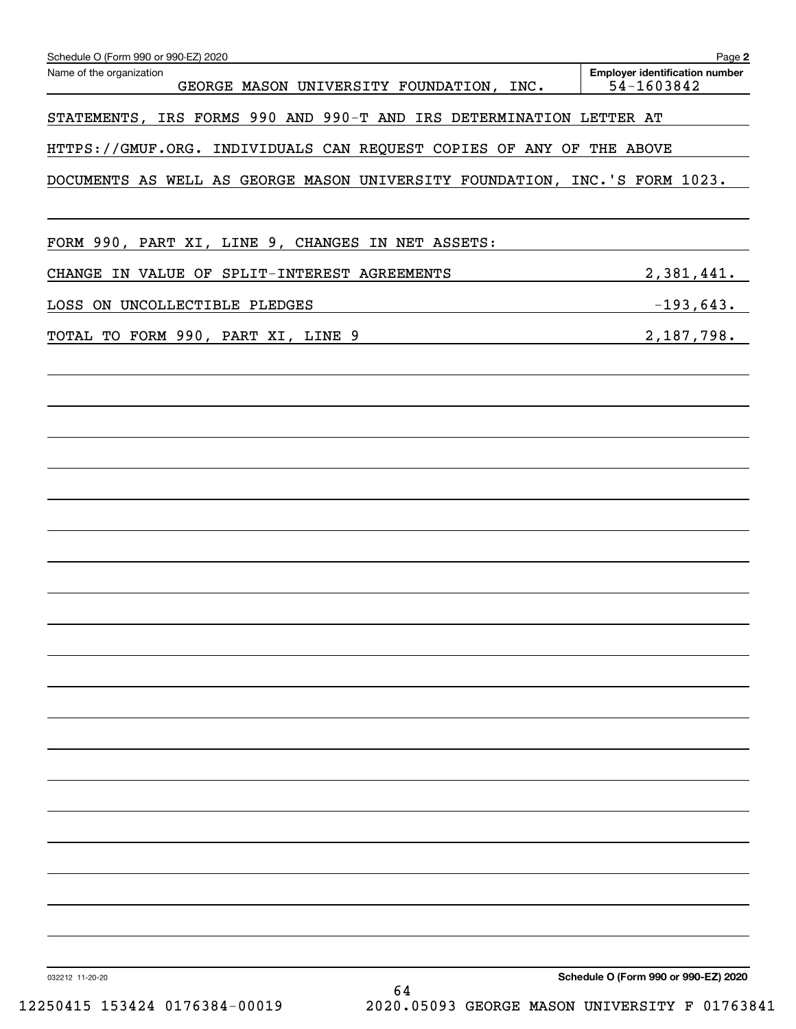| Name of the organization<br>GEORGE MASON UNIVERSITY FOUNDATION, INC.       | <b>Employer identification number</b><br>54-1603842 |
|----------------------------------------------------------------------------|-----------------------------------------------------|
|                                                                            |                                                     |
| STATEMENTS, IRS FORMS 990 AND 990-T AND IRS DETERMINATION LETTER AT        |                                                     |
| HTTPS://GMUF.ORG. INDIVIDUALS CAN REQUEST COPIES OF ANY OF THE ABOVE       |                                                     |
| DOCUMENTS AS WELL AS GEORGE MASON UNIVERSITY FOUNDATION, INC.'S FORM 1023. |                                                     |
| FORM 990, PART XI, LINE 9, CHANGES IN NET ASSETS:                          |                                                     |
| CHANGE IN VALUE OF SPLIT-INTEREST AGREEMENTS                               | 2,381,441.                                          |
| LOSS ON UNCOLLECTIBLE PLEDGES                                              | $-193,643.$                                         |
| TOTAL TO FORM 990, PART XI, LINE 9                                         | 2,187,798.                                          |
|                                                                            |                                                     |
|                                                                            |                                                     |
|                                                                            |                                                     |
|                                                                            |                                                     |
|                                                                            |                                                     |
|                                                                            |                                                     |
|                                                                            |                                                     |
|                                                                            |                                                     |
|                                                                            |                                                     |
|                                                                            |                                                     |
|                                                                            |                                                     |
|                                                                            |                                                     |
|                                                                            |                                                     |
|                                                                            |                                                     |
|                                                                            |                                                     |
|                                                                            |                                                     |
|                                                                            |                                                     |
|                                                                            |                                                     |
|                                                                            |                                                     |
|                                                                            |                                                     |
|                                                                            |                                                     |
|                                                                            |                                                     |
| 032212 11-20-20<br>64                                                      | Schedule O (Form 990 or 990-EZ) 2020                |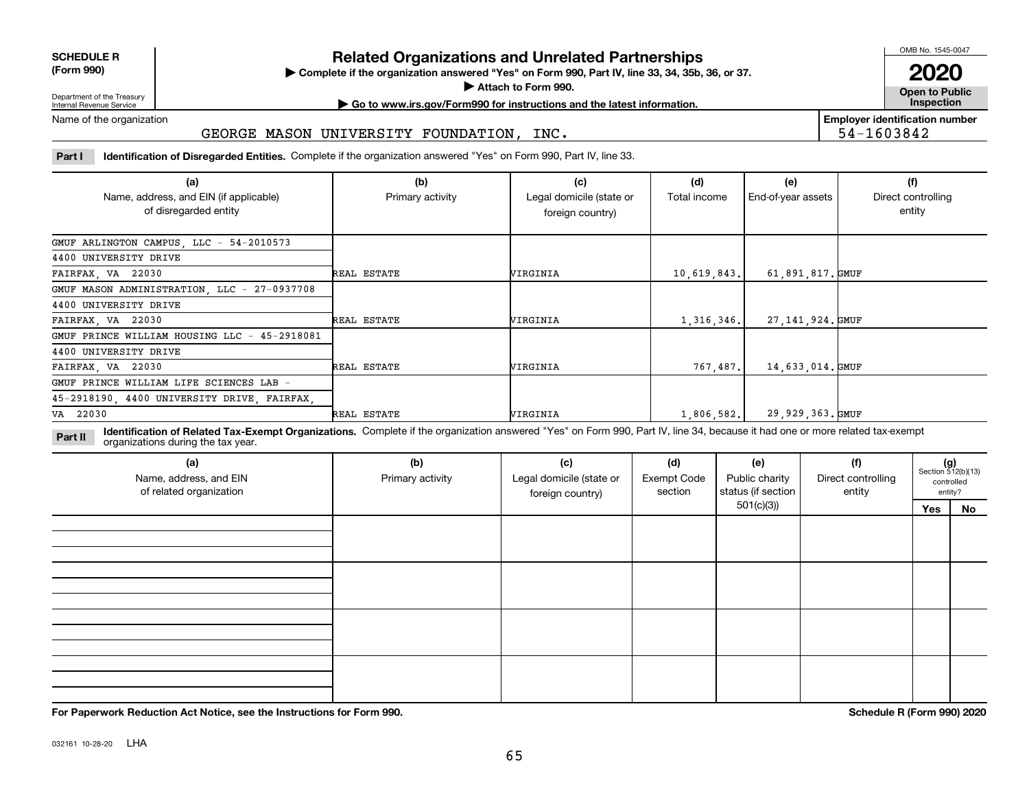| <b>SCHEDULE R</b>                          |  |
|--------------------------------------------|--|
| $\mathbf{r}$ , $\mathbf{r}$ , $\mathbf{r}$ |  |

**(Form 990)**

# **Related Organizations and Unrelated Partnerships**

**Complete if the organization answered "Yes" on Form 990, Part IV, line 33, 34, 35b, 36, or 37.** |

**Attach to Form 990.**  |

OMB No. 1545-0047

**Open to Public 2020**

**Employer identification number**

54-1603842

Department of the Treasury Internal Revenue Service

# **| Go to www.irs.gov/Form990 for instructions and the latest information. Inspection**

Name of the organization

#### GEORGE MASON UNIVERSITY FOUNDATION, INC.

**Part I Identification of Disregarded Entities.**  Complete if the organization answered "Yes" on Form 990, Part IV, line 33.

| (a)<br>Name, address, and EIN (if applicable) | (b)<br>Primary activity | (c)<br>Legal domicile (state or | (d)<br>Total income | (e)<br>End-of-year assets | (f)<br>Direct controlling |
|-----------------------------------------------|-------------------------|---------------------------------|---------------------|---------------------------|---------------------------|
| of disregarded entity                         |                         | foreign country)                |                     |                           | entity                    |
| GMUF ARLINGTON CAMPUS, LLC - 54-2010573       |                         |                                 |                     |                           |                           |
| 4400 UNIVERSITY DRIVE                         |                         |                                 |                     |                           |                           |
| FAIRFAX, VA 22030                             | REAL ESTATE             | VIRGINIA                        | 10,619,843.         | 61,891,817.GMUF           |                           |
| GMUF MASON ADMINISTRATION, LLC - 27-0937708   |                         |                                 |                     |                           |                           |
| 4400 UNIVERSITY DRIVE                         |                         |                                 |                     |                           |                           |
| FAIRFAX, VA 22030                             | REAL ESTATE             | VIRGINIA                        | 1,316,346.          | 27, 141, 924. GMUF        |                           |
| GMUF PRINCE WILLIAM HOUSING LLC - 45-2918081  |                         |                                 |                     |                           |                           |
| 4400 UNIVERSITY DRIVE                         |                         |                                 |                     |                           |                           |
| FAIRFAX, VA 22030                             | REAL ESTATE             | VIRGINIA                        | 767, 487.           | 14,633,014.GMUF           |                           |
| GMUF PRINCE WILLIAM LIFE SCIENCES LAB -       |                         |                                 |                     |                           |                           |
| 45-2918190, 4400 UNIVERSITY DRIVE, FAIRFAX,   |                         |                                 |                     |                           |                           |
| VA 22030                                      | REAL ESTATE             | VIRGINIA                        | 1,806,582.          | 29,929,363.GMUF           |                           |

**Identification of Related Tax-Exempt Organizations.** Complete if the organization answered "Yes" on Form 990, Part IV, line 34, because it had one or more related tax-exempt **Part II** organizations during the tax year.

| (a)<br>Name, address, and EIN<br>of related organization | (b)<br>Primary activity | (c)<br>Legal domicile (state or<br>foreign country) | (d)<br><b>Exempt Code</b><br>section | (e)<br>Public charity<br>status (if section | (f)<br>Direct controlling<br>entity |     | $(g)$<br>Section 512(b)(13)<br>controlled<br>entity? |
|----------------------------------------------------------|-------------------------|-----------------------------------------------------|--------------------------------------|---------------------------------------------|-------------------------------------|-----|------------------------------------------------------|
|                                                          |                         |                                                     |                                      | 501(c)(3)                                   |                                     | Yes | No                                                   |
|                                                          |                         |                                                     |                                      |                                             |                                     |     |                                                      |
|                                                          |                         |                                                     |                                      |                                             |                                     |     |                                                      |
|                                                          |                         |                                                     |                                      |                                             |                                     |     |                                                      |
|                                                          |                         |                                                     |                                      |                                             |                                     |     |                                                      |

**For Paperwork Reduction Act Notice, see the Instructions for Form 990. Schedule R (Form 990) 2020**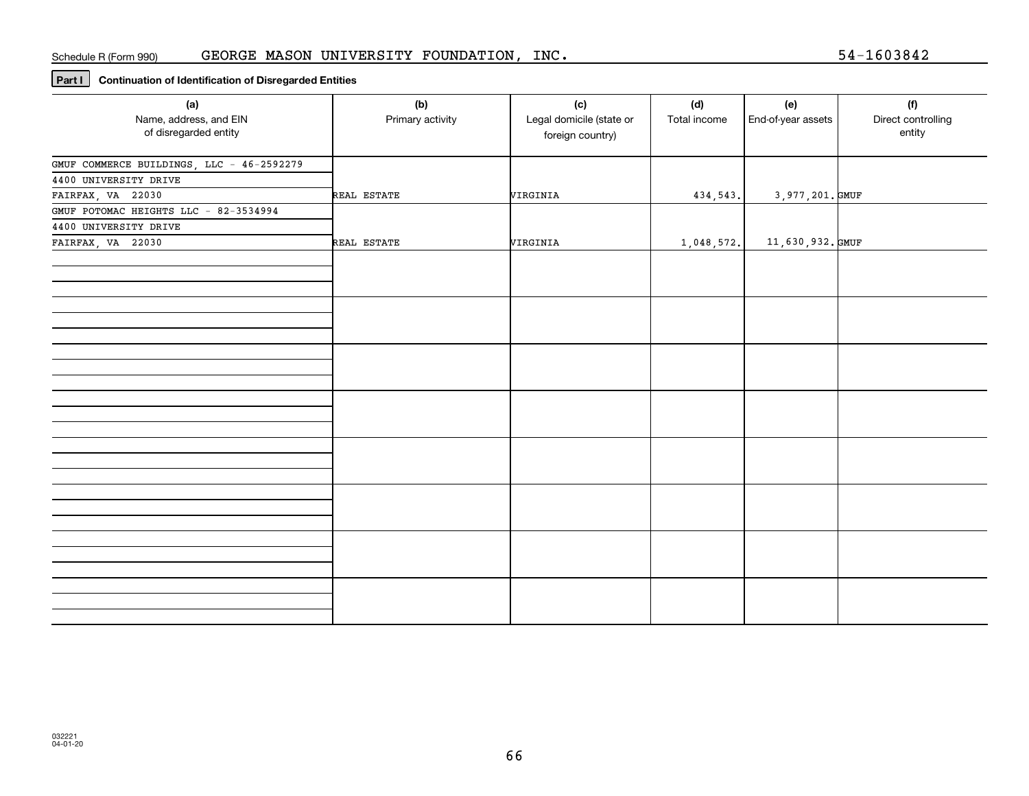#### Schedule R (Form 990) GEORGE MASON UNIVERSITY FOUNDATION, INC.

**Part I Continuation of Identification of Disregarded Entities**

| (a)<br>Name, address, and EIN<br>of disregarded entity                                  | (b)<br>Primary activity | (c)<br>Legal domicile (state or<br>foreign country) | (d)<br>Total income | (e)<br>End-of-year assets | (f)<br>Direct controlling<br>entity |
|-----------------------------------------------------------------------------------------|-------------------------|-----------------------------------------------------|---------------------|---------------------------|-------------------------------------|
| GMUF COMMERCE BUILDINGS, LLC - 46-2592279<br>4400 UNIVERSITY DRIVE<br>FAIRFAX, VA 22030 | REAL ESTATE             | VIRGINIA                                            | 434, 543.           | 3,977,201. GMUF           |                                     |
| GMUF POTOMAC HEIGHTS LLC - 82-3534994<br>4400 UNIVERSITY DRIVE                          |                         |                                                     |                     |                           |                                     |
| FAIRFAX, VA 22030                                                                       | REAL ESTATE             | VIRGINIA                                            | 1,048,572.          | 11,630,932.GMUF           |                                     |
|                                                                                         |                         |                                                     |                     |                           |                                     |
|                                                                                         |                         |                                                     |                     |                           |                                     |
|                                                                                         |                         |                                                     |                     |                           |                                     |
|                                                                                         |                         |                                                     |                     |                           |                                     |
|                                                                                         |                         |                                                     |                     |                           |                                     |
|                                                                                         |                         |                                                     |                     |                           |                                     |
|                                                                                         |                         |                                                     |                     |                           |                                     |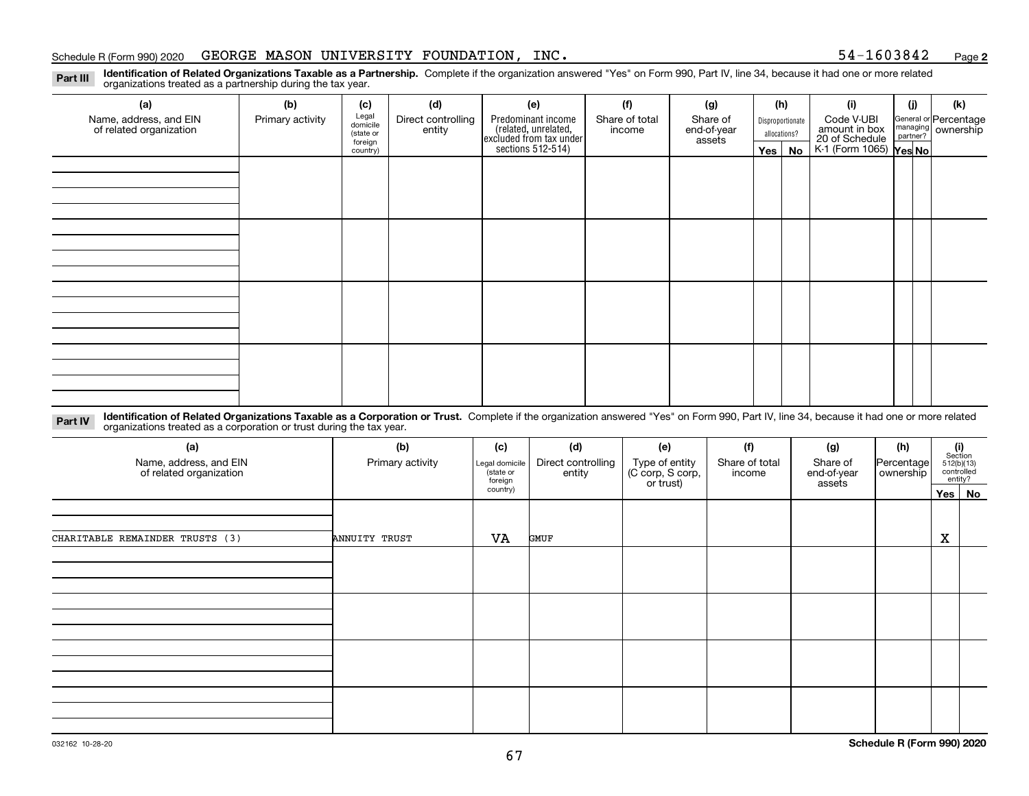#### Schedule R (Form 990) 2020 Page GEORGE MASON UNIVERSITY FOUNDATION, INC. 54-1603842

**2**

**Identification of Related Organizations Taxable as a Partnership.** Complete if the organization answered "Yes" on Form 990, Part IV, line 34, because it had one or more related **Part III** organizations treated as a partnership during the tax year.

| (a)                                               | (b)              | (c)                  | (d)                          | (e)                                                                 | (f)                      | (g)                     |         | (h)              | (i)                                      | (j)                                                       | (k) |
|---------------------------------------------------|------------------|----------------------|------------------------------|---------------------------------------------------------------------|--------------------------|-------------------------|---------|------------------|------------------------------------------|-----------------------------------------------------------|-----|
| Name, address, and EIN<br>of related organization | Primary activity | Legal<br>domicile    | Direct controlling<br>entity | Predominant income                                                  | Share of total<br>income | Share of<br>end-of-year |         | Disproportionate | Code V-UBI<br>amount in box              | General or Percentage<br>managing<br>partner?<br>partner? |     |
|                                                   |                  | (state or<br>foreign |                              |                                                                     |                          | assets                  |         | allocations?     |                                          |                                                           |     |
|                                                   |                  | country)             |                              | related, unrelated,<br>excluded from tax under<br>sections 512-514) |                          |                         | Yes $ $ | No               | 20 of Schedule<br>K-1 (Form 1065) Yes No |                                                           |     |
|                                                   |                  |                      |                              |                                                                     |                          |                         |         |                  |                                          |                                                           |     |
|                                                   |                  |                      |                              |                                                                     |                          |                         |         |                  |                                          |                                                           |     |
|                                                   |                  |                      |                              |                                                                     |                          |                         |         |                  |                                          |                                                           |     |
|                                                   |                  |                      |                              |                                                                     |                          |                         |         |                  |                                          |                                                           |     |
|                                                   |                  |                      |                              |                                                                     |                          |                         |         |                  |                                          |                                                           |     |
|                                                   |                  |                      |                              |                                                                     |                          |                         |         |                  |                                          |                                                           |     |
|                                                   |                  |                      |                              |                                                                     |                          |                         |         |                  |                                          |                                                           |     |
|                                                   |                  |                      |                              |                                                                     |                          |                         |         |                  |                                          |                                                           |     |
|                                                   |                  |                      |                              |                                                                     |                          |                         |         |                  |                                          |                                                           |     |
|                                                   |                  |                      |                              |                                                                     |                          |                         |         |                  |                                          |                                                           |     |
|                                                   |                  |                      |                              |                                                                     |                          |                         |         |                  |                                          |                                                           |     |
|                                                   |                  |                      |                              |                                                                     |                          |                         |         |                  |                                          |                                                           |     |
|                                                   |                  |                      |                              |                                                                     |                          |                         |         |                  |                                          |                                                           |     |
|                                                   |                  |                      |                              |                                                                     |                          |                         |         |                  |                                          |                                                           |     |
|                                                   |                  |                      |                              |                                                                     |                          |                         |         |                  |                                          |                                                           |     |
|                                                   |                  |                      |                              |                                                                     |                          |                         |         |                  |                                          |                                                           |     |
|                                                   |                  |                      |                              |                                                                     |                          |                         |         |                  |                                          |                                                           |     |

**Identification of Related Organizations Taxable as a Corporation or Trust.** Complete if the organization answered "Yes" on Form 990, Part IV, line 34, because it had one or more related **Part IV** organizations treated as a corporation or trust during the tax year.

| (a)<br>Name, address, and EIN<br>of related organization | (b)<br>Primary activity | (c)<br>Legal domicile<br>(state or<br>foreign<br>country) | (d)<br>Direct controlling<br>entity | (e)<br>Type of entity<br>(C corp, S corp,<br>or trust) | (f)<br>Share of total<br>income | (g)<br>Share of<br>end-of-year<br>assets | (h)<br> Percentage <br>ownership | $\begin{array}{c} \textbf{(i)}\\ \text{Section}\\ 512 \text{(b)} \text{(13)}\\ \text{controlled}\end{array}$ | entity?<br>Yes No |
|----------------------------------------------------------|-------------------------|-----------------------------------------------------------|-------------------------------------|--------------------------------------------------------|---------------------------------|------------------------------------------|----------------------------------|--------------------------------------------------------------------------------------------------------------|-------------------|
| CHARITABLE REMAINDER TRUSTS (3)                          | ANNUITY TRUST           | VA                                                        | GMUF                                |                                                        |                                 |                                          |                                  | X                                                                                                            |                   |
|                                                          |                         |                                                           |                                     |                                                        |                                 |                                          |                                  |                                                                                                              |                   |
|                                                          |                         |                                                           |                                     |                                                        |                                 |                                          |                                  |                                                                                                              |                   |
|                                                          |                         |                                                           |                                     |                                                        |                                 |                                          |                                  |                                                                                                              |                   |
|                                                          |                         |                                                           |                                     |                                                        |                                 |                                          |                                  |                                                                                                              |                   |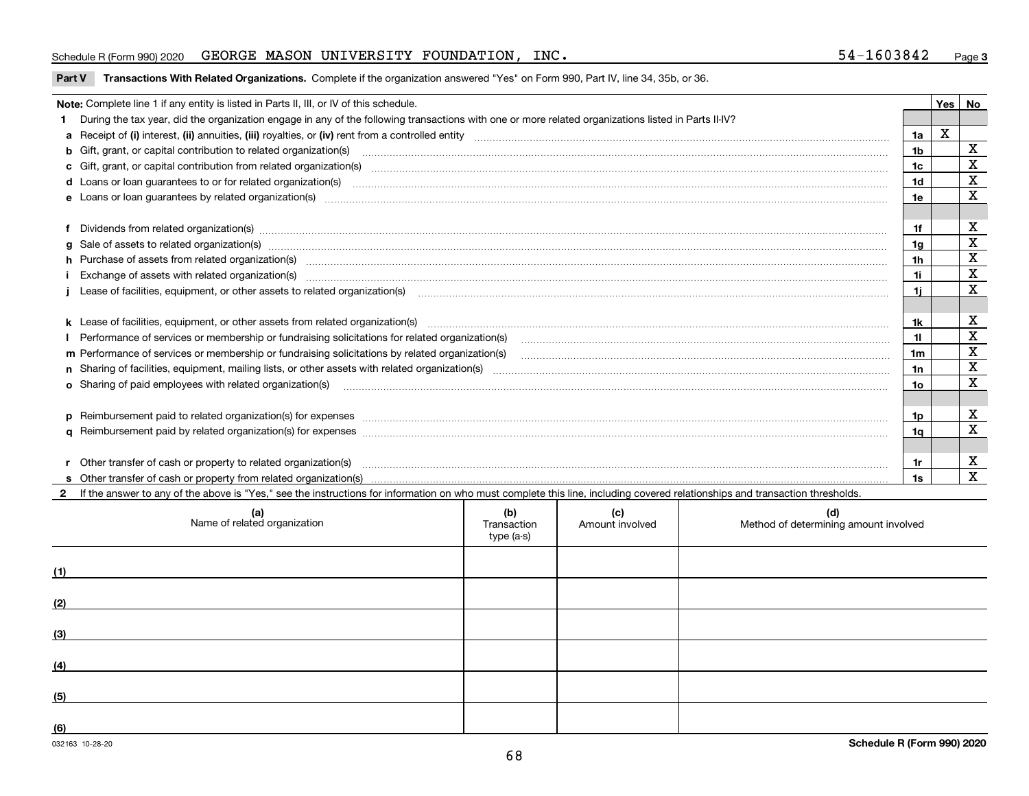#### Schedule R (Form 990) 2020 Page GEORGE MASON UNIVERSITY FOUNDATION, INC. 54-1603842

**Part V** T**ransactions With Related Organizations.** Complete if the organization answered "Yes" on Form 990, Part IV, line 34, 35b, or 36.

| Note: Complete line 1 if any entity is listed in Parts II, III, or IV of this schedule. |                                                                                                                                                                                                                                |                |   |             |  |  |  |
|-----------------------------------------------------------------------------------------|--------------------------------------------------------------------------------------------------------------------------------------------------------------------------------------------------------------------------------|----------------|---|-------------|--|--|--|
|                                                                                         | 1 During the tax year, did the organization engage in any of the following transactions with one or more related organizations listed in Parts II-IV?                                                                          |                |   |             |  |  |  |
|                                                                                         |                                                                                                                                                                                                                                | 1a             | х |             |  |  |  |
|                                                                                         |                                                                                                                                                                                                                                | 1b             |   | х           |  |  |  |
|                                                                                         | c Gift, grant, or capital contribution from related organization(s) material contents and contribution from related organization(s) material contents and content of the content of the content of content of content of conte | 1c             |   | X           |  |  |  |
|                                                                                         | d Loans or loan guarantees to or for related organization(s) committion contracts are constructed as a control or contract or contract or contract or contract or contract or contract or contract or contract or contract or  | 1d             |   | $\mathbf X$ |  |  |  |
|                                                                                         | e Loans or loan guarantees by related organization(s) www.communically.communically.communically and a loans or loan guarantees by related organization(s) www.communically.communically was a loan of loans or loan guarantee | 1e             |   | $\mathbf x$ |  |  |  |
|                                                                                         |                                                                                                                                                                                                                                |                |   |             |  |  |  |
|                                                                                         | f Dividends from related organization(s) manufactured contains and contained and contained contained and contained and contained and contained and contained and contained and contained and contained and contained and conta | 1f             |   | х           |  |  |  |
|                                                                                         | g Sale of assets to related organization(s) www.assettion.com/www.assettion.com/www.assettion.com/www.assettion.com/www.assettion.com/www.assettion.com/www.assettion.com/www.assettion.com/www.assettion.com/www.assettion.co | 1g             |   | $\mathbf X$ |  |  |  |
|                                                                                         | h Purchase of assets from related organization(s) www.assettion.com/www.assettion.com/www.assettion.com/www.assettion.com/www.assettion.com/www.assettion.com/www.assettion.com/www.assettion.com/www.assettion.com/www.assett | 1 <sub>h</sub> |   | X           |  |  |  |
|                                                                                         | Exchange of assets with related organization(s) www.assettion.com/www.assettion.com/www.assettion.com/www.assettion.com/www.assettion.com/www.assettion.com/www.assettion.com/www.assettion.com/www.assettion.com/www.assettio | 1i.            |   | $\mathbf X$ |  |  |  |
|                                                                                         | Lease of facilities, equipment, or other assets to related organization(s) contain an according to the content of the state of facilities, equipment, or other assets to related organization(s) contained and according to th | 1i.            |   | $\mathbf x$ |  |  |  |
|                                                                                         |                                                                                                                                                                                                                                |                |   |             |  |  |  |
|                                                                                         |                                                                                                                                                                                                                                | 1k             |   | х           |  |  |  |
|                                                                                         |                                                                                                                                                                                                                                |                |   | X           |  |  |  |
|                                                                                         | m Performance of services or membership or fundraising solicitations by related organization(s)                                                                                                                                | 1m             |   | X           |  |  |  |
|                                                                                         |                                                                                                                                                                                                                                | 1n             |   | $\mathbf X$ |  |  |  |
|                                                                                         | <b>o</b> Sharing of paid employees with related organization(s)                                                                                                                                                                | 1о             |   | X           |  |  |  |
|                                                                                         |                                                                                                                                                                                                                                |                |   |             |  |  |  |
|                                                                                         | p Reimbursement paid to related organization(s) for expenses [1111] and the content of the content of the content of the content of the content of the content of the content of the content of the content of the content of  | 1p.            |   | х           |  |  |  |
|                                                                                         |                                                                                                                                                                                                                                | 1q             |   | х           |  |  |  |
|                                                                                         |                                                                                                                                                                                                                                |                |   |             |  |  |  |
|                                                                                         | r Other transfer of cash or property to related organization(s)                                                                                                                                                                | 1r             |   | х           |  |  |  |
|                                                                                         | r Other transfer of cash or property to related organization(s) encourance contains an example of cash or property from related organization(s) encourance contained and a substitution of the transfer of cash or property fr | 1s             |   | X           |  |  |  |
|                                                                                         | 2 If the answer to any of the above is "Yes," see the instructions for information on who must complete this line, including covered relationships and transaction thresholds.                                                 |                |   |             |  |  |  |

| (a)<br>Name of related organization | (b)<br>Transaction<br>type (a-s) | (c)<br>Amount involved | (d)<br>Method of determining amount involved |
|-------------------------------------|----------------------------------|------------------------|----------------------------------------------|
| (1)                                 |                                  |                        |                                              |
| (2)                                 |                                  |                        |                                              |
| (3)                                 |                                  |                        |                                              |
| (4)                                 |                                  |                        |                                              |
| (5)                                 |                                  |                        |                                              |
| (6)                                 |                                  |                        |                                              |

 $\overline{\phantom{a}}$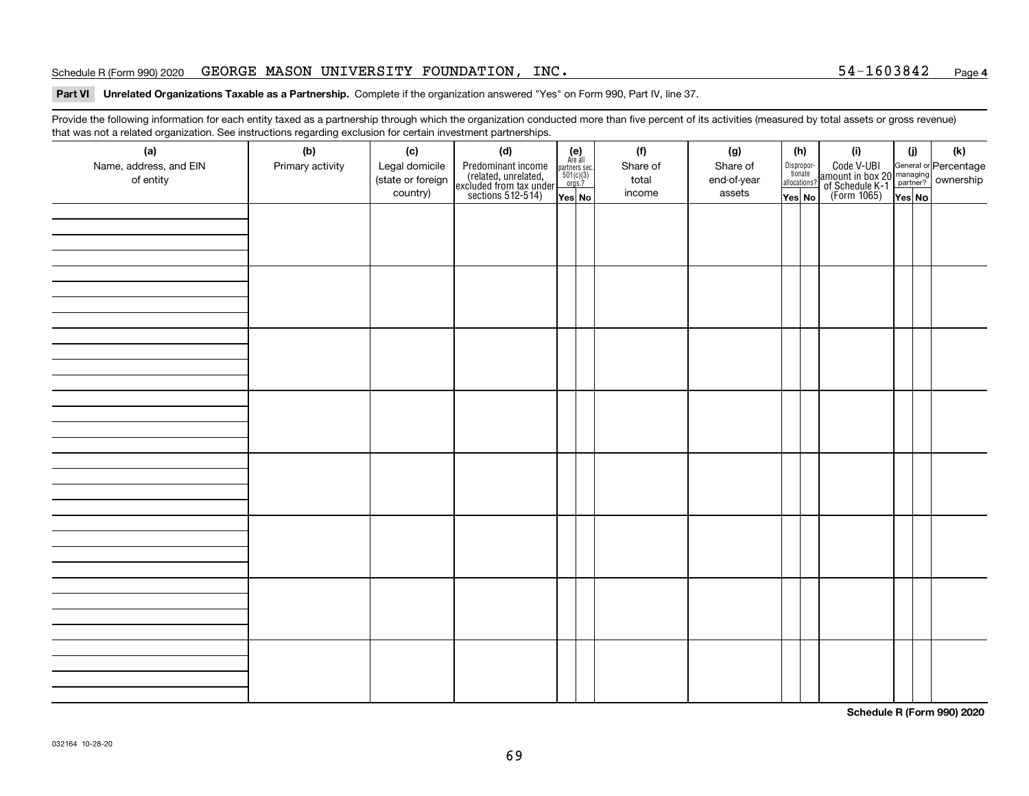#### Schedule R (Form 990) 2020 Page GEORGE MASON UNIVERSITY FOUNDATION, INC. 54-1603842

#### **Part VI Unrelated Organizations Taxable as a Partnership. Complete if the organization answered "Yes" on Form 990, Part IV, line 37.**

Provide the following information for each entity taxed as a partnership through which the organization conducted more than five percent of its activities (measured by total assets or gross revenue) that was not a related organization. See instructions regarding exclusion for certain investment partnerships.

| ັ<br>(a)               | ັ<br>ັ<br>(b)    | (c)                           | (d)                                                                                        |                                                                                              | (e)<br>Are all | (f)      | (g)         | (h)                              |  | (i)                                                                                                    | (i)    | (k) |
|------------------------|------------------|-------------------------------|--------------------------------------------------------------------------------------------|----------------------------------------------------------------------------------------------|----------------|----------|-------------|----------------------------------|--|--------------------------------------------------------------------------------------------------------|--------|-----|
| Name, address, and EIN | Primary activity | Legal domicile                |                                                                                            | $\begin{array}{c}\n\text{partners} & \text{sec.} \\ 501(c)(3) & \text{orgs.?} \n\end{array}$ |                | Share of | Share of    | Disproportionate<br>allocations? |  | Code V-UBI<br>amount in box 20 managing<br>of Schedule K-1 partner? ownership<br>(Form 1065)<br>ves No |        |     |
| of entity              |                  | (state or foreign<br>country) | Predominant income<br>(related, unrelated,<br>excluded from tax under<br>sections 512-514) |                                                                                              |                | total    | end-of-year |                                  |  |                                                                                                        |        |     |
|                        |                  |                               |                                                                                            | Yes No                                                                                       |                | income   | assets      | Yes No                           |  |                                                                                                        | Yes No |     |
|                        |                  |                               |                                                                                            |                                                                                              |                |          |             |                                  |  |                                                                                                        |        |     |
|                        |                  |                               |                                                                                            |                                                                                              |                |          |             |                                  |  |                                                                                                        |        |     |
|                        |                  |                               |                                                                                            |                                                                                              |                |          |             |                                  |  |                                                                                                        |        |     |
|                        |                  |                               |                                                                                            |                                                                                              |                |          |             |                                  |  |                                                                                                        |        |     |
|                        |                  |                               |                                                                                            |                                                                                              |                |          |             |                                  |  |                                                                                                        |        |     |
|                        |                  |                               |                                                                                            |                                                                                              |                |          |             |                                  |  |                                                                                                        |        |     |
|                        |                  |                               |                                                                                            |                                                                                              |                |          |             |                                  |  |                                                                                                        |        |     |
|                        |                  |                               |                                                                                            |                                                                                              |                |          |             |                                  |  |                                                                                                        |        |     |
|                        |                  |                               |                                                                                            |                                                                                              |                |          |             |                                  |  |                                                                                                        |        |     |
|                        |                  |                               |                                                                                            |                                                                                              |                |          |             |                                  |  |                                                                                                        |        |     |
|                        |                  |                               |                                                                                            |                                                                                              |                |          |             |                                  |  |                                                                                                        |        |     |
|                        |                  |                               |                                                                                            |                                                                                              |                |          |             |                                  |  |                                                                                                        |        |     |
|                        |                  |                               |                                                                                            |                                                                                              |                |          |             |                                  |  |                                                                                                        |        |     |
|                        |                  |                               |                                                                                            |                                                                                              |                |          |             |                                  |  |                                                                                                        |        |     |
|                        |                  |                               |                                                                                            |                                                                                              |                |          |             |                                  |  |                                                                                                        |        |     |
|                        |                  |                               |                                                                                            |                                                                                              |                |          |             |                                  |  |                                                                                                        |        |     |
|                        |                  |                               |                                                                                            |                                                                                              |                |          |             |                                  |  |                                                                                                        |        |     |
|                        |                  |                               |                                                                                            |                                                                                              |                |          |             |                                  |  |                                                                                                        |        |     |
|                        |                  |                               |                                                                                            |                                                                                              |                |          |             |                                  |  |                                                                                                        |        |     |
|                        |                  |                               |                                                                                            |                                                                                              |                |          |             |                                  |  |                                                                                                        |        |     |
|                        |                  |                               |                                                                                            |                                                                                              |                |          |             |                                  |  |                                                                                                        |        |     |
|                        |                  |                               |                                                                                            |                                                                                              |                |          |             |                                  |  |                                                                                                        |        |     |
|                        |                  |                               |                                                                                            |                                                                                              |                |          |             |                                  |  |                                                                                                        |        |     |
|                        |                  |                               |                                                                                            |                                                                                              |                |          |             |                                  |  |                                                                                                        |        |     |
|                        |                  |                               |                                                                                            |                                                                                              |                |          |             |                                  |  |                                                                                                        |        |     |
|                        |                  |                               |                                                                                            |                                                                                              |                |          |             |                                  |  |                                                                                                        |        |     |
|                        |                  |                               |                                                                                            |                                                                                              |                |          |             |                                  |  |                                                                                                        |        |     |
|                        |                  |                               |                                                                                            |                                                                                              |                |          |             |                                  |  |                                                                                                        |        |     |
|                        |                  |                               |                                                                                            |                                                                                              |                |          |             |                                  |  |                                                                                                        |        |     |

**Schedule R (Form 990) 2020**